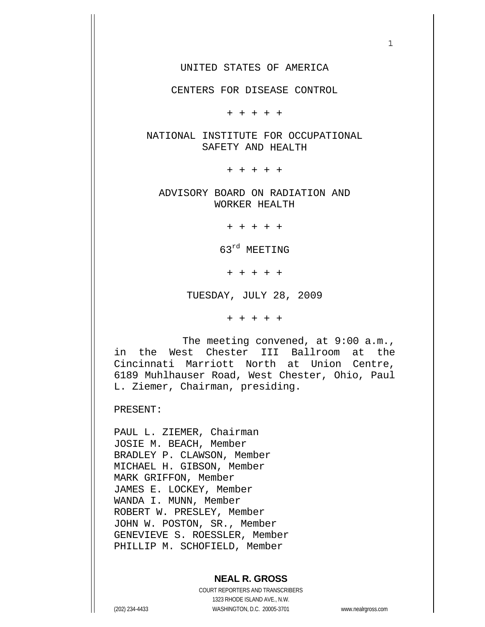$1$ 

CENTERS FOR DISEASE CONTROL

+ + + + +

NATIONAL INSTITUTE FOR OCCUPATIONAL SAFETY AND HEALTH

+ + + + +

ADVISORY BOARD ON RADIATION AND WORKER HEALTH

+ + + + +

63<sup>rd</sup> MEETING

+ + + + +

TUESDAY, JULY 28, 2009

+ + + + +

The meeting convened, at 9:00 a.m., Cincinnati Marriott North at Union Centre, L. Ziemer, Chairman, presiding. in the West Chester III Ballroom at the 6189 Muhlhauser Road, West Chester, Ohio, Paul

PRESENT:

PAUL L. ZIEMER, Chairman JOSIE M. BEACH, Member BRADLEY P. CLAWSON, Member WANDA I. MUNN, Member ROBERT W. PRESLEY, Member JOHN W. POSTON, SR., Member GENEVIEVE S. ROESSLER, Member PHILLIP M. SCHOFIELD, Member MICHAEL H. GIBSON, Member MARK GRIFFON, Member JAMES E. LOCKEY, Member

#### **NEAL R. GROSS**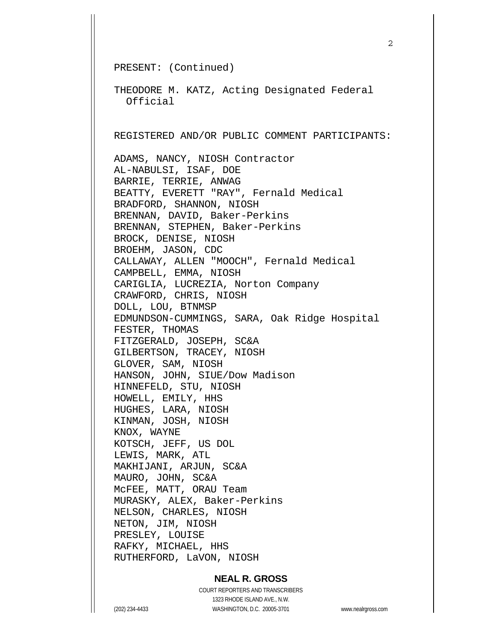PRESENT: (Continued)

THEODORE M. KATZ, Acting Designated Federal Official

REGISTERED AND/OR PUBLIC COMMENT PARTICIPANTS:

ADAMS, NANCY, NIOSH Contractor BEATTY, EVERETT "RAY", Fernald Medical BRENNAN, DAVID, Baker-Perkins CALLAWAY, ALLEN "MOOCH", Fernald Medical CRAWFORD, CHRIS, NIOSH EDMUNDSON-CUMMINGS, SARA, Oak Ridge Hospital GILBERTSON, TRACEY, NIOSH GLOVER, SAM, NIOSH HANSON, JOHN, SIUE/Dow Madison HINNEFELD, STU, NIOSH MAKHIJANI, ARJUN, SC&A MAURO, JOHN, SC&A McFEE, MATT, ORAU Team MURASKY, ALEX, Baker-Perkins NELSON, CHARLES, NIOSH NETON, JIM, NIOSH PRESLEY, LOUISE RAFKY, MICHAEL, HHS RUTHERFORD, LaVON, NIOSH AL-NABULSI, ISAF, DOE BARRIE, TERRIE, ANWAG BRADFORD, SHANNON, NIOSH BRENNAN, STEPHEN, Baker-Perkins BROCK, DENISE, NIOSH BROEHM, JASON, CDC CAMPBELL, EMMA, NIOSH CARIGLIA, LUCREZIA, Norton Company DOLL, LOU, BTNMSP FESTER, THOMAS FITZGERALD, JOSEPH, SC&A HOWELL, EMILY, HHS HUGHES, LARA, NIOSH KINMAN, JOSH, NIOSH KNOX, WAYNE KOTSCH, JEFF, US DOL LEWIS, MARK, ATL

### **NEAL R. GROSS**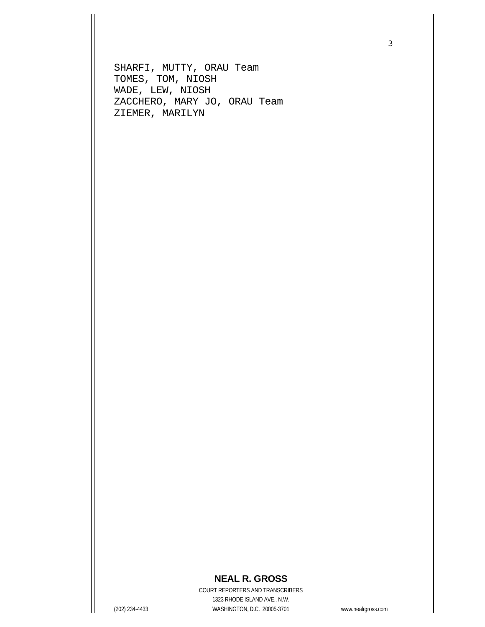SHARFI, MUTTY, ORAU Team TOMES, TOM, NIOSH ZACCHERO, MARY JO, ORAU Team ZIEMER, MARILYN WADE, LEW, NIOSH

## **NEAL R. GROSS**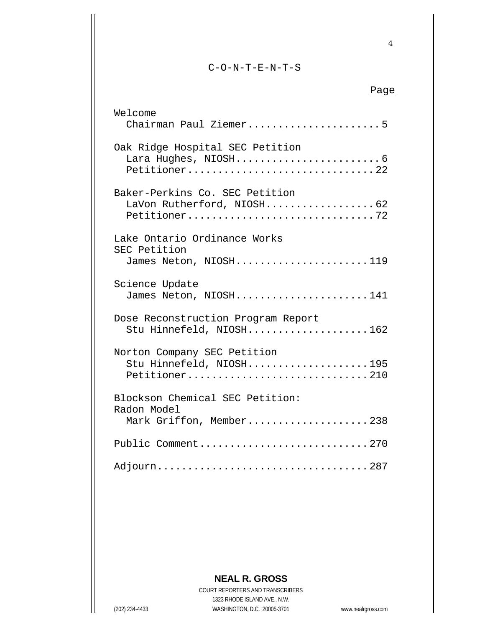### $C$ -O-N-T-E-N-T-S

|                                                                             | Page |
|-----------------------------------------------------------------------------|------|
| Welcome<br>Chairman Paul Ziemer5                                            |      |
| Oak Ridge Hospital SEC Petition<br>Petitioner22                             |      |
| Baker-Perkins Co. SEC Petition<br>LaVon Rutherford, NIOSH62<br>Petitioner72 |      |
| Lake Ontario Ordinance Works<br>SEC Petition<br>James Neton, NIOSH119       |      |
| Science Update<br>James Neton, NIOSH141                                     |      |
| Dose Reconstruction Program Report<br>Stu Hinnefeld, NIOSH162               |      |
| Norton Company SEC Petition<br>Stu Hinnefeld, NIOSH195<br>Petitioner210     |      |
| Blockson Chemical SEC Petition:<br>Radon Model<br>Mark Griffon, Member238   |      |
| Public Comment270                                                           |      |
|                                                                             |      |

# **NEAL R. GROSS**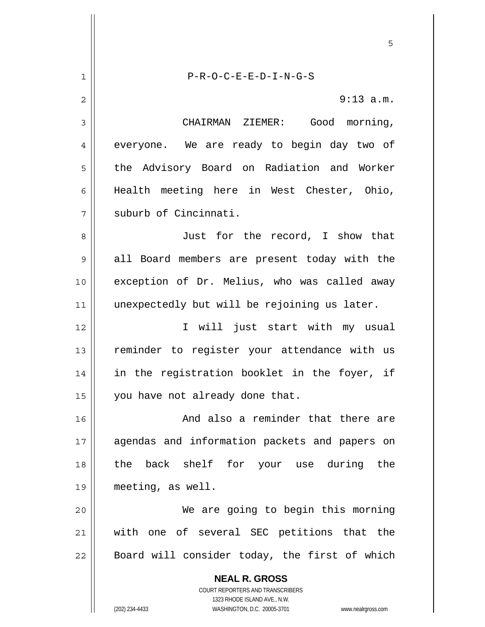**NEAL R. GROSS** COURT REPORTERS AND TRANSCRIBERS 1323 RHODE ISLAND AVE., N.W.  $\sim$  5  $\sim$  5  $\sim$  5  $\sim$  5  $\sim$  5  $\sim$  5  $\sim$  5  $\sim$  5  $\sim$  5  $\sim$  5  $\sim$  5  $\sim$  5  $\sim$  5  $\sim$  5  $\sim$  5  $\sim$  5  $\sim$  5  $\sim$  5  $\sim$  5  $\sim$  5  $\sim$  5  $\sim$  5  $\sim$  5  $\sim$  5  $\sim$  5  $\sim$  5  $\sim$  5  $\sim$  5  $\sim$  5  $\sim$  5  $\sim$  5  $\sim$ 1 2 3 ning, CHAIRMAN ZIEMER: Good mor  $4 \parallel$  everyone. We are ready to begin day two of  $5 \parallel$  the Advisory Board on Radiation and Worker 6 || Health meeting here in West Chester, Ohio,  $7 \parallel$  suburb of Cincinnati. 8 || Just for the record, I show that 9 10 exception of Dr. Melius, who was called away  $11$  || unexpectedly but will be rejoining us later. 12 || I will just start with my usual  $13$   $\parallel$  reminder to register your attendance with us 14 in the registration booklet in the foyer, if 15 16 || And also a reminder that there are 17 18 19 20 We are going to begin this morning 21 With one of several SEC petitions that the  $22$  | Board will consider today, the first of which P-R-O-C-E-E-D-I-N-G-S 9:13 a.m. all Board members are present today with the you have not already done that. agendas and information packets and papers on the back shelf for your use during the meeting, as well.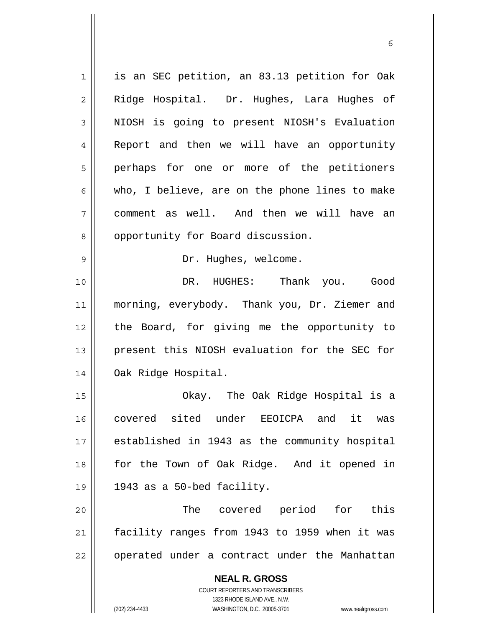**NEAL R. GROSS** COURT REPORTERS AND TRANSCRIBERS 1 2  $3 \parallel$  NIOSH is going to present NIOSH's Evaluation  $4 \parallel$  Report and then we will have an opportunity  $5 \parallel$  perhaps for one or more of the petitioners 6  $\parallel$  who, I believe, are on the phone lines to make  $7 \parallel$  comment as well. And then we will have an 8 | opportunity for Board discussion. 9 Dr. Hughes, welcome. 10  $11$   $\parallel$  morning, everybody. Thank you, Dr. Ziemer and  $12$  | the Board, for giving me the opportunity to 13 present this NIOSH evaluation for the SEC for 14 15 is a Okay. The Oak Ridge Hospital 16 || covered sited under EEOICPA and it was 17 18 19 20 The covered period for this 21 facility ranges from 1943 to 1959 when it was 22 | operated under a contract under the Manhattan is an SEC petition, an 83.13 petition for Oak Ridge Hospital. Dr. Hughes, Lara Hughes of comment as well. DR. HUGHES: Thank you. Good Oak Ridge Hospital. established in 1943 as the community hospital for the Town of Oak Ridge. And it opened in 1943 as a 50-bed facility.

 $\sim$  6

1323 RHODE ISLAND AVE., N.W.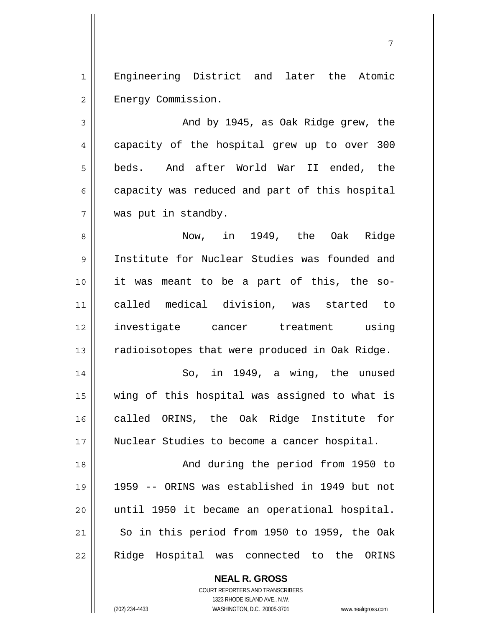1 2 | Energy Commission. Engineering District and later the Atomic

7

 $3 \parallel$  and by 1945, as Oak Ridge grew, the  $4 \parallel$  capacity of the hospital grew up to over 300  $5 \parallel$  beds. And after World War II ended, the 6  $\parallel$  capacity was reduced and part of this hospital  $7 \parallel$  was put in standby.

8 || Now, in 1949, the Oak Ridge 9 10 11 || called medical division, was started to 12 investigate cancer treatment using 13  $\parallel$  radioisotopes that were produced in Oak Ridge. Institute for Nuclear Studies was founded and it was meant to be a part of this, the so-

 $14$   $\parallel$  So, in 1949, a wing, the unused  $15$   $\parallel$  wing of this hospital was assigned to what is 16 called ORINS, the Oak Ridge Institute for 17 Nuclear Studies to become a cancer hospital.

18  $19 \parallel$  1959 -- ORINS was established in 1949 but not 20 until 1950 it became an operational hospital.  $21$  So in this period from 1950 to 1959, the Oak 22 || Ridge Hospital was connected to the ORINS And during the period from 1950 to

**NEAL R. GROSS**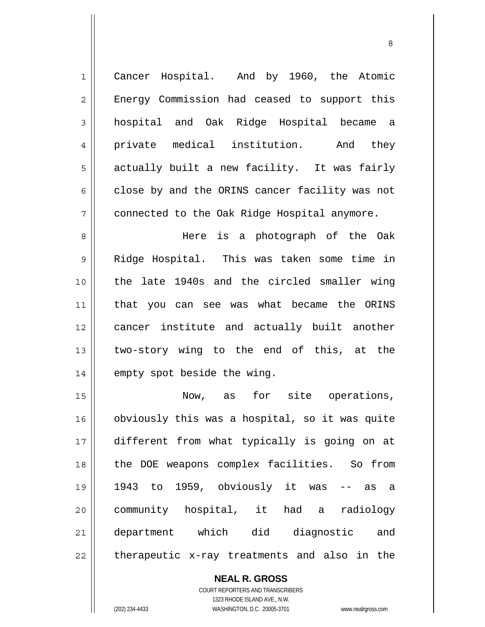| $\mathbf 1$    | Cancer Hospital. And by 1960, the Atomic       |
|----------------|------------------------------------------------|
| $\overline{2}$ | Energy Commission had ceased to support this   |
| 3              | hospital and Oak Ridge Hospital became a       |
| $\overline{4}$ | private medical institution.<br>And they       |
| 5              | actually built a new facility. It was fairly   |
| 6              | close by and the ORINS cancer facility was not |
| 7              | connected to the Oak Ridge Hospital anymore.   |
| 8              | Here is a photograph of the Oak                |
| $\mathsf 9$    | Ridge Hospital. This was taken some time in    |
| 10             | the late 1940s and the circled smaller wing    |
| 11             | that you can see was what became the ORINS     |
| 12             | cancer institute and actually built another    |
| 13             | two-story wing to the end of this, at the      |
| 14             | empty spot beside the wing.                    |
| 15             | for site operations,<br>Now, as                |
| 16             | obviously this was a hospital, so it was quite |
| 17             | different from what typically is going on at   |
| 18             | the DOE weapons complex facilities. So from    |
| 19             | 1943 to 1959, obviously it was -- as a         |
| 20             | community hospital, it had a radiology         |
| 21             | department which did diagnostic<br>and         |
| 22             | therapeutic x-ray treatments and also in the   |

<u>83 - Santa Carlos de Santa Carlos de Santa Carlos de Santa Carlos de Santa Carlos de Santa Carlos de Santa Ca</u>

**NEAL R. GROSS**

 $\mathbf{I}$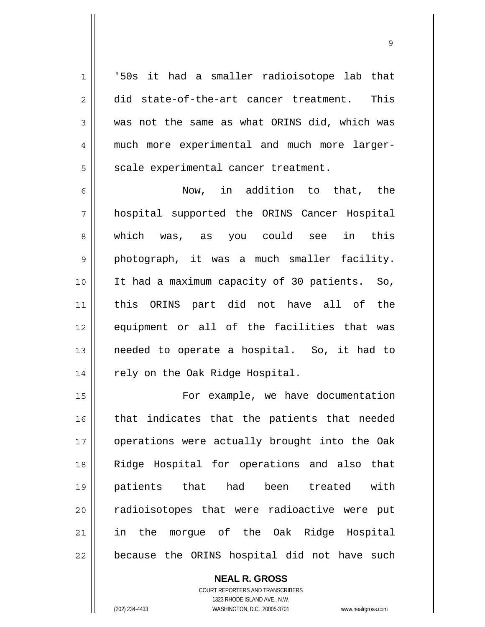$3 \parallel$  was not the same as what ORINS did, which was 4 || much more experimental and much more larger- $5 \parallel$  scale experimental cancer treatment. '50s it had a smaller radioisotope lab that did state-of-the-art cancer treatment. This

 $6 \parallel$  Mow, in addition to that, the  $7 \parallel$  hospital supported the ORINS Cancer Hospital 8 which was, as you could see in this 9 10  $11$  | this ORINS part did not have all of the  $12$   $\parallel$  equipment or all of the facilities that was 13 needed to operate a hospital. So, it had to 14 which was, as you could see in photograph, it was a much smaller facility. It had a maximum capacity of 30 patients. So, rely on the Oak Ridge Hospital.

15 tation For example, we have documen  $16$   $\parallel$  that indicates that the patients that needed 17 18  $19 \parallel$  patients that had been treated with 20 || radioisotopes that were radioactive were put 21 in the morgue of the Oak Ridge Hospital  $22$  | because the ORINS hospital did not have such operations were actually brought into the Oak Ridge Hospital for operations and also that

> **NEAL R. GROSS** COURT REPORTERS AND TRANSCRIBERS 1323 RHODE ISLAND AVE., N.W. (202) 234-4433 WASHINGTON, D.C. 20005-3701 www.nealrgross.com

1

2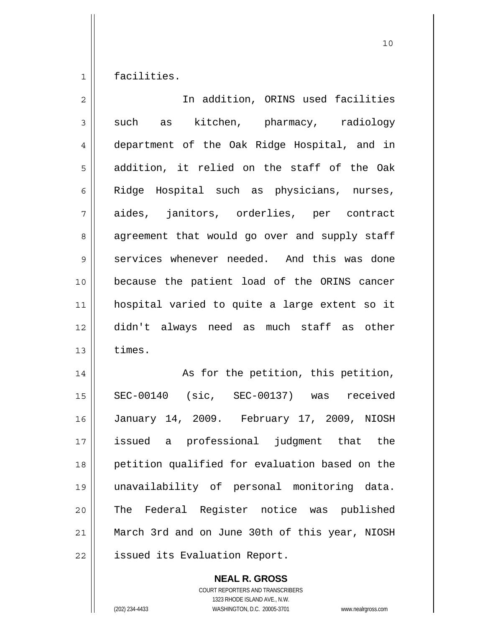1 facilities.

| $\overline{2}$ | In addition, ORINS used facilities             |
|----------------|------------------------------------------------|
| 3              | as kitchen, pharmacy, radiology<br>such        |
| $\overline{4}$ | department of the Oak Ridge Hospital, and in   |
| 5              | addition, it relied on the staff of the Oak    |
| 6              | Ridge Hospital such as physicians, nurses,     |
| 7              | aides, janitors, orderlies, per contract       |
| 8              | agreement that would go over and supply staff  |
| $\mathsf 9$    | services whenever needed. And this was done    |
| 10             | because the patient load of the ORINS cancer   |
| 11             | hospital varied to quite a large extent so it  |
| 12             | didn't always need as much staff as other      |
| 13             | times.                                         |
| 14             | As for the petition, this petition,            |
| 15             | SEC-00140 (sic, SEC-00137) was received        |
| 16             | January 14, 2009. February 17, 2009, NIOSH     |
| 17             | issued a professional judgment that the        |
| 18             | petition qualified for evaluation based on the |
| 19             | unavailability of personal monitoring data.    |
| 20             | The Federal Register notice was published      |
| 21             | March 3rd and on June 30th of this year, NIOSH |
| 22             | issued its Evaluation Report.                  |

**NEAL R. GROSS** COURT REPORTERS AND TRANSCRIBERS

1323 RHODE ISLAND AVE., N.W.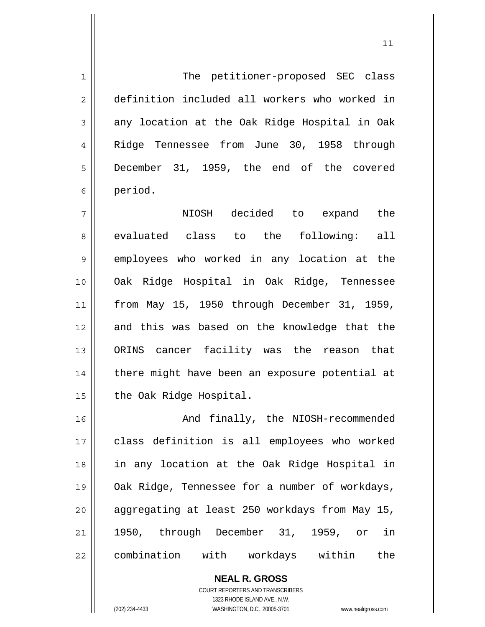$3 \parallel$  any location at the Oak Ridge Hospital in Oak 4 || Ridge Tennessee from June 30, 1958 through  $5\parallel$  December 31, 1959, the end of the covered 6  $\parallel$  period. The petitioner-proposed SEC class definition included all workers who worked in

7 the NIOSH decided to expand  $8 \parallel$  evaluated class to the following: all 9 10 11 || from May 15, 1950 through December 31, 1959,  $12$  || and this was based on the knowledge that the  $13$  || ORINS cancer facility was the reason that 14 || there might have been an exposure potential at 15 employees who worked in any location at the Oak Ridge Hospital in Oak Ridge, Tennessee the Oak Ridge Hospital.

16 ended And finally, the NIOSH-recomm 17 18  $19 \parallel$  Oak Ridge, Tennessee for a number of workdays, 20 || aggregating at least 250 workdays from May 15, 21 1950, through December 31, 1959, or in 22 | combination with workdays within the class definition is all employees who worked in any location at the Oak Ridge Hospital in

> **NEAL R. GROSS** COURT REPORTERS AND TRANSCRIBERS 1323 RHODE ISLAND AVE., N.W. (202) 234-4433 WASHINGTON, D.C. 20005-3701 www.nealrgross.com

1

2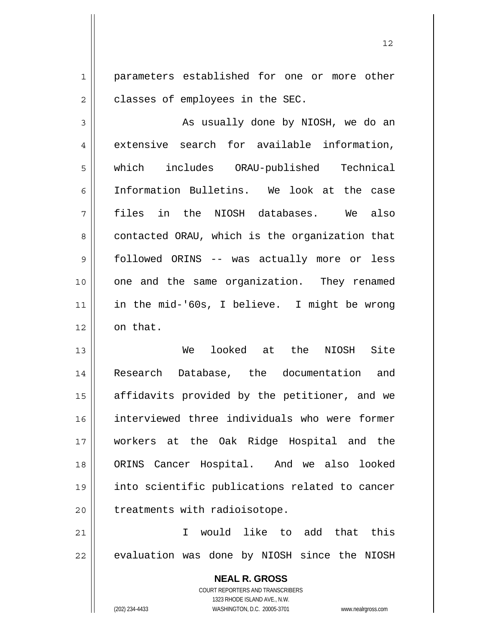1  $2 \parallel$  classes of employees in the SEC. parameters established for one or more other

 $3 \parallel$  as usually done by NIOSH, we do an  $4 \parallel$  extensive search for available information, 5 || which includes ORAU-published Technical  $6 \parallel$  Information Bulletins. We look at the case  $7 \parallel$  files in the NIOSH databases. We also  $8 \parallel$  contacted ORAU, which is the organization that 9 10 11 12 followed ORINS -- was actually more or less one and the same organization. They renamed in the mid-'60s, I believe. I might be wrong on that.

Site We looked at the NIOSH Research Database, the documentation and || affidavits provided by the petitioner, and we || interviewed three individuals who were former 17 ORINS Cancer Hospital. And we also looked  $19 \parallel$  into scientific publications related to cancer | treatments with radioisotope. workers at the Oak Ridge Hospital and the

21 I would like to add that this  $22$  | evaluation was done by NIOSH since the NIOSH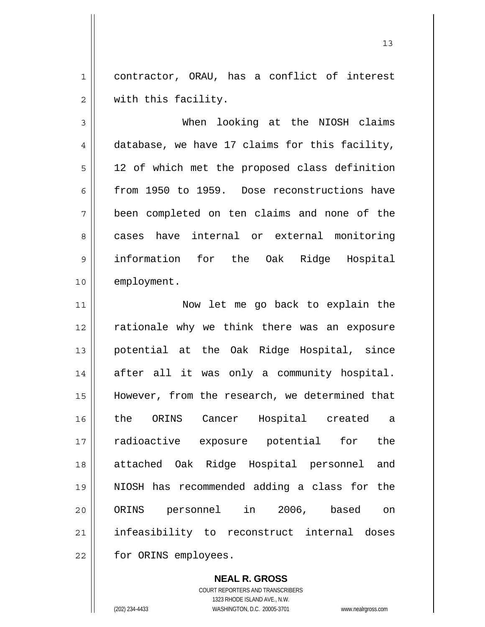1 2 | with this facility. contractor, ORAU, has a conflict of interest

3 claims When looking at the NIOSH 4  $\parallel$  database, we have 17 claims for this facility,  $5 \parallel$  12 of which met the proposed class definition  $6 \parallel$  from 1950 to 1959. Dose reconstructions have  $7 \parallel$  been completed on ten claims and none of the 8 || cases have internal or external monitoring 9 10 information for the Oak Ridge Hospital employment.

11 || Now let me go back to explain the  $12$  | rationale why we think there was an exposure  $13 \parallel$  potential at the Oak Ridge Hospital, since  $14$  || after all it was only a community hospital.  $15$  || However, from the research, we determined that 16 || the ORINS Cancer Hospital created a 17 18  $19 \parallel$  NIOSH has recommended adding a class for the 20 ORINS personnel in 2006, based on 21 infeasibility to reconstruct internal doses 22 | for ORINS employees. radioactive exposure potential for the attached Oak Ridge Hospital personnel and

> **NEAL R. GROSS** COURT REPORTERS AND TRANSCRIBERS 1323 RHODE ISLAND AVE., N.W. (202) 234-4433 WASHINGTON, D.C. 20005-3701 www.nealrgross.com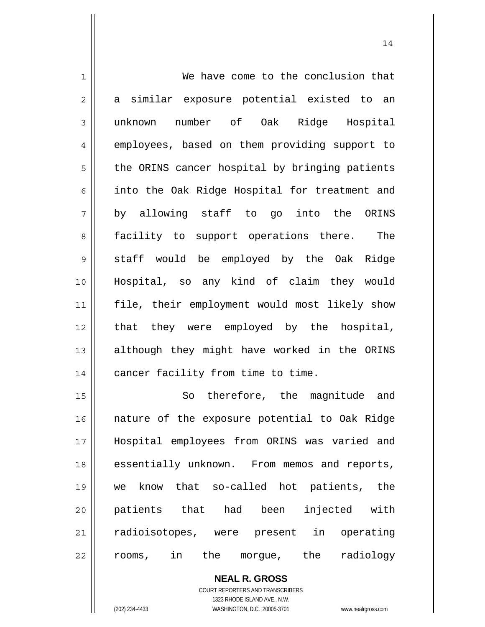| $\mathbf 1$    | We have come to the conclusion that            |
|----------------|------------------------------------------------|
| $\overline{2}$ | a similar exposure potential existed to an     |
| $\mathfrak{Z}$ | number of Oak Ridge Hospital<br>unknown        |
| $\overline{4}$ | employees, based on them providing support to  |
| 5              | the ORINS cancer hospital by bringing patients |
| 6              | into the Oak Ridge Hospital for treatment and  |
| 7              | by allowing staff to go into the ORINS         |
| 8              | facility to support operations there.<br>The   |
| 9              | staff would be employed by the Oak Ridge       |
| 10             | Hospital, so any kind of claim they would      |
| 11             | file, their employment would most likely show  |
| 12             | that they were employed by the hospital,       |
| 13             | although they might have worked in the ORINS   |
| 14             | cancer facility from time to time.             |
| 15             | So therefore, the magnitude and                |
| 16             | nature of the exposure potential to Oak Ridge  |
| 17             | Hospital employees from ORINS was varied and   |
| 18             | essentially unknown. From memos and reports,   |
| 19             | know that so-called hot patients,<br>the<br>we |
| 20             | patients that had been injected with           |
| 21             | radioisotopes, were present in operating       |
| 22             | radiology<br>the<br>morgue, the<br>rooms, in   |

**NEAL R. GROSS** COURT REPORTERS AND TRANSCRIBERS 1323 RHODE ISLAND AVE., N.W.

 $\mathbf{\mathsf{I}}$ 

(202) 234-4433 WASHINGTON, D.C. 20005-3701 www.nealrgross.com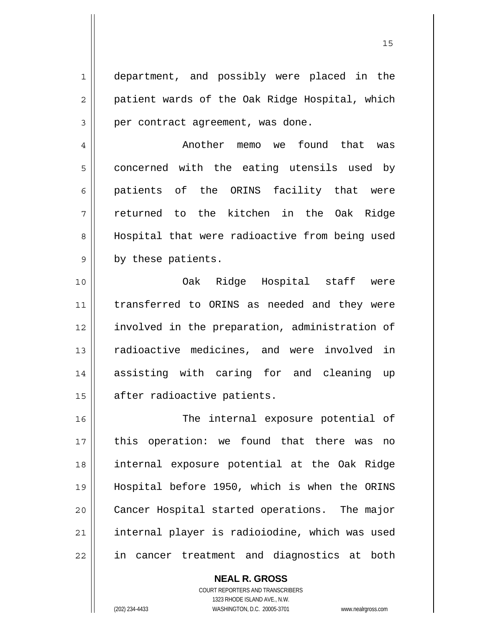$3 \parallel$  per contract agreement, was done. department, and possibly were placed in the patient wards of the Oak Ridge Hospital, which

4 was Another memo we found that  $5 \parallel$  concerned with the eating utensils used by  $6 \parallel$  patients of the ORINS facility that were  $7 \parallel$  returned to the kitchen in the Oak Ridge  $8 \parallel$  Hospital that were radioactive from being used by these patients.

10  $11$  | transferred to ORINS as needed and they were  $12$  || involved in the preparation, administration of  $13 \parallel$  radioactive medicines, and were involved in 14 assisting with caring for and cleaning up 15 Oak Ridge Hospital staff were after radioactive patients.

16 || The internal exposure potential of 17 18  $19 \parallel$  Hospital before 1950, which is when the ORINS 20 || Cancer Hospital started operations. The major 21 || internal player is radioiodine, which was used 22 || in cancer treatment and diagnostics at both this operation: we found that there was no internal exposure potential at the Oak Ridge

> **NEAL R. GROSS** COURT REPORTERS AND TRANSCRIBERS 1323 RHODE ISLAND AVE., N.W. (202) 234-4433 WASHINGTON, D.C. 20005-3701 www.nealrgross.com

1

2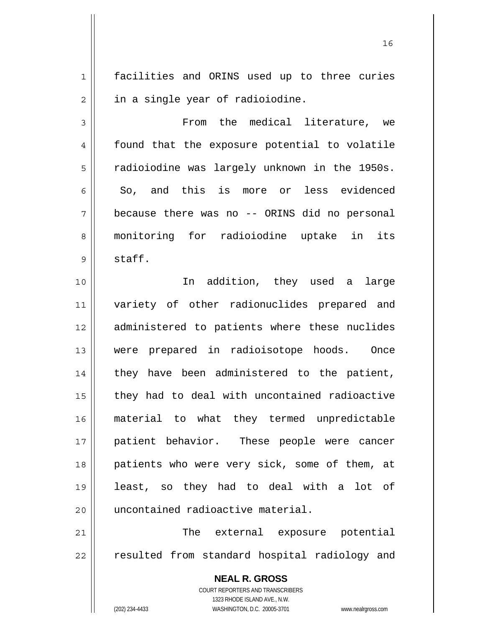1  $2 \parallel$  in a single year of radioiodine. facilities and ORINS used up to three curies

3 , we From the medical literature  $4 \parallel$  found that the exposure potential to volatile  $5 \parallel$  radioiodine was largely unknown in the 1950s.  $6 \parallel$  So, and this is more or less evidenced  $7 \parallel$  because there was no -- ORINS did no personal  $8 \parallel$  monitoring for radioiodine uptake in its 9 staff.

10  $11$   $\vert$  variety of other radionuclides prepared and  $12$   $\parallel$  administered to patients where these nuclides 13 || were prepared in radioisotope hoods. Once  $14$  || they have been administered to the patient,  $15$   $\parallel$  they had to deal with uncontained radioactive  $16 \parallel$  material to what they termed unpredictable 17 18 || patients who were very sick, some of them, at  $19 \parallel$  least, so they had to deal with a lot of 20  $\parallel$  uncontained radioactive material. In addition, they used a large patient behavior. These people were cancer

21 The external exposure potential 22 || resulted from standard hospital radiology and

> **NEAL R. GROSS** COURT REPORTERS AND TRANSCRIBERS 1323 RHODE ISLAND AVE., N.W. (202) 234-4433 WASHINGTON, D.C. 20005-3701 www.nealrgross.com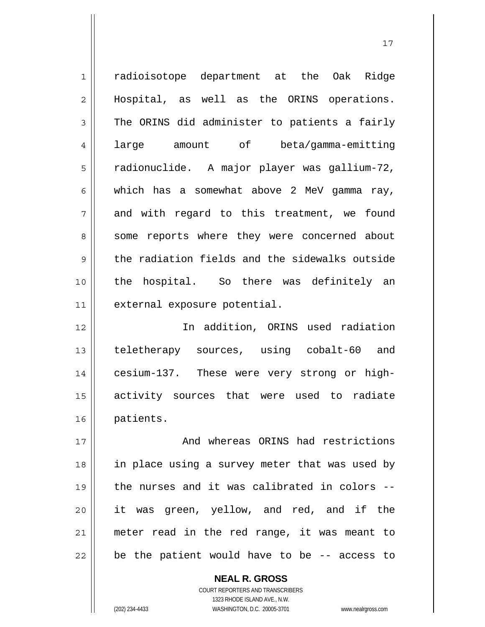| $\mathbf 1$    | radioisotope department at the Oak Ridge       |
|----------------|------------------------------------------------|
| $\overline{c}$ | Hospital, as well as the ORINS operations.     |
| $\mathfrak{Z}$ | The ORINS did administer to patients a fairly  |
| 4              | large amount of<br>beta/gamma-emitting         |
| 5              | radionuclide. A major player was gallium-72,   |
| 6              | which has a somewhat above 2 MeV gamma ray,    |
| 7              | and with regard to this treatment, we found    |
| 8              | some reports where they were concerned about   |
| 9              | the radiation fields and the sidewalks outside |
| 10             | the hospital. So there was definitely an       |
| 11             | external exposure potential.                   |
|                |                                                |
| 12             | In addition, ORINS used radiation              |
| 13             | teletherapy sources, using cobalt-60 and       |
| 14             | cesium-137. These were very strong or high-    |
| 15             | activity sources that were used to radiate     |
| 16             | patients.                                      |
| 17             | And whereas ORINS had restrictions             |
| 18             | in place using a survey meter that was used by |
| 19             | the nurses and it was calibrated in colors --  |
| 20             | it was green, yellow, and red, and if the      |
| 21             | meter read in the red range, it was meant to   |

COURT REPORTERS AND TRANSCRIBERS 1323 RHODE ISLAND AVE., N.W. (202) 234-4433 WASHINGTON, D.C. 20005-3701 www.nealrgross.com

**NEAL R. GROSS**

 $\mathsf{II}$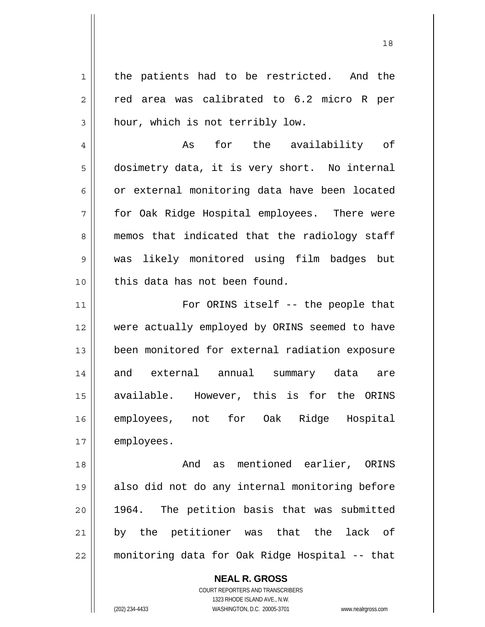**NEAL R. GROSS** 1 2 3  $4 \parallel$  as for the availability of  $5 \parallel$  dosimetry data, it is very short. No internal  $6 \parallel$  or external monitoring data have been located  $7 \parallel$  for Oak Ridge Hospital employees. There were  $8 \parallel$  memos that indicated that the radiology staff 9 10 11 || For ORINS itself -- the people that  $12$  || were actually employed by ORINS seemed to have  $13$   $\parallel$  been monitored for external radiation exposure 14 || and external annual summary data are 15 || available. However, this is for the ORINS 16 employees, not for Oak Ridge Hospital 17 18  $19 \parallel$  also did not do any internal monitoring before 20 1964. The petition basis that was submitted 21 by the petitioner was that the lack of 22 monitoring data for Oak Ridge Hospital -- that the patients had to be restricted. And the red area was calibrated to 6.2 micro R per hour, which is not terribly low. was likely monitored using film badges but this data has not been found. availabl employees. And as mentioned earlier, ORINS

18

COURT REPORTERS AND TRANSCRIBERS 1323 RHODE ISLAND AVE., N.W.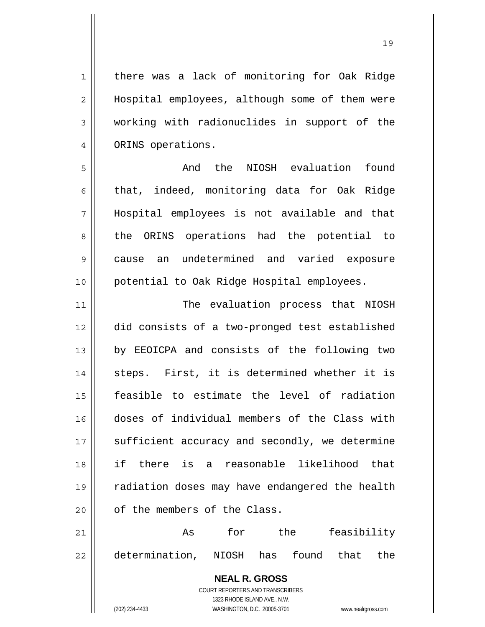1 2  $3 \parallel$  working with radionuclides in support of the 4 | ORINS operations. 5 found And the NIOSH evaluation 6 $\parallel$  that, indeed, monitoring data for Oak Ridge  $7 \parallel$  Hospital employees is not available and that 8 || the ORINS operations had the potential to 9 10 11 NIOSH The evaluation process that  $12 \parallel$  did consists of a two-pronged test established  $13 \parallel$  by EEOICPA and consists of the following two  $14 \parallel$  steps. First, it is determined whether it is  $15$  || feasible to estimate the level of radiation  $16$   $\parallel$  doses of individual members of the Class with 17 18  $19 \parallel$  radiation doses may have endangered the health 20 | of the members of the Class. 21 As for the feasibility 22 determination, NIOSH has found that the there was a lack of monitoring for Oak Ridge Hospital employees, although some of them were cause an undetermined and varied exposure potential to Oak Ridge Hospital employees. sufficient accuracy and secondly, we determine if there is a reasonable likelihood that

> **NEAL R. GROSS** COURT REPORTERS AND TRANSCRIBERS 1323 RHODE ISLAND AVE., N.W.

(202) 234-4433 WASHINGTON, D.C. 20005-3701 www.nealrgross.com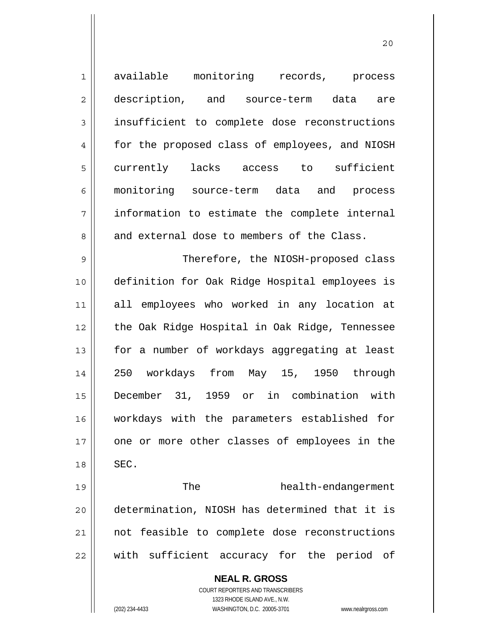| $\mathbf 1$    | available monitoring records, process                               |
|----------------|---------------------------------------------------------------------|
| $\overline{2}$ | description, and source-term<br>data<br>are                         |
| 3              | insufficient to complete dose reconstructions                       |
| $\overline{4}$ | for the proposed class of employees, and NIOSH                      |
| 5              | currently lacks access to sufficient                                |
| 6              | monitoring source-term data and process                             |
| 7              | information to estimate the complete internal                       |
| 8              | and external dose to members of the Class.                          |
| 9              | Therefore, the NIOSH-proposed class                                 |
| 10             | definition for Oak Ridge Hospital employees is                      |
| 11             | all employees who worked in any location at                         |
| 12             | the Oak Ridge Hospital in Oak Ridge, Tennessee                      |
| 13             | for a number of workdays aggregating at least                       |
| 14             | 250 workdays from May 15, 1950 through                              |
| 15             | December 31, 1959 or in combination with                            |
| 16             | workdays with the parameters established for                        |
| 17             | one or more other classes of employees in the                       |
| 18             | SEC.                                                                |
| 19             | The<br>health-endangerment                                          |
| 20             | determination, NIOSH has determined that it is                      |
| 21             | not feasible to complete dose reconstructions                       |
| 22             | with sufficient accuracy for the period of                          |
|                | <b>NEAL R. GROSS</b>                                                |
|                | <b>COURT REPORTERS AND TRANSCRIBERS</b>                             |
|                | 1323 RHODE ISLAND AVE., N.W.                                        |
|                | (202) 234-4433<br>WASHINGTON, D.C. 20005-3701<br>www.nealrgross.com |

20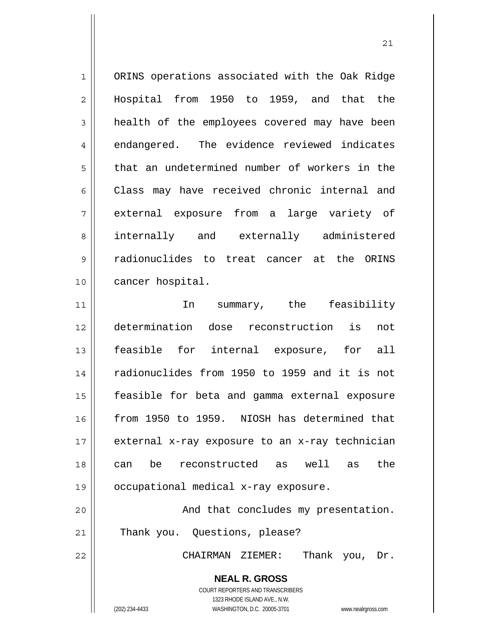1 2  $3 \parallel$  health of the employees covered may have been  $4 \parallel$  endangered. The evidence reviewed indicates  $5 \parallel$  that an undetermined number of workers in the 6  $\parallel$  Class may have received chronic internal and  $7 \parallel$  external exposure from a large variety of  $8 \parallel$  internally and externally administered 9 10 11 || In summary, the feasibility ORINS operations associated with the Oak Ridge Hospital from 1950 to 1959, and that the radionuclides to treat cancer at the ORINS cancer hospital.

12 || determination dose reconstruction is not  $13 \parallel$  feasible for internal exposure, for all  $14 \parallel$  radionuclides from 1950 to 1959 and it is not  $15$   $\parallel$  feasible for beta and gamma external exposure  $16 \parallel$  from 1950 to 1959. NIOSH has determined that 17 18 19 || occupational medical x-ray exposure. 20 || And that concludes my presentation. 21 || Thank you. Questions, please? 22 CHAIRMAN ZIEMER: Thank you, Dr. summary, external x-ray exposure to an x-ray technician can be reconstructed as well as the

> **NEAL R. GROSS** COURT REPORTERS AND TRANSCRIBERS

1323 RHODE ISLAND AVE., N.W. (202) 234-4433 WASHINGTON, D.C. 20005-3701 www.nealrgross.com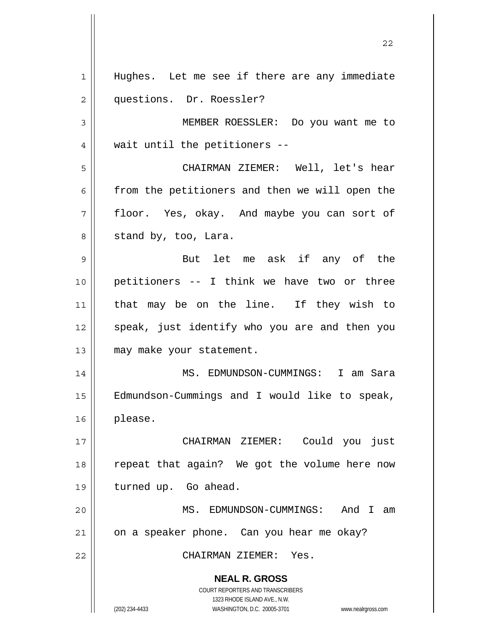**NEAL R. GROSS** COURT REPORTERS AND TRANSCRIBERS 1323 RHODE ISLAND AVE., N.W. (202) 234-4433 WASHINGTON, D.C. 20005-3701 www.nealrgross.com 1 2 | questions. Dr. Roessler? 3 || MEMBER ROESSLER: Do you want me to  $4 \parallel$  wait until the petitioners --5 hear CHAIRMAN ZIEMER: Well, let's 6  $\parallel$  from the petitioners and then we will open the  $7 \parallel$  floor. Yes, okay. And maybe you can sort of  $8 \parallel$  stand by, too, Lara. 9 10  $11$  | that may be on the line. If they wish to 12 || speak, just identify who you are and then you 13 14 MS. EDMUNDSON-CUMMINGS: I am Sara 15 Edmundson-Cummings and I would like to speak, 16 17 18 19  $\parallel$  turned up. Go ahead. 20 MS. EDMUNDSON-CUMMINGS: And I am  $21$  on a speaker phone. Can you hear me okay? 22 CHAIRMAN ZIEMER: Yes. Hughes. Let me see if there are any immediate But let me ask if any of the petitioners -- I think we have two or three may make your statement. please. CHAIRMAN ZIEMER: Could you just repeat that again? We got the volume here now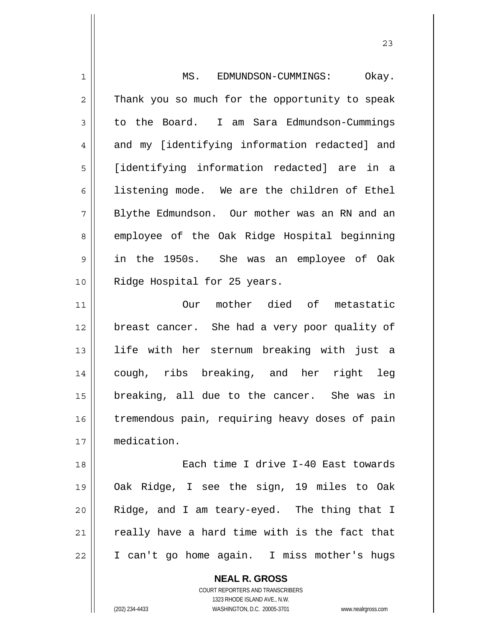| 1              | MS. EDMUNDSON-CUMMINGS:<br>Okay.               |
|----------------|------------------------------------------------|
| $\overline{2}$ | Thank you so much for the opportunity to speak |
| 3              | to the Board. I am Sara Edmundson-Cummings     |
| 4              | and my [identifying information redacted] and  |
| 5              | [identifying information redacted] are in a    |
| 6              | listening mode. We are the children of Ethel   |
| 7              | Blythe Edmundson. Our mother was an RN and an  |
| 8              | employee of the Oak Ridge Hospital beginning   |
| 9              | in the 1950s. She was an employee of Oak       |
| 10             | Ridge Hospital for 25 years.                   |
| 11             | mother died of metastatic<br>Our               |
| 12             | breast cancer. She had a very poor quality of  |
| 13             | life with her sternum breaking with just a     |
| 14             | cough, ribs breaking, and her right<br>leg     |
| 15             | breaking, all due to the cancer. She was in    |
| 16             | tremendous pain, requiring heavy doses of pain |
| 17             | medication.                                    |
| 18             | Each time I drive I-40 East towards            |
| 19             | Oak Ridge, I see the sign, 19 miles to Oak     |
| 20             | Ridge, and I am teary-eyed. The thing that I   |
| 21             | really have a hard time with is the fact that  |
| 22             | I can't go home again. I miss mother's hugs    |
|                | <b>NEAL R. GROSS</b>                           |

23

COURT REPORTERS AND TRANSCRIBERS 1323 RHODE ISLAND AVE., N.W.

 $\prod$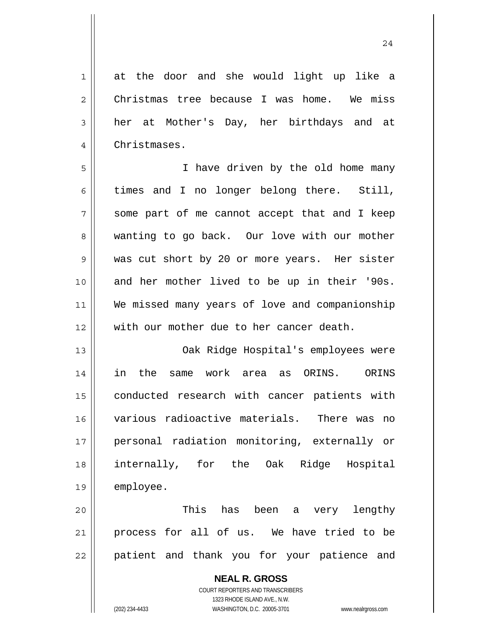1 2  $3 \parallel$  her at Mother's Day, her birthdays and at  $4 \parallel$  Christmases. 5 || I have driven by the old home many 6 || times and I no longer belong there. Still,  $7 \parallel$  some part of me cannot accept that and I keep  $8 \parallel$  wanting to go back. Our love with our mother 9 10 11 || We missed many years of love and companionship 12 13 were Oak Ridge Hospital's employees  $14 \parallel$  in the same work area as ORINS. ORINS at the door and she would light up like a Christmas tree because I was home. We miss was cut short by 20 or more years. Her sister and her mother lived to be up in their '90s. with our mother due to her cancer death.

 $15$   $\vert$  conducted research with cancer patients with  $16$   $\parallel$  various radioactive materials. There was no 17 18 19 personal radiation monitoring, externally or internally, for the Oak Ridge Hospital employee.

20 This has been a very lengthy 21 process for all of us. We have tried to be 22 || patient and thank you for your patience and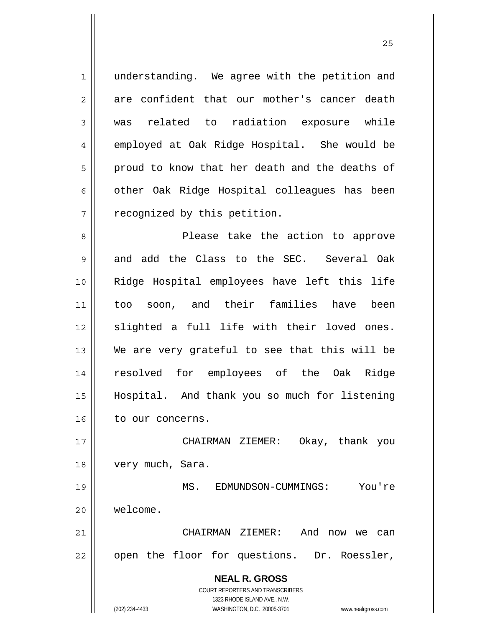1 2  $3 \parallel$  was related to radiation exposure while  $4 \parallel$  employed at Oak Ridge Hospital. She would be  $5 \parallel$  proud to know that her death and the deaths of 6  $\parallel$  other Oak Ridge Hospital colleagues has been  $7 \parallel$  recognized by this petition. 8 prove Please take the action to ap 9 10  $11$   $\vert$  too soon, and their families have been  $12 \parallel$  slighted a full life with their loved ones.  $13 \parallel$  We are very grateful to see that this will be  $14 \parallel$  resolved for employees of the Oak Ridge 15 Hospital. And thank you so much for listening understanding. We agree with the petition and are confident that our mother's cancer death and add the Class to the SEC. Several Oak Ridge Hospital employees have left this life

 $16 \parallel$  to our concerns.

17 18 || very much, Sara. CHAIRMAN ZIEMER: Okay, thank you

19 20 welcome. MS. EDMUNDSON-CUMMINGS: You're

21 CHAIRMAN ZIEMER: And now we can 22 || open the floor for questions. Dr. Roessler,

> **NEAL R. GROSS** COURT REPORTERS AND TRANSCRIBERS 1323 RHODE ISLAND AVE., N.W.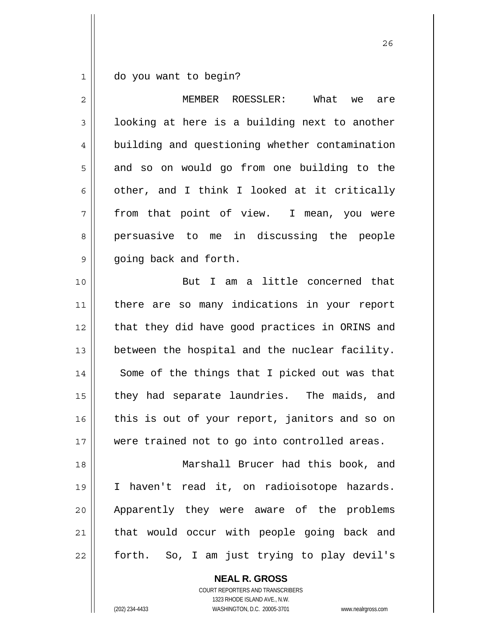1 do you want to begin?

| $\overline{2}$ | MEMBER ROESSLER:<br>What we<br>are             |
|----------------|------------------------------------------------|
| 3              | looking at here is a building next to another  |
| 4              | building and questioning whether contamination |
| 5              | and so on would go from one building to the    |
| 6              | other, and I think I looked at it critically   |
| 7              | from that point of view. I mean, you were      |
| 8              | persuasive to me in discussing the people      |
| 9              | going back and forth.                          |
| 10             | But I am a little concerned that               |
| 11             | there are so many indications in your report   |
| 12             | that they did have good practices in ORINS and |
| 13             | between the hospital and the nuclear facility. |
| 14             | Some of the things that I picked out was that  |
| 15             | they had separate laundries. The maids, and    |
| 16             | this is out of your report, janitors and so on |
| 17             | were trained not to go into controlled areas.  |
| 18             | Marshall Brucer had this book, and             |
| 19             | I haven't read it, on radioisotope hazards.    |
| 20             | Apparently they were aware of the problems     |
| 21             | that would occur with people going back and    |
| 22             | forth. So, I am just trying to play devil's    |

**NEAL R. GROSS**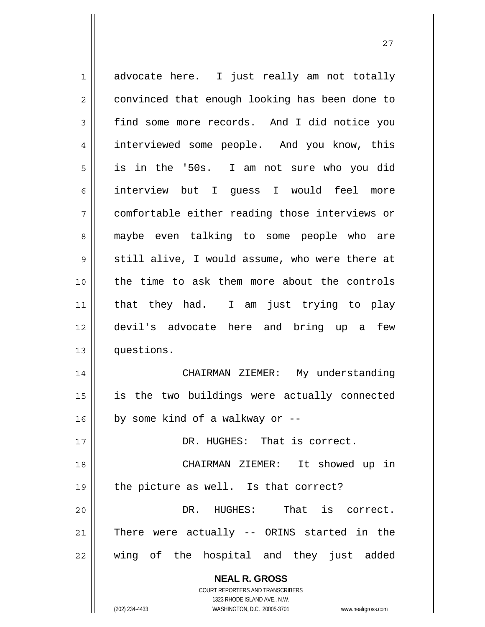| $\mathbf 1$    | advocate here. I just really am not totally                         |
|----------------|---------------------------------------------------------------------|
| $\overline{2}$ | convinced that enough looking has been done to                      |
| 3              | find some more records. And I did notice you                        |
| 4              | interviewed some people. And you know, this                         |
| 5              | is in the '50s. I am not sure who you did                           |
| 6              | interview but I guess I would feel more                             |
| 7              | comfortable either reading those interviews or                      |
| 8              | maybe even talking to some people who are                           |
| 9              | still alive, I would assume, who were there at                      |
| 10             | the time to ask them more about the controls                        |
| 11             | that they had. I am just trying to play                             |
| 12             | devil's advocate here and bring up a<br>few                         |
| 13             | questions.                                                          |
| 14             | CHAIRMAN ZIEMER: My understanding                                   |
| 15             | is the two buildings were actually connected                        |
| 16             | by some kind of a walkway or --                                     |
| 17             | DR. HUGHES: That is correct.                                        |
| 18             | CHAIRMAN ZIEMER: It showed up in                                    |
| 19             | the picture as well. Is that correct?                               |
| 20             | DR. HUGHES: That is correct.                                        |
| 21             | There were actually -- ORINS started in the                         |
| 22             | wing of the hospital and they just added                            |
|                | <b>NEAL R. GROSS</b>                                                |
|                | <b>COURT REPORTERS AND TRANSCRIBERS</b>                             |
|                | 1323 RHODE ISLAND AVE., N.W.                                        |
|                | (202) 234-4433<br>WASHINGTON, D.C. 20005-3701<br>www.nealrgross.com |

27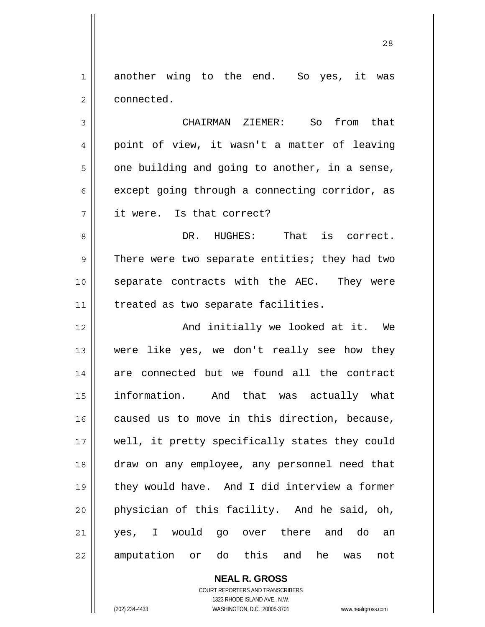1 2 | connected. another wing to the end. So yes, it was

3 || CHAIRMAN ZIEMER: So from that  $4 \parallel$  point of view, it wasn't a matter of leaving  $5 \parallel$  one building and going to another, in a sense, 6  $\parallel$  except going through a connecting corridor, as  $7 \parallel$  it were. CHAIRMAN Is that correct?

8 rrect. 9 10 || separate contracts with the AEC. They were 11  $HUGHES:$ There were two separate entities; they had two treated as two separate facilities.

 $12$   $\parallel$  and initially we looked at it. We 13  $\parallel$  were like yes, we don't really see how they  $14$  are connected but we found all the contract  $15$  || information. And that was actually what  $16$   $\vert$  caused us to move in this direction, because, 17 18  $19 \parallel$  they would have. And I did interview a former 20 physician of this facility. And he said, oh, 21 yes, I would go over there and do an 22 || amputation or do this and he was not well, it pretty specifically states they could draw on any employee, any personnel need that

> **NEAL R. GROSS** COURT REPORTERS AND TRANSCRIBERS 1323 RHODE ISLAND AVE., N.W. (202) 234-4433 WASHINGTON, D.C. 20005-3701 www.nealrgross.com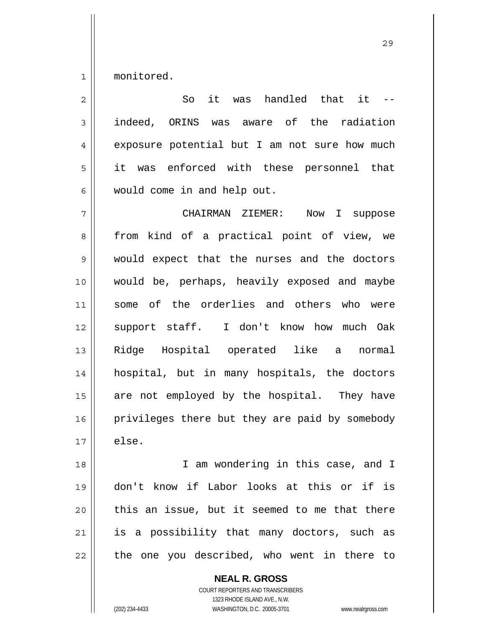1 monitored.

| $\overline{2}$ | it was handled that it --<br>So                    |
|----------------|----------------------------------------------------|
| 3              | was aware of the radiation<br>indeed, ORINS        |
| 4              | exposure potential but I am not sure how much      |
| 5              | it was enforced with these personnel that          |
| 6              | would come in and help out.                        |
| 7              | CHAIRMAN ZIEMER:<br>Now<br>$\mathbf{I}$<br>suppose |
| 8              | from kind of a practical point of view, we         |
| 9              | would expect that the nurses and the doctors       |
| 10             | would be, perhaps, heavily exposed and maybe       |
| 11             | some of the orderlies and others who were          |
| 12             | support staff. I don't know how much Oak           |
| 13             | Ridge Hospital operated like a<br>normal           |
| 14             | hospital, but in many hospitals, the doctors       |
| 15             | are not employed by the hospital. They have        |
| 16             | privileges there but they are paid by somebody     |
| 17             | else.                                              |
| 18             | I am wondering in this case, and I                 |
| 19             | don't know if Labor looks at this or if is         |
| 20             | this an issue, but it seemed to me that there      |
| 21             | is a possibility that many doctors, such as        |
| 22             | the one you described, who went in there to        |
|                | <b>NEAL R. GROSS</b>                               |

COURT REPORTERS AND TRANSCRIBERS 1323 RHODE ISLAND AVE., N.W.

 $\mathsf{I}$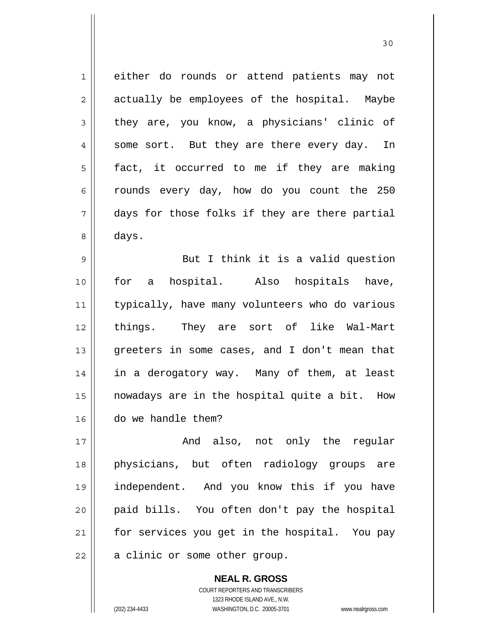1 2  $3 \parallel$  they are, you know, a physicians' clinic of  $4 \parallel$  some sort. But they are there every day. In  $5 \parallel$  fact, it occurred to me if they are making 6 ||  $\,$  rounds every day, how do you count the 250  $7 \parallel$  days for those folks if they are there partial 8 days. either do rounds or attend patients may not actually be employees of the hospital. Maybe

9 10  $11$  | typically, have many volunteers who do various 12 || things. They are sort of like Wal-Mart 13  $\parallel$  greeters in some cases, and I don't mean that  $14 \parallel$  in a derogatory way. Many of them, at least 15 nowadays are in the hospital quite a bit. How 16 But I think it is a valid question for a hospital. Also hospitals have, things. do we handle them?

17 18 19 || independent. And you know this if you have 20 paid bills. You often don't pay the hospital  $21$  for services you get in the hospital. You pay  $22$  | a clinic or some other group. And also, not only the regular physicians, but often radiology groups are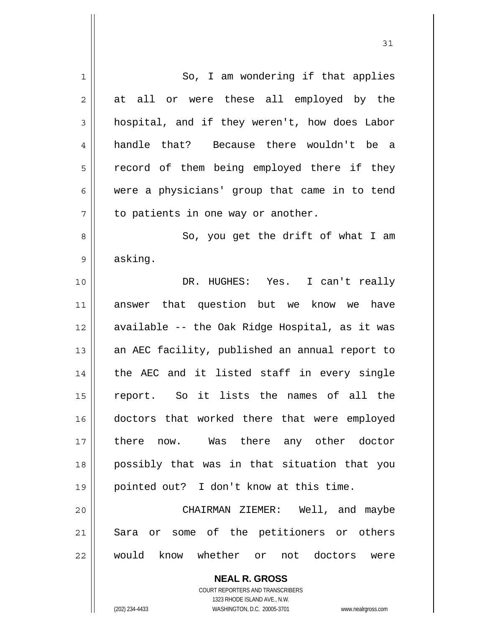| 1           | So, I am wondering if that applies                       |
|-------------|----------------------------------------------------------|
| 2           | at all or were these all employed by the                 |
| 3           | hospital, and if they weren't, how does Labor            |
| 4           | handle that? Because there wouldn't be a                 |
| 5           | record of them being employed there if they              |
| 6           | were a physicians' group that came in to tend            |
| 7           | to patients in one way or another.                       |
| 8           | So, you get the drift of what I am                       |
| $\mathsf 9$ | asking.                                                  |
| 10          | DR. HUGHES: Yes. I can't really                          |
| 11          | answer that question but we know we have                 |
| 12          | available -- the Oak Ridge Hospital, as it was           |
| 13          | an AEC facility, published an annual report to           |
| 14          | the AEC and it listed staff in every single              |
| 15          | report. So it lists the names of all the                 |
| 16          | doctors that worked there that were employed             |
| 17          | there now. Was there any other doctor                    |
| 18          | possibly that was in that situation that you             |
| 19          | pointed out? I don't know at this time.                  |
| 20          | CHAIRMAN ZIEMER: Well, and maybe                         |
| 21          | Sara or some of the petitioners or others                |
| 22          | would know whether or not doctors were                   |
|             |                                                          |
|             | <b>NEAL R. GROSS</b><br>COURT REPORTERS AND TRANSCRIBERS |
|             | 1222 DUODE ICLAND AVE NIM                                |

31

1323 RHODE ISLAND AVE., N.W.

 $\prod_{i=1}^{n}$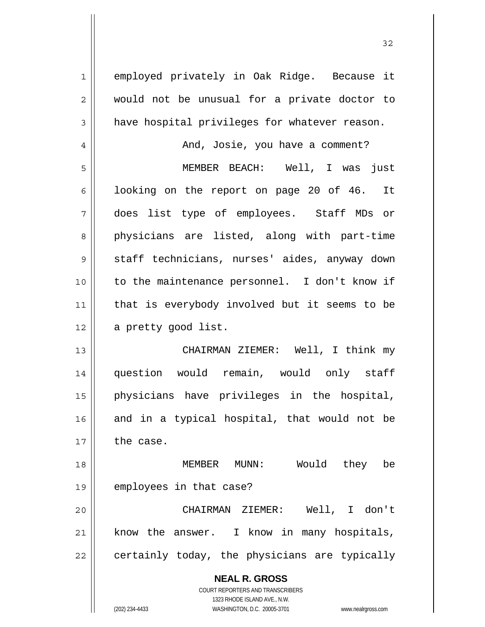| $\mathbf 1$    | employed privately in Oak Ridge. Because it                                                         |
|----------------|-----------------------------------------------------------------------------------------------------|
| $\overline{2}$ | would not be unusual for a private doctor to                                                        |
| 3              | have hospital privileges for whatever reason.                                                       |
| 4              | And, Josie, you have a comment?                                                                     |
| 5              | MEMBER BEACH: Well, I was just                                                                      |
| 6              | looking on the report on page 20 of 46. It                                                          |
| 7              | does list type of employees. Staff MDs or                                                           |
| 8              | physicians are listed, along with part-time                                                         |
| 9              | staff technicians, nurses' aides, anyway down                                                       |
| 10             | to the maintenance personnel. I don't know if                                                       |
| 11             | that is everybody involved but it seems to be                                                       |
| 12             | a pretty good list.                                                                                 |
| 13             | CHAIRMAN ZIEMER: Well, I think my                                                                   |
| 14             | question would remain, would only staff                                                             |
| 15             | physicians have privileges in the hospital,                                                         |
| 16             | and in a typical hospital, that would not be                                                        |
| 17             | the case.                                                                                           |
| 18             | MEMBER MUNN:<br>Would they<br>be                                                                    |
| 19             | employees in that case?                                                                             |
| 20             | CHAIRMAN ZIEMER: Well, I don't                                                                      |
| 21             | know the answer. I know in many hospitals,                                                          |
| 22             | certainly today, the physicians are typically                                                       |
|                |                                                                                                     |
|                | <b>NEAL R. GROSS</b>                                                                                |
|                | COURT REPORTERS AND TRANSCRIBERS                                                                    |
|                | 1323 RHODE ISLAND AVE., N.W.<br>(202) 234-4433<br>WASHINGTON, D.C. 20005-3701<br>www.nealrgross.com |
|                |                                                                                                     |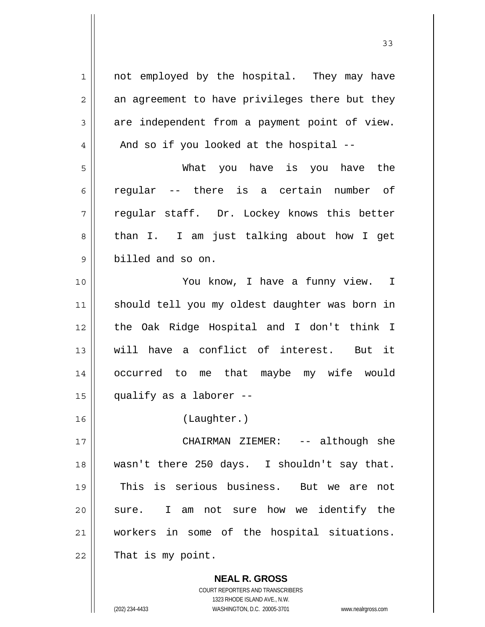| $\mathbf 1$    | not employed by the hospital. They may have    |
|----------------|------------------------------------------------|
| $\overline{2}$ | an agreement to have privileges there but they |
| $\mathfrak{Z}$ | are independent from a payment point of view.  |
| 4              | And so if you looked at the hospital --        |
| 5              | What you have is you have the                  |
| 6              | regular -- there is a certain number of        |
| 7              | regular staff. Dr. Lockey knows this better    |
| 8              | than I. I am just talking about how I get      |
| 9              | billed and so on.                              |
| 10             | You know, I have a funny view. I               |
| 11             | should tell you my oldest daughter was born in |
| 12             | the Oak Ridge Hospital and I don't think I     |
| 13             | will have a conflict of interest. But it       |
| 14             | occurred to me that maybe my wife would        |
| 15             | qualify as a laborer --                        |
| 16             | (Laughter.)                                    |
| 17             | CHAIRMAN ZIEMER: -- although she               |
| 18             | wasn't there 250 days. I shouldn't say that.   |
| 19             | This is serious business. But we are<br>not    |
| 20             | I am not sure how we identify the<br>sure.     |
| 21             | workers in some of the hospital situations.    |
| 22             | That is my point.                              |
|                | <b>NEAL R. GROSS</b>                           |

COURT REPORTERS AND TRANSCRIBERS 1323 RHODE ISLAND AVE., N.W.

 $\mathsf{I}$ 

(202) 234-4433 WASHINGTON, D.C. 20005-3701 www.nealrgross.com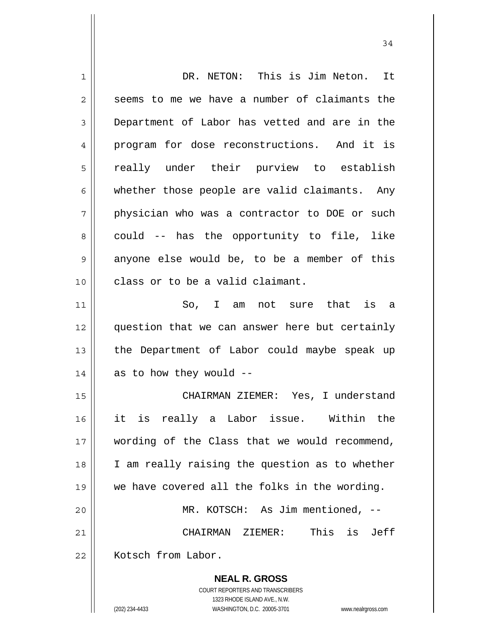| 1              | DR. NETON: This is Jim Neton. It                                    |
|----------------|---------------------------------------------------------------------|
| $\overline{2}$ | seems to me we have a number of claimants the                       |
| 3              | Department of Labor has vetted and are in the                       |
| 4              | program for dose reconstructions. And it is                         |
| 5              | really under their purview to establish                             |
| 6              | whether those people are valid claimants. Any                       |
| 7              | physician who was a contractor to DOE or such                       |
| 8              | could -- has the opportunity to file, like                          |
| 9              | anyone else would be, to be a member of this                        |
| 10             | class or to be a valid claimant.                                    |
| 11             | So, I am not sure that is a                                         |
| 12             | question that we can answer here but certainly                      |
| 13             | the Department of Labor could maybe speak up                        |
| 14             | as to how they would --                                             |
| 15             | CHAIRMAN ZIEMER: Yes, I understand                                  |
| 16             | it is really a Labor issue. Within the                              |
| 17             | wording of the Class that we would recommend,                       |
| 18             | I am really raising the question as to whether                      |
| 19             | we have covered all the folks in the wording.                       |
| 20             | MR. KOTSCH: As Jim mentioned, --                                    |
| 21             | This is Jeff<br>CHAIRMAN ZIEMER:                                    |
| 22             | Kotsch from Labor.                                                  |
|                | <b>NEAL R. GROSS</b>                                                |
|                | <b>COURT REPORTERS AND TRANSCRIBERS</b>                             |
|                | 1323 RHODE ISLAND AVE., N.W.                                        |
|                | (202) 234-4433<br>WASHINGTON, D.C. 20005-3701<br>www.nealrgross.com |

34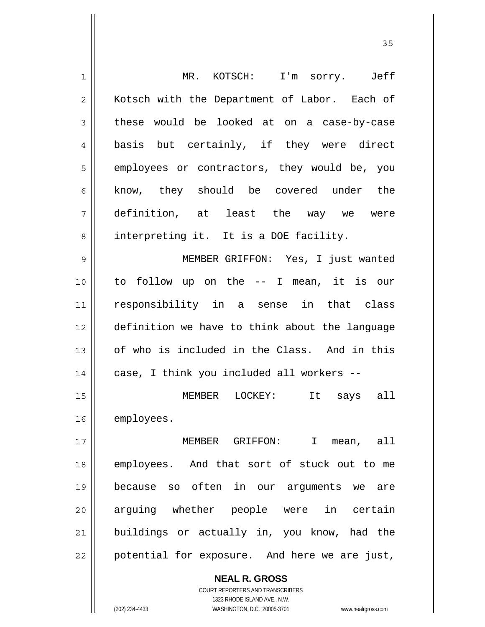| 1  | MR. KOTSCH: I'm sorry. Jeff                              |
|----|----------------------------------------------------------|
| 2  | Kotsch with the Department of Labor. Each of             |
| 3  | these would be looked at on a case-by-case               |
| 4  | basis but certainly, if they were direct                 |
| 5  | employees or contractors, they would be, you             |
| 6  | know, they should be covered under the                   |
| 7  | definition, at least the way we were                     |
| 8  | interpreting it. It is a DOE facility.                   |
| 9  | MEMBER GRIFFON: Yes, I just wanted                       |
| 10 | to follow up on the -- I mean, it is our                 |
| 11 | responsibility in a sense in that class                  |
| 12 | definition we have to think about the language           |
| 13 | of who is included in the Class. And in this             |
| 14 | case, I think you included all workers --                |
| 15 | MEMBER LOCKEY:<br>It says all                            |
| 16 | employees.                                               |
| 17 | MEMBER GRIFFON: I mean, all                              |
| 18 | employees. And that sort of stuck out to me              |
| 19 | because so often in our arguments we are                 |
| 20 | arguing whether people were in certain                   |
| 21 | buildings or actually in, you know, had the              |
| 22 | potential for exposure. And here we are just,            |
|    | <b>NEAL R. GROSS</b><br>COURT REPORTERS AND TRANSCRIBERS |

1323 RHODE ISLAND AVE., N.W.

 $\prod$ 

(202) 234-4433 WASHINGTON, D.C. 20005-3701 www.nealrgross.com

<u>35</u>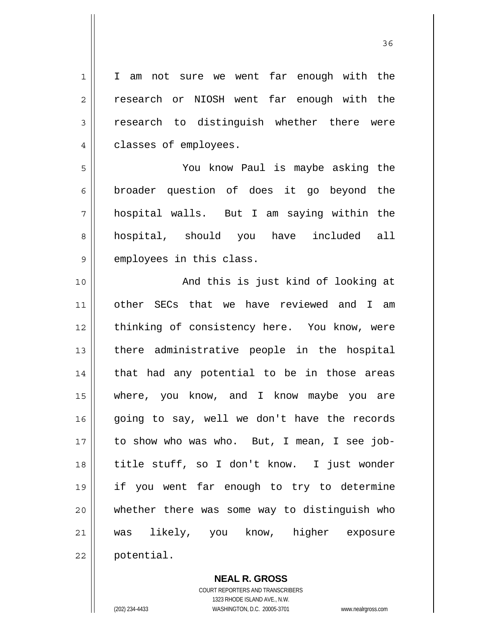$3 \parallel$  research to distinguish whether there were  $4 \parallel$  classes of employees. I am not sure we went far enough with the research or NIOSH went far enough with the

5 || You know Paul is maybe asking the  $6 \parallel$  broader question of does it go beyond the  $7 \parallel$  hospital walls. But I am saying within the 8|| hospital, should you have included all  $9 \parallel$  employees in this class.

10  $11$  | other SECs that we have reviewed and I am 12 || thinking of consistency here. You know, were  $13$  || there administrative people in the hospital  $14$  | that had any potential to be in those areas 15 || where, you know, and I know maybe you are  $16 \parallel$  going to say, well we don't have the records 17 18  $19 \parallel$  if you went far enough to try to determine 20 whether there was some way to distinguish who 21 was likely, you know, higher exposure 22 potential. And this is just kind of looking at to show who was who. But, I mean, I see jobtitle stuff, so I don't know. I just wonder

> **NEAL R. GROSS** COURT REPORTERS AND TRANSCRIBERS 1323 RHODE ISLAND AVE., N.W. (202) 234-4433 WASHINGTON, D.C. 20005-3701 www.nealrgross.com

1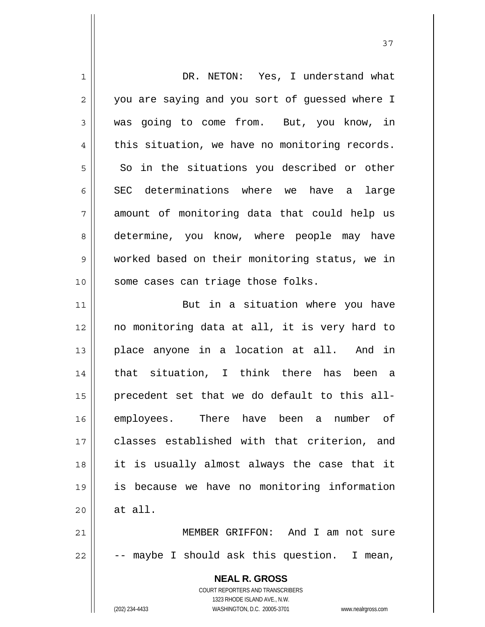| $\mathbf 1$ | DR. NETON: Yes, I understand what                                   |
|-------------|---------------------------------------------------------------------|
| 2           | you are saying and you sort of guessed where I                      |
| 3           | was going to come from. But, you know, in                           |
| 4           | this situation, we have no monitoring records.                      |
| 5           | So in the situations you described or other                         |
| 6           | SEC determinations where we have a large                            |
| 7           | amount of monitoring data that could help us                        |
| 8           | determine, you know, where people may have                          |
| $\mathsf 9$ | worked based on their monitoring status, we in                      |
| 10          | some cases can triage those folks.                                  |
| 11          | But in a situation where you have                                   |
| 12          | no monitoring data at all, it is very hard to                       |
| 13          | place anyone in a location at all. And in                           |
| 14          | that situation, I think there has been a                            |
| 15          | precedent set that we do default to this all-                       |
| 16          | employees. There have been a number of                              |
| 17          | classes established with that criterion, and                        |
| 18          | it is usually almost always the case that it                        |
| 19          | is because we have no monitoring information                        |
| 20          | at all.                                                             |
| 21          | MEMBER GRIFFON: And I am not sure                                   |
| 22          | -- maybe I should ask this question. I mean,                        |
|             | <b>NEAL R. GROSS</b>                                                |
|             | COURT REPORTERS AND TRANSCRIBERS                                    |
|             | 1323 RHODE ISLAND AVE., N.W.                                        |
|             | (202) 234-4433<br>WASHINGTON, D.C. 20005-3701<br>www.nealrgross.com |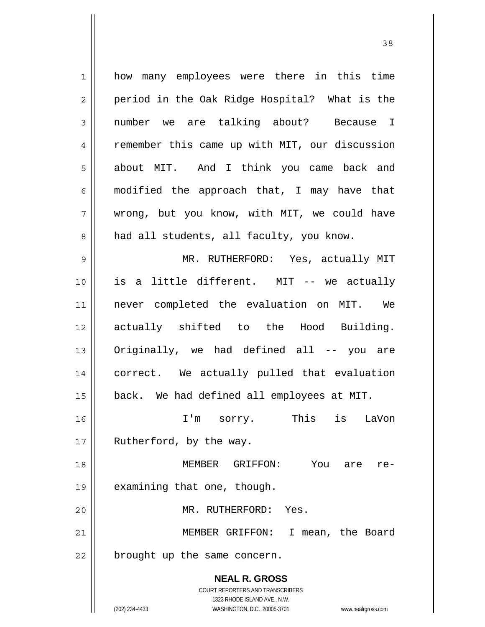**NEAL R. GROSS** COURT REPORTERS AND TRANSCRIBERS 1323 RHODE ISLAND AVE., N.W. 1 2  $3 \parallel$  number we are talking about? Because I  $4 \parallel$  remember this came up with MIT, our discussion  $5$  || about MIT. And I think you came back and 6  $\parallel$  modified the approach that, I may have that  $7 \parallel$  wrong, but you know, with MIT, we could have 8 and all students, all faculty, you know. 9 10 11 || never completed the evaluation on MIT. We  $12 \parallel$  actually shifted to the Hood Building.  $13 \parallel$  Originally, we had defined all -- you are  $14 \parallel$  correct. We actually pulled that evaluation 15  $\parallel$  back. We had defined all employees at MIT. 16 || I'm sorry. This is LaVon 17 18 19  $\parallel$  examining that one, though. 20 MR. RUTHERFORD: Yes. 21 MEMBER GRIFFON: I mean, the Board  $22$  | brought up the same concern. how many employees were there in this time period in the Oak Ridge Hospital? What is the MR. RUTHERFORD: Yes, actually MIT is a little different. MIT -- we actually I'm sorry. This is Rutherford, by the way. MEMBER GRIFFON: You are re-

(202) 234-4433 WASHINGTON, D.C. 20005-3701 www.nealrgross.com

<u>38</u>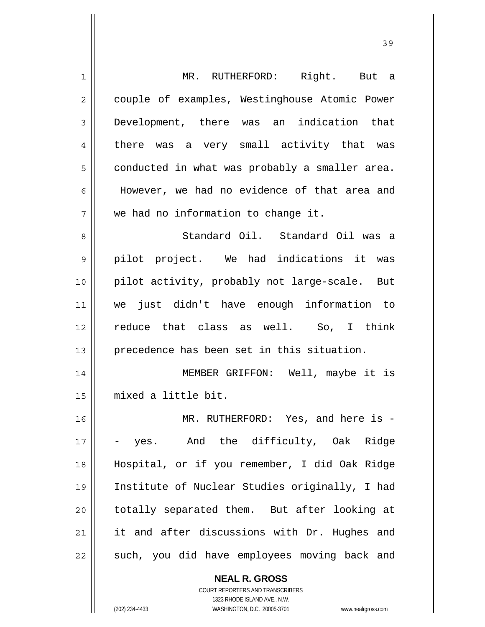| $\mathbf 1$ | MR. RUTHERFORD: Right. But a                   |
|-------------|------------------------------------------------|
|             |                                                |
| 2           | couple of examples, Westinghouse Atomic Power  |
| 3           | Development, there was an indication that      |
| 4           | there was a very small activity that was       |
| 5           | conducted in what was probably a smaller area. |
| 6           | However, we had no evidence of that area and   |
| 7           | we had no information to change it.            |
| 8           | Standard Oil. Standard Oil was a               |
| 9           | pilot project. We had indications it was       |
| 10          | pilot activity, probably not large-scale. But  |
| 11          | we just didn't have enough information to      |
| 12          | reduce that class as well. So, I think         |
| 13          | precedence has been set in this situation.     |
| 14          | MEMBER GRIFFON: Well, maybe it is              |
| 15          | mixed a little bit.                            |
| 16          | MR. RUTHERFORD: Yes, and here is -             |
| 17          | - yes. And the difficulty, Oak Ridge           |
| 18          | Hospital, or if you remember, I did Oak Ridge  |
| 19          | Institute of Nuclear Studies originally, I had |
| 20          | totally separated them. But after looking at   |
| 21          | it and after discussions with Dr. Hughes and   |
| 22          | such, you did have employees moving back and   |
|             | <b>NEAL R. GROSS</b>                           |

39

COURT REPORTERS AND TRANSCRIBERS 1323 RHODE ISLAND AVE., N.W.

 $\mathsf{II}$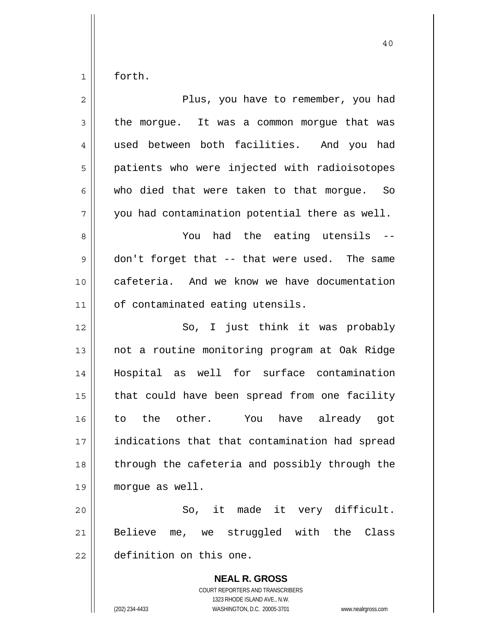1 forth.

| $\overline{2}$ | Plus, you have to remember, you had            |
|----------------|------------------------------------------------|
| 3              | the morgue. It was a common morgue that was    |
| 4              | used between both facilities. And you had      |
| 5              | patients who were injected with radioisotopes  |
| 6              | who died that were taken to that morgue. So    |
| 7              | you had contamination potential there as well. |
| 8              | You had the eating utensils --                 |
| 9              | don't forget that -- that were used. The same  |
| 10             | cafeteria. And we know we have documentation   |
| 11             | of contaminated eating utensils.               |
| 12             | So, I just think it was probably               |
| 13             | not a routine monitoring program at Oak Ridge  |
| 14             | Hospital as well for surface contamination     |
| 15             | that could have been spread from one facility  |
| 16             | to the other. You have already got             |
| 17             | indications that that contamination had spread |
| 18             | through the cafeteria and possibly through the |
| 19             | morgue as well.                                |
| 20             | So, it made it very difficult.                 |
| 21             | Believe me, we struggled with the Class        |
| 22             | definition on this one.                        |
|                | <b>NEAL R. GROSS</b>                           |

COURT REPORTERS AND TRANSCRIBERS 1323 RHODE ISLAND AVE., N.W.

 $\mathsf{II}$ 

(202) 234-4433 WASHINGTON, D.C. 20005-3701 www.nealrgross.com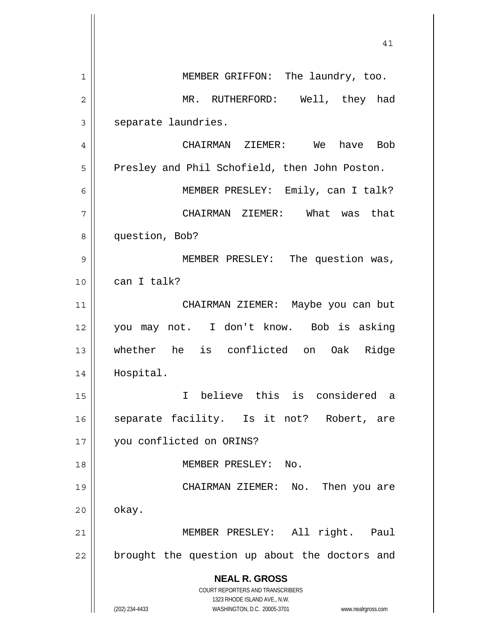**NEAL R. GROSS** COURT REPORTERS AND TRANSCRIBERS 1323 RHODE ISLAND AVE., N.W. (202) 234-4433 WASHINGTON, D.C. 20005-3701 www.nealrgross.com 41 1 2  $3 \parallel$  separate laundries. 4 ve Bob CHAIRMAN ZIEMER: We ha 5 | Presley and Phil Schofield, then John Poston. 6 || MEMBER PRESLEY: Emily, can I talk? 7 8 | question, Bob? 9 MEMBER PRESLEY: The question was, 10 11 but CHAIRMAN ZIEMER: Maybe you can  $12 \parallel$  you may not. I don't know. Bob is asking 13 whether he is conflicted on Oak Ridge 14  $15 \parallel$  I believe this is considered a 16 || separate facility. Is it not? Robert, are 17 you conflicted on ORINS? 18 19 u are CHAIRMAN ZIEMER: No. Then yo $20$  |  $\sigma$ kay. 21 || MEMBER PRESLEY: All right. Paul  $22$  | brought the question up about the doctors and MEMBER GRIFFON: The laundry, too. MR. RUTHERFORD: Well, they had CHAIRMAN ZIEMER: What was that can I talk? Hospital. MEMBER PRESLEY: No.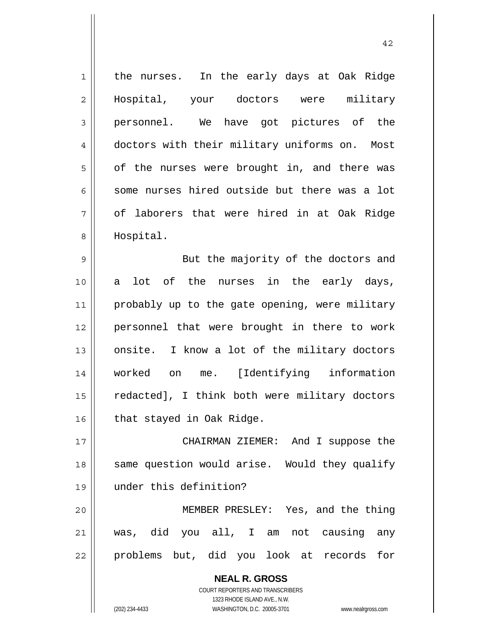**NEAL R. GROSS** 1 2  $3 \parallel$  personnel. We have got pictures of the  $4 \parallel$  doctors with their military uniforms on. Most  $5 \parallel$  of the nurses were brought in, and there was 6  $\parallel$  some nurses hired outside but there was a lot  $7 \parallel$  of laborers that were hired in at Oak Ridge 8 || Hospital. 9 10  $11$   $\vert$  probably up to the gate opening, were military  $12$  | personnel that were brought in there to work  $13 \parallel$  onsite. I know a lot of the military doctors 14 || worked on me. [Identifying information 15 || redacted], I think both were military doctors 16 17 18 19 20 MEMBER PRESLEY: Yes, and the thing 21 was, did you all, I am not causing any 22 || problems but, did you look at records for the nurses. In the early days at Oak Ridge Hospital, your doctors were military But the majority of the doctors and a lot of the nurses in the early days, worked that stayed in Oak Ridge. CHAIRMAN ZIEMER: And I suppose the same question would arise. Would they qualify under this definition?

42

COURT REPORTERS AND TRANSCRIBERS 1323 RHODE ISLAND AVE., N.W.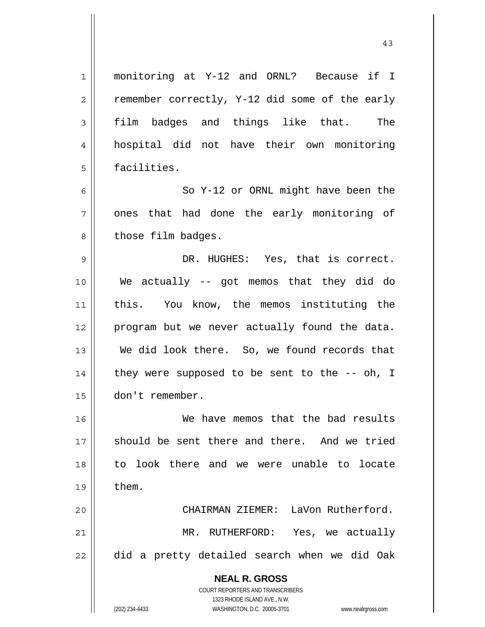43  $3 \parallel$  film badges and things like that. The  $4 \parallel$  hospital did not have their own monitoring  $6 \parallel$  So Y-12 or ORNL might have been the  $7 \parallel$  ones that had done the early monitoring of monitoring at Y-12 and ORNL? Because if I remember correctly, Y-12 did some of the early

9 10  $11$  | this. You know, the memos instituting the  $12$  | program but we never actually found the data.  $13 \parallel$  We did look there. So, we found records that 14 || they were supposed to be sent to the -- oh, I 15 DR. HUGHES: Yes, that is correct. We actually -- got memos that they did do don't remember.

 $16$   $\parallel$  We have memos that the bad results 17 18 to look there and we were unable to locate 19 20 CHAIRMAN ZIEMER: LaVon Rutherford. should be sent there and there. And we tried them.

21 MR. RUTHERFORD: Yes, we actually 22 || did a pretty detailed search when we did Oak

> **NEAL R. GROSS** COURT REPORTERS AND TRANSCRIBERS 1323 RHODE ISLAND AVE., N.W. (202) 234-4433 WASHINGTON, D.C. 20005-3701 www.nealrgross.com

1

2

 $5 \parallel$  facilities.

 $8 \parallel$  those film badges.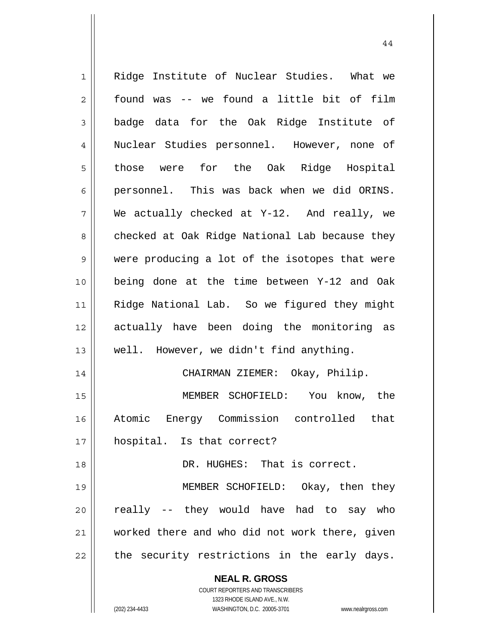**NEAL R. GROSS** COURT REPORTERS AND TRANSCRIBERS 1 2  $3 \parallel$  badge data for the Oak Ridge Institute of  $4 \parallel$  Nuclear Studies personnel. However, none of  $5 \parallel$  those were for the Oak Ridge Hospital 6  $\parallel$  personnel. This was back when we did ORINS.  $7 \parallel$  We actually checked at Y-12. And really, we  $8 \parallel$  checked at Oak Ridge National Lab because they 9 10  $11$  | Ridge National Lab. So we figured they might 12 actually have been doing the monitoring as 13  $\parallel$  well. However, we didn't find anything. 14 15 || MEMBER SCHOFIELD: You know, the 16 Atomic Energy Commission controlled that 17 hospital. Is that correct? 18 19 || MEMBER SCHOFIELD: Okay, then they  $20$  really  $-$  they would have had to say who 21 || worked there and who did not work there, given  $22$  || the security restrictions in the early days. Ridge Institute of Nuclear Studies. What we found was -- we found a little bit of film were producing a lot of the isotopes that were being done at the time between Y-12 and Oak CHAIRMAN ZIEMER: Okay, Philip. DR. HUGHES: That is correct.

44

1323 RHODE ISLAND AVE., N.W.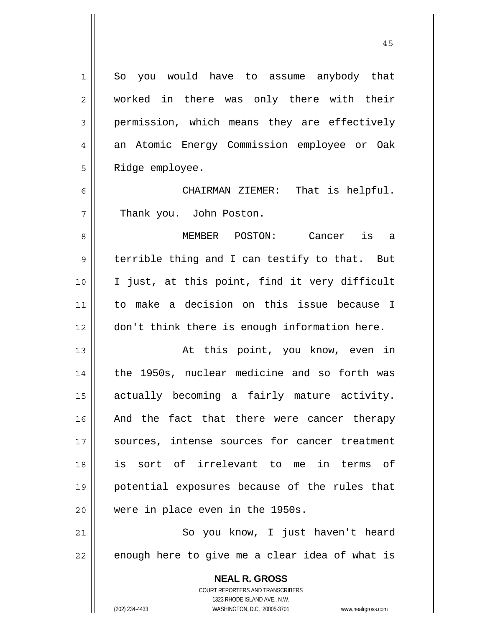1 2  $3 \parallel$  permission, which means they are effectively 4 || an Atomic Energy Commission employee or Oak 5 || Ridge employee. 6  $\parallel$  CHAIRMAN ZIEMER: That is helpful.  $7 \parallel$  Thank you. John Poston. 8 is a 9 10 11 to make a decision on this issue because I  $12 \parallel$  don't think there is enough information here. 13 || At this point, you know, even in  $14$  | the 1950s, nuclear medicine and so forth was 15  $\parallel$  actually becoming a fairly mature activity.  $16 \parallel$  And the fact that there were cancer therapy 17 18 is sort of irrelevant to me in terms of  $19 \parallel$  potential exposures because of the rules that So you would have to assume anybody that worked in there was only there with their CHAIRMAN Z MEMBER POSTON: Cancer terrible thing and I can testify to that. But I just, at this point, find it very difficult sources, intense sources for cancer treatment

45

21 || So you know, I just haven't heard  $22$  || enough here to give me a clear idea of what is

20 Were in place even in the 1950s.

**NEAL R. GROSS** COURT REPORTERS AND TRANSCRIBERS 1323 RHODE ISLAND AVE., N.W. (202) 234-4433 WASHINGTON, D.C. 20005-3701 www.nealrgross.com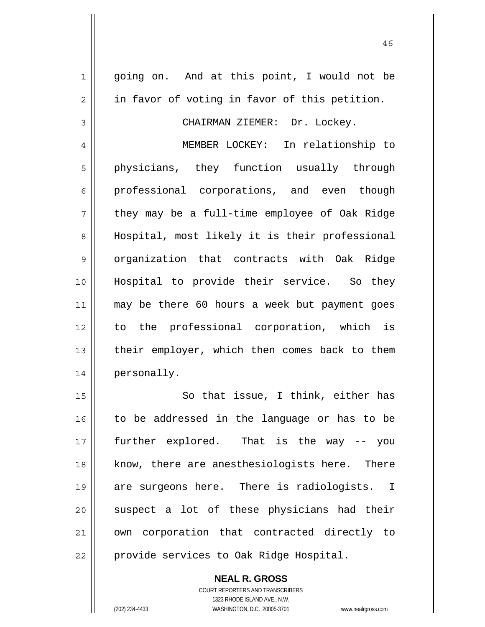| $\mathbf 1$ | going on. And at this point, I would not be    |
|-------------|------------------------------------------------|
| 2           | in favor of voting in favor of this petition.  |
| 3           | CHAIRMAN ZIEMER: Dr. Lockey.                   |
| 4           | MEMBER LOCKEY: In relationship to              |
| 5           | physicians, they function usually through      |
| 6           | professional corporations, and even though     |
| 7           | they may be a full-time employee of Oak Ridge  |
| 8           | Hospital, most likely it is their professional |
| 9           | organization that contracts with Oak Ridge     |
| 10          | Hospital to provide their service. So they     |
| 11          | may be there 60 hours a week but payment goes  |
|             |                                                |
| 12          | to the professional corporation, which is      |
| 13          | their employer, which then comes back to them  |
| 14          | personally.                                    |
| 15          | So that issue, I think, either has             |
| 16          | to be addressed in the language or has to be   |
| 17          | further explored. That is the way -- you       |
| 18          | know, there are anesthesiologists here. There  |
| 19          | are surgeons here. There is radiologists. I    |
| 20          | suspect a lot of these physicians had their    |
| 21          | own corporation that contracted directly to    |

**NEAL R. GROSS** COURT REPORTERS AND TRANSCRIBERS

1323 RHODE ISLAND AVE., N.W.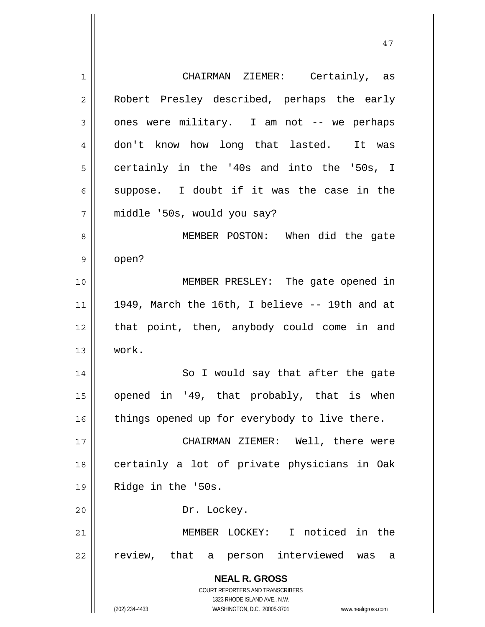**NEAL R. GROSS** COURT REPORTERS AND TRANSCRIBERS 1323 RHODE ISLAND AVE., N.W. (202) 234-4433 WASHINGTON, D.C. 20005-3701 www.nealrgross.com 1 2 3 || ones were military. I am not -- we perhaps 4 || don't know how long that lasted. It was  $5 \parallel$  certainly in the '40s and into the '50s, I 6 || suppose. I doubt if it was the case in the  $7 \parallel$  middle '50s, would you say? 8 MEMBER POSTON: When did the gate  $9 \parallel$  open? 10  $11 \parallel 1949$ , March the 16th, I believe -- 19th and at 12 || that point, then, anybody could come in and 13  $14$   $\parallel$  So I would say that after the gate 15 opened in '49, that probably, that is when  $16$  | things opened up for everybody to live there. 17 18 || certainly a lot of private physicians in Oak 19 20 || Dr. Lockey. 21 MEMBER LOCKEY: I noticed in the 22 || review, that a person interviewed was a CHAIRMAN ZIEMER: Certainly, as Robert Presley described, perhaps the early MEMBER PRESLEY: The gate opened in work. CHAIRMAN ZIEMER: Well, there were Ridge in the '50s.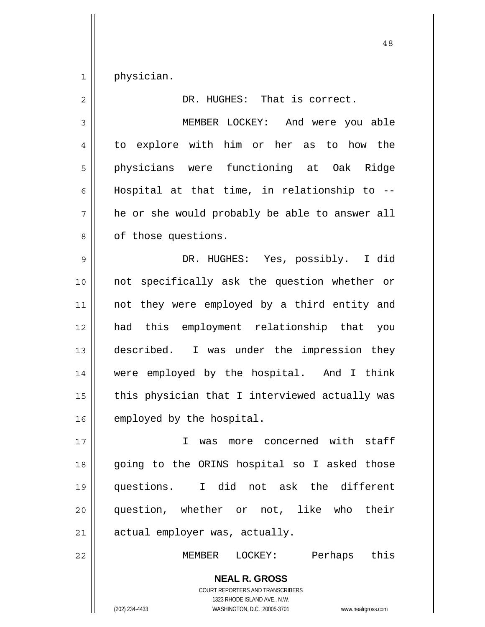1 physician.

| 2  | DR. HUGHES: That is correct.                   |
|----|------------------------------------------------|
| 3  | MEMBER LOCKEY: And were you able               |
| 4  | to explore with him or her as to how the       |
| 5  | physicians were functioning at Oak Ridge       |
| 6  | Hospital at that time, in relationship to --   |
| 7  | he or she would probably be able to answer all |
| 8  | of those questions.                            |
| 9  | DR. HUGHES: Yes, possibly. I did               |
| 10 | not specifically ask the question whether or   |
| 11 | not they were employed by a third entity and   |
| 12 | had this employment relationship that you      |
| 13 | described. I was under the impression they     |
| 14 | were employed by the hospital. And I think     |
| 15 | this physician that I interviewed actually was |
| 16 | employed by the hospital.                      |
| 17 | I was more concerned with staff                |
| 18 | going to the ORINS hospital so I asked those   |
| 19 | questions. I did not ask the different         |
| 20 | question, whether or not, like who their       |
| 21 | actual employer was, actually.                 |
| 22 | MEMBER LOCKEY: Perhaps this                    |
|    | <b>NEAL R. GROSS</b>                           |

COURT REPORTERS AND TRANSCRIBERS 1323 RHODE ISLAND AVE., N.W.

 $\prod$ 

(202) 234-4433 WASHINGTON, D.C. 20005-3701 www.nealrgross.com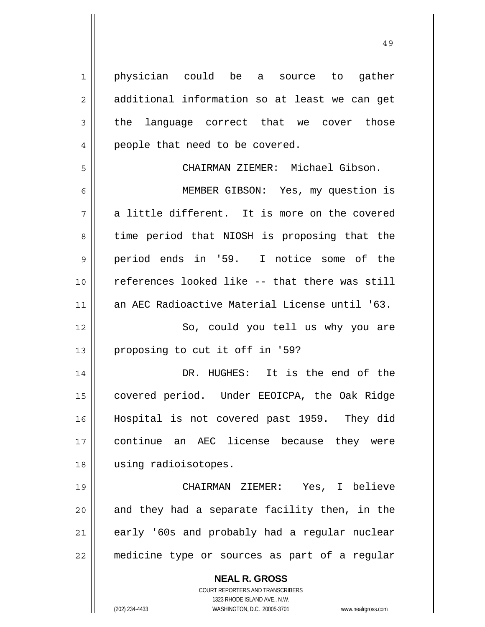**NEAL R. GROSS** COURT REPORTERS AND TRANSCRIBERS 1323 RHODE ISLAND AVE., N.W. 1 2  $3 \parallel$  the language correct that we cover those  $4 \parallel$  people that need to be covered. 5 on. CHAIRMAN ZIEMER: Michael Gibs 6 || MEMBER GIBSON: Yes, my question is  $7 \parallel$  a little different. It is more on the covered  $8 \parallel$  time period that NIOSH is proposing that the 9 10 || references looked like -- that there was still  $11$   $\parallel$  an AEC Radioactive Material License until '63. 12 || So, could you tell us why you are 13 14 f the DR. HUGHES: It is the end o 15 || covered period. Under EEOICPA, the Oak Ridge  $16$  || Hospital is not covered past 1959. They did 17 continue an AEC license because they were 18 19 elieve CHAIRMAN ZIEMER: Yes, I b $20$  and they had a separate facility then, in the 21 early '60s and probably had a regular nuclear 22 medicine type or sources as part of a regular physician could be a source to gather additional information so at least we can get MEMBER GIBSON: period ends in '59. I notice some of the proposing to cut it off in '59? using radioisotopes.

(202) 234-4433 WASHINGTON, D.C. 20005-3701 www.nealrgross.com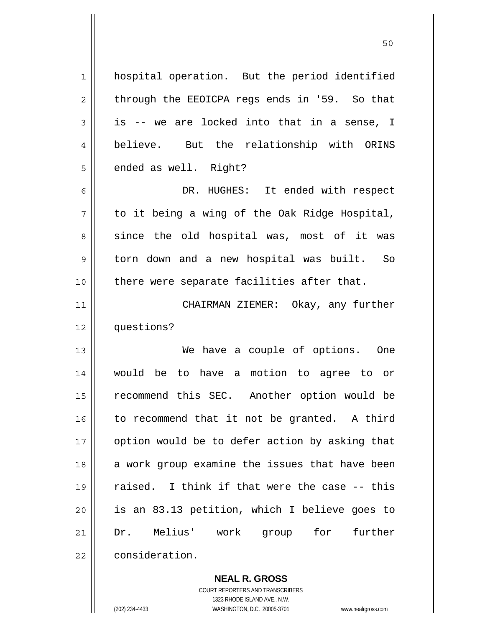1 2  $3 \parallel$  is -- we are locked into that in a sense, I 4 | believe. But the relationship with ORINS  $5 \parallel$  ended as well. Right? 6 espect DR. HUGHES: It ended with r  $7 \parallel$  to it being a wing of the Oak Ridge Hospital,  $8 \parallel$  since the old hospital was, most of it was 9 10 11 rther CHAIRMAN ZIEMER: Okay, any fu 12 13 One We have a couple of options.  $14$  | would be to have a motion to agree to or 15 || recommend this SEC. Another option would be  $16 \parallel$  to recommend that it not be granted. A third 17 18  $19$   $\parallel$  raised. I think if that were the case -- this 20 is an 83.13 petition, which I believe goes to 21 Dr. Melius' work group for further 22 consideration. hospital operation. But the period identified through the EEOICPA regs ends in '59. So that believe. torn down and a new hospital was built. So there were separate facilities after that. questions? recommend this SEC. option would be to defer action by asking that a work group examine the issues that have been raised.

> **NEAL R. GROSS** COURT REPORTERS AND TRANSCRIBERS

> > 1323 RHODE ISLAND AVE., N.W.

(202) 234-4433 WASHINGTON, D.C. 20005-3701 www.nealrgross.com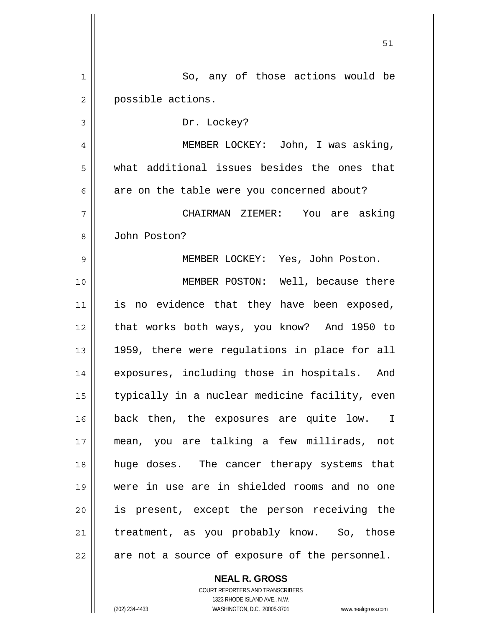|             | 51                                                     |
|-------------|--------------------------------------------------------|
| $\mathbf 1$ | So, any of those actions would be                      |
| 2           | possible actions.                                      |
| 3           | Dr. Lockey?                                            |
| 4           | MEMBER LOCKEY: John, I was asking,                     |
| 5           | what additional issues besides the ones that           |
| 6           | are on the table were you concerned about?             |
| 7           | CHAIRMAN ZIEMER: You are asking                        |
| 8           | John Poston?                                           |
| 9           | MEMBER LOCKEY: Yes, John Poston.                       |
| 10          | MEMBER POSTON: Well, because there                     |
| 11          | is no evidence that they have been exposed,            |
| 12          | that works both ways, you know? And 1950 to            |
| 13          | 1959, there were regulations in place for all          |
| 14          | exposures, including those in hospitals. And           |
| 15          | typically in a nuclear medicine facility, even         |
| 16          | back then, the exposures are quite low.<br>$\mathbf T$ |
| 17          | mean, you are talking a few millirads, not             |
| 18          | huge doses. The cancer therapy systems that            |
| 19          | were in use are in shielded rooms and no one           |
| 20          | is present, except the person receiving the            |
| 21          | treatment, as you probably know. So, those             |
| 22          | are not a source of exposure of the personnel.         |

**NEAL R. GROSS** COURT REPORTERS AND TRANSCRIBERS

1323 RHODE ISLAND AVE., N.W.

(202) 234-4433 WASHINGTON, D.C. 20005-3701 www.nealrgross.com

 $\mathbf{I}$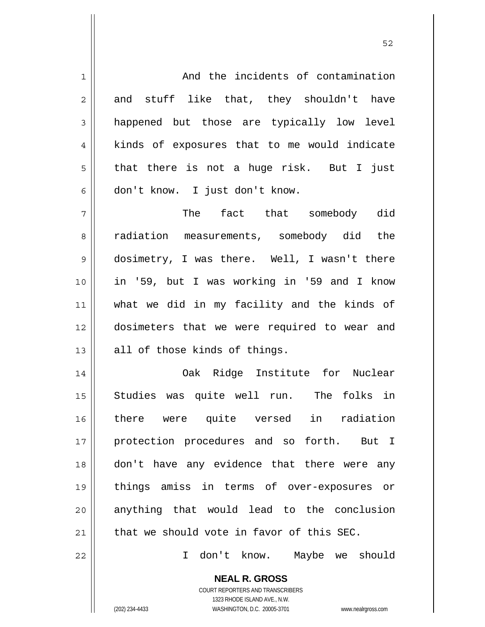1 And the incidents of contamination 2  $3 \parallel$  happened but those are typically low level  $4 \parallel$  kinds of exposures that to me would indicate  $5 \parallel$  that there is not a huge risk. But I just 6 7 did The fact that somebody  $8 \parallel$  radiation measurements, somebody did the 9 10  $11$  | what we did in my facility and the kinds of 12 dosimeters that we were required to wear and 13 14 lear Oak Ridge Institute for Nuc  $15$  Studies was quite well run. The folks in  $16$  there were quite versed in radiation 17 18 19 things amiss in terms of over-exposures or 20 || anything that would lead to the conclusion  $21$  || that we should vote in favor of this SEC. 22 I don't know. Maybe we should and stuff like that, they shouldn't have don't know. I just don't know. dosimetry, I was there. Well, I wasn't there in '59, but I was working in '59 and I know all of those kinds of things. versed protection procedures and so forth. But I don't have any evidence that there were any

 $52$ 

**NEAL R. GROSS** COURT REPORTERS AND TRANSCRIBERS 1323 RHODE ISLAND AVE., N.W.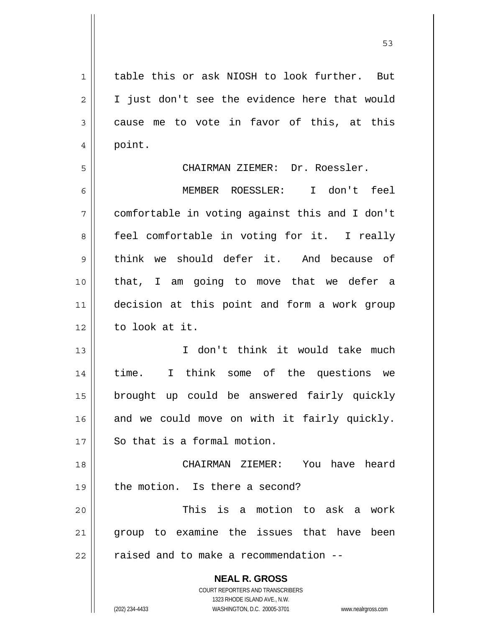1 2  $3 \parallel$  cause me to vote in favor of this, at this 4 | point. table this or ask NIOSH to look further. But I just don't see the evidence here that would

## CHAIRMAN ZIEMER: Dr. Roessler.

6 || MEMBER ROESSLER: I don't feel  $7 \parallel$  comfortable in voting against this and I don't  $8 \parallel$  feel comfortable in voting for it. I really 9 10 11 decision at this point and form a work group 12 think we should defer it. And because of that, I am going to move that we defer a to look at it.

13 || I don't think it would take much  $14$  | time. I think some of the questions we  $15 \parallel$  brought up could be answered fairly quickly  $16$  and we could move on with it fairly quickly. 17 So that is a formal motion.

18 19 20 This is a motion to ask a work 21 group to examine the issues that have been CHAIRMAN ZIEMER: You have heard the motion. Is there a second?

 $22$   $\parallel$  raised and to make a recommendation --

5

## **NEAL R. GROSS**

COURT REPORTERS AND TRANSCRIBERS 1323 RHODE ISLAND AVE., N.W. (202) 234-4433 WASHINGTON, D.C. 20005-3701 www.nealrgross.com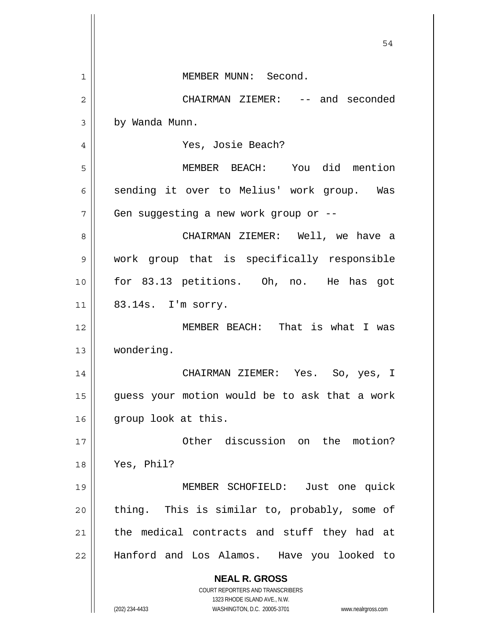|                | 54                                                                                                  |
|----------------|-----------------------------------------------------------------------------------------------------|
| 1              | MEMBER MUNN: Second.                                                                                |
| $\overline{2}$ | CHAIRMAN ZIEMER: -- and seconded                                                                    |
| 3              | by Wanda Munn.                                                                                      |
| 4              | Yes, Josie Beach?                                                                                   |
| 5              | MEMBER BEACH: You did mention                                                                       |
| 6              | sending it over to Melius' work group. Was                                                          |
| 7              | Gen suggesting a new work group or --                                                               |
| 8              | CHAIRMAN ZIEMER: Well, we have a                                                                    |
| 9              | work group that is specifically responsible                                                         |
| 10             | for 83.13 petitions. Oh, no. He has got                                                             |
| 11             | 83.14s. I'm sorry.                                                                                  |
| 12             | MEMBER BEACH: That is what I was                                                                    |
| 13             | wondering.                                                                                          |
| 14             | CHAIRMAN ZIEMER: Yes. So, yes, I                                                                    |
| 15             | guess your motion would be to ask that a work                                                       |
| 16             | group look at this.                                                                                 |
| 17             | Other discussion on the motion?                                                                     |
| 18             | Yes, Phil?                                                                                          |
| 19             | MEMBER SCHOFIELD: Just one quick                                                                    |
| 20             | thing. This is similar to, probably, some of                                                        |
| 21             | the medical contracts and stuff they had at                                                         |
| 22             | Hanford and Los Alamos. Have you looked to                                                          |
|                | <b>NEAL R. GROSS</b><br>COURT REPORTERS AND TRANSCRIBERS                                            |
|                | 1323 RHODE ISLAND AVE., N.W.<br>(202) 234-4433<br>WASHINGTON, D.C. 20005-3701<br>www.nealrgross.com |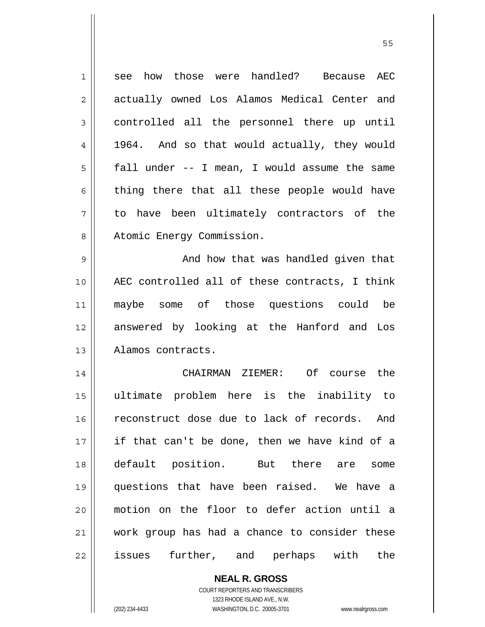1 2  $3 \parallel$  controlled all the personnel there up until  $4 \parallel 1964$ . And so that would actually, they would  $5 \parallel$  fall under -- I mean, I would assume the same  $6 \parallel$  thing there that all these people would have  $7 \parallel$  to have been ultimately contractors of the 8 | Atomic Energy Commission. 9 10  $11$  maybe some of those questions could be 12 answered by looking at the Hanford and Los 13 14 e the  $15$  || ultimate problem here is the inability to 16 || reconstruct dose due to lack of records. And 17 18  $19 \parallel$  questions that have been raised. We have a 20 motion on the floor to defer action until a 21 work group has had a chance to consider these 22 || issues further, and perhaps with the see how those were handled? Because AEC actually owned Los Alamos Medical Center and And how that was handled given that AEC controlled all of these contracts, I think maybe some Alamos contracts.  $\texttt{ZIEMER}:$ if that can't be done, then we have kind of a default position. But there are some

 $55$ 

**NEAL R. GROSS** COURT REPORTERS AND TRANSCRIBERS 1323 RHODE ISLAND AVE., N.W. (202) 234-4433 WASHINGTON, D.C. 20005-3701 www.nealrgross.com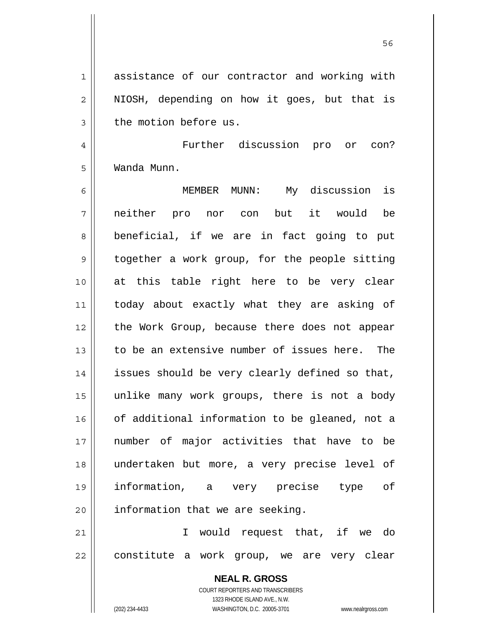1  $3 \parallel$  the motion before us. assistance of our contractor and working with NIOSH, depending on how it goes, but that is

4 || Further discussion pro or con?  $5 \parallel$  Wanda Munn.

6 || MEMBER MUNN: My discussion is  $7 \parallel$  neither pro nor con but it would be  $8 \parallel$  beneficial, if we are in fact going to put 9 10  $11$  | today about exactly what they are asking of  $12$  | the Work Group, because there does not appear  $13 \parallel$  to be an extensive number of issues here. The  $14$  | issues should be very clearly defined so that,  $15$  || unlike many work groups, there is not a body  $16$   $\vert$  of additional information to be gleaned, not a 17 18 undertaken but more, a very precise level of 19 || information, a very precise type of  $20$  | information that we are seeking. together a work group, for the people sitting at this table right here to be very clear number of major activities that have to be

21 I would request that, if we do 22 || constitute a work group, we are very clear

> **NEAL R. GROSS** COURT REPORTERS AND TRANSCRIBERS 1323 RHODE ISLAND AVE., N.W.

2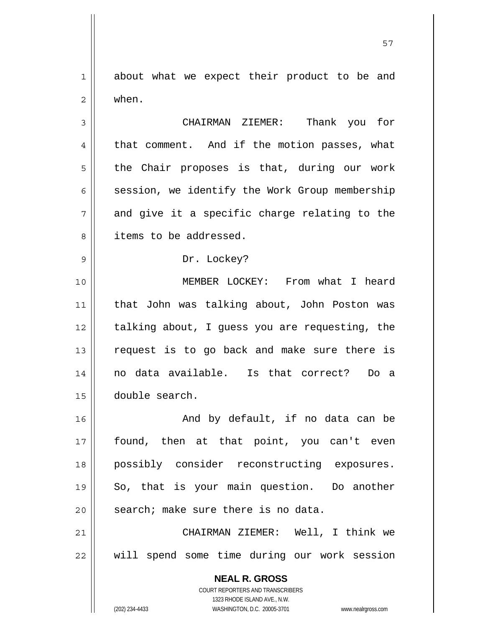1 2 | when. about what we expect their product to be and

57

3 u for CHAIRMAN ZIEMER: Thank yo  $4 \parallel$  that comment. And if the motion passes, what  $5 \parallel$  the Chair proposes is that, during our work 6  $\parallel$  session, we identify the Work Group membership  $7 \parallel$  and give it a specific charge relating to the 8 items to be addressed.

9 Dr. Lockey?

10 11 || that John was talking about, John Poston was  $12 \parallel$  talking about, I guess you are requesting, the  $13$  | request is to go back and make sure there is 14 no data available. Is that correct? Do a 15 MEMBER LOCKEY: From what I heard double search.

16 n be And by default, if no data ca 17 18 possibly consider reconstructing exposures.  $19 \parallel$  So, that is your main question. Do another 20  $\parallel$  search; make sure there is no data. found, then at that point, you can't even

21 CHAIRMAN ZIEMER: Well, I think we 22 || will spend some time during our work session

> **NEAL R. GROSS** COURT REPORTERS AND TRANSCRIBERS 1323 RHODE ISLAND AVE., N.W. (202) 234-4433 WASHINGTON, D.C. 20005-3701 www.nealrgross.com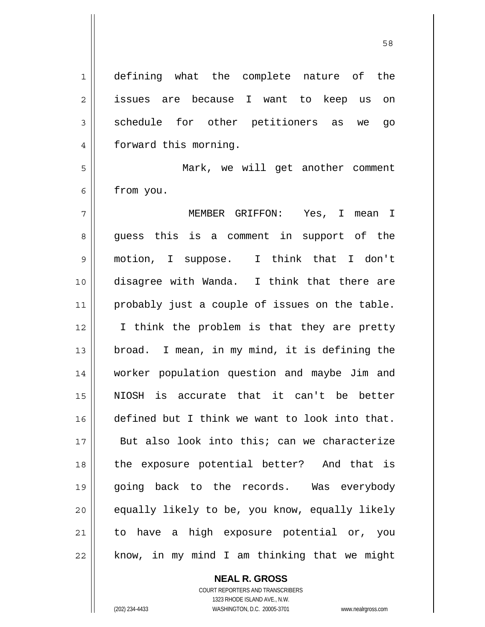58

| $\mathbf 1$ | defining what the complete nature of the       |
|-------------|------------------------------------------------|
| $\sqrt{2}$  | issues are because I want to keep us<br>on     |
| 3           | schedule for other petitioners as we<br>go     |
| 4           | forward this morning.                          |
| 5           | Mark, we will get another comment              |
| 6           | from you.                                      |
| 7           | MEMBER GRIFFON: Yes, I mean I                  |
| 8           | quess this is a comment in support of the      |
| 9           | motion, I suppose. I think that I don't        |
| 10          | disagree with Wanda. I think that there are    |
| 11          | probably just a couple of issues on the table. |
| 12          | I think the problem is that they are pretty    |
| 13          | broad. I mean, in my mind, it is defining the  |
| 14          | worker population question and maybe Jim and   |
| 15          | NIOSH is accurate that it can't be better      |
| 16          | defined but I think we want to look into that. |
| 17          | But also look into this; can we characterize   |
| 18          | the exposure potential better? And that is     |
| 19          | going back to the records. Was everybody       |
| 20          | equally likely to be, you know, equally likely |
| 21          | to have a high exposure potential or, you      |
| 22          | know, in my mind I am thinking that we might   |

COURT REPORTERS AND TRANSCRIBERS 1323 RHODE ISLAND AVE., N.W. (202) 234-4433 WASHINGTON, D.C. 20005-3701 www.nealrgross.com

**NEAL R. GROSS**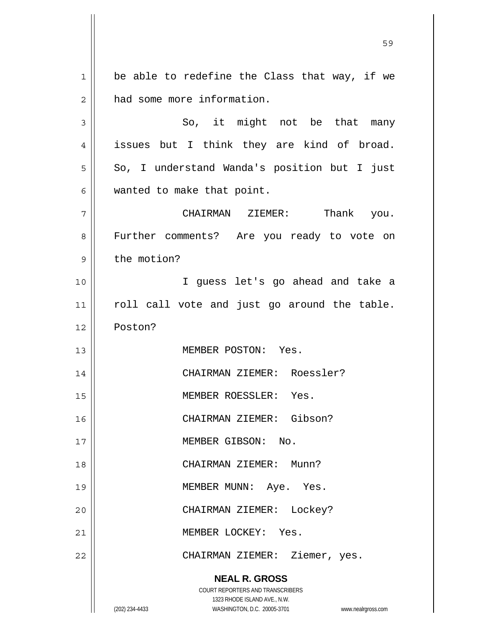**NEAL R. GROSS** COURT REPORTERS AND TRANSCRIBERS 1323 RHODE ISLAND AVE., N.W. (202) 234-4433 WASHINGTON, D.C. 20005-3701 www.nealrgross.com 1 2 | had some more information. 3 many So, it might not be that  $4 \parallel$  issues but I think they are kind of broad.  $5 \parallel$  So, I understand Wanda's position but I just 6 7 you. CHAIRMAN ZIEMER: Thank 8 || Further comments? Are you ready to vote on 9 | the motion? 10 I guess let's go ahead and take a 11 || roll call vote and just go around the table. 12 Poston? 13 || MEMBER POSTON: Yes. 14 essler? CHAIRMAN ZIEMER: Ro 15 || MEMBER ROESSLER: Yes. 16 ibson? CHAIRMAN ZIEMER: G 17 18 19 20 CHAIRMAN ZIEMER: Lockey? 21 MEMBER LOCKEY: Yes. 22 CHAIRMAN ZIEMER: Ziemer, yes. be able to redefine the Class that way, if we wanted to make that point. MEMBER GIBSON: No. CHAIRMAN ZIEMER: Munn? MEMBER MUNN: Aye. Yes.

<u>59 September 2005 September 2005 September 2005 September 2005 September 2005 September 2005 September 2005 S</u>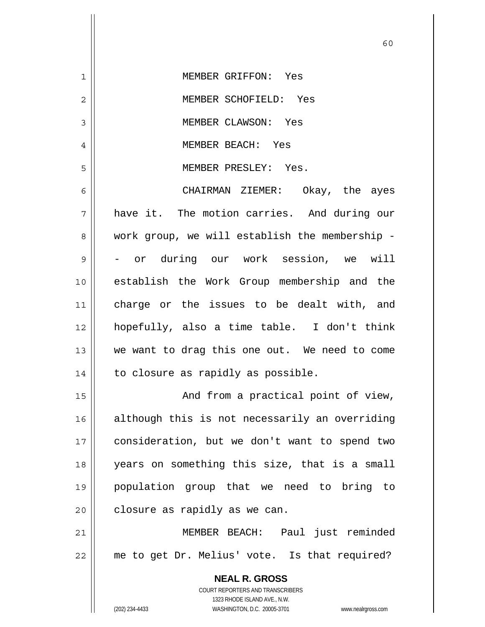$\mathsf{I}$ 

 $\sim$  60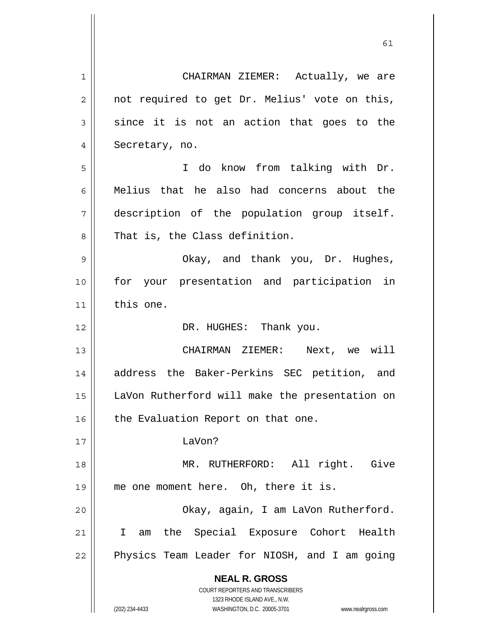**NEAL R. GROSS** COURT REPORTERS AND TRANSCRIBERS 1323 RHODE ISLAND AVE., N.W. (202) 234-4433 WASHINGTON, D.C. 20005-3701 www.nealrgross.com 1 2  $3 \parallel$  since it is not an action that goes to the 4 Secretary, no.  $5 \parallel$  I do know from talking with Dr.  $6 \parallel$  Melius that he also had concerns about the  $7 \parallel$  description of the population group itself.  $8 \parallel$  That is, the Class definition. 9 10 for your presentation and participation in  $11$  | this one. 12 13 will CHAIRMAN ZIEMER: Next, we  $14$   $\parallel$  address the Baker-Perkins SEC petition, and 15 | LaVon Rutherford will make the presentation on  $16$  || the Evaluation Report on that one. 17 18 19 20 Okay, again, I am LaVon Rutherford. 21 || I am the Special Exposure Cohort Health 22 || Physics Team Leader for NIOSH, and I am going CHAIRMAN ZIEMER: Actually, we are not required to get Dr. Melius' vote on this, Okay, and thank you, Dr. Hughes, DR. HUGHES: Thank you. LaVon? MR. RUTHERFORD: All right. Give me one moment here. Oh, there it is.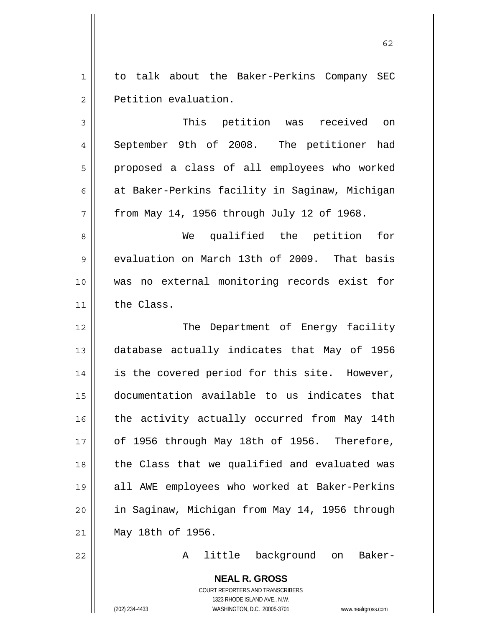1 2 to talk about the Baker-Perkins Company SEC Petition evaluation.

3 d on This petition was receive  $4 \parallel$  September 9th of 2008. The petitioner had  $5 \parallel$  proposed a class of all employees who worked 6 ||  $\,$  at Baker-Perkins facility in Saginaw, Michigan 7 from May 14, 1956 through July 12 of 1968.

8 for We qualified the petition 9 10 was no external monitoring records exist for 11 evaluation on March 13th of 2009. That basis the Class.

12 || The Department of Energy facility  $13 \parallel$  database actually indicates that May of 1956  $14 \parallel$  is the covered period for this site. However,  $15$   $\parallel$  documentation available to us indicates that  $16 \parallel$  the activity actually occurred from May 14th 17 18 19 20 | in Saginaw, Michigan from May 14, 1956 through 21 May 18th of 1956. of 1956 through May 18th of 1956. Therefore, the Class that we qualified and evaluated was all AWE employees who worked at Baker-Perkins

22 || A little background on Baker-

**NEAL R. GROSS** COURT REPORTERS AND TRANSCRIBERS 1323 RHODE ISLAND AVE., N.W. (202) 234-4433 WASHINGTON, D.C. 20005-3701 www.nealrgross.com

 $\sim$  62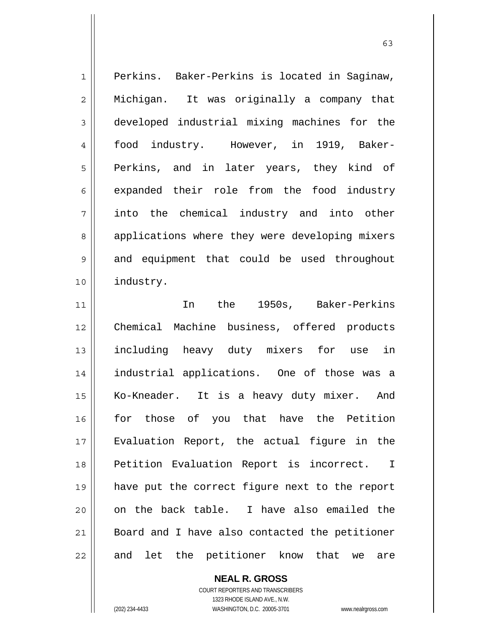1 2  $3 \parallel$  developed industrial mixing machines for the 4 || food industry. However, in 1919, Baker- $5 \parallel$  Perkins, and in later years, they kind of  $6 \parallel$  expanded their role from the food industry  $7 \parallel$  into the chemical industry and into other  $8 \parallel$  applications where they were developing mixers 9 10 11 || In the 1950s, Baker-Perkins 12 || Chemical Machine business, offered products Perkins. Baker-Perkins is located in Saginaw, Michigan. It was originally a company that food industry. and equipment that could be used throughout industry.

 $13 \parallel$  including heavy duty mixers for use in  $14$  || industrial applications. One of those was a 15 || Ko-Kneader. It is a heavy duty mixer. And  $16$   $\vert$  for those of you that have the Petition 17 18  $19 \parallel$  have put the correct figure next to the report  $20$  || on the back table. I have also emailed the 21 || Board and I have also contacted the petitioner  $22$  and let the petitioner know that we are Evaluation Report, the actual figure in the Petition Evaluation Report is incorrect. I

> **NEAL R. GROSS** COURT REPORTERS AND TRANSCRIBERS

> > 1323 RHODE ISLAND AVE., N.W.

(202) 234-4433 WASHINGTON, D.C. 20005-3701 www.nealrgross.com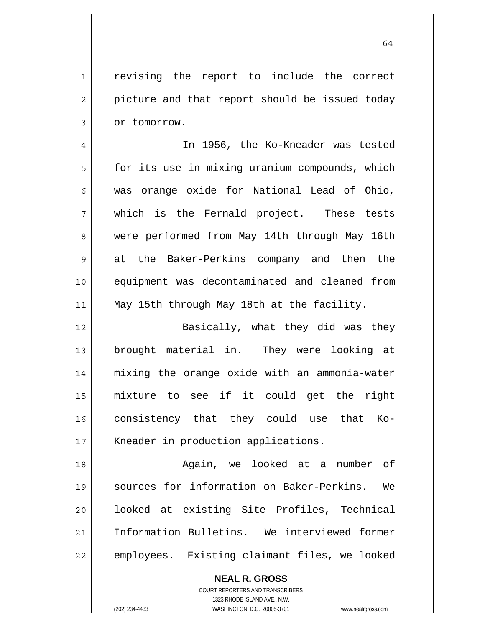1 2  $3 \parallel$  or tomorrow. revising the report to include the correct picture and that report should be issued today

 $4 \parallel$  In 1956, the Ko-Kneader was tested  $5 \parallel$  for its use in mixing uranium compounds, which  $6 \parallel$  was orange oxide for National Lead of Ohio,  $7 \parallel$  which is the Fernald project. These tests 8 Were performed from May 14th through May 16th 9 10 equipment was decontaminated and cleaned from  $11$  || May 15th through May 18th at the facility. at the Baker-Perkins company and then the

 $12 \parallel$  Basically, what they did was they  $13 \parallel$  brought material in. They were looking at  $14$   $\parallel$  mixing the orange oxide with an ammonia-water  $15$   $\parallel$  mixture to see if it could get the right 16 consistency that they could use that Ko-17 Kneader in production applications.

18  $19 \parallel$  sources for information on Baker-Perkins. We 20 || looked at existing Site Profiles, Technical 21 Information Bulletins. We interviewed former 22 || employees. Existing claimant files, we looked Again, we looked at a number of

> **NEAL R. GROSS** COURT REPORTERS AND TRANSCRIBERS 1323 RHODE ISLAND AVE., N.W. (202) 234-4433 WASHINGTON, D.C. 20005-3701 www.nealrgross.com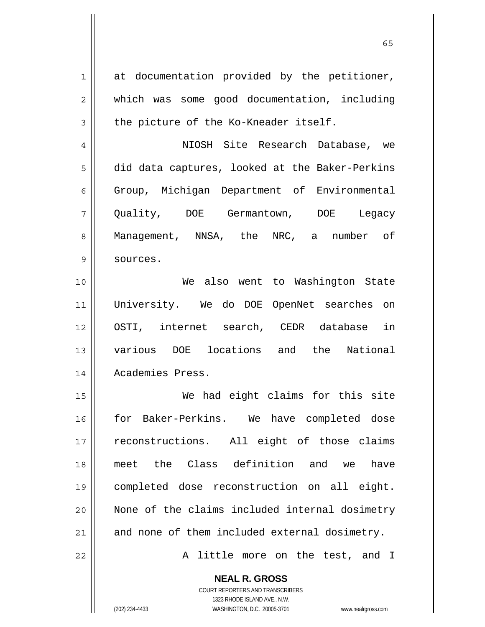1 2  $3 \parallel$  the picture of the Ko-Kneader itself. 4 e, we NIOSH Site Research Databas  $5 \parallel$  did data captures, looked at the Baker-Perkins  $6 \parallel$  Group, Michigan Department of Environmental 7 || Quality, DOE Germantown, DOE Legacy  $8$  || Management, NNSA, the NRC, a number of 9 | sources. 10 11 || University. We do DOE OpenNet searches on  $12 \parallel$  OSTI, internet search, CEDR database in 13 various DOE locations and the National 14  $15$   $\parallel$  We had eight claims for this site 16 || for Baker-Perkins. We have completed dose 17 18 19 completed dose reconstruction on all eight. 20 None of the claims included internal dosimetry  $21$  and none of them included external dosimetry. 22 || A little more on the test, and I at documentation provided by the petitioner, which was some good documentation, including We also went to Washington State Academies Press. reconstructions. All eight of those claims meet the Class definition and we have

 $\sim$  65

**NEAL R. GROSS** COURT REPORTERS AND TRANSCRIBERS

1323 RHODE ISLAND AVE., N.W.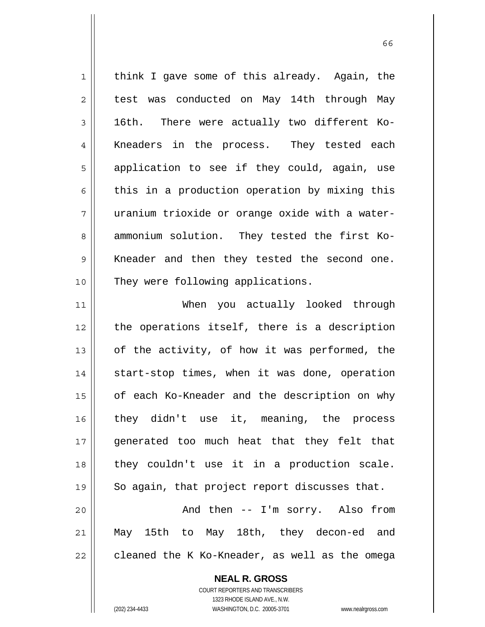**NEAL R. GROSS** 1 2  $3 \parallel$   $16$ th. There were actually two different Ko- $4 \parallel$  Kneaders in the process. They tested each  $5\parallel$  application to see if they could, again, use 6 | this in a production operation by mixing this  $7 \parallel$  uranium trioxide or orange oxide with a water-8 || ammonium solution. They tested the first Ko-9 10 11 hrough When you actually looked t  $12$  | the operations itself, there is a description  $13 \parallel$  of the activity, of how it was performed, the  $14 \parallel$  start-stop times, when it was done, operation  $15$  || of each Ko-Kneader and the description on why  $16 \parallel$  they didn't use it, meaning, the process 17 18  $19$   $\vert\vert$  So again, that project report discusses that. 20 And then -- I'm sorry. Also from 21 May 15th to May 18th, they decon-ed and  $22$  | cleaned the K Ko-Kneader, as well as the omega think I gave some of this already. Again, the test was conducted on May 14th through May Kneader and then they tested the second one. They were following applications. generated too much heat that they felt that they couldn't use it in a production scale.

 $\sim$  66

COURT REPORTERS AND TRANSCRIBERS 1323 RHODE ISLAND AVE., N.W.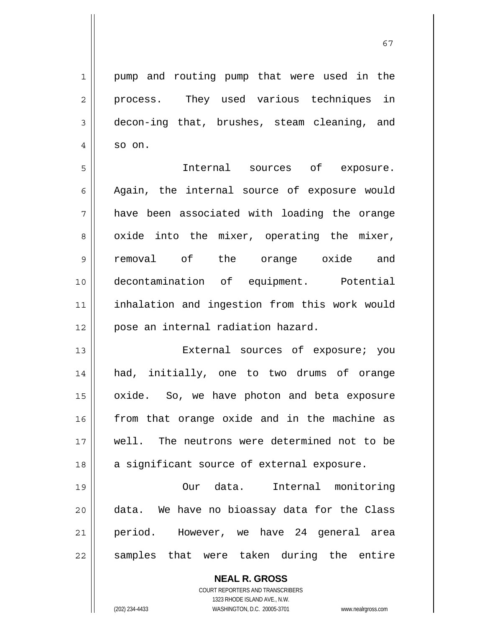$3 \parallel$  decon-ing that, brushes, steam cleaning, and  $4 \parallel$  so on. pump and routing pump that were used in the process. They used various techniques in

5 || Internal sources of exposure. 6 || Again, the internal source of exposure would  $7 \parallel$  have been associated with loading the orange  $8 \parallel$  oxide into the mixer, operating the mixer, 9 10 11 inhalation and ingestion from this work would 12 Internal removal of the orange oxide and decontamination of equipment. Potential pose an internal radiation hazard.

; you External sources of exposure || had, initially, one to two drums of orange | oxide. So, we have photon and beta exposure  $\parallel$  from that orange oxide and in the machine as well. The neutrons were determined not to be 18 a significant source of external exposure.

19 || Our data. Internal monitoring 20 data. We have no bioassay data for the Class 21 period. However, we have 24 general area  $22$  samples that were taken during the entire Internal

> **NEAL R. GROSS** COURT REPORTERS AND TRANSCRIBERS 1323 RHODE ISLAND AVE., N.W. (202) 234-4433 WASHINGTON, D.C. 20005-3701 www.nealrgross.com

1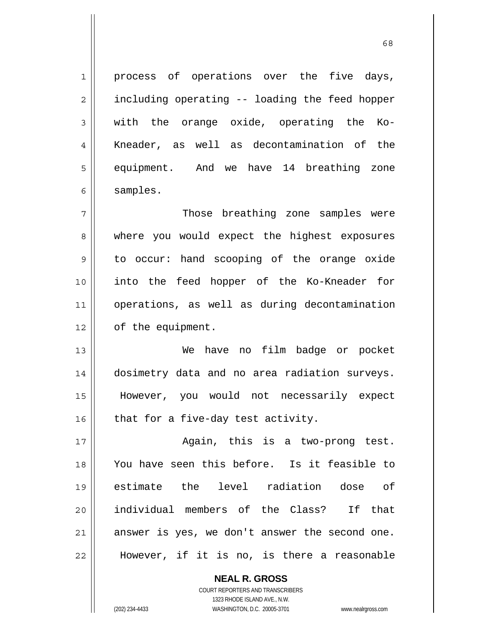$3 \parallel$  with the orange oxide, operating the Ko- $4 \parallel$  Kneader, as well as decontamination of the 5 || equipment. And we have 14 breathing zone 6 |  $\blacksquare$  samples. process of operations over the five days, including operating -- loading the feed hopper equipmen

7 || Those breathing zone samples were  $8 \parallel$  where you would expect the highest exposures 9 10 11 operations, as well as during decontamination 12 to occur: hand scooping of the orange oxide into the feed hopper of the Ko-Kneader for of the equipment.

13 ocket We have no film badge or p  $14$   $\parallel$  dosimetry data and no area radiation surveys. 15 However, you would not necessarily expect 16 that for a five-day test activity.

17 18  $19$  estimate the level radiation dose of 20 individual members of the Class? If that  $21$  answer is yes, we don't answer the second one. 22 || However, if it is no, is there a reasonable Again, this is a two-prong test. You have seen this before. Is it feasible to

> COURT REPORTERS AND TRANSCRIBERS 1323 RHODE ISLAND AVE., N.W. (202) 234-4433 WASHINGTON, D.C. 20005-3701 www.nealrgross.com

**NEAL R. GROSS**

1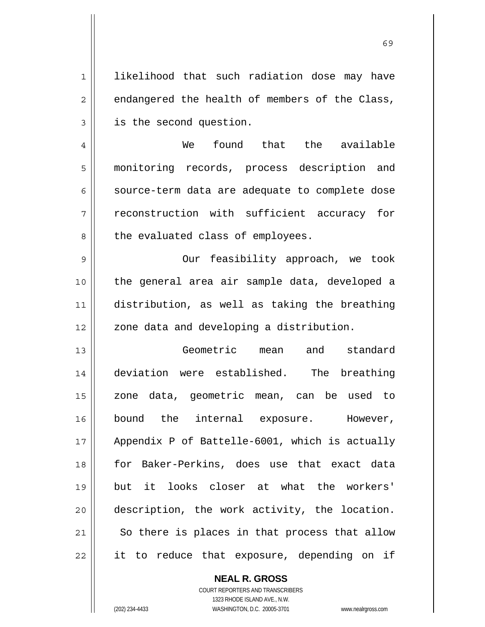1 2 3 likelihood that such radiation dose may have endangered the health of members of the Class, is the second question.

 $\frac{4}{1}$  and that the available  $5$   $\parallel$  monitoring records, process description and  $6 \parallel$  source-term data are adequate to complete dose  $7 ||$  reconstruction with sufficient accuracy for  $8 \parallel$  the evaluated class of employees. We found that the avai

9 10  $11$   $\parallel$  distribution, as well as taking the breathing 12 Our feasibility approach, we took the general area air sample data, developed a zone data and developing a distribution.

13 || Geometric mean and standard  $14$   $\parallel$  deviation were established. The breathing  $15$  || zone data, geometric mean, can be used to  $16 \parallel$  bound the internal exposure. However, 17 18  $19 \parallel$  but it looks closer at what the workers' 20 description, the work activity, the location.  $21$  So there is places in that process that allow  $22$  || it to reduce that exposure, depending on if Appendix P of Battelle-6001, which is actually for Baker-Perkins, does use that exact data

> **NEAL R. GROSS** COURT REPORTERS AND TRANSCRIBERS 1323 RHODE ISLAND AVE., N.W. (202) 234-4433 WASHINGTON, D.C. 20005-3701 www.nealrgross.com

 $\sim$  69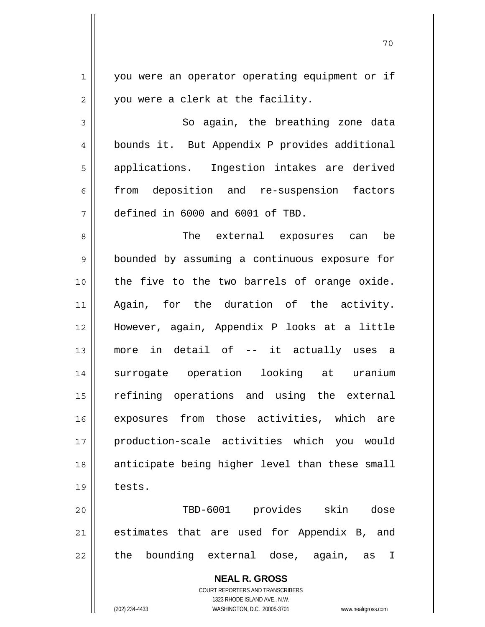1  $2 \parallel$  you were a clerk at the facility. you were an operator operating equipment or if

3 || So again, the breathing zone data  $4 \parallel$  bounds it. But Appendix P provides additional  $5\parallel$  applications. Ingestion intakes are derived  $6 \parallel$  from deposition and re-suspension factors  $7 \parallel$  defined in 6000 and 6001 of TBD.

8 n be The external exposures ca 9 10  $11$  || Again, for the duration of the activity.  $12 \parallel$  However, again, Appendix P looks at a little 13  $\parallel$  more in detail of -- it actually uses a 14 Surrogate operation looking at uranium  $15$   $\parallel$  refining operations and using the external 16 || exposures from those activities, which are 17 18 19 bounded by assuming a continuous exposure for the five to the two barrels of orange oxide. production-scale activities which you would anticipate being higher level than these small tests.

20 TBD-6001 provides skin dose 21 || estimates that are used for Appendix B, and 22 || the bounding external dose, again, as I

> **NEAL R. GROSS** COURT REPORTERS AND TRANSCRIBERS 1323 RHODE ISLAND AVE., N.W. (202) 234-4433 WASHINGTON, D.C. 20005-3701 www.nealrgross.com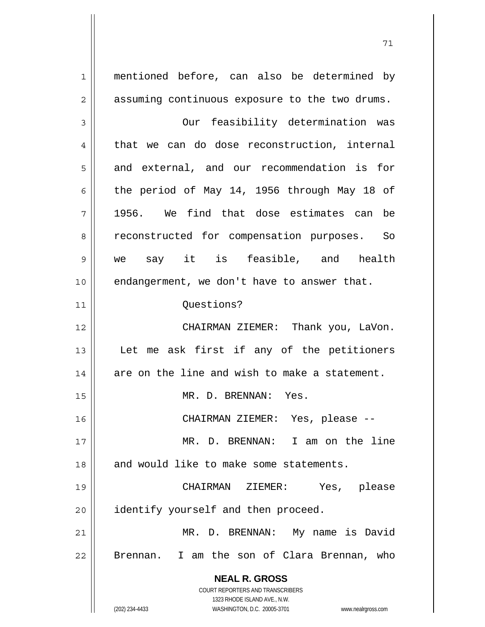**NEAL R. GROSS** COURT REPORTERS AND TRANSCRIBERS 1323 RHODE ISLAND AVE., N.W. (202) 234-4433 WASHINGTON, D.C. 20005-3701 www.nealrgross.com 1 2 | assuming continuous exposure to the two drums. 3 n was Our feasibility determinatio  $4 \parallel$  that we can do dose reconstruction, internal  $5 \parallel$  and external, and our recommendation is for 6 || the period of May 14, 1956 through May 18 of  $7 \parallel$  1956. We find that dose estimates can be 8 || reconstructed for compensation purposes. So 9  $10$  | endangerment, we don't have to answer that. 11 12 | CHAIRMAN ZIEMER: Thank you, LaVon. 13 || Let me ask first if any of the petitioners  $14$  | are on the line and wish to make a statement. 15 16 please -- CHAIRMAN ZIEMER: Yes, 17 18 || and would like to make some statements. 19 please 20 || identify yourself and then proceed. 21 MR. D. BRENNAN: My name is David 22 || Brennan. I am the son of Clara Brennan, who mentioned before, can also be determined by we say it is feasible, and health Questions? CHAIRMAN ZIEMER: MR. D. BRENNAN: Yes. MR. D. BRENNAN: I am on the line CHAIRMAN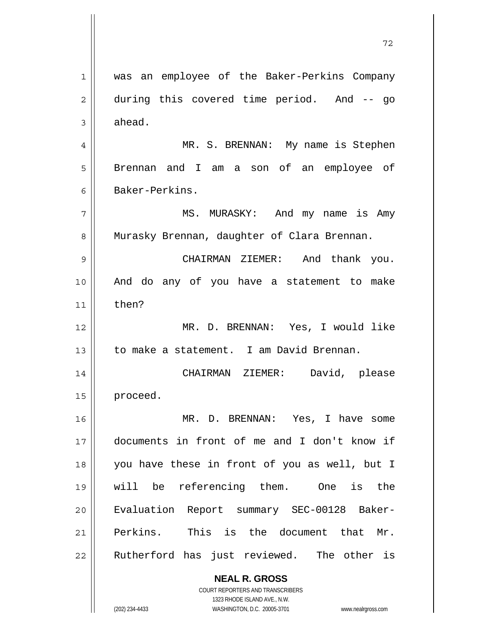**NEAL R. GROSS** COURT REPORTERS AND TRANSCRIBERS 1 2  $3 \parallel$  ahead. 4 || MR. S. BRENNAN: My name is Stephen  $5 \parallel$  Brennan and I am a son of an employee of 6  $\parallel$  Baker-Perkins. 7 e is Amy MS. MURASKY: And my nam 8 || Murasky Brennan, daughter of Clara Brennan. 9 10 And do any of you have a statement to make 11 12 || MR. D. BRENNAN: Yes, I would like 13  $\parallel$  to make a statement. I am David Brennan. 14 lease CHAIRMAN ZIEMER: David, p 15 16 || MR. D. BRENNAN: Yes, I have some 17 18  $19 \parallel$  will be referencing them. One is the 20 Evaluation Report summary SEC-00128 Baker-21 Perkins. This is the document that Mr. 22 || Rutherford has just reviewed. The other is was an employee of the Baker-Perkins Company during this covered time period. And -- go CHAIRMAN ZIEMER: And thank you. then? proceed. documents in front of me and I don't know if you have these in front of you as well, but I

1323 RHODE ISLAND AVE., N.W.

(202) 234-4433 WASHINGTON, D.C. 20005-3701 www.nealrgross.com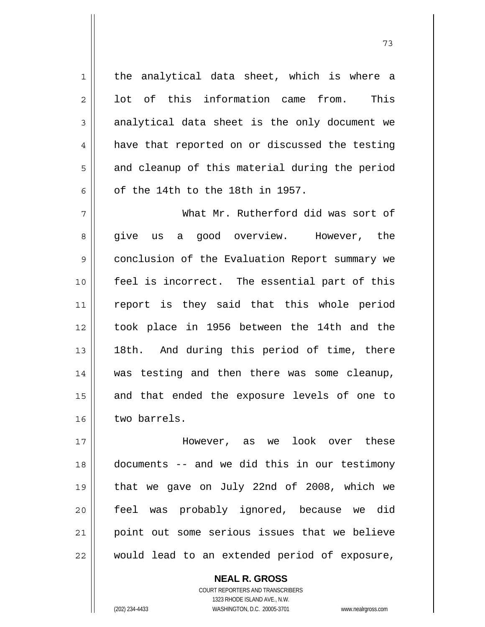$3 \parallel$  analytical data sheet is the only document we  $4 \parallel$  have that reported on or discussed the testing  $5 \parallel$  and cleanup of this material during the period 6 |  $\sigma$  of the 14th to the 18th in 1957. the analytical data sheet, which is where a lot of this information came from. This

 $7 \parallel$  What Mr. Rutherford did was sort of  $8 \parallel$  give us a good overview. However, the 9 10  $11$  | report is they said that this whole period  $12 \parallel$  took place in 1956 between the 14th and the  $13 \parallel$  18th. And during this period of time, there  $14$   $\parallel$  was testing and then there was some cleanup, 15 || and that ended the exposure levels of one to 16 conclusion of the Evaluation Report summary we feel is incorrect. The essential part of this two barrels.

17 18 19  $\parallel$  that we gave on July 22nd of 2008, which we 20 feel was probably ignored, because we did 21 point out some serious issues that we believe 22 would lead to an extended period of exposure, However, as we look over these documents -- and we did this in our testimony

> COURT REPORTERS AND TRANSCRIBERS 1323 RHODE ISLAND AVE., N.W. (202) 234-4433 WASHINGTON, D.C. 20005-3701 www.nealrgross.com

**NEAL R. GROSS**

1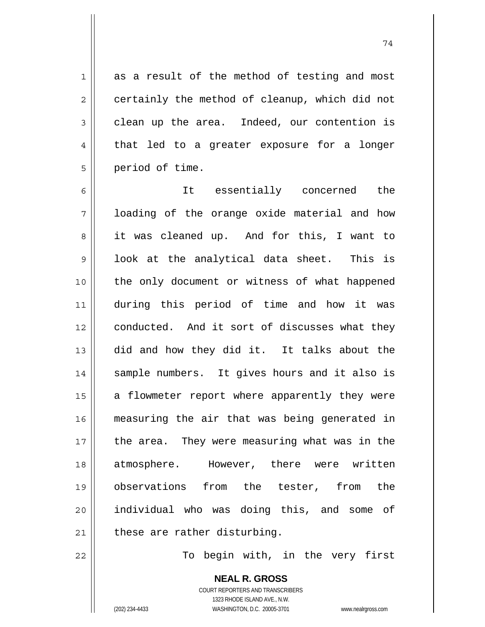$3 \parallel$  clean up the area. Indeed, our contention is  $4 \parallel$  that led to a greater exposure for a longer as a result of the method of testing and most certainly the method of cleanup, which did not period of time.

74

 $6 \parallel$  It essentially concerned the  $7 \parallel$  loading of the orange oxide material and how  $8 \parallel$  it was cleaned up. And for this, I want to 9 10  $11$   $\parallel$  during this period of time and how it was  $12 \parallel$  conducted. And it sort of discusses what they  $13 \parallel$  did and how they did it. It talks about the  $14 \parallel$  sample numbers. It gives hours and it also is  $15$  || a flowmeter report where apparently they were  $16$   $\parallel$  measuring the air that was being generated in 17 18 19 observations from the tester, from the 20 individual who was doing this, and some of  $21$  | these are rather disturbing. look at the analytical data sheet. This is the only document or witness of what happened the area. They were measuring what was in the atmosphere. However, there were written

22 || To begin with, in the very first

**NEAL R. GROSS** COURT REPORTERS AND TRANSCRIBERS 1323 RHODE ISLAND AVE., N.W. (202) 234-4433 WASHINGTON, D.C. 20005-3701 www.nealrgross.com

1

2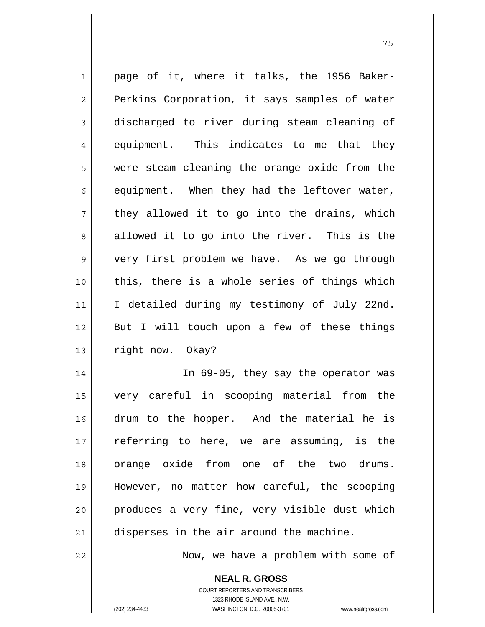1 2  $3 \parallel$  discharged to river during steam cleaning of  $4 \parallel$  equipment. This indicates to me that they  $5 \parallel$  were steam cleaning the orange oxide from the 6  $\parallel$  equipment. When they had the leftover water,  $7 \parallel$  they allowed it to go into the drains, which  $8 \parallel$  allowed it to go into the river. This is the 9 10  $11$  | I detailed during my testimony of July 22nd. 12 But I will touch upon a few of these things 13  $14$   $\parallel$   $\qquad$  In 69-05, they say the operator was  $15$   $\parallel$  very careful in scooping material from the  $16$   $\parallel$  drum to the hopper. And the material he is 17 18 page of it, where it talks, the 1956 Baker-Perkins Corporation, it says samples of water very first problem we have. As we go through this, there is a whole series of things which right now. Okay? referring to here, we are assuming, is the orange oxide from one of the two drums.

75

COURT REPORTERS AND TRANSCRIBERS 1323 RHODE ISLAND AVE., N.W. (202) 234-4433 WASHINGTON, D.C. 20005-3701 www.nealrgross.com

19 However, no matter how careful, the scooping

20 || produces a very fine, very visible dust which

22 Now, we have a problem with some of

21 disperses in the air around the machine.

**NEAL R. GROSS**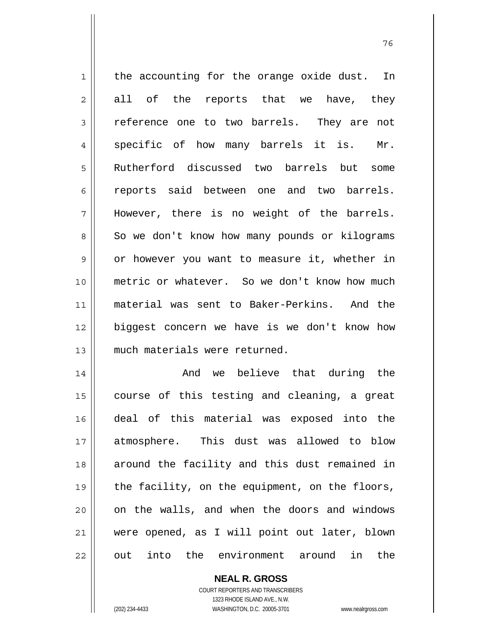1 2  $3 \parallel$  reference one to two barrels. They are not  $4 \parallel$  specific of how many barrels it is. Mr.  $5 \parallel$  Rutherford discussed two barrels but some  $6 \parallel$  reports said between one and two barrels.  $7 \parallel$  However, there is no weight of the barrels. 8 So we don't know how many pounds or kilograms 9 10  $11$   $\parallel$  material was sent to Baker-Perkins. And the 12 biggest concern we have is we don't know how 13 14 the And we believe that during the accounting for the orange oxide dust. In all of the reports that we have, they or however you want to measure it, whether in metric or whatever. So we don't know how much much materials were returned.

 $15$   $\vert$  course of this testing and cleaning, a great  $16 \parallel$  deal of this material was exposed into the 17 18  $19 \parallel$  the facility, on the equipment, on the floors, 20 || on the walls, and when the doors and windows 21 were opened, as I will point out later, blown 22 || out into the environment around in the atmosphere. This dust was allowed to blow around the facility and this dust remained in

> **NEAL R. GROSS** COURT REPORTERS AND TRANSCRIBERS 1323 RHODE ISLAND AVE., N.W. (202) 234-4433 WASHINGTON, D.C. 20005-3701 www.nealrgross.com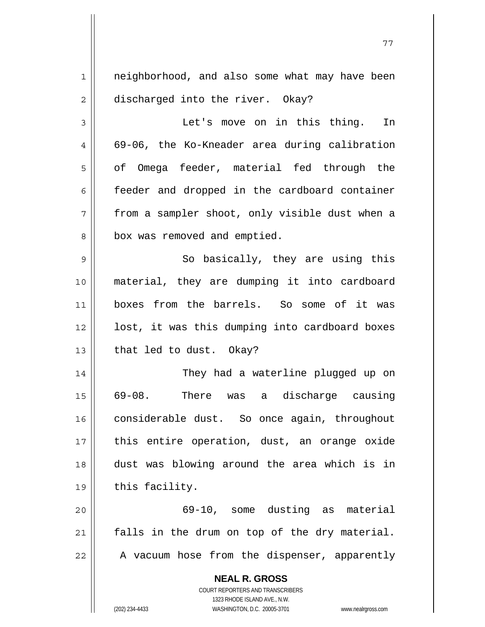**NEAL R. GROSS** COURT REPORTERS AND TRANSCRIBERS 1323 RHODE ISLAND AVE., N.W. 1 2 discharged into the river. Okay? 3 || Let's move on in this thing. In  $4 \parallel$  69-06, the Ko-Kneader area during calibration  $5 \parallel$  of Omega feeder, material fed through the  $6 \parallel$  feeder and dropped in the cardboard container  $7 \parallel$  from a sampler shoot, only visible dust when a  $8 \parallel$  box was removed and emptied. 9 10  $11$  | boxes from the barrels. So some of it was 12 || lost, it was this dumping into cardboard boxes 13 14 || They had a waterline plugged up on  $15 \parallel$  69-08. There was a discharge causing 16 | considerable dust. So once again, throughout 17 18 19 20 69-10, some dusting as material  $21$  | falls in the drum on top of the dry material.  $22$  | A vacuum hose from the dispenser, apparently neighborhood, and also some what may have been So basically, they are using this material, they are dumping it into cardboard that led to dust. Okay? this entire operation, dust, an orange oxide dust was blowing around the area which is in this facility.

77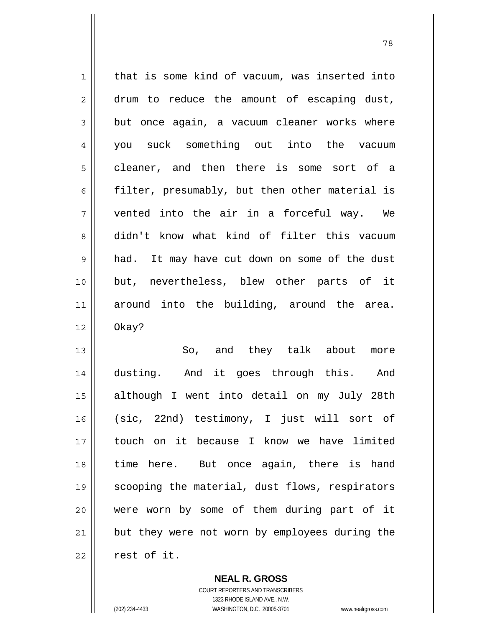| $\mathbf 1$ | that is some kind of vacuum, was inserted into |
|-------------|------------------------------------------------|
| 2           | drum to reduce the amount of escaping dust,    |
| 3           | but once again, a vacuum cleaner works where   |
| 4           | you suck something out into the vacuum         |
| 5           | cleaner, and then there is some sort of a      |
| 6           | filter, presumably, but then other material is |
| 7           | vented into the air in a forceful way. We      |
| 8           | didn't know what kind of filter this vacuum    |
| $\mathsf 9$ | had. It may have cut down on some of the dust  |
| 10          | but, nevertheless, blew other parts of it      |
| 11          | around into the building, around the area.     |
| 12          | Okay?                                          |
| 13          | So, and they talk about<br>more                |
| 14          | dusting. And it goes through this. And         |
| 15          | although I went into detail on my July 28th    |
| 16          | (sic, 22nd) testimony, I just will sort of     |
| 17          | touch on it because I know we have limited     |
| 18          | time here. But once again, there is hand       |
| 19          | scooping the material, dust flows, respirators |
| 20          | were worn by some of them during part of it    |
| 21          | but they were not worn by employees during the |
|             |                                                |

**NEAL R. GROSS** COURT REPORTERS AND TRANSCRIBERS 1323 RHODE ISLAND AVE., N.W.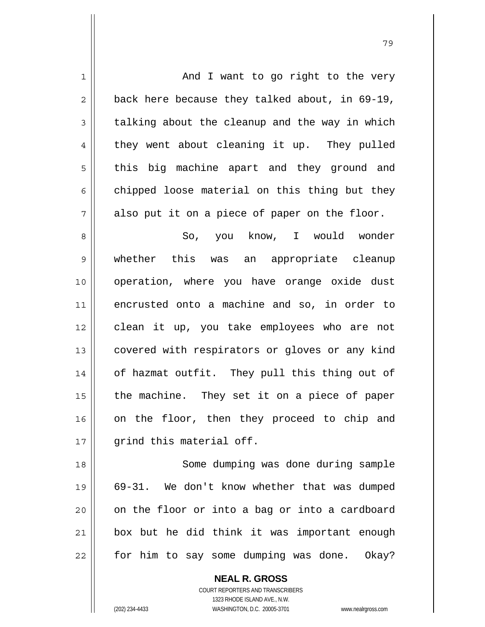| $\mathbf 1$    | And I want to go right to the very             |
|----------------|------------------------------------------------|
| $\overline{2}$ | back here because they talked about, in 69-19, |
| $\mathsf 3$    | talking about the cleanup and the way in which |
| 4              | they went about cleaning it up. They pulled    |
| 5              | this big machine apart and they ground and     |
| 6              | chipped loose material on this thing but they  |
| 7              | also put it on a piece of paper on the floor.  |
| 8              | So, you know, I would wonder                   |
| 9              | whether this was an appropriate cleanup        |
| 10             | operation, where you have orange oxide dust    |
| 11             | encrusted onto a machine and so, in order to   |
| 12             | clean it up, you take employees who are not    |
| 13             | covered with respirators or gloves or any kind |
| 14             | of hazmat outfit. They pull this thing out of  |
| 15             | the machine. They set it on a piece of paper   |
| 16             | on the floor, then they proceed to chip and    |
| 17             | grind this material off.                       |
| 18             | Some dumping was done during sample            |
| 19             | 69-31. We don't know whether that was dumped   |
| 20             | on the floor or into a bag or into a cardboard |
| 21             | box but he did think it was important enough   |
| 22             | for him to say some dumping was done. Okay?    |

**NEAL R. GROSS**

COURT REPORTERS AND TRANSCRIBERS 1323 RHODE ISLAND AVE., N.W.

(202) 234-4433 WASHINGTON, D.C. 20005-3701 www.nealrgross.com

 $\prod$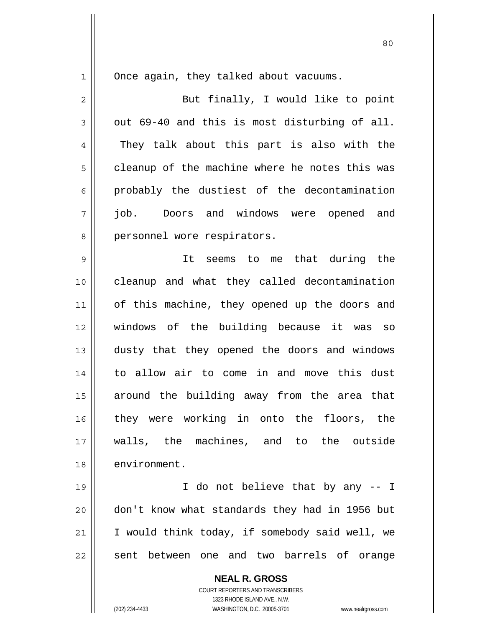1

Once again, they talked about vacuums.

2  $3 \parallel$  out 69-40 and this is most disturbing of all.  $4 \parallel$  They talk about this part is also with the  $5 \parallel$  cleanup of the machine where he notes this was  $6 \parallel$  probably the dustiest of the decontamination  $7 \parallel$  job. Doors and windows were opened and 8 | personnel wore respirators. But finally, I would like to point

9 10  $11$  | of this machine, they opened up the doors and  $12$  || windows of the building because it was so  $13$  || dusty that they opened the doors and windows  $14$  | to allow air to come in and move this dust  $15$  around the building away from the area that  $16$  | they were working in onto the floors, the 17 walls, the machines, and to the outside 18 It seems to me that during the cleanup and what they called decontamination environment.

 $19 \parallel$  I do not believe that by any -- I 20 don't know what standards they had in 1956 but 21 || I would think today, if somebody said well, we 22 || sent between one and two barrels of orange

> **NEAL R. GROSS** COURT REPORTERS AND TRANSCRIBERS 1323 RHODE ISLAND AVE., N.W. (202) 234-4433 WASHINGTON, D.C. 20005-3701 www.nealrgross.com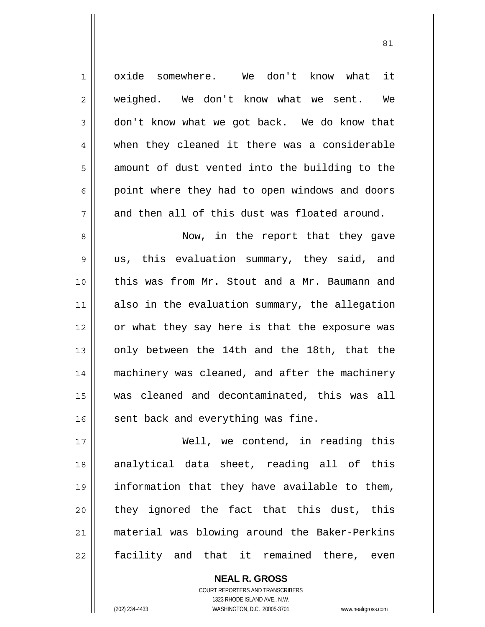$3 \parallel$  don't know what we got back. We do know that  $4 \parallel$  when they cleaned it there was a considerable  $5 \parallel$  amount of dust vented into the building to the 6  $\parallel$  point where they had to open windows and doors  $7$  || and then all of this dust was floated around. oxide somewhere. We don't know what it weighed. We don't know what we sent. We

8 gave Now, in the report that they 9 10  $11$  also in the evaluation summary, the allegation  $12 \parallel$  or what they say here is that the exposure was 13  $\parallel$  only between the 14th and the 18th, that the  $14$   $\parallel$  machinery was cleaned, and after the machinery 15 was cleaned and decontaminated, this was all 16 us, this evaluation summary, they said, and this was from Mr. Stout and a Mr. Baumann and sent back and everything was fine.

17 18  $19$  || information that they have available to them,  $20$  they ignored the fact that this dust, this 21 material was blowing around the Baker-Perkins 22 || facility and that it remained there, even Well, we contend, in reading this analytical data sheet, reading all of this

> **NEAL R. GROSS** COURT REPORTERS AND TRANSCRIBERS 1323 RHODE ISLAND AVE., N.W. (202) 234-4433 WASHINGTON, D.C. 20005-3701 www.nealrgross.com

1

2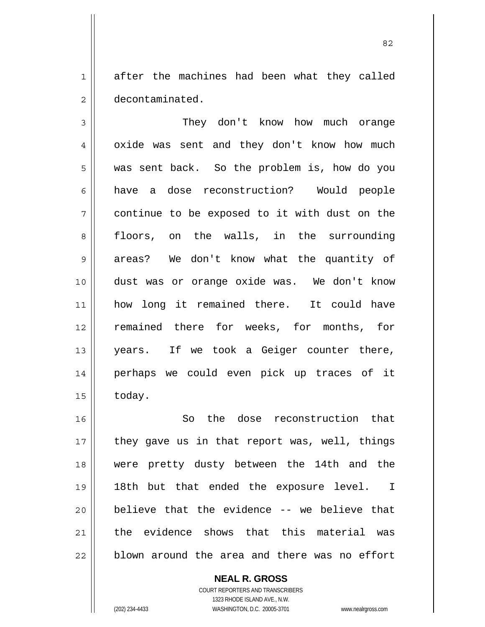2 decontaminated. after the machines had been what they called

1

3 range They don't know how much o  $4 \parallel$  oxide was sent and they don't know how much  $5 \parallel$  was sent back. So the problem is, how do you  $6 \parallel$  have a dose reconstruction? Would people  $7 \parallel$  continue to be exposed to it with dust on the  $8 \parallel$  floors, on the walls, in the surrounding 9 10 11 || how long it remained there. It could have  $12$  | remained there for weeks, for months, for  $13$  | years. If we took a Geiger counter there, 14 perhaps we could even pick up traces of it 15 areas? We don't know what the quantity of dust was or orange oxide was. We don't know years today.

16 || So the dose reconstruction that 17 18  $19 \parallel$  18th but that ended the exposure level. I  $20$   $\parallel$  believe that the evidence -- we believe that 21 || the evidence shows that this material was 22 || blown around the area and there was no effort they gave us in that report was, well, things were pretty dusty between the 14th and the

> **NEAL R. GROSS** COURT REPORTERS AND TRANSCRIBERS 1323 RHODE ISLAND AVE., N.W. (202) 234-4433 WASHINGTON, D.C. 20005-3701 www.nealrgross.com

<u>82</u>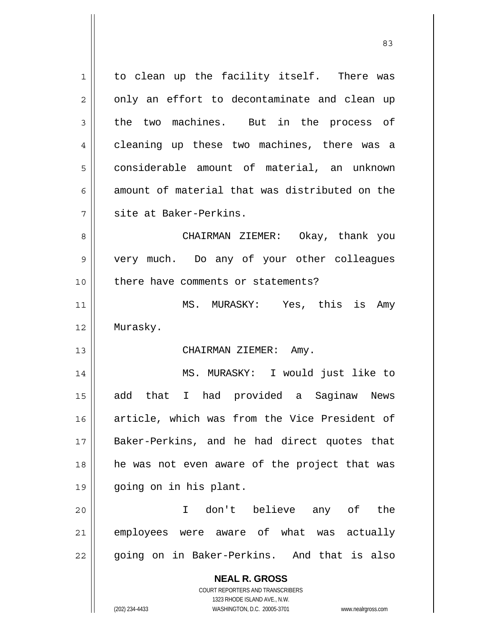| 1  | to clean up the facility itself. There was                          |
|----|---------------------------------------------------------------------|
| 2  | only an effort to decontaminate and clean up                        |
| 3  | the two machines. But in the process of                             |
| 4  | cleaning up these two machines, there was a                         |
| 5  | considerable amount of material, an unknown                         |
| 6  | amount of material that was distributed on the                      |
| 7  | site at Baker-Perkins.                                              |
| 8  | CHAIRMAN ZIEMER: Okay, thank you                                    |
| 9  | very much. Do any of your other colleagues                          |
| 10 | there have comments or statements?                                  |
| 11 | MS. MURASKY: Yes, this<br>is Amy                                    |
| 12 | Murasky.                                                            |
| 13 | CHAIRMAN ZIEMER: Amy.                                               |
| 14 | MS. MURASKY: I would just like to                                   |
| 15 | add that I had provided a Saginaw News                              |
| 16 | article, which was from the Vice President of                       |
| 17 | Baker-Perkins, and he had direct quotes that                        |
| 18 | he was not even aware of the project that was                       |
| 19 | going on in his plant.                                              |
| 20 | don't believe any of the<br>T.                                      |
| 21 | employees were aware of what was actually                           |
| 22 | going on in Baker-Perkins. And that is also                         |
|    | <b>NEAL R. GROSS</b>                                                |
|    | <b>COURT REPORTERS AND TRANSCRIBERS</b>                             |
|    | 1323 RHODE ISLAND AVE., N.W.                                        |
|    | (202) 234-4433<br>WASHINGTON, D.C. 20005-3701<br>www.nealrgross.com |

<u>83</u>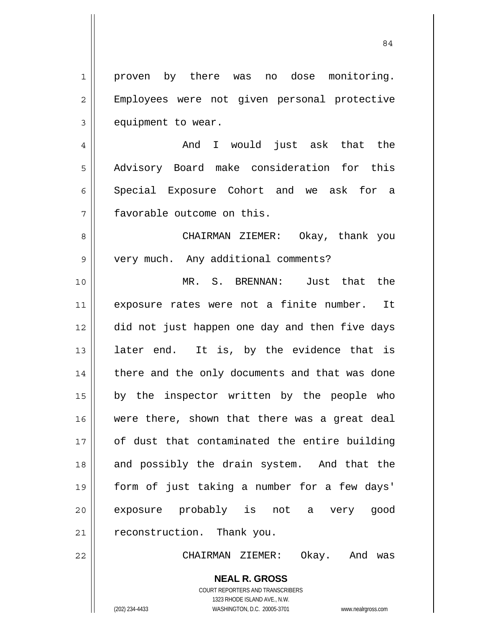1 2  $3 \parallel$  equipment to wear. proven by there was no dose monitoring. Employees were not given personal protective

84

 $4 \parallel$  and I would just ask that the 5 || Advisory Board make consideration for this 6 Special Exposure Cohort and we ask for a  $7 \parallel$  favorable outcome on this.

8 kay, thank you CHAIRMAN ZIEMER: O 9 | very much. Any additional comments?

10  $11$  | exposure rates were not a finite number. It  $12 \parallel$  did not just happen one day and then five days  $13 \parallel$  later end. It is, by the evidence that is  $14$   $\parallel$  there and the only documents and that was done  $15 \parallel$  by the inspector written by the people who  $16 \parallel$  were there, shown that there was a great deal 17 18 19 form of just taking a number for a few days' 20 exposure probably is not a very good 21 | reconstruction. Thank you. MR. S. BRENNAN: Just that the of dust that contaminated the entire building and possibly the drain system. And that the

22 CHAIRMAN ZIEMER: Okay. And was

**NEAL R. GROSS** COURT REPORTERS AND TRANSCRIBERS 1323 RHODE ISLAND AVE., N.W.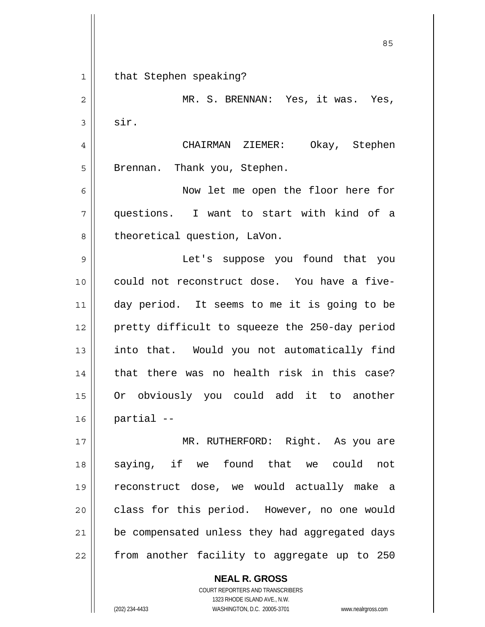**NEAL R. GROSS** <u>85 and 2001 and 2001 and 2001 and 2001 and 2001 and 2001 and 2001 and 2001 and 2001 and 2001 and 2001 and 200</u> 1 2 MR. S. BRENNAN: Yes, it was. Yes,  $3 \parallel$  sir. 4 ER: Okay, Stephen CHAIRMAN ZIEM  $5 \parallel$  Brennan.  $6 \parallel$  Now let me open the floor here for  $7 \parallel$  questions. I want to start with kind of a 8 | theoretical question, LaVon. 9 10  $11$   $\vert$  day period. It seems to me it is going to be  $12 \parallel$  pretty difficult to squeeze the 250-day period  $13$  || into that. Would you not automatically find  $14$   $\parallel$  that there was no health risk in this case? 15 Or obviously you could add it to another 16 17 18  $19 \parallel$  reconstruct dose, we would actually make a 20 class for this period. However, no one would 21 | be compensated unless they had aggregated days  $22$  from another facility to aggregate up to 250 that Stephen speaking? Thank you, Stephen. Let's suppose you found that you could not reconstruct dose. You have a fivepartial -- MR. RUTHERFORD: Right. As you are saying, if we found that we could not

> COURT REPORTERS AND TRANSCRIBERS 1323 RHODE ISLAND AVE., N.W.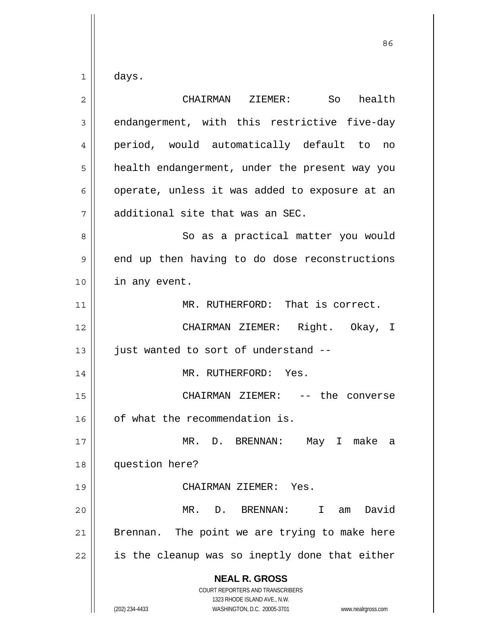1 days.

| $\overline{2}$ | So<br>health<br>CHAIRMAN ZIEMER:                                                                                                                                       |
|----------------|------------------------------------------------------------------------------------------------------------------------------------------------------------------------|
| 3              | endangerment, with this restrictive five-day                                                                                                                           |
| 4              | period, would automatically default to no                                                                                                                              |
| 5              | health endangerment, under the present way you                                                                                                                         |
| 6              | operate, unless it was added to exposure at an                                                                                                                         |
| 7              | additional site that was an SEC.                                                                                                                                       |
| 8              | So as a practical matter you would                                                                                                                                     |
| 9              | end up then having to do dose reconstructions                                                                                                                          |
| 10             | in any event.                                                                                                                                                          |
| 11             | MR. RUTHERFORD: That is correct.                                                                                                                                       |
| 12             | CHAIRMAN ZIEMER: Right. Okay, I                                                                                                                                        |
| 13             | just wanted to sort of understand --                                                                                                                                   |
| 14             | MR. RUTHERFORD: Yes.                                                                                                                                                   |
| 15             | CHAIRMAN ZIEMER: -- the converse                                                                                                                                       |
| 16             | of what the recommendation is.                                                                                                                                         |
| 17             | MR. D. BRENNAN: May I make a                                                                                                                                           |
| 18             | question here?                                                                                                                                                         |
| 19             | CHAIRMAN ZIEMER: Yes.                                                                                                                                                  |
| 20             | David<br>$MR$ .<br>BRENNAN:<br>$D_{\star}$<br>I<br>am                                                                                                                  |
| 21             | The point we are trying to make here<br>Brennan.                                                                                                                       |
| 22             | is the cleanup was so ineptly done that either                                                                                                                         |
|                | <b>NEAL R. GROSS</b><br><b>COURT REPORTERS AND TRANSCRIBERS</b><br>1323 RHODE ISLAND AVE., N.W.<br>(202) 234-4433<br>WASHINGTON, D.C. 20005-3701<br>www.nealrgross.com |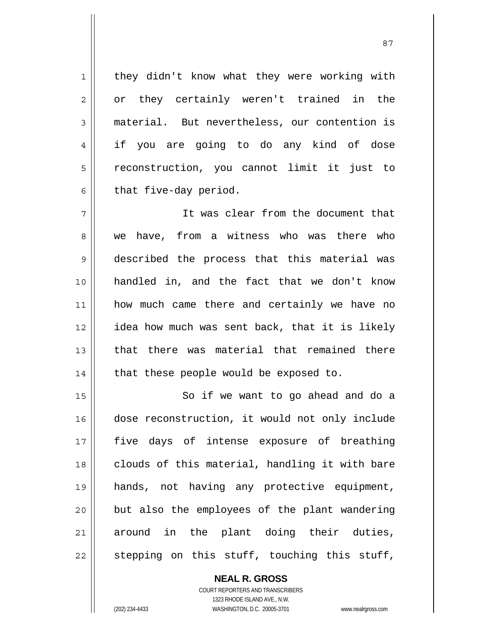$3 \parallel$  material. But nevertheless, our contention is  $4 \parallel$  if you are going to do any kind of dose  $5 \parallel$  reconstruction, you cannot limit it just to 6 | that five-day period. they didn't know what they were working with or they certainly weren't trained in the

 $7 \parallel$  Tt was clear from the document that  $8 \parallel$  we have, from a witness who was there who 9 10  $11$  how much came there and certainly we have no  $12 \parallel$  idea how much was sent back, that it is likely 13 || that there was material that remained there 14 described the process that this material was handled in, and the fact that we don't know that these people would be exposed to.

 $15$   $\parallel$  So if we want to go ahead and do a  $16 \parallel$  dose reconstruction, it would not only include 17 18  $19 \parallel$  hands, not having any protective equipment, 20 || but also the employees of the plant wandering 21 around in the plant doing their duties,  $22$  stepping on this stuff, touching this stuff, five days of intense exposure of breathing clouds of this material, handling it with bare

> **NEAL R. GROSS** COURT REPORTERS AND TRANSCRIBERS 1323 RHODE ISLAND AVE., N.W. (202) 234-4433 WASHINGTON, D.C. 20005-3701 www.nealrgross.com

1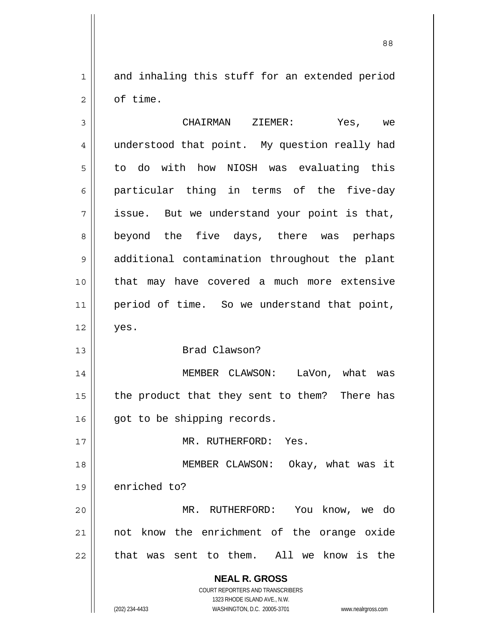1 2 and inhaling this stuff for an extended period of time.

| 3  | CHAIRMAN ZIEMER:<br>Yes, we                                                                                                                                     |
|----|-----------------------------------------------------------------------------------------------------------------------------------------------------------------|
| 4  | understood that point. My question really had                                                                                                                   |
| 5  | to do with how NIOSH was evaluating this                                                                                                                        |
| 6  | particular thing in terms of the five-day                                                                                                                       |
| 7  | issue. But we understand your point is that,                                                                                                                    |
| 8  | beyond the five days, there was perhaps                                                                                                                         |
| 9  | additional contamination throughout the plant                                                                                                                   |
| 10 | that may have covered a much more extensive                                                                                                                     |
| 11 | period of time. So we understand that point,                                                                                                                    |
| 12 | yes.                                                                                                                                                            |
| 13 | Brad Clawson?                                                                                                                                                   |
| 14 | MEMBER CLAWSON: LaVon, what was                                                                                                                                 |
| 15 | the product that they sent to them? There has                                                                                                                   |
| 16 | got to be shipping records.                                                                                                                                     |
| 17 | MR. RUTHERFORD: Yes.                                                                                                                                            |
| 18 | MEMBER CLAWSON: Okay, what was it                                                                                                                               |
| 19 | enriched to?                                                                                                                                                    |
| 20 | MR. RUTHERFORD: You know, we do                                                                                                                                 |
| 21 | not know the enrichment of the orange oxide                                                                                                                     |
| 22 | was sent to them. All we know is the<br>that                                                                                                                    |
|    | <b>NEAL R. GROSS</b><br>COURT REPORTERS AND TRANSCRIBERS<br>1323 RHODE ISLAND AVE., N.W.<br>(202) 234-4433<br>WASHINGTON, D.C. 20005-3701<br>www.nealrgross.com |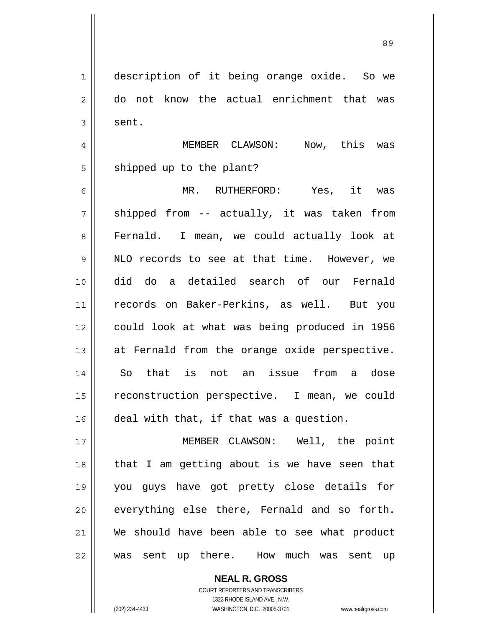1 2  $3 \parallel$  sent. description of it being orange oxide. So we do not know the actual enrichment that was

4 LAWSON: Now, this was  $5 \parallel$  shipped up to the plant? MEMBER

6 was MR. RUTHERFORD: Yes, it  $7 \parallel$  shipped from -- actually, it was taken from  $8 \parallel$  Fernald. I mean, we could actually look at 9 10 11 || records on Baker-Perkins, as well. But you  $12 \parallel$  could look at what was being produced in 1956  $13 \parallel$  at Fernald from the orange oxide perspective.  $14$   $\vert$  So that is not an issue from a dose 15 | reconstruction perspective. I mean, we could 16 NLO records to see at that time. However, we did do a detailed search of our Fernald So that is not an issue from deal with that, if that was a question.

17 18  $19 \parallel$  you guys have got pretty close details for  $20$  everything else there, Fernald and so forth. 21 We should have been able to see what product 22 was sent up there. How much was sent up MEMBER CLAWSON: Well, the point that I am getting about is we have seen that

> **NEAL R. GROSS** COURT REPORTERS AND TRANSCRIBERS 1323 RHODE ISLAND AVE., N.W. (202) 234-4433 WASHINGTON, D.C. 20005-3701 www.nealrgross.com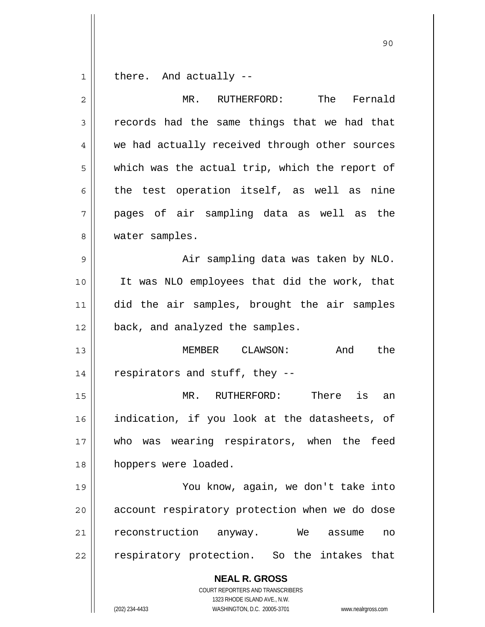1 there. And actually --

| $\sqrt{2}$ | The<br>MR. RUTHERFORD:<br>Fernald                                                                                                                               |
|------------|-----------------------------------------------------------------------------------------------------------------------------------------------------------------|
| 3          | records had the same things that we had that                                                                                                                    |
| 4          | we had actually received through other sources                                                                                                                  |
| 5          | which was the actual trip, which the report of                                                                                                                  |
| 6          | the test operation itself, as well as nine                                                                                                                      |
| 7          | pages of air sampling data as well as the                                                                                                                       |
| 8          | water samples.                                                                                                                                                  |
| 9          | Air sampling data was taken by NLO.                                                                                                                             |
| 10         | It was NLO employees that did the work, that                                                                                                                    |
| 11         | did the air samples, brought the air samples                                                                                                                    |
| 12         | back, and analyzed the samples.                                                                                                                                 |
| 13         | the<br>MEMBER CLAWSON:<br>And                                                                                                                                   |
| 14         | respirators and stuff, they --                                                                                                                                  |
| 15         | MR.<br>RUTHERFORD:<br>There is<br>an                                                                                                                            |
| 16         | indication, if you look at the datasheets, of                                                                                                                   |
| 17         | who was wearing respirators, when the feed                                                                                                                      |
| 18         | hoppers were loaded.                                                                                                                                            |
| 19         | You know, again, we don't take into                                                                                                                             |
| 20         | account respiratory protection when we do dose                                                                                                                  |
| 21         | reconstruction<br>anyway.<br>We<br>assume<br>no                                                                                                                 |
| 22         | respiratory protection. So the intakes that                                                                                                                     |
|            | <b>NEAL R. GROSS</b><br>COURT REPORTERS AND TRANSCRIBERS<br>1323 RHODE ISLAND AVE., N.W.<br>(202) 234-4433<br>WASHINGTON, D.C. 20005-3701<br>www.nealrgross.com |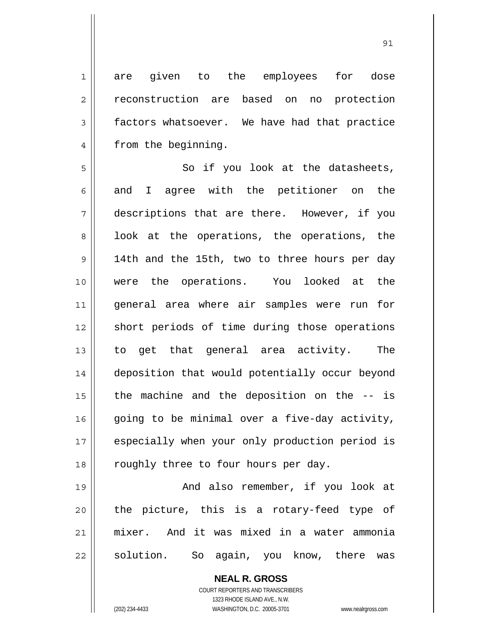$3 \parallel$  factors whatsoever. We have had that practice  $4 \parallel$  from the beginning. are given to the employees for dose reconstruction are based on no protection

 $5 \parallel$  So if you look at the datasheets,  $6 \parallel$  and I agree with the petitioner on the  $7 \parallel$  descriptions that are there. However, if you  $8 \parallel$  look at the operations, the operations, the 9 10  $11$  || general area where air samples were run for  $12 \parallel$  short periods of time during those operations  $13 \parallel$  to get that general area activity. The  $14$  | deposition that would potentially occur beyond  $15$  | the machine and the deposition on the -- is 16  $\parallel$  going to be minimal over a five-day activity, 17 || especially when your only production period is 18 14th and the 15th, two to three hours per day were the operations. You looked at the roughly three to four hours per day.

19 || And also remember, if you look at the picture, this is a rotary-feed type of mixer. And it was mixed in a water ammonia solution. So again, you know, there was

> **NEAL R. GROSS** COURT REPORTERS AND TRANSCRIBERS 1323 RHODE ISLAND AVE., N.W. (202) 234-4433 WASHINGTON, D.C. 20005-3701 www.nealrgross.com

1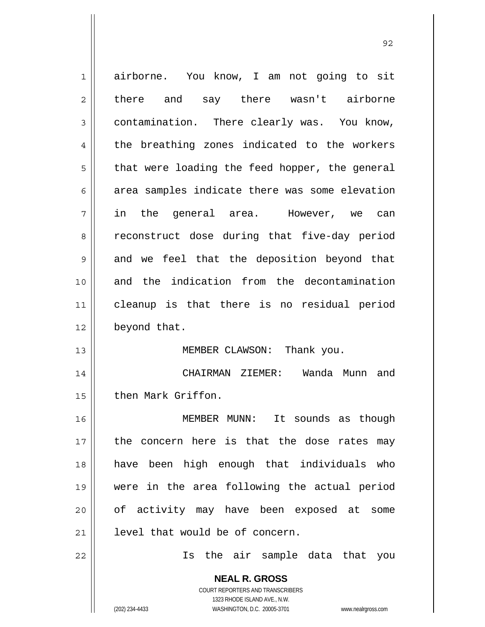| $\mathbf 1$    | airborne. You know, I am not going to sit                                                           |
|----------------|-----------------------------------------------------------------------------------------------------|
| $\mathbf 2$    | there and say there wasn't airborne                                                                 |
| $\mathfrak{Z}$ | contamination. There clearly was. You know,                                                         |
| 4              | the breathing zones indicated to the workers                                                        |
| 5              | that were loading the feed hopper, the general                                                      |
| 6              | area samples indicate there was some elevation                                                      |
| 7              | in the general area. However, we can                                                                |
| 8              | reconstruct dose during that five-day period                                                        |
| 9              | and we feel that the deposition beyond that                                                         |
| 10             | and the indication from the decontamination                                                         |
| 11             | cleanup is that there is no residual period                                                         |
| 12             | beyond that.                                                                                        |
| 13             | MEMBER CLAWSON: Thank you.                                                                          |
| 14             | CHAIRMAN ZIEMER: Wanda Munn and                                                                     |
| 15             | then Mark Griffon.                                                                                  |
| 16             | MEMBER MUNN: It sounds as though                                                                    |
| 17             | the concern here is that the dose rates may                                                         |
| 18             | have been high enough that individuals who                                                          |
| 19             | were in the area following the actual period                                                        |
| 20             | of activity may have been exposed at some                                                           |
| 21             | level that would be of concern.                                                                     |
| 22             | Is the air sample data that you                                                                     |
|                | <b>NEAL R. GROSS</b>                                                                                |
|                | <b>COURT REPORTERS AND TRANSCRIBERS</b>                                                             |
|                | 1323 RHODE ISLAND AVE., N.W.<br>(202) 234-4433<br>WASHINGTON, D.C. 20005-3701<br>www.nealrgross.com |

<u>92 and 2014 and 2014 and 2014 and 2014 and 2014 and 2014 and 2014 and 2014 and 2014 and 2014 and 2014 and 201</u>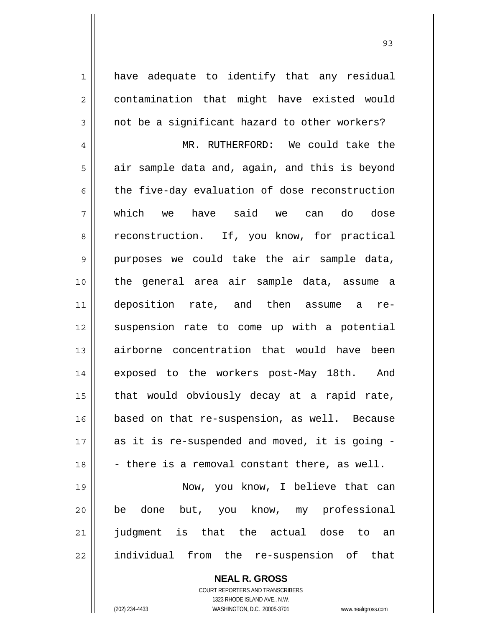1 2  $3 \parallel$  not be a significant hazard to other workers? 4 e the  $5 \parallel$  air sample data and, again, and this is beyond  $6 \parallel$  the five-day evaluation of dose reconstruction  $7 \parallel$  which we have said we can do dose 8 || reconstruction. If, you know, for practical 9 10  $11$   $\parallel$  deposition rate, and then assume a re- $12$   $\parallel$  suspension rate to come up with a potential  $13$  || airborne concentration that would have been  $14 \parallel$  exposed to the workers post-May 18th. And  $15$  || that would obviously decay at a rapid rate,  $16$   $\vert$  based on that re-suspension, as well. Because 17 || as it is re-suspended and moved, it is going -18 19 || Now, you know, I believe that can have adequate to identify that any residual contamination that might have existed would  $MR.$  RUTHERFORD: which we have said we can do purposes we could take the air sample data, the general area air sample data, assume a - there is a removal constant there, as well.

<u>93 and 200 and 200 and 200 and 200 and 200 and 200 and 200 and 200 and 200 and 200 and 200 and 200 and 200 an</u>

20 be done but, you know, my professional 21 || judgment is that the actual dose to an 22 || individual from the re-suspension of that

> **NEAL R. GROSS** COURT REPORTERS AND TRANSCRIBERS 1323 RHODE ISLAND AVE., N.W. (202) 234-4433 WASHINGTON, D.C. 20005-3701 www.nealrgross.com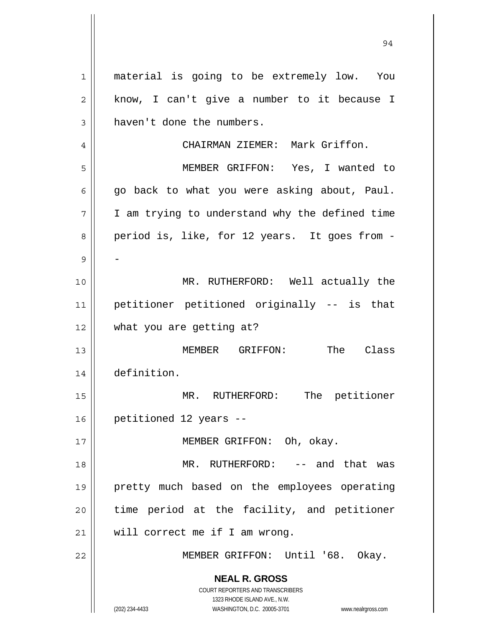**NEAL R. GROSS** COURT REPORTERS AND TRANSCRIBERS 1323 RHODE ISLAND AVE., N.W. (202) 234-4433 WASHINGTON, D.C. 20005-3701 www.nealrgross.com 1 2  $3 \parallel$  haven't done the numbers. 4 . CHAIRMAN ZIEMER: Mark Griffon 5 || MEMBER GRIFFON: Yes, I wanted to  $6 \parallel$  go back to what you were asking about, Paul.  $7 \parallel$  I am trying to understand why the defined time 8 period is, like, for 12 years. It goes from - $9 \parallel -$ 10  $11$  || petitioner petitioned originally -- is that  $12 \parallel$  what you are getting at? 13 Class MEMBER GRIFFON: The 14 15 || MR. RUTHERFORD: The petitioner  $16 \parallel$  petitioned 12 years --17 18 19 pretty much based on the employees operating  $20$  || time period at the facility, and petitioner 21 || will correct me if I am wrong. 22 MEMBER GRIFFON: Until '68. Okay. material is going to be extremely low. You know, I can't give a number to it because I MR. RUTHERFORD: Well actually the definition.  $RUTHERFORM:$  MEMBER GRIFFON: Oh, okay. MR. RUTHERFORD: -- and that was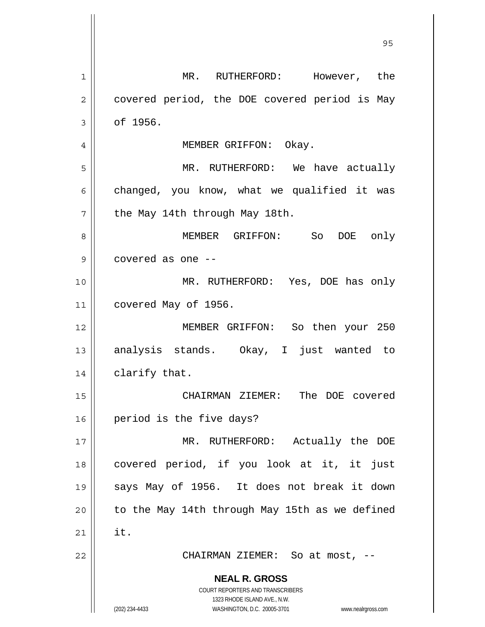**NEAL R. GROSS** COURT REPORTERS AND TRANSCRIBERS 1323 RHODE ISLAND AVE., N.W. (202) 234-4433 WASHINGTON, D.C. 20005-3701 www.nealrgross.com <u>95 and 2001 and 2001 and 2001 and 2001 and 2001 and 2001 and 2001 and 2001 and 2001 and 2001 and 2001 and 200</u> 1 2  $3 \parallel$  of 1956. 4  $5 \parallel$  MR. RUTHERFORD: We have actually 6  $\parallel$  changed, you know, what we qualified it was  $7 \parallel$  the May 14th through May 18th. 8 || MEMBER GRIFFON: So DOE only 9 || covered as one --10 11 12 MEMBER GRIFFON: So then your 250 13 || analysis stands. Okay, I just wanted to 14 15 vered CHAIRMAN ZIEMER: The DOE co 16 17 18 19 says May of 1956. It does not break it down  $20$  | to the May 14th through May 15th as we defined 21  $\parallel$  it. 22 CHAIRMAN ZIEMER: So at most, -- MR. RUTHERFORD: However, the covered period, the DOE covered period is May MEMBER GRIFFON: Okay. MR. RUTHERFORD: Yes, DOE has only covered May of 1956. clarify that. period is the five days? MR. RUTHERFORD: Actually the DOE covered period, if you look at it, it just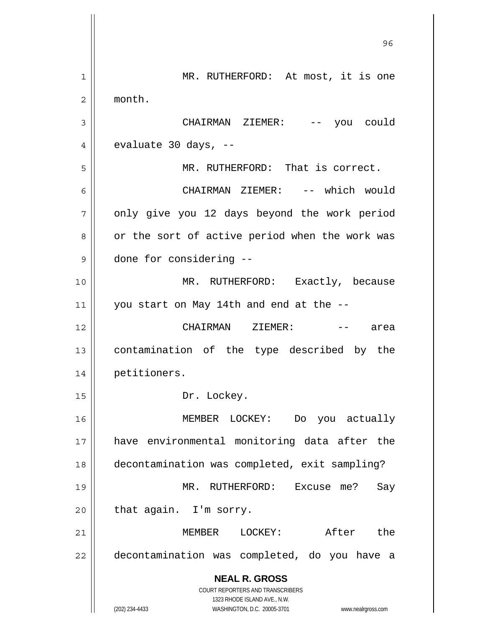**NEAL R. GROSS** COURT REPORTERS AND TRANSCRIBERS 1323 RHODE ISLAND AVE., N.W. (202) 234-4433 WASHINGTON, D.C. 20005-3701 www.nealrgross.com <u>96 and 2001 and 2001 and 2001 and 2001 and 2001 and 2001 and 2001 and 2001 and 2001 and 2001 and 2001 and 200</u> 1 2 | month. 3 AN ZIEMER: -- you could CHAIRM  $4 \parallel$  evaluate 30 days, -- $5$  || MR. RUTHERFORD: That is correct. 6 would  $7 \parallel$  only give you 12 days beyond the work period  $8 \parallel$  or the sort of active period when the work was 9 | done for considering --10 11 12 CHAIRMAN ZIEMER: -- area  $13 \parallel$  contamination of the type described by the 14 | petitioners. 15 16 || MEMBER LOCKEY: Do you actually 17 have environmental monitoring data after the 18 19 Say MR. RUTHERFORD: Excuse me?  $20$  | that again. I'm sorry. 21 MEMBER LOCKEY: After the 22 || decontamination was completed, do you have a MR. RUTHERFORD: At most, it is one CHAIRMAN ZIEMER: MR. RUTHERFORD: Exactly, because you start on May 14th and end at the -- Dr. Lockey. decontamination was completed, exit sampling?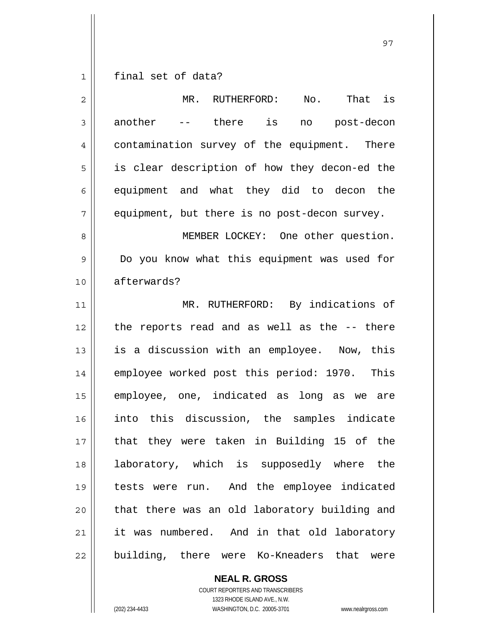1 final set of data?

| $\overline{2}$ | That is<br>$MR$ .<br>No.<br>RUTHERFORD:          |
|----------------|--------------------------------------------------|
| $\mathfrak{Z}$ | there is<br>another<br>post-decon<br>no<br>$- -$ |
| 4              | contamination survey of the equipment. There     |
| 5              | is clear description of how they decon-ed the    |
| 6              | equipment and what they did to decon the         |
| 7              | equipment, but there is no post-decon survey.    |
| 8              | MEMBER LOCKEY: One other question.               |
| 9              | Do you know what this equipment was used for     |
| 10             | afterwards?                                      |
| 11             | MR. RUTHERFORD: By indications of                |
| 12             | the reports read and as well as the -- there     |
| 13             | is a discussion with an employee. Now, this      |
| 14             | employee worked post this period: 1970.<br>This  |
| 15             | employee, one, indicated as long as we are       |
| 16             | into this discussion, the samples indicate       |
| 17             | that they were taken in Building 15 of the       |
| 18             | laboratory, which is supposedly where the        |
| 19             | tests were run. And the employee indicated       |
| 20             | that there was an old laboratory building and    |
| 21             | it was numbered. And in that old laboratory      |
| 22             | building, there were Ko-Kneaders that<br>were    |

97

**NEAL R. GROSS** COURT REPORTERS AND TRANSCRIBERS

1323 RHODE ISLAND AVE., N.W. (202) 234-4433 WASHINGTON, D.C. 20005-3701 www.nealrgross.com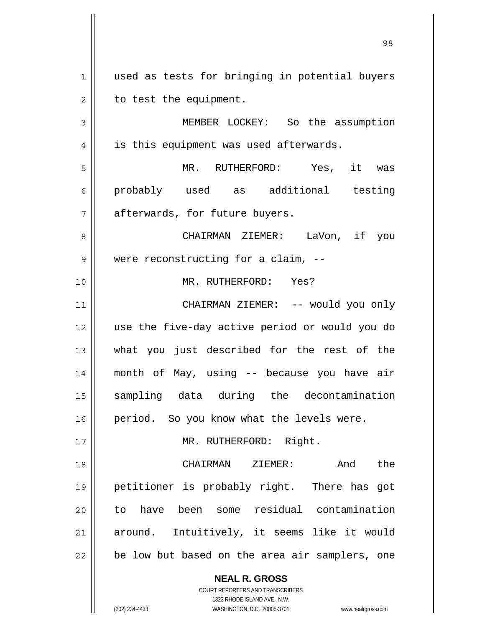**NEAL R. GROSS** COURT REPORTERS AND TRANSCRIBERS 1  $2 \parallel$  to test the equipment. 3 | MEMBER LOCKEY: So the assumption  $4 \parallel$  is this equipment was used afterwards. 5 was MR. RUTHERFORD: Yes, it 6 || probably used as additional testing  $7 \parallel$  afterwards, for future buyers. 8 LaVon, if you CHAIRMAN ZIEMER: 9 || were reconstructing for a claim, --10 11 only CHAIRMAN ZIEMER: -- would you  $12 \parallel$  use the five-day active period or would you do  $13$  || what you just described for the rest of the  $14$  | month of May, using -- because you have air 15 sampling data during the decontamination 16 || period. So you know what the levels were. 17 18  $19 \parallel$  petitioner is probably right. There has got 20 to have been some residual contamination 21 || around. Intuitively, it seems like it would  $22$  | be low but based on the area air samplers, one used as tests for bringing in potential buyers MEMBER LOCKEY:  $probability$  MR. RUTHERFORD: Yes? MR. RUTHERFORD: Right. CHAIRMAN ZIEMER: And the

1323 RHODE ISLAND AVE., N.W.

(202) 234-4433 WASHINGTON, D.C. 20005-3701 www.nealrgross.com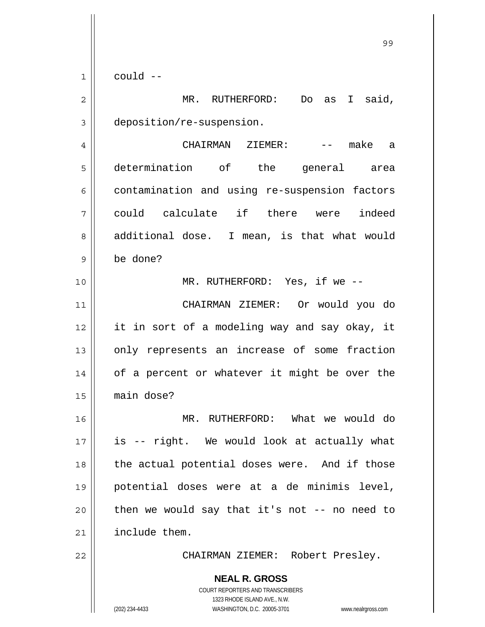1 could --

2  $3 \parallel$  deposition/re-suspension. 4 a CHAIRMAN ZIEMER: -- make 5 || determination of the general area  $6 \parallel$  contamination and using re-suspension factors  $7 \parallel$  could calculate if there were indeed  $8 \parallel$  additional dose. I mean, is that what would 9 be done? 10 11 ou do CHAIRMAN ZIEMER: Or would y  $12 \parallel$  it in sort of a modeling way and say okay, it  $13 \parallel$  only represents an increase of some fraction 14 || of a percent or whatever it might be over the 15 16 || MR. RUTHERFORD: What we would do 17 18 19 potential doses were at a de minimis level,  $20$  | then we would say that it's not  $-$  no need to MR. RUTHERFORD: Do as I said, MR. RUTHERFORD: Yes, if we - main dose? is -- right. We would look at actually what the actual potential doses were. And if those

21 || include them.

22 CHAIRMAN ZIEMER: Robert Presley.

**NEAL R. GROSS** COURT REPORTERS AND TRANSCRIBERS 1323 RHODE ISLAND AVE., N.W. (202) 234-4433 WASHINGTON, D.C. 20005-3701 www.nealrgross.com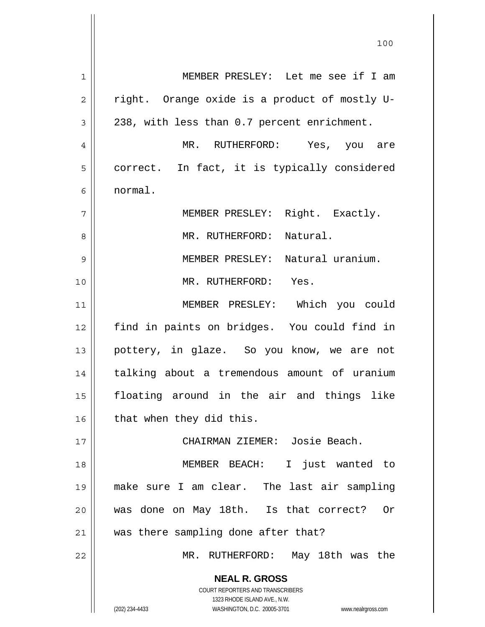**NEAL R. GROSS** COURT REPORTERS AND TRANSCRIBERS 1323 RHODE ISLAND AVE., N.W. 1 2 3 4 are MR. RUTHERFORD: Yes, you  $5$  | correct. In fact, it is typically considered 6 normal. 7 || MEMBER PRESLEY: Right. Exactly. 8 9 10 11 || MEMBER PRESLEY: Which you could  $12 \parallel$  find in paints on bridges. You could find in  $13 \parallel$  pottery, in glaze. So you know, we are not  $14$  | talking about a tremendous amount of uranium 15 floating around in the air and things like  $16 \parallel$  that when they did this. 17 18 19 make sure I am clear. The last air sampling 20 was done on May 18th. Is that correct? Or 21 || was there sampling done after that? 22 MR. RUTHERFORD: May 18th was the MEMBER PRESLEY: Let me see if I am right. Orange oxide is a product of mostly U-238, with less than 0.7 percent enrichment. correct. MR. RUTHERFORD: Natural. MEMBER PRESLEY: Natural uranium. MR. RUTHERFORD: Yes. MEMBER PRESLEY: CHAIRMAN ZIEMER: Josie Beach. MEMBER BEACH: I just wanted to

100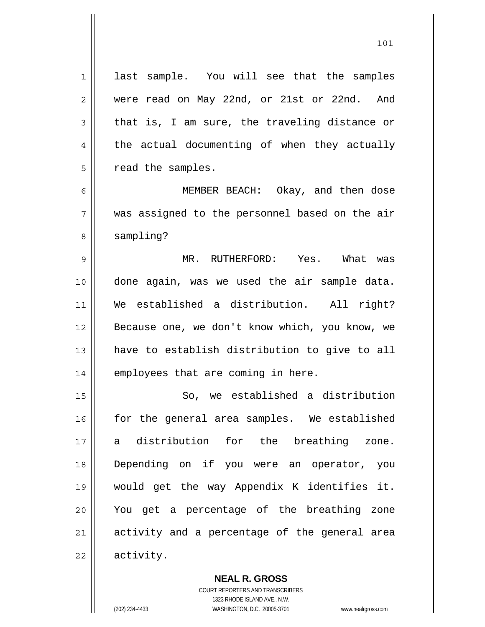| $\mathbf 1$ | last sample. You will see that the samples     |
|-------------|------------------------------------------------|
| 2           | were read on May 22nd, or 21st or 22nd. And    |
| 3           | that is, I am sure, the traveling distance or  |
| 4           | the actual documenting of when they actually   |
| 5           | read the samples.                              |
| 6           | MEMBER BEACH: Okay, and then dose              |
| 7           | was assigned to the personnel based on the air |
| 8           | sampling?                                      |
| 9           | MR. RUTHERFORD: Yes. What was                  |
| 10          | done again, was we used the air sample data.   |
| 11          | We established a distribution. All right?      |
| 12          | Because one, we don't know which, you know, we |
| 13          | have to establish distribution to give to all  |
| 14          | employees that are coming in here.             |
| 15          | So, we established a distribution              |
| 16          | for the general area samples. We established   |
| 17          | a distribution for the breathing zone.         |
| 18          | Depending on if you were an operator, you      |
| 19          | would get the way Appendix K identifies it.    |
| 20          | You get a percentage of the breathing zone     |
| 21          | activity and a percentage of the general area  |
| 22          | activity.                                      |

101

COURT REPORTERS AND TRANSCRIBERS 1323 RHODE ISLAND AVE., N.W. (202) 234-4433 WASHINGTON, D.C. 20005-3701 www.nealrgross.com

**NEAL R. GROSS**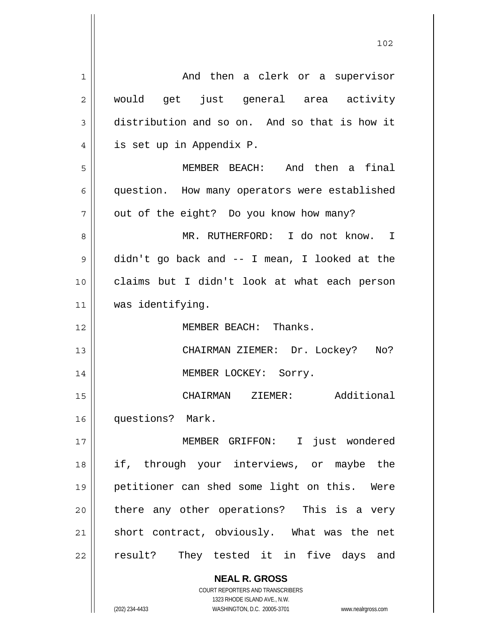| 1              | And then a clerk or a supervisor              |
|----------------|-----------------------------------------------|
| $\overline{2}$ | would get just general area activity          |
| 3              | distribution and so on. And so that is how it |
| 4              | is set up in Appendix P.                      |
| 5              | MEMBER BEACH: And then a final                |
| 6              | question. How many operators were established |
| 7              | out of the eight? Do you know how many?       |
| 8              | MR. RUTHERFORD: I do not know. I              |
| 9              | didn't go back and -- I mean, I looked at the |
| 10             | claims but I didn't look at what each person  |
| 11             | was identifying.                              |
| 12             | MEMBER BEACH: Thanks.                         |
| 13             | CHAIRMAN ZIEMER: Dr. Lockey? No?              |
| 14             | MEMBER LOCKEY: Sorry.                         |
| 15             | Additional<br>CHAIRMAN ZIEMER:                |
| 16             | questions? Mark.                              |
| 17             | MEMBER GRIFFON: I just wondered               |
| 18             | if, through your interviews, or maybe the     |
| 19             | petitioner can shed some light on this. Were  |
| 20             | there any other operations? This is a very    |
| 21             | short contract, obviously. What was the net   |
| 22             | result? They tested it in five days and       |
|                | <b>NEAL R. GROSS</b>                          |

102

 $\mathsf{II}$ 

1323 RHODE ISLAND AVE., N.W. (202) 234-4433 WASHINGTON, D.C. 20005-3701 www.nealrgross.com

COURT REPORTERS AND TRANSCRIBERS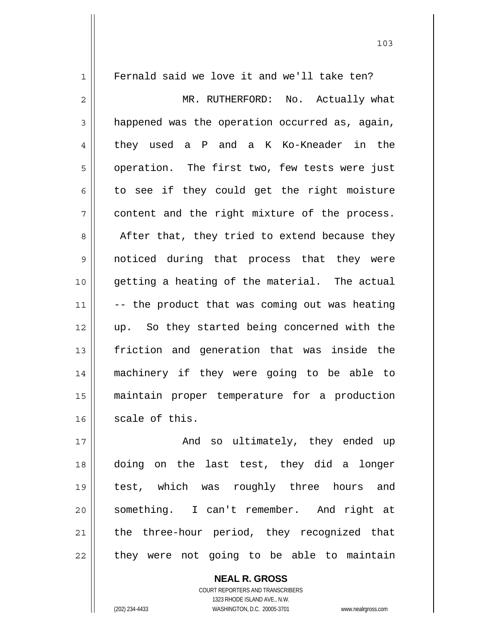1 2  $3 \parallel$  happened was the operation occurred as, again,  $4 \parallel$  they used a P and a K Ko-Kneader in the  $5 \parallel$  operation. The first two, few tests were just  $6 \parallel$  to see if they could get the right moisture  $7 \parallel$  content and the right mixture of the process.  $8 \parallel$  After that, they tried to extend because they 9 10  $11$   $\vert$  -- the product that was coming out was heating  $12 \parallel$  up. So they started being concerned with the  $13$   $\parallel$  friction and generation that was inside the  $14$   $\parallel$  machinery if they were going to be able to 15 maintain proper temperature for a production 16 Fernald said we love it and we'll take ten? MR. RUTHERFORD: No. Actually what noticed during that process that they were getting a heating of the material. The actual scale of this.

17 18  $19 \parallel$  test, which was roughly three hours and 20 something. I can't remember. And right at  $21$  | the three-hour period, they recognized that  $22$  || they were not going to be able to maintain And so ultimately, they ended up doing on the last test, they did a longer

> COURT REPORTERS AND TRANSCRIBERS 1323 RHODE ISLAND AVE., N.W. (202) 234-4433 WASHINGTON, D.C. 20005-3701 www.nealrgross.com

**NEAL R. GROSS**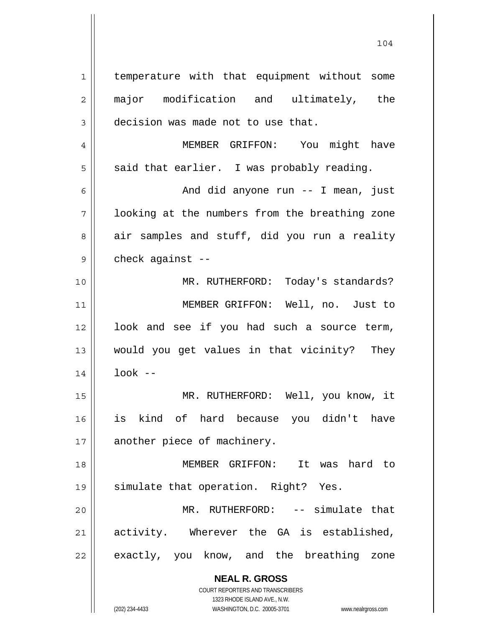**NEAL R. GROSS** COURT REPORTERS AND TRANSCRIBERS 1323 RHODE ISLAND AVE., N.W. 1 2  $3 \parallel$  decision was made not to use that. 4 || MEMBER GRIFFON: You might have  $5 \parallel$  said that earlier. I was probably reading.  $6 \parallel$  and did anyone run -- I mean, just  $7 \parallel$  looking at the numbers from the breathing zone  $8 \parallel$  air samples and stuff, did you run a reality  $9 \parallel$  check against --10 11 || MEMBER GRIFFON: Well, no. Just to  $12 \parallel$  look and see if you had such a source term, 13 would you get values in that vicinity? They 14 15 || MR. RUTHERFORD: Well, you know, it 16 is kind of hard because you didn't have 17 18 19 20 || MR. RUTHERFORD: -- simulate that 21 activity. Wherever the GA is established, 22 || exactly, you know, and the breathing zone temperature with that equipment without some major modification and ultimately, the MR. RUTHERFORD: Today's standards?  $look -$ another piece of machinery. MEMBER GRIFFON: It was hard to simulate that operation. Right? Yes.

104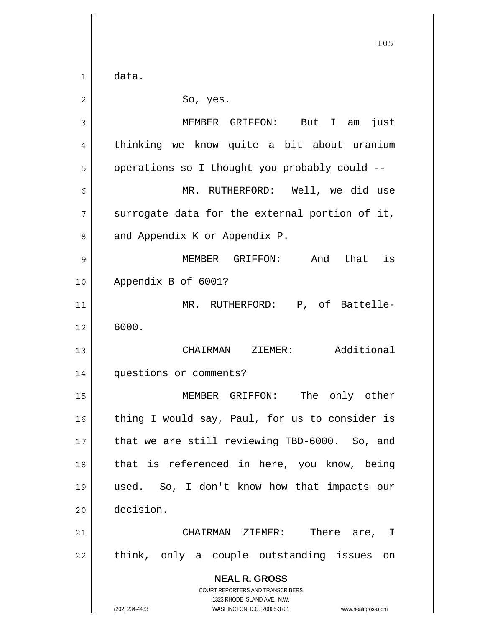**NEAL R. GROSS** COURT REPORTERS AND TRANSCRIBERS 1323 RHODE ISLAND AVE., N.W. (202) 234-4433 WASHINGTON, D.C. 20005-3701 www.nealrgross.com 105 1  $2 \parallel$  So, yes. 3 || MEMBER GRIFFON: But I am just  $4 \parallel$  thinking we know quite a bit about uranium 5 | operations so I thought you probably could --6  $\parallel$  MR. RUTHERFORD: Well, we did use  $7 \parallel$  surrogate data for the external portion of it, 8 || and Appendix K or Appendix P. 9 10 11 e- MR. RUTHERFORD: P, of Battell 12 13 ional CHAIRMAN ZIEMER: Addit 14 15 || MEMBER GRIFFON: The only other  $16 \parallel$  thing I would say, Paul, for us to consider is 17 18 || that is referenced in here, you know, being  $19 \parallel$  used. So, I don't know how that impacts our 20 decision. 21 CHAIRMAN ZIEMER: There are, I  $22$  || think, only a couple outstanding issues on data. MEMBER GRIFFON: And that is Appendix B of 6001? 6000. questions or comments? that we are still reviewing TBD-6000. So, and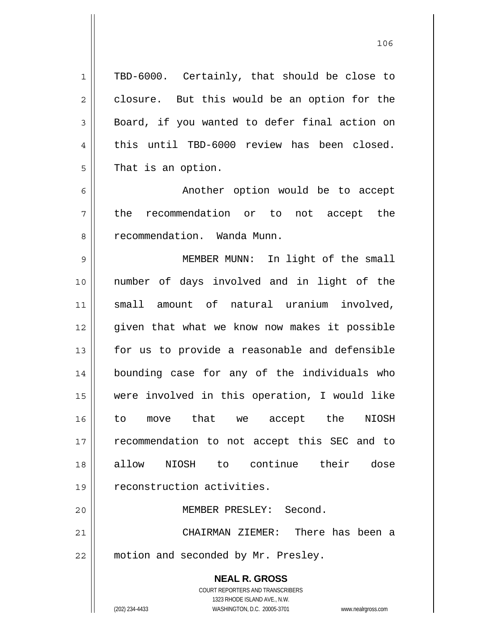1 2  $3 \parallel$  Board, if you wanted to defer final action on  $4 \parallel$  this until TBD-6000 review has been closed.  $5 \parallel$  That is an option. 6 || Another option would be to accept  $7 \parallel$  the recommendation or to not accept the 8 | recommendation. Wanda Munn. 9 10 11 || small amount of natural uranium involved,  $12 \parallel$  given that what we know now makes it possible  $13 \parallel$  for us to provide a reasonable and defensible  $14$   $\vert$  bounding case for any of the individuals who 15 || were involved in this operation, I would like  $16 \parallel$  to move that we accept the NIOSH 17 18 allow NIOSH to continue their dose 19 20 || MEMBER PRESLEY: Second. TBD-6000. Certainly, that should be close to closure. But this would be an option for the MEMBER MUNN: In light of the small number of days involved and in light of the recommendation to not accept this SEC and to reconstruction activities.

21 CHAIRMAN ZIEMER: There has been a 22 | motion and seconded by Mr. Presley.

> **NEAL R. GROSS** COURT REPORTERS AND TRANSCRIBERS 1323 RHODE ISLAND AVE., N.W. (202) 234-4433 WASHINGTON, D.C. 20005-3701 www.nealrgross.com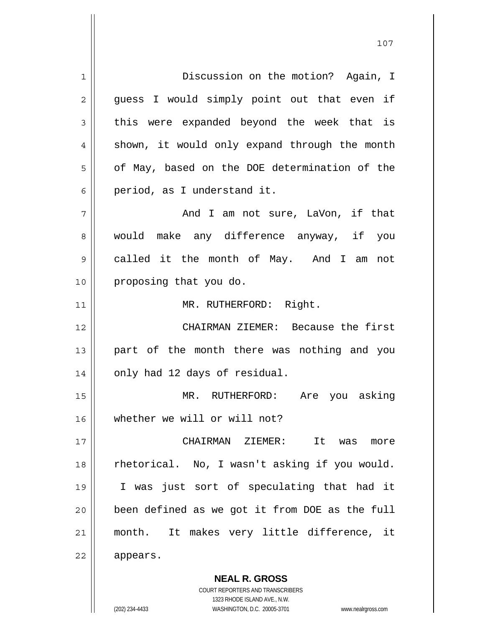1 2  $3 \parallel$  this were expanded beyond the week that is  $4 \parallel$  shown, it would only expand through the month  $5 \parallel$  of May, based on the DOE determination of the 6 | period, as I understand it. 7 that And I am not sure, LaVon, if 8|| would make any difference anyway, if you 9 10 || proposing that you do. 11 12 R: Because the first CHAIRMAN ZIEME 13 || part of the month there was nothing and you  $14 \parallel$  only had 12 days of residual. 15 || MR. RUTHERFORD: Are you asking 16 17 18  $19 \parallel$  I was just sort of speculating that had it 20 been defined as we got it from DOE as the full 21 month. It makes very little difference, it 22 appears. Discussion on the motion? Again, I guess I would simply point out that even if called it the month of May. And I am not MR. RUTHERFORD: Right.  $\verb|RUTHERFORD|$ : whether we will or will not? CHAIRMAN ZIEMER: It was more rhetorical. No, I wasn't asking if you would.

107

**NEAL R. GROSS** COURT REPORTERS AND TRANSCRIBERS 1323 RHODE ISLAND AVE., N.W.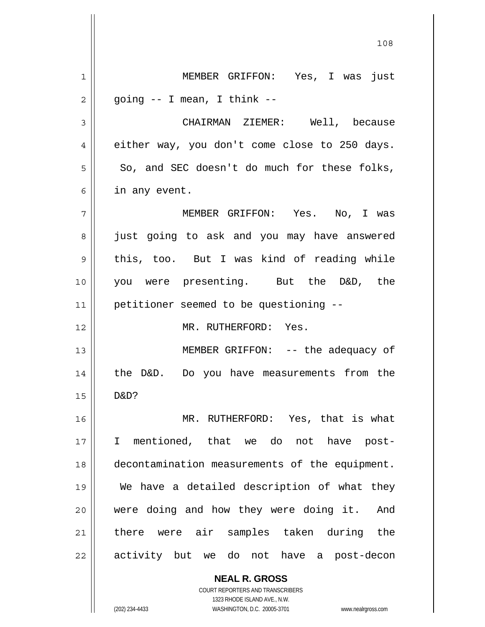1  $2 \parallel$  going -- I mean, I think --3 ecause  $4 \parallel$  either way, you don't come close to 250 days.  $5 \parallel$  So, and SEC doesn't do much for these folks, 6  $\parallel$  in any event. 7 || MEMBER GRIFFON: Yes. No, I was 8 || just going to ask and you may have answered 9 10 you were presenting. But the D&D, the  $11$  || petitioner seemed to be questioning --12 13 || MEMBER GRIFFON: -- the adequacy of 14 the D&D. Do you have measurements from the 15 16 || MR. RUTHERFORD: Yes, that is what 17 18  $19 \parallel$  We have a detailed description of what they 20 || were doing and how they were doing it. And 21 there were air samples taken during the 22 || activity but we do not have a post-decon MEMBER GRIFFON: Yes, I was just ZIEMER: this, too. But I was kind of reading while MR. RUTHERFORD: Yes. D&D? I mentioned, that we do not have postdecontamination measurements of the equipment.

108

**NEAL R. GROSS** COURT REPORTERS AND TRANSCRIBERS 1323 RHODE ISLAND AVE., N.W.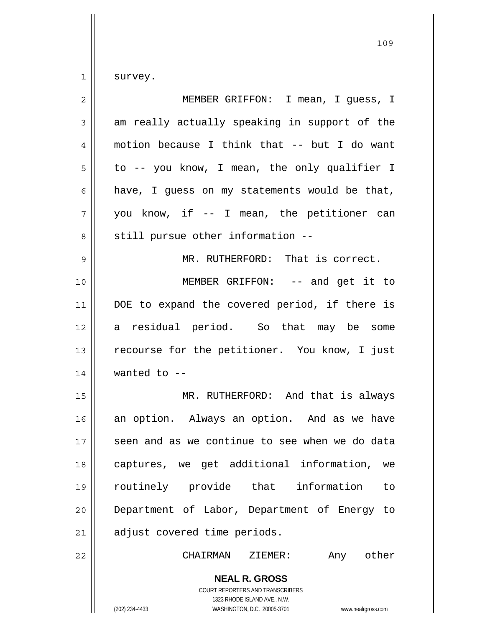1 survey.

| $\overline{2}$ | MEMBER GRIFFON: I mean, I guess, I                                                                                                                              |  |  |  |  |
|----------------|-----------------------------------------------------------------------------------------------------------------------------------------------------------------|--|--|--|--|
| $\mathfrak{Z}$ | am really actually speaking in support of the                                                                                                                   |  |  |  |  |
| $\overline{4}$ | motion because I think that -- but I do want                                                                                                                    |  |  |  |  |
| 5              | to -- you know, I mean, the only qualifier I                                                                                                                    |  |  |  |  |
| 6              | have, I guess on my statements would be that,                                                                                                                   |  |  |  |  |
| 7              | you know, if -- I mean, the petitioner can                                                                                                                      |  |  |  |  |
| 8              | still pursue other information --                                                                                                                               |  |  |  |  |
| $\mathsf 9$    | MR. RUTHERFORD: That is correct.                                                                                                                                |  |  |  |  |
| 10             | MEMBER GRIFFON: -- and get it to                                                                                                                                |  |  |  |  |
| 11             | DOE to expand the covered period, if there is                                                                                                                   |  |  |  |  |
| 12             | a residual period. So that may be some                                                                                                                          |  |  |  |  |
| 13             | recourse for the petitioner. You know, I just                                                                                                                   |  |  |  |  |
| 14             | wanted to $--$                                                                                                                                                  |  |  |  |  |
| 15             | MR. RUTHERFORD: And that is always                                                                                                                              |  |  |  |  |
| 16             | an option. Always an option. And as we have                                                                                                                     |  |  |  |  |
| 17             | seen and as we continue to see when we do data                                                                                                                  |  |  |  |  |
| 18             | captures, we get additional information,<br>we                                                                                                                  |  |  |  |  |
| 19             | routinely provide that information<br>to                                                                                                                        |  |  |  |  |
| 20             | Department of Labor, Department of Energy to                                                                                                                    |  |  |  |  |
| 21             | adjust covered time periods.                                                                                                                                    |  |  |  |  |
| 22             | CHAIRMAN<br>ZIEMER:<br>Any other                                                                                                                                |  |  |  |  |
|                | <b>NEAL R. GROSS</b><br>COURT REPORTERS AND TRANSCRIBERS<br>1323 RHODE ISLAND AVE., N.W.<br>(202) 234-4433<br>WASHINGTON, D.C. 20005-3701<br>www.nealrgross.com |  |  |  |  |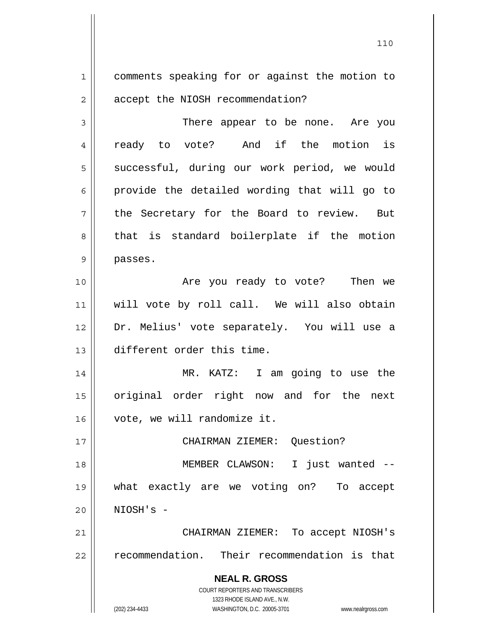1 2 | accept the NIOSH recommendation? comments speaking for or against the motion to

3 you There appear to be none. Are  $4 \parallel$  ready to vote? And if the motion is  $5 \parallel$  successful, during our work period, we would  $6 \parallel$  provide the detailed wording that will go to  $7 \parallel$  the Secretary for the Board to review. But  $8 \parallel$  that is standard boilerplate if the motion 9 passes.

10  $11$  | will vote by roll call. We will also obtain 12 Dr. Melius' vote separately. You will use a 13 Are you ready to vote? Then we different order this time.

14 || MR. KATZ: I am going to use the 15 || original order right now and for the next 16  $\parallel$  vote, we will randomize it. MR. KATZ:

CHAIRMAN ZIEMER: Question?

18  $19 \parallel$  what exactly are we voting on? To accept 20 NIOSH's - MEMBER CLAWSON: I just wanted --

21 || CHAIRMAN ZIEMER: To accept NIOSH's 22 | recommendation. Their recommendation is that

**NEAL R. GROSS**

COURT REPORTERS AND TRANSCRIBERS 1323 RHODE ISLAND AVE., N.W. (202) 234-4433 WASHINGTON, D.C. 20005-3701 www.nealrgross.com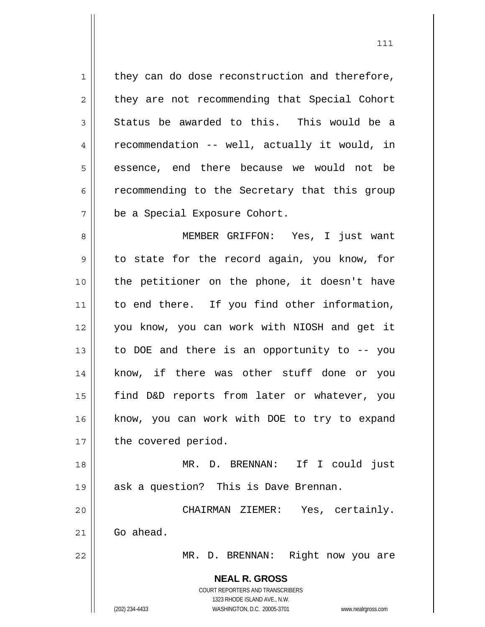1 2  $3 \parallel$  Status be awarded to this. This would be a  $4 \parallel$  recommendation -- well, actually it would, in  $5 \parallel$  essence, end there because we would not be 6  $\parallel$  recommending to the Secretary that this group  $7 \parallel$  be a Special Exposure Cohort. they can do dose reconstruction and therefore, they are not recommending that Special Cohort

8 || MEMBER GRIFFON: Yes, I just want 9 10  $11$  | to end there. If you find other information,  $12 \parallel$  you know, you can work with NIOSH and get it 13  $\parallel$  to DOE and there is an opportunity to -- you  $14$  | know, if there was other stuff done or you 15 || find D&D reports from later or whatever, you 16 || know, you can work with DOE to try to expand 17 to state for the record again, you know, for the petitioner on the phone, it doesn't have the covered period.

18 MR. D. BRENNAN: If I could just  $19 \parallel$  ask a question? This is Dave Brennan.

20 CHAIRMAN ZIEMER: Yes, certainly.  $21 \parallel$  Go ahead.

22 MR. D. BRENNAN: Right now you are

**NEAL R. GROSS** COURT REPORTERS AND TRANSCRIBERS 1323 RHODE ISLAND AVE., N.W.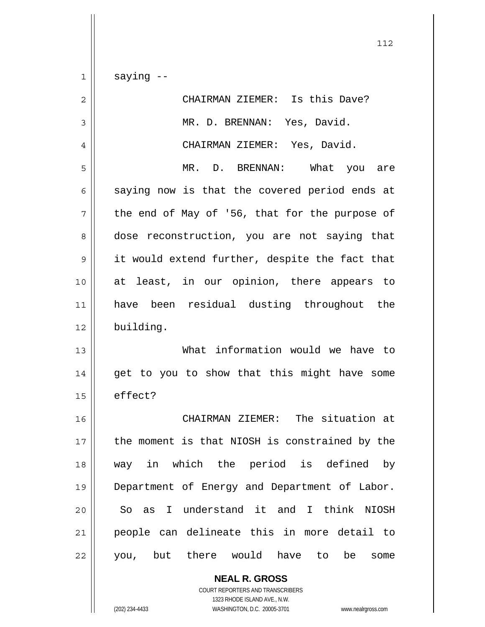1 saying --

| $\overline{2}$ | CHAIRMAN ZIEMER: Is this Dave?                 |  |  |  |
|----------------|------------------------------------------------|--|--|--|
| 3              | MR. D. BRENNAN: Yes, David.                    |  |  |  |
| $\overline{4}$ | CHAIRMAN ZIEMER: Yes, David.                   |  |  |  |
| 5              | MR. D. BRENNAN: What you are                   |  |  |  |
| 6              | saying now is that the covered period ends at  |  |  |  |
| 7              | the end of May of '56, that for the purpose of |  |  |  |
| 8              | dose reconstruction, you are not saying that   |  |  |  |
| $\mathsf 9$    | it would extend further, despite the fact that |  |  |  |
| 10             | at least, in our opinion, there appears to     |  |  |  |
| 11             | have been residual dusting throughout the      |  |  |  |
| 12             | building.                                      |  |  |  |
| 13             | What information would we have to              |  |  |  |
| 14             | get to you to show that this might have some   |  |  |  |
| 15             | effect?                                        |  |  |  |
| 16             | CHAIRMAN ZIEMER: The situation at              |  |  |  |
| 17             | the moment is that NIOSH is constrained by the |  |  |  |
| 18             | way in which the period is defined by          |  |  |  |
| 19             | Department of Energy and Department of Labor.  |  |  |  |
| 20             | I understand it and I think NIOSH<br>So as     |  |  |  |
| 21             |                                                |  |  |  |
|                | people can delineate this in more detail to    |  |  |  |

**NEAL R. GROSS** COURT REPORTERS AND TRANSCRIBERS

1323 RHODE ISLAND AVE., N.W.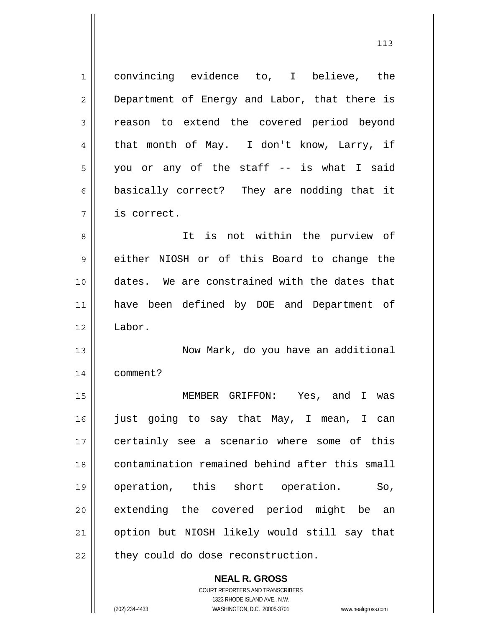1 2  $3 \parallel$  reason to extend the covered period beyond 4 that month of May. I don't know, Larry, if  $5 \parallel$  you or any of the staff -- is what I said 6  $\parallel$  basically correct? They are nodding that it  $7 \parallel$  is correct. 8 || It is not within the purview of 9 10 11 have been defined by DOE and Department of 12 13 || Now Mark, do you have an additional 14 15 || MEMBER GRIFFON: Yes, and I was  $16 \parallel$  just going to say that May, I mean, I can 17 18  $19 \parallel$  operation, this short operation. So, 20 || extending the covered period might be an 21 || option but NIOSH likely would still say that  $22$  | they could do dose reconstruction. convincing evidence to, I believe, the Department of Energy and Labor, that there is that month of May. either NIOSH or of this Board to change the dates. We are constrained with the dates that Labor. comment? MEMBER GRIFFON: certainly see a scenario where some of this contamination remained behind after this small

113

**NEAL R. GROSS** COURT REPORTERS AND TRANSCRIBERS

1323 RHODE ISLAND AVE., N.W.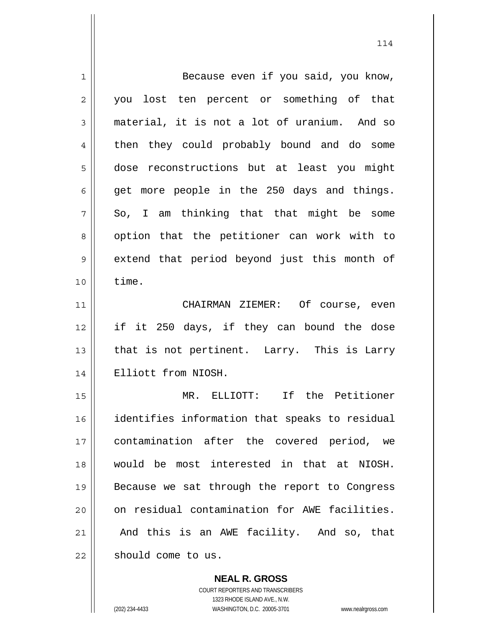| 1              | Because even if you said, you know,            |
|----------------|------------------------------------------------|
| 2              | you lost ten percent or something of that      |
| 3              | material, it is not a lot of uranium. And so   |
| 4              | then they could probably bound and do some     |
| 5              | dose reconstructions but at least you might    |
| 6              | get more people in the 250 days and things.    |
| 7              | So, I am thinking that that might be some      |
| 8              | option that the petitioner can work with to    |
| $\overline{9}$ | extend that period beyond just this month of   |
| 10             | time.                                          |
| 11             | CHAIRMAN ZIEMER: Of course, even               |
| 12             | if it 250 days, if they can bound the dose     |
| 13             | that is not pertinent. Larry. This is Larry    |
| 14             | Elliott from NIOSH.                            |
| 15             |                                                |
|                | MR. ELLIOTT: If the Petitioner                 |
| 16             | identifies information that speaks to residual |
| 17             | contamination after the covered period, we     |
| 18             | would be most interested in that at NIOSH.     |
|                | Because we sat through the report to Congress  |
|                | on residual contamination for AWE facilities.  |
| 19<br>20<br>21 | And this is an AWE facility. And so, that      |

**NEAL R. GROSS** COURT REPORTERS AND TRANSCRIBERS

1323 RHODE ISLAND AVE., N.W.

(202) 234-4433 WASHINGTON, D.C. 20005-3701 www.nealrgross.com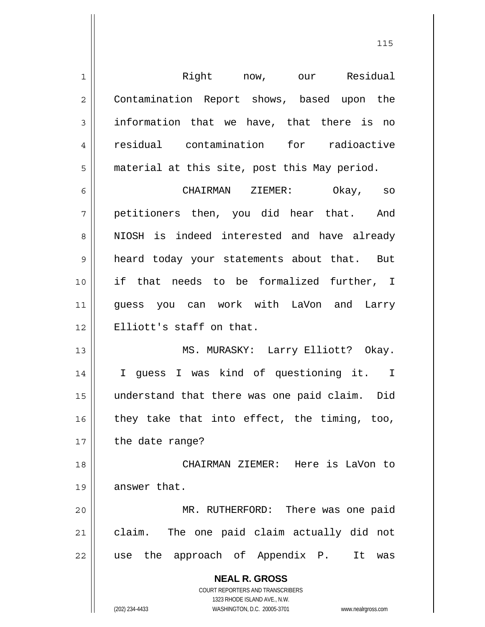**NEAL R. GROSS** COURT REPORTERS AND TRANSCRIBERS 1323 RHODE ISLAND AVE., N.W. 1 2  $3 \parallel$  information that we have, that there is no  $4 \parallel$  residual contamination for radioactive  $5 \parallel$  material at this site, post this May period. 6 so CHAIRMAN ZIEMER: Okay,  $7 \parallel$  petitioners then, you did hear that. And  $8 \parallel$  NIOSH is indeed interested and have already 9 10 11 guess you can work with LaVon and Larry 12 13 || MS. MURASKY: Larry Elliott? Okay.  $14 \parallel$  I guess I was kind of questioning it. I  $15$  || understand that there was one paid claim. Did 16  $\parallel$  they take that into effect, the timing, too, 17 18 19 20 MR. RUTHERFORD: There was one paid 21 claim. The one paid claim actually did not 22 || use the approach of Appendix P. It was Right now, our Residual Contamination Report shows, based upon the heard today your statements about that. But if that needs to be formalized further, I Elliott's staff on that. the date range? CHAIRMAN ZIEMER: Here is LaVon to answer that.

(202) 234-4433 WASHINGTON, D.C. 20005-3701 www.nealrgross.com

<u>115</u>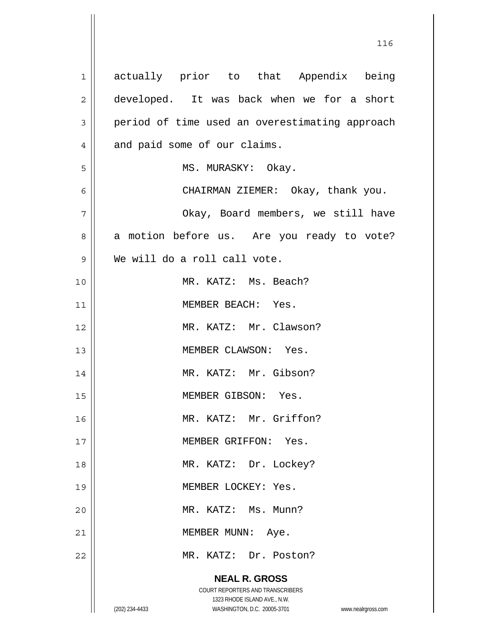**NEAL R. GROSS** COURT REPORTERS AND TRANSCRIBERS 1323 RHODE ISLAND AVE., N.W. (202) 234-4433 WASHINGTON, D.C. 20005-3701 www.nealrgross.com 1 2  $3 \parallel$  period of time used an overestimating approach 4 | and paid some of our claims. 5 6 you. CHAIRMAN ZIEMER: Okay, thank 7 have Okay, Board members, we still  $8 \parallel$  a motion before us. Are you ready to vote? 9 We will do a roll call vote. 10 11 s. MEMBER BEACH: Ye 12 wson? MR. KATZ: Mr. Cla 13 Yes. MEMBER CLAWSON: 14 on? MR. KATZ: Mr. Gibs 15 es. MEMBER GIBSON: Y 16 || MR. KATZ: Mr. Griffon? 17 18 19 . MEMBER LOCKEY: Yes20 | MR. KATZ: Ms. Munn? 21 | MEMBER MUNN: Aye. 22 || MR. KATZ: Dr. Poston? actually prior to that Appendix being developed. It was back when we for a short MS. MURASKY: Okay. MR. KATZ: Ms. Beach? MEMBER GRIFFON: Yes. MR. KATZ: Dr. Lockey?

<u>116</u>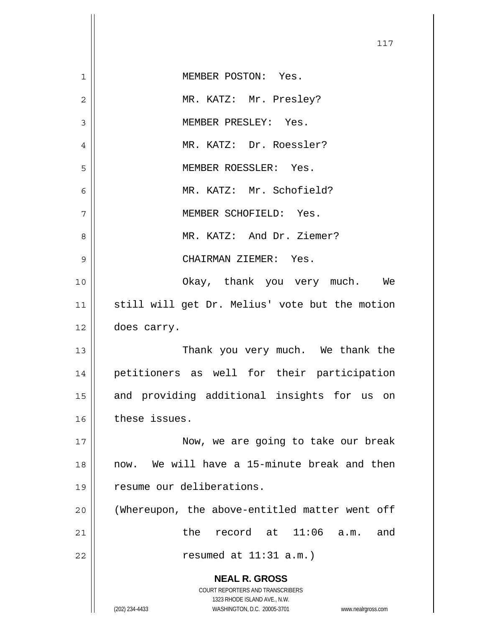|                | 117                                                                 |  |  |  |
|----------------|---------------------------------------------------------------------|--|--|--|
| 1              | MEMBER POSTON: Yes.                                                 |  |  |  |
| $\overline{2}$ | MR. KATZ: Mr. Presley?                                              |  |  |  |
| 3              | MEMBER PRESLEY: Yes.                                                |  |  |  |
| 4              | MR. KATZ: Dr. Roessler?                                             |  |  |  |
| 5              | MEMBER ROESSLER: Yes.                                               |  |  |  |
| 6              | MR. KATZ: Mr. Schofield?                                            |  |  |  |
| 7              | MEMBER SCHOFIELD: Yes.                                              |  |  |  |
| 8              | MR. KATZ: And Dr. Ziemer?                                           |  |  |  |
| 9              | CHAIRMAN ZIEMER: Yes.                                               |  |  |  |
| 10             | Okay, thank you very much. We                                       |  |  |  |
| 11             | still will get Dr. Melius' vote but the motion                      |  |  |  |
| 12             | does carry.                                                         |  |  |  |
| 13             | Thank you very much. We thank the                                   |  |  |  |
| 14             | petitioners as well for their participation                         |  |  |  |
| 15             | and providing additional insights for us on                         |  |  |  |
| 16             | these issues.                                                       |  |  |  |
| 17             | Now, we are going to take our break                                 |  |  |  |
| 18             | We will have a 15-minute break and then<br>now.                     |  |  |  |
| 19             | resume our deliberations.                                           |  |  |  |
| 20             | (Whereupon, the above-entitled matter went off                      |  |  |  |
| 21             | record at 11:06<br>the<br>and<br>a.m.                               |  |  |  |
| 22             | resumed at $11:31$ a.m.)                                            |  |  |  |
|                | <b>NEAL R. GROSS</b><br>COURT REPORTERS AND TRANSCRIBERS            |  |  |  |
|                | 1323 RHODE ISLAND AVE., N.W.                                        |  |  |  |
|                | (202) 234-4433<br>WASHINGTON, D.C. 20005-3701<br>www.nealrgross.com |  |  |  |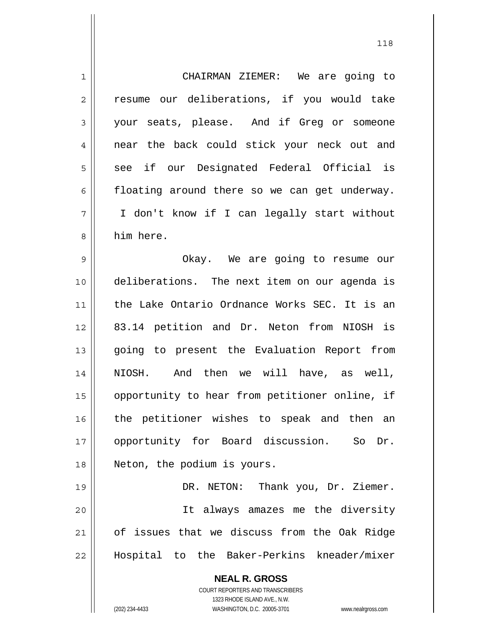| $\mathbf 1$ | CHAIRMAN ZIEMER: We are going to                         |
|-------------|----------------------------------------------------------|
| 2           | resume our deliberations, if you would take              |
| 3           | your seats, please. And if Greg or someone               |
| 4           | near the back could stick your neck out and              |
| 5           | see if our Designated Federal Official is                |
| 6           | floating around there so we can get underway.            |
| 7           | I don't know if I can legally start without              |
| 8           | him here.                                                |
| 9           | Okay. We are going to resume our                         |
| 10          | deliberations. The next item on our agenda is            |
| 11          | the Lake Ontario Ordnance Works SEC. It is an            |
| 12          | 83.14 petition and Dr. Neton from NIOSH is               |
| 13          | going to present the Evaluation Report from              |
| 14          | NIOSH. And then we will have, as well,                   |
| 15          | opportunity to hear from petitioner online, if           |
| 16          | the petitioner wishes to speak and then an               |
| 17          | opportunity for Board discussion. So Dr.                 |
| 18          | Neton, the podium is yours.                              |
| 19          | DR. NETON: Thank you, Dr. Ziemer.                        |
| 20          | It always amazes me the diversity                        |
| 21          | of issues that we discuss from the Oak Ridge             |
| 22          | Hospital to the Baker-Perkins kneader/mixer              |
|             | <b>NEAL R. GROSS</b><br>COURT REPORTERS AND TRANSCRIBERS |

1323 RHODE ISLAND AVE., N.W.

 $\mathsf{II}$ 

(202) 234-4433 WASHINGTON, D.C. 20005-3701 www.nealrgross.com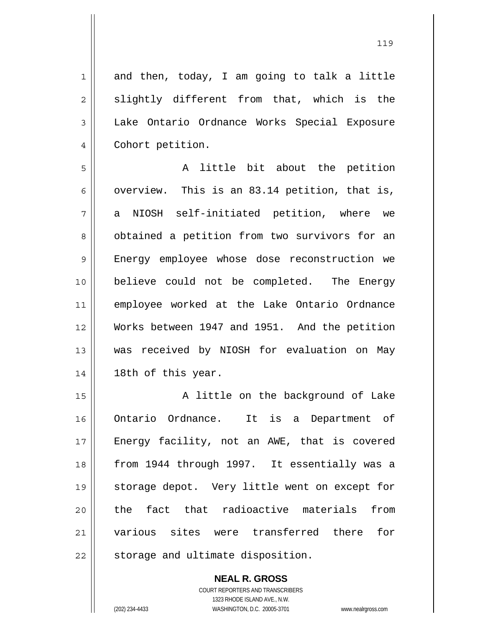119

1 2 3 || Lake Ontario Ordnance Works Special Exposure 4 || Cohort petition. and then, today, I am going to talk a little slightly different from that, which is the

5 tition A little bit about the pe 6 | overview. This is an 83.14 petition, that is,  $7 \parallel$  a NIOSH self-initiated petition, where we  $8 \parallel$  obtained a petition from two survivors for an 9 10 11 || employee worked at the Lake Ontario Ordnance  $12$  | Works between 1947 and 1951. And the petition 13 was received by NIOSH for evaluation on May 14 Energy employee whose dose reconstruction we believe could not be completed. The Energy 18th of this year.

15 Lake A little on the background of 16 || Ontario Ordnance. It is a Department of 17 18  $19 \parallel$  storage depot. Very little went on except for 20 || the fact that radioactive materials from 21 various sites were transferred there for  $22$   $\parallel$  storage and ultimate disposition. Energy facility, not an AWE, that is covered from 1944 through 1997. It essentially was a

> **NEAL R. GROSS** COURT REPORTERS AND TRANSCRIBERS 1323 RHODE ISLAND AVE., N.W.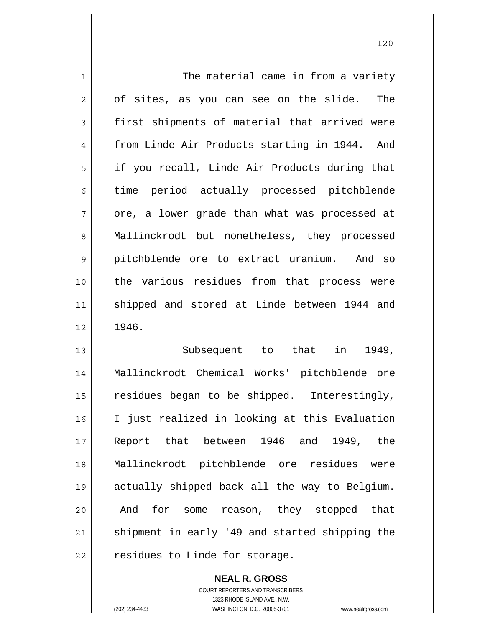| $\mathbf{1}$   | The material came in from a variety            |
|----------------|------------------------------------------------|
| $\overline{2}$ | of sites, as you can see on the slide.<br>The  |
| 3              | first shipments of material that arrived were  |
| $\overline{4}$ | from Linde Air Products starting in 1944. And  |
| 5              | if you recall, Linde Air Products during that  |
| 6              | time period actually processed pitchblende     |
| 7              | ore, a lower grade than what was processed at  |
| 8              | Mallinckrodt but nonetheless, they processed   |
| 9              | pitchblende ore to extract uranium. And so     |
| 10             | the various residues from that process were    |
| 11             | shipped and stored at Linde between 1944 and   |
| 12             | 1946.                                          |
| 13             | in<br>Subsequent to that<br>1949,              |
| 14             | Mallinckrodt Chemical Works' pitchblende ore   |
| 15             | residues began to be shipped. Interestingly,   |
| 16             | I just realized in looking at this Evaluation  |
| 17             | Report that between 1946 and 1949, the         |
| 18             | Mallinckrodt pitchblende ore residues were     |
| 19             | actually shipped back all the way to Belgium.  |
| 20             | And for some reason, they stopped that         |
| 21             | shipment in early '49 and started shipping the |
| 22             | residues to Linde for storage.                 |

**NEAL R. GROSS** COURT REPORTERS AND TRANSCRIBERS 1323 RHODE ISLAND AVE., N.W. (202) 234-4433 WASHINGTON, D.C. 20005-3701 www.nealrgross.com

 $\mathbf{\mathsf{I}}$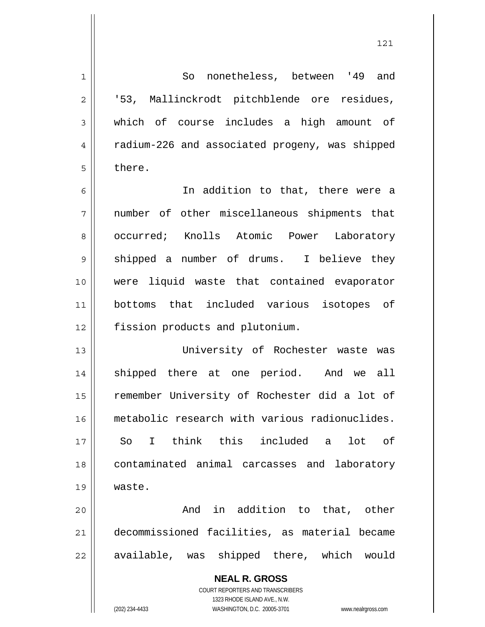**NEAL R. GROSS** COURT REPORTERS AND TRANSCRIBERS 1323 RHODE ISLAND AVE., N.W. 1 2  $3 \parallel$  which of course includes a high amount of 4  $\parallel$  radium-226 and associated progeny, was shipped 5 l there.  $6 \parallel$  and and to that, there were a  $7 \parallel$  number of other miscellaneous shipments that 8 || occurred; Knolls Atomic Power Laboratory 9 10 11 bottoms that included various isotopes of 12 13 || University of Rochester waste was  $14 \parallel$  shipped there at one period. And we all 15 || remember University of Rochester did a lot of  $16$   $\parallel$  metabolic research with various radionuclides. 17 18 19 20 And in addition to that, other 21 decommissioned facilities, as material became  $22$  || available, was shipped there, which would So nonetheless, between '49 and '53, Mallinckrodt pitchblende ore residues, shipped a number of drums. I believe they were liquid waste that contained evaporator fission products and plutonium. So I think this included a lot of contaminated animal carcasses and laboratory waste.

(202) 234-4433 WASHINGTON, D.C. 20005-3701 www.nealrgross.com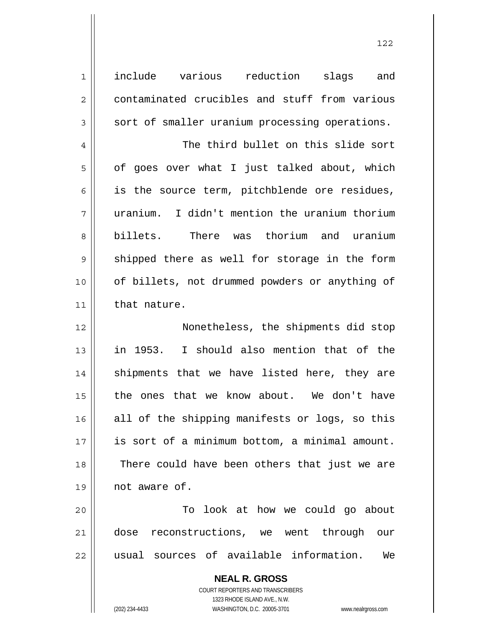1 2  $3 \parallel$  sort of smaller uranium processing operations.  $4 \parallel$  The third bullet on this slide sort  $5 \parallel$  of goes over what I just talked about, which 6 | is the source term, pitchblende ore residues,  $7 \parallel$  uranium. I didn't mention the uranium thorium  $8 \parallel$  billets. There was thorium and uranium 9 10 of billets, not drummed powders or anything of 11 12 || Nonetheless, the shipments did stop 13 || in 1953. I should also mention that of the  $14$   $\parallel$  shipments that we have listed here, they are  $15$  || the ones that we know about. We don't have include various reduction slags and contaminated crucibles and stuff from various shipped there as well for storage in the form that nature.

20 To look at how we could go about 21 dose reconstructions, we went through our 22 || usual sources of available information. We

 $16 \parallel$  all of the shipping manifests or logs, so this

is sort of a minimum bottom, a minimal amount.

There could have been others that just we are

**NEAL R. GROSS** COURT REPORTERS AND TRANSCRIBERS 1323 RHODE ISLAND AVE., N.W. (202) 234-4433 WASHINGTON, D.C. 20005-3701 www.nealrgross.com

not aware of.

17

18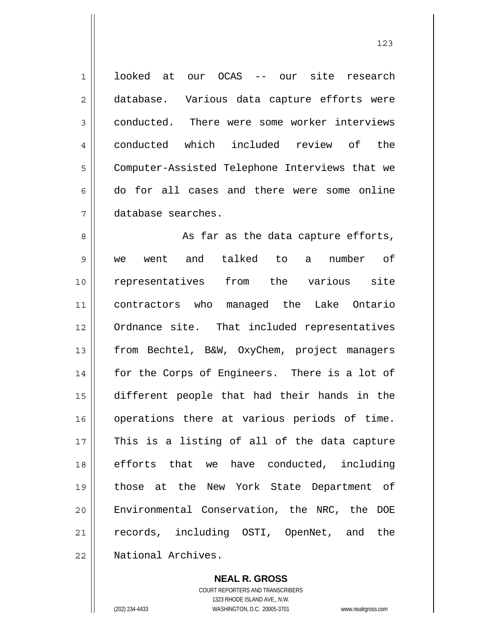1 2  $3 \parallel$  conducted. There were some worker interviews  $4 \parallel$  conducted which included review of the  $5 \parallel$  Computer-Assisted Telephone Interviews that we  $6 \parallel$  do for all cases and there were some online  $7 \parallel$  database searches. looked at our OCAS -- our site research database. Various data capture efforts were

 $8 \parallel$  as far as the data capture efforts, 9 10  $11$   $\vert$  contractors who managed the Lake Ontario  $12 \parallel$  Ordnance site. That included representatives 13 || from Bechtel, B&W, OxyChem, project managers  $14$   $\parallel$  for the Corps of Engineers. There is a lot of  $15$   $\parallel$  different people that had their hands in the  $16$  || operations there at various periods of time. 17 18 19 || those at the New York State Department of 20 Environmental Conservation, the NRC, the DOE 21 || records, including OSTI, OpenNet, and the 22 | National Archives. we went and talked to a number of representatives from the various site This is a listing of all of the data capture efforts that we have conducted, including

> **NEAL R. GROSS** COURT REPORTERS AND TRANSCRIBERS 1323 RHODE ISLAND AVE., N.W. (202) 234-4433 WASHINGTON, D.C. 20005-3701 www.nealrgross.com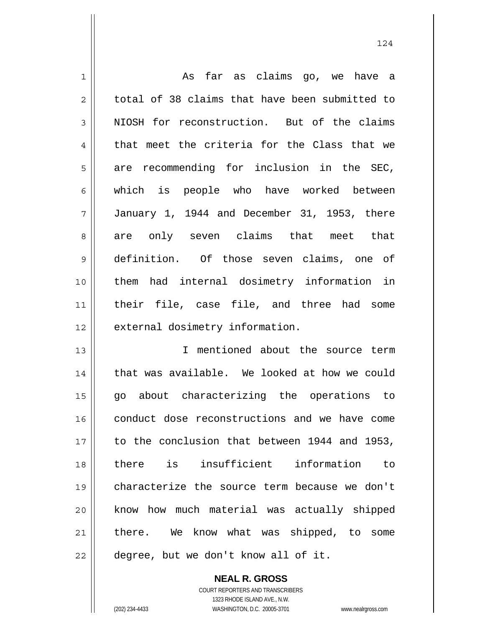| $\mathbf 1$    | As far as claims go, we have a                 |
|----------------|------------------------------------------------|
| $\overline{2}$ | total of 38 claims that have been submitted to |
| 3              | NIOSH for reconstruction. But of the claims    |
| 4              | that meet the criteria for the Class that we   |
| 5              | are recommending for inclusion in the SEC,     |
| 6              | which is people who have worked between        |
| 7              | January 1, 1944 and December 31, 1953, there   |
| 8              | are only seven claims that meet that           |
| 9              | definition. Of those seven claims, one of      |
| 10             | had internal dosimetry information in<br>them  |
| 11             | their file, case file, and three had some      |
| 12             | external dosimetry information.                |
| 13             | I mentioned about the source term              |
| 14             | that was available. We looked at how we could  |
| 15             | go about characterizing the operations to      |
| 16             | conduct dose reconstructions and we have come  |
| 17             | to the conclusion that between 1944 and 1953,  |
| 18             | there is insufficient information<br>to        |
| 19             | characterize the source term because we don't  |
| 20             | know how much material was actually shipped    |
| 21             | We know what was shipped, to some<br>there.    |
| 22             | degree, but we don't know all of it.           |

**NEAL R. GROSS** COURT REPORTERS AND TRANSCRIBERS 1323 RHODE ISLAND AVE., N.W.

(202) 234-4433 WASHINGTON, D.C. 20005-3701 www.nealrgross.com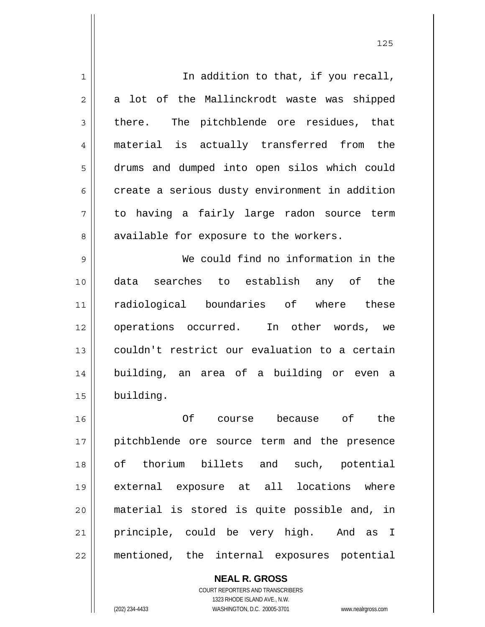| 1  | In addition to that, if you recall,            |
|----|------------------------------------------------|
| 2  | a lot of the Mallinckrodt waste was shipped    |
| 3  | The pitchblende ore residues, that<br>there.   |
| 4  | material is actually transferred from the      |
| 5  | drums and dumped into open silos which could   |
| 6  | create a serious dusty environment in addition |
| 7  | to having a fairly large radon source term     |
| 8  | available for exposure to the workers.         |
| 9  | We could find no information in the            |
| 10 | data searches to establish any of the          |
| 11 | radiological boundaries of where these         |
| 12 | operations occurred. In other words, we        |
| 13 | couldn't restrict our evaluation to a certain  |
| 14 | building, an area of a building or even a      |
| 15 | building.                                      |
| 16 | Οf<br>course because<br>of<br>the              |
| 17 | pitchblende ore source term and the presence   |
| 18 | of thorium billets and such, potential         |
| 19 | external exposure at all locations where       |
| 20 | material is stored is quite possible and, in   |
| 21 | principle, could be very high. And as I        |
| 22 | mentioned, the internal exposures potential    |

<u>125</u>

 $\mathsf{II}$ 

COURT REPORTERS AND TRANSCRIBERS 1323 RHODE ISLAND AVE., N.W. (202) 234-4433 WASHINGTON, D.C. 20005-3701 www.nealrgross.com

**NEAL R. GROSS**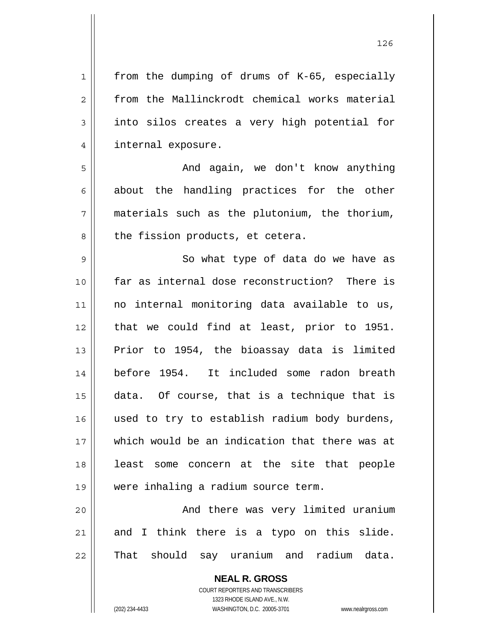$3 \parallel$  into silos creates a very high potential for  $4 \parallel$  internal exposure. from the dumping of drums of K-65, especially from the Mallinckrodt chemical works material

5 thing And again, we don't know any  $6 \parallel$  about the handling practices for the other  $7 \parallel$  materials such as the plutonium, the thorium,  $8 \parallel$  the fission products, et cetera.

9 10  $11$   $\parallel$  no internal monitoring data available to us,  $12$  | that we could find at least, prior to 1951. 13  $\parallel$  Prior to 1954, the bioassay data is limited 14 || before 1954. It included some radon breath  $15 \parallel$  data. Of course, that is a technique that is  $16 \parallel$  used to try to establish radium body burdens, 17 18 19 So what type of data do we have as far as internal dose reconstruction? There is which would be an indication that there was at least some concern at the site that people were inhaling a radium source term.

20 || And there was very limited uranium  $21$  and I think there is a typo on this slide. 22 || That should say uranium and radium data.

> **NEAL R. GROSS** COURT REPORTERS AND TRANSCRIBERS 1323 RHODE ISLAND AVE., N.W. (202) 234-4433 WASHINGTON, D.C. 20005-3701 www.nealrgross.com

1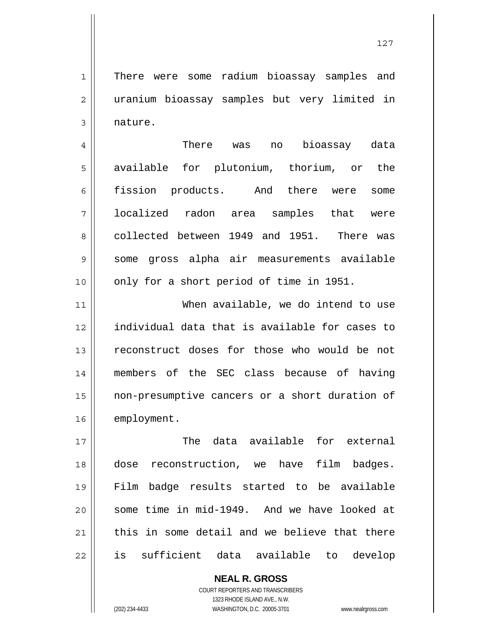1 2  $3 \parallel$  nature. There were some radium bioassay samples and uranium bioassay samples but very limited in

4 || There was no bioassay data  $5 \parallel$  available for plutonium, thorium, or the  $6 \parallel$  fission products. And there were some  $7 \parallel$  localized radon area samples that were  $8 \parallel$  collected between 1949 and 1951. There was 9 10 some gross alpha air measurements available only for a short period of time in 1951.

  $\parallel$  When available, we do intend to use || individual data that is available for cases to | reconstruct doses for those who would be not  $\parallel$  members of the SEC class because of having non-presumptive cancers or a short duration of 16 employment.

17 18  $19 \parallel$  Film badge results started to be available 20 || some time in mid-1949. And we have looked at  $21$  this in some detail and we believe that there  $22$  is sufficient data available to develop The data available for external dose reconstruction, we have film badges.

> COURT REPORTERS AND TRANSCRIBERS 1323 RHODE ISLAND AVE., N.W. (202) 234-4433 WASHINGTON, D.C. 20005-3701 www.nealrgross.com

**NEAL R. GROSS**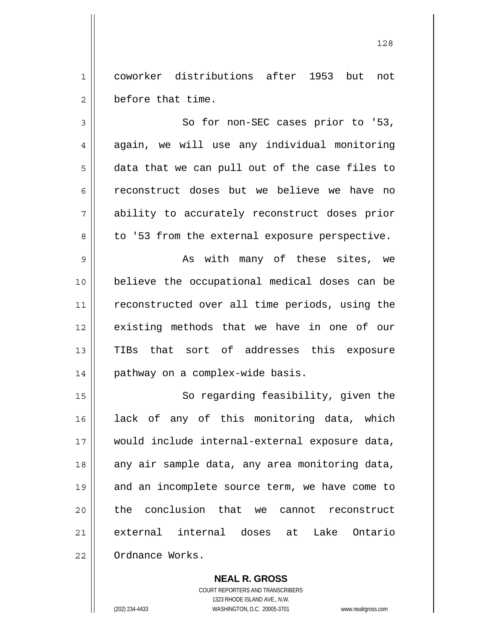1 2 | before that time. coworker distributions after 1953 but not

3 || So for non-SEC cases prior to '53,  $4 \parallel$  again, we will use any individual monitoring  $5 \parallel$  data that we can pull out of the case files to  $6 \parallel$  reconstruct doses but we believe we have no  $7 \parallel$  ability to accurately reconstruct doses prior  $8 \parallel$  to '53 from the external exposure perspective. 9 10  $11$  | reconstructed over all time periods, using the  $12 \parallel$  existing methods that we have in one of our 13 TIBs that sort of addresses this exposure As with many of these sites, we believe the occupational medical doses can be

14  $15$   $\parallel$  So regarding feasibility, given the  $16 \parallel$  lack of any of this monitoring data, which 17 18  $19 \parallel$  and an incomplete source term, we have come to 20 the conclusion that we cannot reconstruct 21 external internal doses at Lake Ontario 22 | Ordnance Works. pathway on a complex-wide basis. would include internal-external exposure data, any air sample data, any area monitoring data,

> **NEAL R. GROSS** COURT REPORTERS AND TRANSCRIBERS 1323 RHODE ISLAND AVE., N.W. (202) 234-4433 WASHINGTON, D.C. 20005-3701 www.nealrgross.com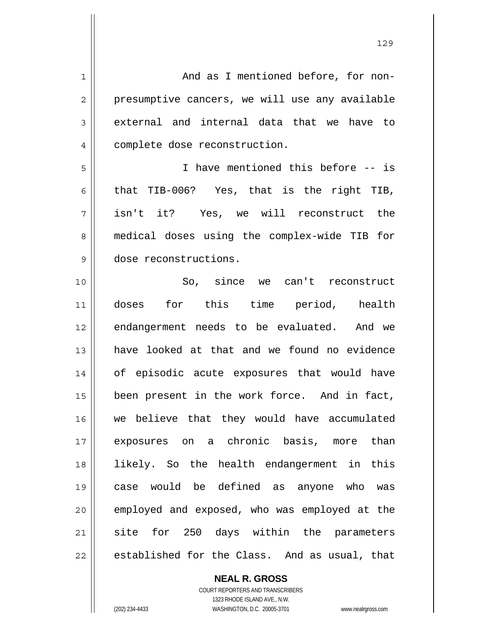1 2  $3 \parallel$  external and internal data that we have to 4 | complete dose reconstruction.  $5 \parallel$  I have mentioned this before -- is 6 || that TIB-006? Yes, that is the right TIB,  $7 \parallel$  isn't it? Yes, we will reconstruct the  $8 \parallel$  medical doses using the complex-wide TIB for 9 dose reconstructions. 10  $11$  doses for this time period, health  $12$  || endangerment needs to be evaluated. And we  $13 \parallel$  have looked at that and we found no evidence  $14$   $\vert$  of episodic acute exposures that would have  $15$  | been present in the work force. And in fact,  $16$  || we believe that they would have accumulated 17 18  $19 \parallel$  case would be defined as anyone who was  $20$  || employed and exposed, who was employed at the 21 site for 250 days within the parameters  $22$  | established for the Class. And as usual, that And as I mentioned before, for nonpresumptive cancers, we will use any available So, since we can't reconstruct exposures on a chronic basis, more than likely. So the health endangerment in this

**NEAL R. GROSS**

COURT REPORTERS AND TRANSCRIBERS 1323 RHODE ISLAND AVE., N.W. (202) 234-4433 WASHINGTON, D.C. 20005-3701 www.nealrgross.com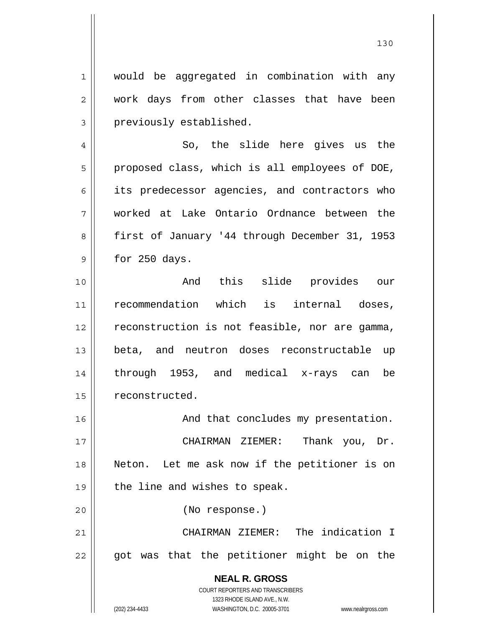1 2  $3 \parallel$  previously established. would be aggregated in combination with any work days from other classes that have been

 $4 \parallel$  So, the slide here gives us the  $5 \parallel$  proposed class, which is all employees of DOE,  $6 \parallel$  its predecessor agencies, and contractors who  $7 \parallel$  worked at Lake Ontario Ordnance between the 8 || first of January '44 through December 31, 1953 9 for 250 days.

10  $11$  | recommendation which is internal doses,  $12$  | reconstruction is not feasible, nor are gamma,  $13 \parallel$  beta, and neutron doses reconstructable up 14 through 1953, and medical x-rays can be 15 | reconstructed. And this slide provides our

16 || And that concludes my presentation. 17 18 Neton. Let me ask now if the petitioner is on 19 20 (No response.) CHAIRMAN ZIEMER: Thank you, Dr. the line and wishes to speak.

21 || CHAIRMAN ZIEMER: The indication I  $22$  || got was that the petitioner might be on the

> **NEAL R. GROSS** COURT REPORTERS AND TRANSCRIBERS 1323 RHODE ISLAND AVE., N.W. (202) 234-4433 WASHINGTON, D.C. 20005-3701 www.nealrgross.com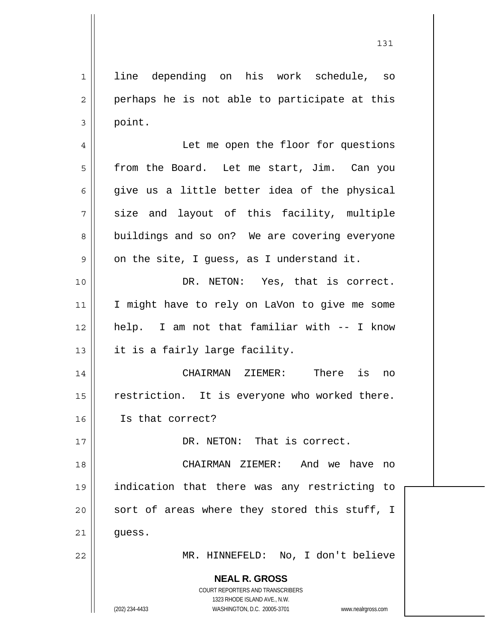**NEAL R. GROSS** COURT REPORTERS AND TRANSCRIBERS 1323 RHODE ISLAND AVE., N.W. 1 2  $3 \parallel$  point. 4 || Let me open the floor for questions  $5 \parallel$  from the Board. Let me start, Jim. Can you 6  $\parallel$  give us a little better idea of the physical  $7 \parallel$  size and layout of this facility, multiple  $8 \parallel$  buildings and so on? We are covering everyone  $9 \parallel$  on the site, I guess, as I understand it. 10  $11$  | I might have to rely on LaVon to give me some 12 13 14 IRMAN ZIEMER: There is no CHA 15 | restriction. It is everyone who worked there.  $16 \parallel$  Is that correct? 17 18 CHAIRMAN ZIEMER: And we have no 19 indication that there was any restricting to 20  $\parallel$  sort of areas where they stored this stuff, I  $21$   $\parallel$  quess. 22 MR. HINNEFELD: No, I don't believe line depending on his work schedule, so perhaps he is not able to participate at this DR. NETON: Yes, that is correct. help. I am not that familiar with -- I know it is a fairly large facility. DR. NETON: That is correct.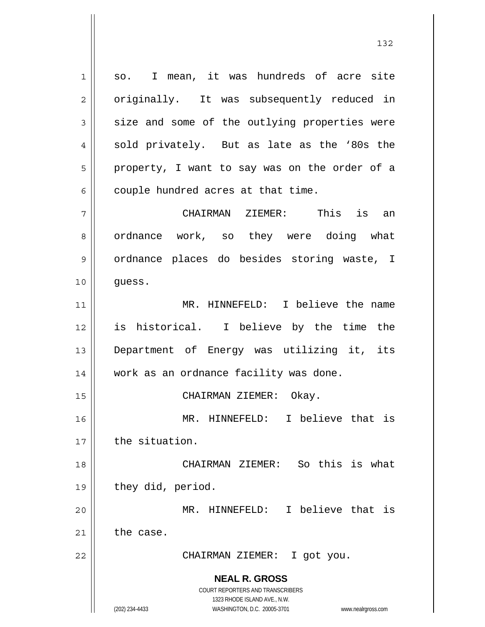**NEAL R. GROSS** COURT REPORTERS AND TRANSCRIBERS 1323 RHODE ISLAND AVE., N.W. 1 2  $3 \parallel$  size and some of the outlying properties were 4  $\parallel$  sold privately. But as late as the '80s the  $5 \parallel$  property, I want to say was on the order of a  $6 \parallel$  couple hundred acres at that time. 7 an CHAIRMAN ZIEMER: This is  $8 \parallel$  ordnance work, so they were doing what 9 10 11 name MR. HINNEFELD: I believe the  $12 \parallel$  is historical. I believe by the time the 13 Department of Energy was utilizing it, its  $14$   $\parallel$  work as an ordnance facility was done. 15 16 || MR. HINNEFELD: I believe that is 17 18 CHAIRMAN ZIEMER: So this is what  $19 \parallel$  they did, period. 20 MR. HINNEFELD: I believe that is  $21$  the case. 22 || CHAIRMAN ZIEMER: I got you. so. I mean, it was hundreds of acre site originally. It was subsequently reduced in ordnance places do besides storing waste, I guess. CHAIRMAN ZIEMER: Okay. the situation.

132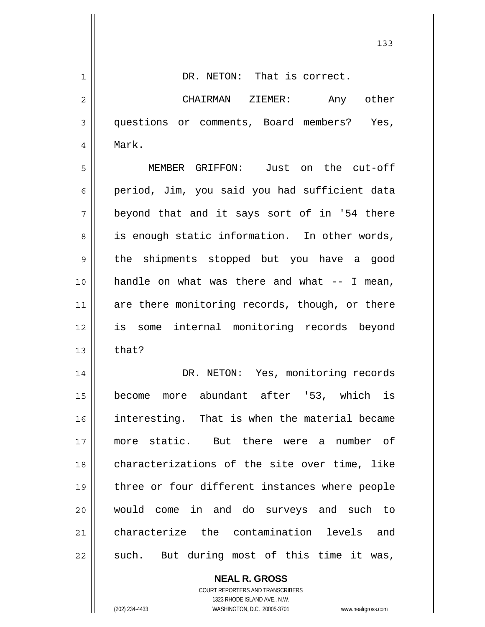| $\mathbf{1}$ | DR. NETON: That is correct.                     |
|--------------|-------------------------------------------------|
| 2            | CHAIRMAN ZIEMER: Any other                      |
| 3            | questions or comments, Board members? Yes,      |
| 4            | Mark.                                           |
| 5            | MEMBER GRIFFON: Just on the cut-off             |
| 6            | period, Jim, you said you had sufficient data   |
| 7            | beyond that and it says sort of in '54 there    |
| 8            | is enough static information. In other words,   |
| 9            | the shipments stopped but you have a good       |
| 10           | handle on what was there and what $-$ - I mean, |
| 11           | are there monitoring records, though, or there  |
| 12           | is some internal monitoring records beyond      |
| 13           | that?                                           |
| 14           | DR. NETON: Yes, monitoring records              |
| 15           | more abundant after '53, which is<br>become     |
| 16           | interesting. That is when the material became   |
| 17           | more static. But there were a number of         |
| 18           | characterizations of the site over time, like   |
| 19           | three or four different instances where people  |
| 20           | would come in and do surveys and such to        |
| 21           | characterize the contamination levels and       |
| 22           | such. But during most of this time it was,      |

133

**NEAL R. GROSS** COURT REPORTERS AND TRANSCRIBERS 1323 RHODE ISLAND AVE., N.W.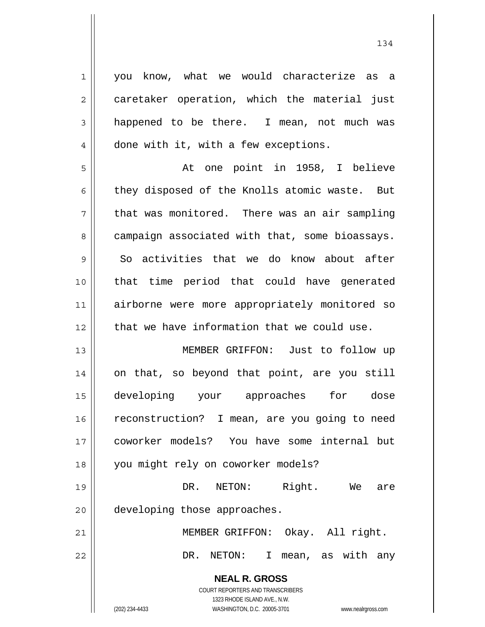1 2  $3 \parallel$  happened to be there. I mean, not much was  $4 \parallel$  done with it, with a few exceptions. you know, what we would characterize as a caretaker operation, which the material just

5 elieve At one point in 1958, I b 6  $\parallel$  they disposed of the Knolls atomic waste. But  $7 \parallel$  that was monitored. There was an air sampling  $8 \parallel$  campaign associated with that, some bioassays. 9 10 11 airborne were more appropriately monitored so 12  $\parallel$  that we have information that we could use. So activities that we do know about after that time period that could have generated

13 || MEMBER GRIFFON: Just to follow up  $14 \parallel$  on that, so beyond that point, are you still 15 || developing your approaches for dose 16 | reconstruction? I mean, are you going to need 17 18 || you might rely on coworker models? coworker models? You have some internal but

19 are DR. NETON: Right. We20 | developing those approaches.

21 MEMBER GRIFFON: Okay. All right. 22 DR. NETON: I mean, as with any

> **NEAL R. GROSS** COURT REPORTERS AND TRANSCRIBERS

> > 1323 RHODE ISLAND AVE., N.W.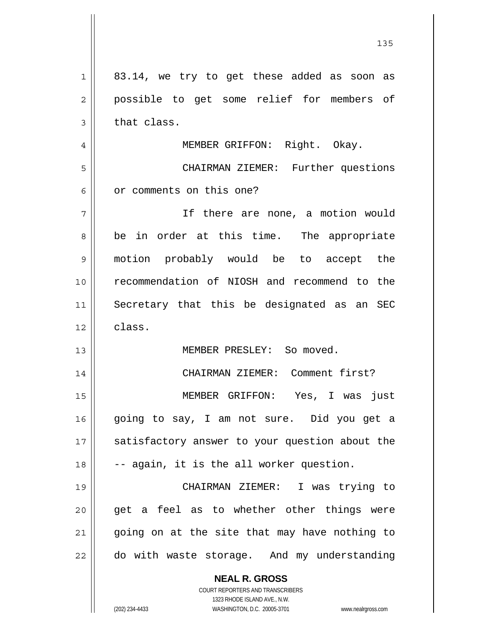| 1              | 83.14, we try to get these added as soon as                                                         |  |  |  |
|----------------|-----------------------------------------------------------------------------------------------------|--|--|--|
| $\overline{2}$ | possible to get some relief for members of                                                          |  |  |  |
| 3              | that class.                                                                                         |  |  |  |
| 4              | MEMBER GRIFFON: Right. Okay.                                                                        |  |  |  |
| 5              | CHAIRMAN ZIEMER: Further questions                                                                  |  |  |  |
| 6              | or comments on this one?                                                                            |  |  |  |
| 7              | If there are none, a motion would                                                                   |  |  |  |
| 8              | be in order at this time. The appropriate                                                           |  |  |  |
| 9              | motion probably would be to accept the                                                              |  |  |  |
| 10             | recommendation of NIOSH and recommend to the                                                        |  |  |  |
| 11             | Secretary that this be designated as an SEC                                                         |  |  |  |
| 12             | class.                                                                                              |  |  |  |
| 13             | MEMBER PRESLEY: So moved.                                                                           |  |  |  |
| 14             | CHAIRMAN ZIEMER: Comment first?                                                                     |  |  |  |
| 15             | MEMBER GRIFFON: Yes, I was just                                                                     |  |  |  |
| 16             | going to say, I am not sure. Did you get a                                                          |  |  |  |
| 17             | satisfactory answer to your question about the                                                      |  |  |  |
| 18             | -- again, it is the all worker question.                                                            |  |  |  |
| 19             | CHAIRMAN ZIEMER: I was trying to                                                                    |  |  |  |
| 20             | get a feel as to whether other things were                                                          |  |  |  |
| 21             | going on at the site that may have nothing to                                                       |  |  |  |
| 22             | do with waste storage. And my understanding                                                         |  |  |  |
|                | <b>NEAL R. GROSS</b>                                                                                |  |  |  |
|                | COURT REPORTERS AND TRANSCRIBERS                                                                    |  |  |  |
|                | 1323 RHODE ISLAND AVE., N.W.<br>(202) 234-4433<br>WASHINGTON, D.C. 20005-3701<br>www.nealrgross.com |  |  |  |

 $\mathsf{I}$ 

<u>135</u>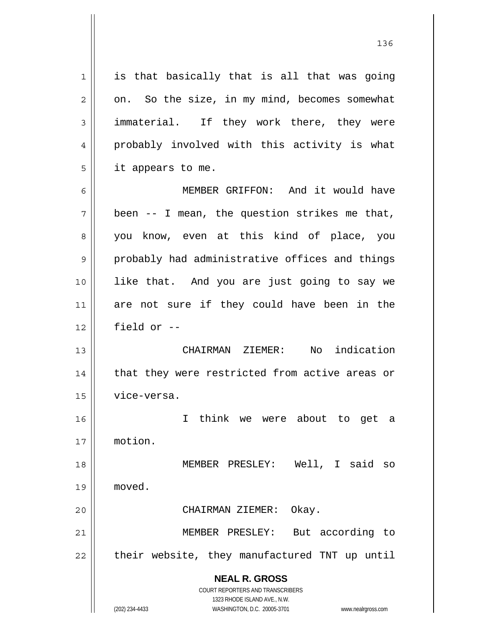**NEAL R. GROSS** COURT REPORTERS AND TRANSCRIBERS 1323 RHODE ISLAND AVE., N.W. 1 2  $3 \parallel$  immaterial. If they work there, they were  $4 \parallel$  probably involved with this activity is what  $5 \parallel$  it appears to me. 6 || MEMBER GRIFFON: And it would have  $7 \parallel$  been -- I mean, the question strikes me that, 8 || you know, even at this kind of place, you 9 10 11 are not sure if they could have been in the 12 13 CHAIRMAN ZIEMER: No indication 14 || that they were restricted from active areas or  $15$  | vice-versa. 16 || I think we were about to get a 17 18 19 20 CHAIRMAN ZIEMER: Okay. 21 || MEMBER PRESLEY: But according to  $22$  | their website, they manufactured TNT up until is that basically that is all that was going on. So the size, in my mind, becomes somewhat probably had administrative offices and things like that. And you are just going to say we field or - motion. MEMBER PRESLEY: Well, I said so moved.

(202) 234-4433 WASHINGTON, D.C. 20005-3701 www.nealrgross.com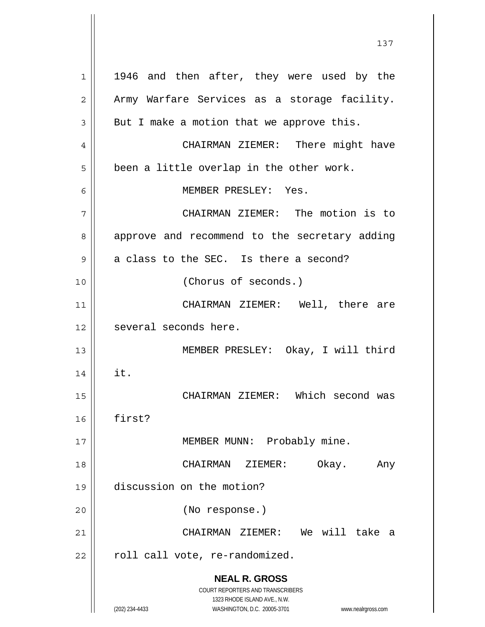**NEAL R. GROSS** COURT REPORTERS AND TRANSCRIBERS 1323 RHODE ISLAND AVE., N.W. (202) 234-4433 WASHINGTON, D.C. 20005-3701 www.nealrgross.com 1 2  $3 \parallel$  But I make a motion that we approve this. 4 might have CHAIRMAN ZIEMER: There  $5 \parallel$  been a little overlap in the other work. 6 7 is to CHAIRMAN ZIEMER: The motion  $8 \parallel$  approve and recommend to the secretary adding  $9 \parallel$  a class to the SEC. Is there a second? 10 of seconds.) (Chorus 11 e are CHAIRMAN ZIEMER: Well, ther  $12 \parallel$  several seconds here. 13 || MEMBER PRESLEY: Okay, I will third 14 15 h second was CHAIRMAN ZIEMER: Whic 16 17 18 19 20 (No response.) 21 CHAIRMAN ZIEMER: We will take a  $22$  |  $1$  roll call vote, re-randomized. 1946 and then after, they were used by the Army Warfare Services as a storage facility. MEMBER PRESLEY: Yes. it. first? MEMBER MUNN: Probably mine. CHAIRMAN ZIEMER: Okay. Any discussion on the motion?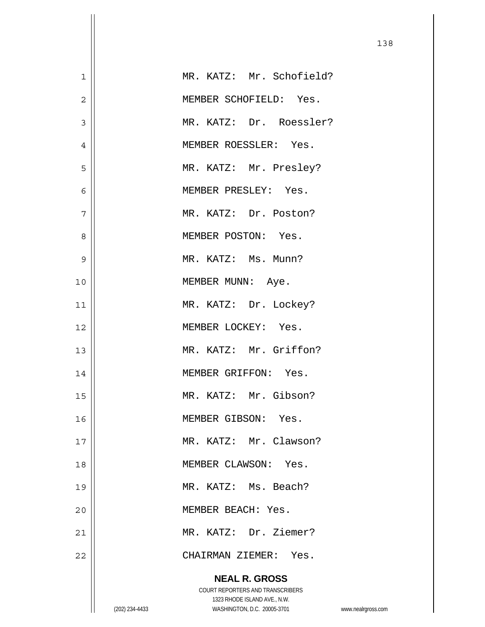| $\mathbf 1$    |                | MR. KATZ: Mr. Schofield?         |                    |
|----------------|----------------|----------------------------------|--------------------|
| $\overline{2}$ |                | MEMBER SCHOFIELD: Yes.           |                    |
| 3              |                | MR. KATZ: Dr. Roessler?          |                    |
| $\overline{4}$ |                | MEMBER ROESSLER: Yes.            |                    |
| 5              |                | MR. KATZ: Mr. Presley?           |                    |
| 6              |                | MEMBER PRESLEY: Yes.             |                    |
| 7              |                | MR. KATZ: Dr. Poston?            |                    |
| 8              |                | MEMBER POSTON: Yes.              |                    |
| 9              |                | MR. KATZ: Ms. Munn?              |                    |
| 10             |                | MEMBER MUNN: Aye.                |                    |
| 11             |                | MR. KATZ: Dr. Lockey?            |                    |
| 12             |                | MEMBER LOCKEY: Yes.              |                    |
| 13             |                | MR. KATZ: Mr. Griffon?           |                    |
| 14             |                | MEMBER GRIFFON: Yes.             |                    |
| 15             |                | MR. KATZ: Mr. Gibson?            |                    |
| 16             |                | MEMBER GIBSON: Yes.              |                    |
| 17             |                | MR. KATZ: Mr. Clawson?           |                    |
| 18             |                | MEMBER CLAWSON: Yes.             |                    |
| 19             |                | MR. KATZ: Ms. Beach?             |                    |
| 20             |                | MEMBER BEACH: Yes.               |                    |
| 21             |                | MR. KATZ: Dr. Ziemer?            |                    |
| 22             |                | CHAIRMAN ZIEMER: Yes.            |                    |
|                |                |                                  |                    |
|                |                | <b>NEAL R. GROSS</b>             |                    |
|                |                | COURT REPORTERS AND TRANSCRIBERS |                    |
|                |                | 1323 RHODE ISLAND AVE., N.W.     |                    |
|                | (202) 234-4433 | WASHINGTON, D.C. 20005-3701      | www.nealrgross.com |

 $\mathbf{I}$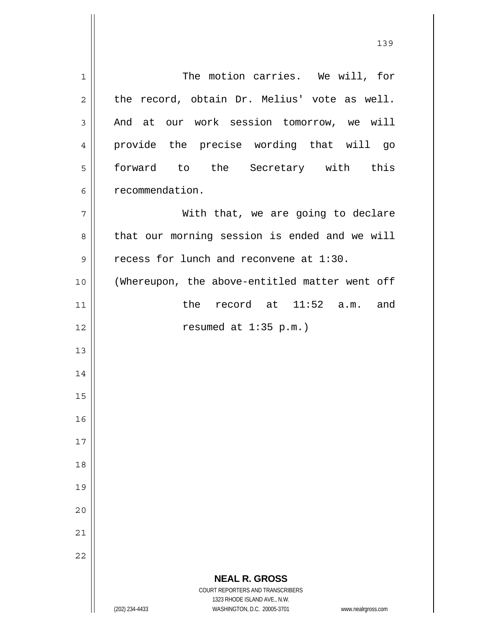**NEAL R. GROSS** COURT REPORTERS AND TRANSCRIBERS 1323 RHODE ISLAND AVE., N.W. (202) 234-4433 WASHINGTON, D.C. 20005-3701 www.nealrgross.com 1 2  $3 \parallel$  And at our work session tomorrow, we will  $4 \parallel$  provide the precise wording that will go 5 || forward to the Secretary with this 6 | recommendation.  $7 \parallel$  With that, we are going to declare  $8 \parallel$  that our morning session is ended and we will 9 10 (Whereupon, the above-entitled matter went off 11 || the record at 11:52 a.m. and  $12$  || resumed at  $1:35$  p.m.) 13 14 15 16 17 18 19 20 21 22 The motion carries. We will, for the record, obtain Dr. Melius' vote as well. forward recess for lunch and reconvene at 1:30.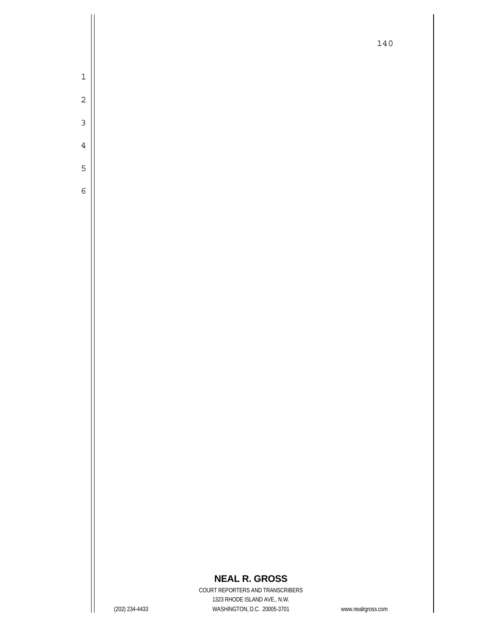## **NEAL R. GROSS**

COURT REPORTERS AND TRANSCRIBERS 1323 RHODE ISLAND AVE., N.W. (202) 234-4433 WASHINGTON, D.C. 20005-3701 www.nealrgross.com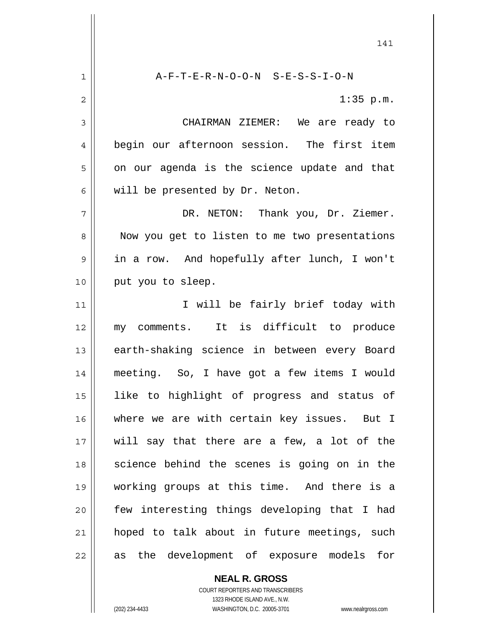1 2 3 dy to CHAIRMAN ZIEMER: We are rea  $4 \parallel$  begin our afternoon session. The first item  $5 \parallel$  on our agenda is the science update and that 6 | will be presented by Dr. Neton.  $7 \parallel$  DR. NETON: Thank you, Dr. Ziemer.  $8 \parallel$  Now you get to listen to me two presentations 9 10 11 || I will be fairly brief today with  $12$  || my comments. It is difficult to produce 13 || earth-shaking science in between every Board  $14$  || meeting. So, I have got a few items I would  $15$  || like to highlight of progress and status of  $16$  || where we are with certain key issues. But I 17 18  $19 \parallel$  working groups at this time. And there is a 20 || few interesting things developing that I had 21 || hoped to talk about in future meetings, such 22 || as the development of exposure models for A-F-T-E-R-N-O-O-N S-E-S-S-I-O-N 1:35 p.m. in a row. And hopefully after lunch, I won't put you to sleep. will say that there are a few, a lot of the science behind the scenes is going on in the

141

**NEAL R. GROSS** COURT REPORTERS AND TRANSCRIBERS

1323 RHODE ISLAND AVE., N.W.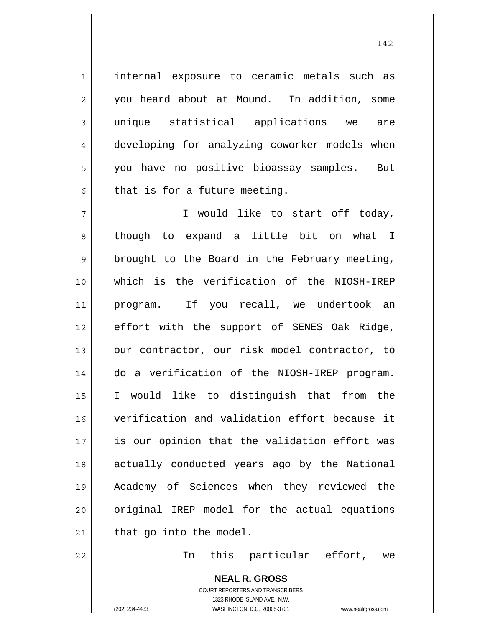$3 \parallel$  unique statistical applications we are  $4 \parallel$  developing for analyzing coworker models when  $5 \parallel$  you have no positive bioassay samples. But 6 | that is for a future meeting. internal exposure to ceramic metals such as you heard about at Mound. In addition, some

 $7 \parallel$  I would like to start off today,  $8 \parallel$  though to expand a little bit on what I 9 10  $11$  program. If you recall, we undertook an  $12 \parallel$  effort with the support of SENES Oak Ridge,  $13$   $\vert$  our contractor, our risk model contractor, to  $14 \parallel$  do a verification of the NIOSH-IREP program.  $15$  || I would like to distinguish that from the  $16$   $\parallel$  verification and validation effort because it 17 18 19 20 || original IREP model for the actual equations  $21$  | that go into the model. brought to the Board in the February meeting, which is the verification of the NIOSH-IREP is our opinion that the validation effort was actually conducted years ago by the National Academy of Sciences when they reviewed the

1

2

22 In this particular effort, we

**NEAL R. GROSS** COURT REPORTERS AND TRANSCRIBERS 1323 RHODE ISLAND AVE., N.W. (202) 234-4433 WASHINGTON, D.C. 20005-3701 www.nealrgross.com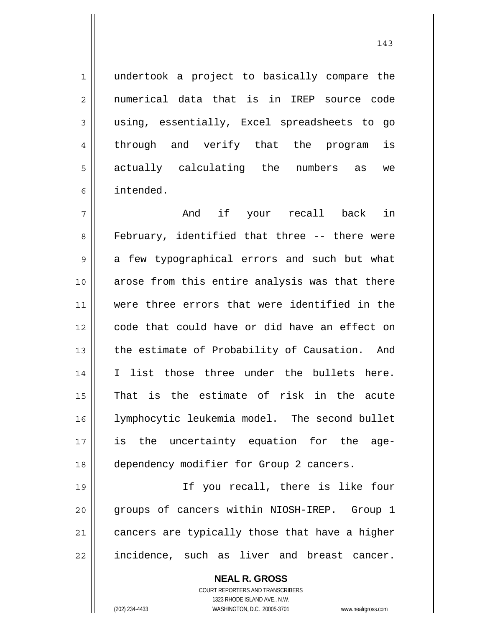$3 \parallel$  using, essentially, Excel spreadsheets to go  $4 \parallel$  through and verify that the program is  $5 \parallel$  actually calculating the numbers as we undertook a project to basically compare the numerical data that is in IREP source code intended.

7 k in  $8 \parallel$  February, identified that three -- there were 9 10  $11$   $\parallel$  were three errors that were identified in the  $12 \parallel$  code that could have or did have an effect on  $13$  | the estimate of Probability of Causation. And  $14$  | I list those three under the bullets here.  $15$  || That is the estimate of risk in the acute  $16 \parallel$  lymphocytic leukemia model. The second bullet 17 is the uncertainty equation for the age-18 And if your recall bac a few typographical errors and such but what arose from this entire analysis was that there dependency modifier for Group 2 cancers.

 $19 \parallel$  19 If you recall, there is like four 20 || groups of cancers within NIOSH-IREP. Group 1  $21$  cancers are typically those that have a higher  $22$  || incidence, such as liver and breast cancer.

> **NEAL R. GROSS** COURT REPORTERS AND TRANSCRIBERS 1323 RHODE ISLAND AVE., N.W. (202) 234-4433 WASHINGTON, D.C. 20005-3701 www.nealrgross.com

1

2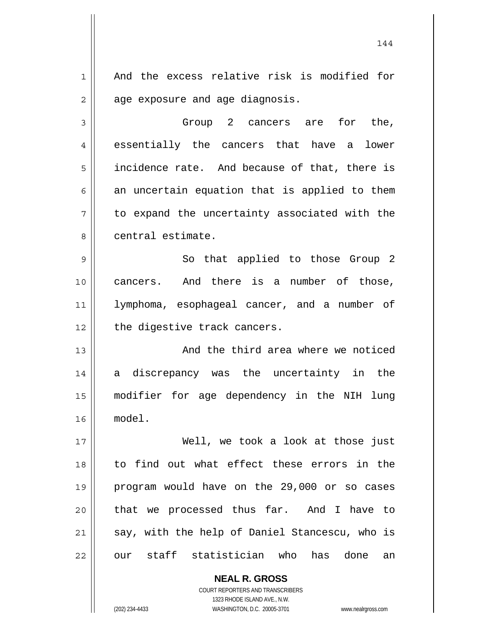1  $2 \parallel$  age exposure and age diagnosis. And the excess relative risk is modified for

 $3 \parallel$  Group 2 cancers are for the,  $4 \parallel$  essentially the cancers that have a lower  $5 \parallel$  incidence rate. And because of that, there is 6  $\parallel$  an uncertain equation that is applied to them  $7 \parallel$  to expand the uncertainty associated with the  $8 \parallel$  central estimate.

9 10 11 lymphoma, esophageal cancer, and a number of 12 So that applied to those Group 2 cancers. And there is a number of those, the digestive track cancers.

 $13$   $\parallel$  and the third area where we noticed  $14 \parallel$  a discrepancy was the uncertainty in the 15 modifier for age dependency in the NIH lung 16 model.

17 18  $19 \parallel$  program would have on the 29,000 or so cases 20 || that we processed thus far. And I have to  $21$  say, with the help of Daniel Stancescu, who is 22 || our staff statistician who has done an Well, we took a look at those just to find out what effect these errors in the

> **NEAL R. GROSS** COURT REPORTERS AND TRANSCRIBERS 1323 RHODE ISLAND AVE., N.W. (202) 234-4433 WASHINGTON, D.C. 20005-3701 www.nealrgross.com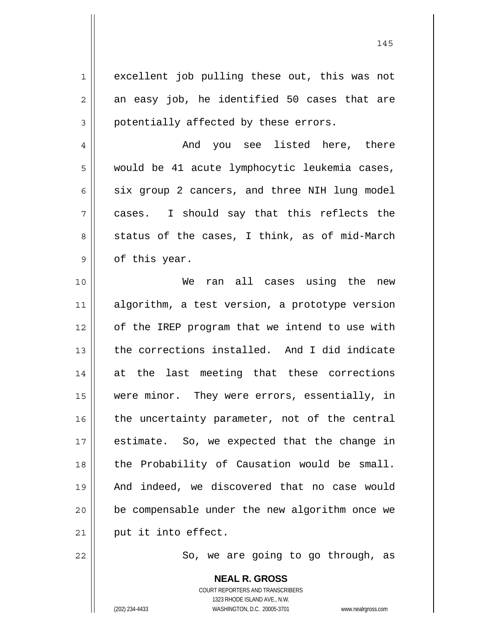1 2  $3 \parallel$  potentially affected by these errors. 4 there And you see listed here,  $5 \parallel$  would be 41 acute lymphocytic leukemia cases,  $6 \parallel$  six group 2 cancers, and three NIH lung model  $7 \parallel$  cases. I should say that this reflects the  $8 \parallel$  status of the cases, I think, as of mid-March  $9 \parallel$  of this year. 10  $11$  | algorithm, a test version, a prototype version  $12 \parallel$  of the IREP program that we intend to use with  $13 \parallel$  the corrections installed. And I did indicate  $14$  at the last meeting that these corrections  $15$   $\parallel$  were minor. They were errors, essentially, in  $16$  || the uncertainty parameter, not of the central 17 18 19 And indeed, we discovered that no case would  $20$  | be compensable under the new algorithm once we  $21$  put it into effect. excellent job pulling these out, this was not an easy job, he identified 50 cases that are We ran all cases using the new estimate. So, we expected that the change in the Probability of Causation would be small.

145

22 || So, we are going to go through, as

COURT REPORTERS AND TRANSCRIBERS 1323 RHODE ISLAND AVE., N.W. (202) 234-4433 WASHINGTON, D.C. 20005-3701 www.nealrgross.com

**NEAL R. GROSS**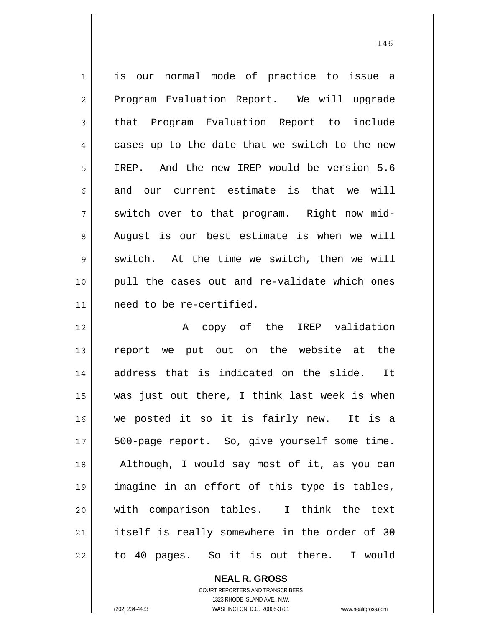1 2 3 || that Program Evaluation Report to include  $4 \parallel$  cases up to the date that we switch to the new  $5 \parallel$  IREP. And the new IREP would be version 5.6 6 $\parallel$  and our current estimate is that we will  $7 \parallel$  switch over to that program. Right now mid- $8 \parallel$  August is our best estimate is when we will 9 10 pull the cases out and re-validate which ones 11 12 || The Copy of the IREP validation  $13$  | report we put out on the website at the  $14$   $\parallel$  address that is indicated on the slide. It  $15$  || was just out there, I think last week is when  $16$  || we posted it so it is fairly new. It is a 17 18 is our normal mode of practice to issue a Program Evaluation Report. We will upgrade switch. At the time we switch, then we will need to be re-certified. copy of 500-page report. So, give yourself some time. Although, I would say most of it, as you can

146

19  $\parallel$  imagine in an effort of this type is tables, 20 with comparison tables. I think the text 21 || itself is really somewhere in the order of 30

22 || to 40 pages. So it is out there. I would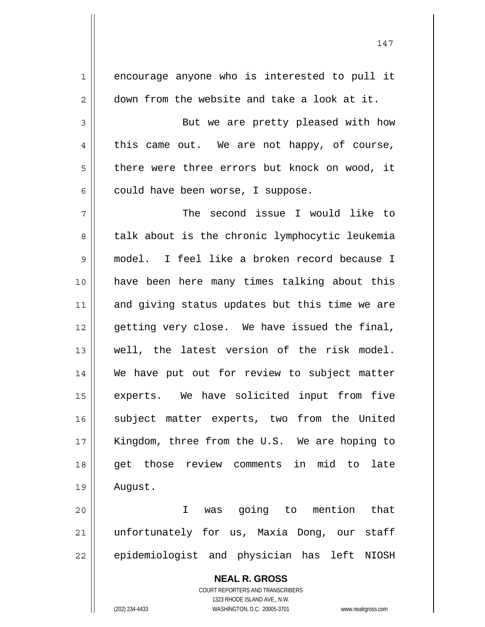**NEAL R. GROSS** COURT REPORTERS AND TRANSCRIBERS 1  $2 \parallel$  down from the website and take a look at it. 3 || But we are pretty pleased with how  $4 \parallel$  this came out. We are not happy, of course,  $5 \parallel$  there were three errors but knock on wood, it  $6 \parallel$  could have been worse, I suppose.  $7 \parallel$  The second issue I would like to  $8 \parallel$  talk about is the chronic lymphocytic leukemia 9 10  $11$  and giving status updates but this time we are  $12 \parallel$  getting very close. We have issued the final,  $13 \parallel$  well, the latest version of the risk model.  $14$  | We have put out for review to subject matter 15 || experts. We have solicited input from five 16 || subject matter experts, two from the United 17 18 19 20 I was going to mention that 21 unfortunately for us, Maxia Dong, our staff 22 epidemiologist and physician has left NIOSH encourage anyone who is interested to pull it model. I feel like a broken record because I have been here many times talking about this Kingdom, three from the U.S. We are hoping to get those review comments in mid to late August.

147

1323 RHODE ISLAND AVE., N.W.

(202) 234-4433 WASHINGTON, D.C. 20005-3701 www.nealrgross.com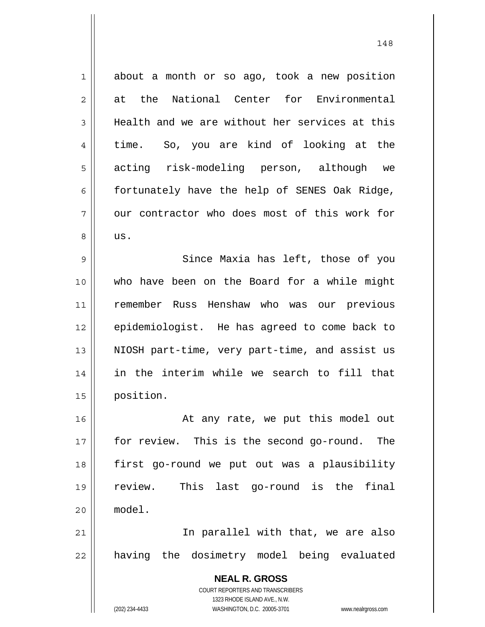**NEAL R. GROSS** COURT REPORTERS AND TRANSCRIBERS 1323 RHODE ISLAND AVE., N.W. 1 2  $3 \parallel$  Health and we are without her services at this  $4 \parallel$  time. So, you are kind of looking at the 5|| acting risk-modeling person, although we 6  $\parallel$  fortunately have the help of SENES Oak Ridge,  $7 \parallel$  our contractor who does most of this work for  $8 \parallel$  us. 9 10 11 || remember Russ Henshaw who was our previous  $12 \parallel$  epidemiologist. He has agreed to come back to  $13$  || NIOSH part-time, very part-time, and assist us 14 || in the interim while we search to fill that 15 16 || At any rate, we put this model out 17 18 first go-round we put out was a plausibility  $19 \parallel$  review. This last go-round is the final 20 model. 21 In parallel with that, we are also 22 || having the dosimetry model being evaluated about a month or so ago, took a new position at the National Center for Environmental Since Maxia has left, those of you who have been on the Board for a while might position. for review. This is the second go-round. The

(202) 234-4433 WASHINGTON, D.C. 20005-3701 www.nealrgross.com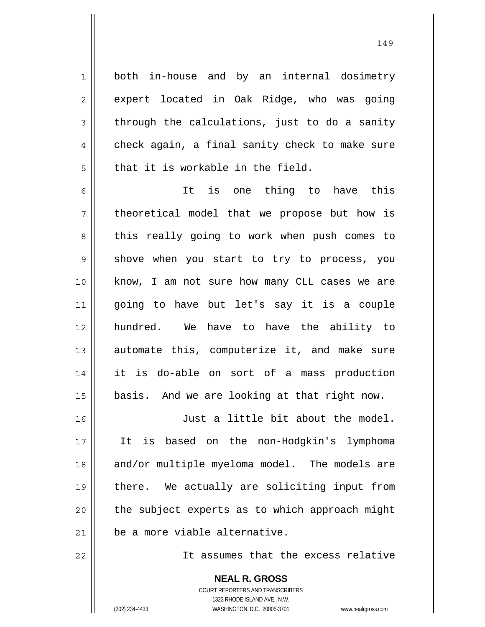$3 \parallel$  through the calculations, just to do a sanity  $4 \parallel$  check again, a final sanity check to make sure  $5 \parallel$  that it is workable in the field. both in-house and by an internal dosimetry expert located in Oak Ridge, who was going

 $6 \parallel$  It is one thing to have this  $7 \parallel$  theoretical model that we propose but how is  $8 \parallel$  this really going to work when push comes to 9 10  $11$  || going to have but let's say it is a couple  $12$  || hundred. We have to have the ability to 13  $\parallel$  automate this, computerize it, and make sure 14 it is do-able on sort of a mass production  $15$  | basis. And we are looking at that right now. shove when you start to try to process, you know, I am not sure how many CLL cases we are

  $\parallel$  Just a little bit about the model. there. We actually are soliciting input from | the subject experts as to which approach might be a more viable alternative. It is based on the non-Hodgkin's lymphoma and/or multiple myeloma model. The models are

17

18

1

2

22 It assumes that the excess relative

**NEAL R. GROSS** COURT REPORTERS AND TRANSCRIBERS 1323 RHODE ISLAND AVE., N.W. (202) 234-4433 WASHINGTON, D.C. 20005-3701 www.nealrgross.com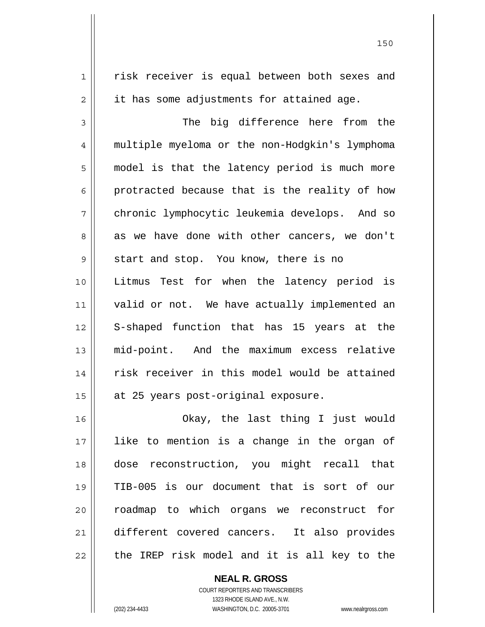1  $2 \parallel$  it has some adjustments for attained age.  $3 \parallel$  The big difference here from the 4 || multiple myeloma or the non-Hodgkin's lymphoma  $5 \parallel$  model is that the latency period is much more 6 | protracted because that is the reality of how  $7 \parallel$  chronic lymphocytic leukemia develops. And so  $8 \parallel$  as we have done with other cancers, we don't 9 10  $11$  | valid or not. We have actually implemented an  $12 \parallel$  S-shaped function that has 15 years at the  $13 \parallel$  mid-point. And the maximum excess relative 14 || risk receiver in this model would be attained 15 16 would Okay, the last thing I just 17 18  $19 \parallel$  TIB-005 is our document that is sort of our risk receiver is equal between both sexes and start and stop. You know, there is no Litmus Test for when the latency period is at 25 years post-original exposure. like to mention is a change in the organ of dose reconstruction, you might recall that

20 || roadmap to which organs we reconstruct for 21 different covered cancers. It also provides  $22$  || the IREP risk model and it is all key to the

> **NEAL R. GROSS** COURT REPORTERS AND TRANSCRIBERS 1323 RHODE ISLAND AVE., N.W. (202) 234-4433 WASHINGTON, D.C. 20005-3701 www.nealrgross.com

<u>150</u>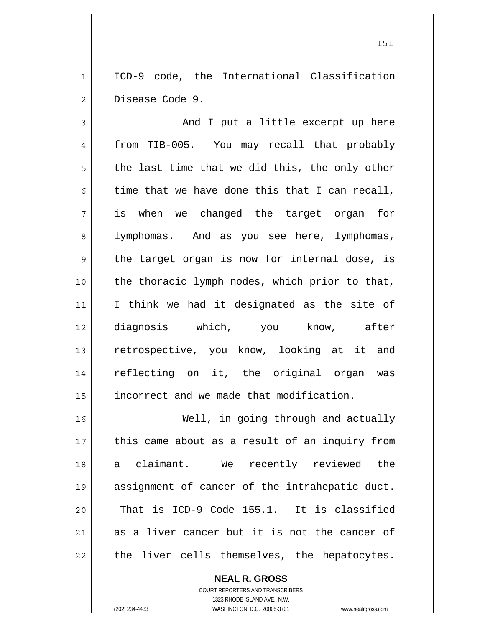1 2 Disease Code 9. ICD-9 code, the International Classification

151

3 here And I put a little excerpt up  $4 \parallel$  from TIB-005. You may recall that probably  $5 \parallel$  the last time that we did this, the only other 6 | time that we have done this that I can recall,  $7 \parallel$  is when we changed the target organ for 8 || lymphomas. And as you see here, lymphomas, 9 10  $11$  | I think we had it designated as the site of 12 || diagnosis which, you know, after  $13$  || retrospective, you know, looking at it and 14 reflecting on it, the original organ was 15 the target organ is now for internal dose, is the thoracic lymph nodes, which prior to that, incorrect and we made that modification.

16 ally Well, in going through and actu 17 18  $19 \parallel$  assignment of cancer of the intrahepatic duct.  $20$  That is ICD-9 Code 155.1. It is classified 21 as a liver cancer but it is not the cancer of  $22$  || the liver cells themselves, the hepatocytes. this came about as a result of an inquiry from a claimant. We recently reviewed the

> COURT REPORTERS AND TRANSCRIBERS 1323 RHODE ISLAND AVE., N.W. (202) 234-4433 WASHINGTON, D.C. 20005-3701 www.nealrgross.com

**NEAL R. GROSS**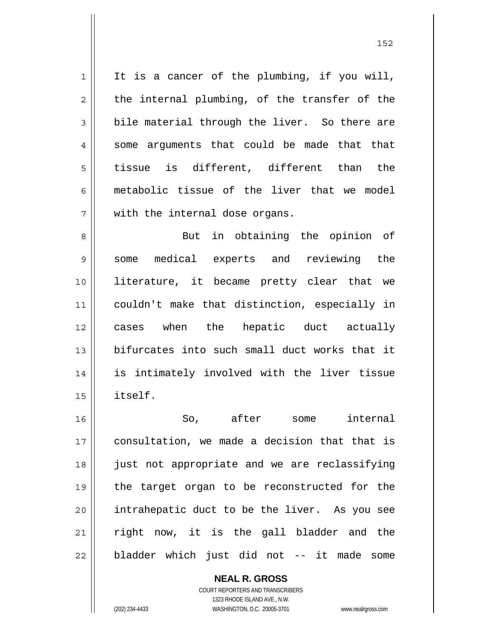1 2  $3 \parallel$  bile material through the liver. So there are  $4 \parallel$  some arguments that could be made that that  $5 \parallel$  tissue is different, different than the 6 $\parallel$  metabolic tissue of the liver that we model  $7 \parallel$  with the internal dose organs. 8 of But in obtaining the opinion 9 10  $11$   $\vert$  couldn't make that distinction, especially in  $12 \parallel$  cases when the hepatic duct actually  $13$  | bifurcates into such small duct works that it  $14$   $\parallel$  is intimately involved with the liver tissue 15 16 ternal 17 18  $19 \parallel$  the target organ to be reconstructed for the 20 || intrahepatic duct to be the liver. As you see 21 || right now, it is the gall bladder and the 22 || bladder which just did not -- it made some It is a cancer of the plumbing, if you will, the internal plumbing, of the transfer of the some medical experts and reviewing the literature, it became pretty clear that we itself. So, after some in consultation, we made a decision that that is just not appropriate and we are reclassifying

152

**NEAL R. GROSS** COURT REPORTERS AND TRANSCRIBERS

1323 RHODE ISLAND AVE., N.W. (202) 234-4433 WASHINGTON, D.C. 20005-3701 www.nealrgross.com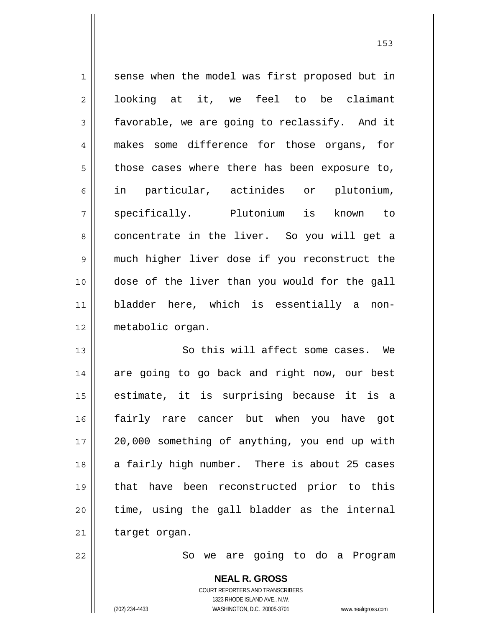1 2  $3 \parallel$  favorable, we are going to reclassify. And it  $4 \parallel$  makes some difference for those organs, for  $5 \parallel$  those cases where there has been exposure to, 6 || in particular, actinides or plutonium, 7 || specifically. Plutonium is known to  $8 \parallel$  concentrate in the liver. So you will get a 9 10 11 bladder here, which is essentially a non-12  $13$   $\parallel$  So this will affect some cases. We  $14 \parallel$  are going to go back and right now, our best  $15$   $\parallel$  estimate, it is surprising because it is a  $16 \parallel$  fairly rare cancer but when you have got 17 18 sense when the model was first proposed but in looking at it, we feel to be claimant much higher liver dose if you reconstruct the dose of the liver than you would for the gall metabolic organ. 20,000 something of anything, you end up with a fairly high number. There is about 25 cases

 $20$  || time, using the gall bladder as the internal

21 | target organ.

22 || So we are going to do a Program

**NEAL R. GROSS** COURT REPORTERS AND TRANSCRIBERS 1323 RHODE ISLAND AVE., N.W. (202) 234-4433 WASHINGTON, D.C. 20005-3701 www.nealrgross.com

19 that have been reconstructed prior to this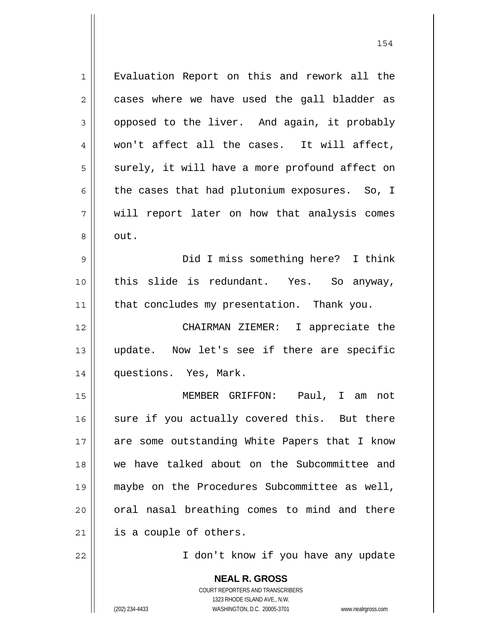1 2  $3 \parallel$  opposed to the liver. And again, it probably  $4 \parallel$  won't affect all the cases. It will affect,  $5 \parallel$  surely, it will have a more profound affect on 6 | the cases that had plutonium exposures. So, I  $7$  || will report later on how that analysis comes  $8 \parallel$  out. 9 10 this slide is redundant. Yes. So anyway,  $11$  | that concludes my presentation. Thank you. 12 ZIEMER: I appreciate the CHAIRMAN 13 update. Now let's see if there are specific 14 15 || **MEMBER GRIFFON:** Paul, I am not  $16 \parallel$  sure if you actually covered this. But there 17 18 19 maybe on the Procedures Subcommittee as well, 20 || oral nasal breathing comes to mind and there  $21$  | is a couple of others. 22 || I don't know if you have any update Evaluation Report on this and rework all the cases where we have used the gall bladder as Did I miss something here? I think questions. Yes, Mark. MEMBER GRIFFON: are some outstanding White Papers that I know we have talked about on the Subcommittee and

154

(202) 234-4433 WASHINGTON, D.C. 20005-3701 www.nealrgross.com

COURT REPORTERS AND TRANSCRIBERS 1323 RHODE ISLAND AVE., N.W.

**NEAL R. GROSS**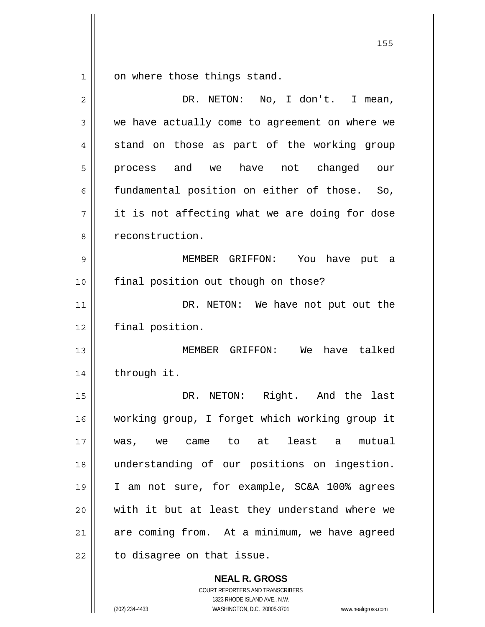1 on where those things stand.

| 2  | DR. NETON: No, I don't. I mean,                 |
|----|-------------------------------------------------|
| 3  | we have actually come to agreement on where we  |
| 4  | stand on those as part of the working group     |
| 5  | have not changed our<br>process and we          |
| 6  | fundamental position on either of those.<br>So, |
| 7  | it is not affecting what we are doing for dose  |
| 8  | reconstruction.                                 |
| 9  | MEMBER GRIFFON: You<br>have put a               |
| 10 | final position out though on those?             |
| 11 | DR. NETON: We have not put out the              |
| 12 | final position.                                 |
| 13 | MEMBER GRIFFON:<br>We<br>have talked            |
| 14 | through it.                                     |
| 15 | Right. And the last<br>DR. NETON:               |
| 16 | working group, I forget which working group it  |
| 17 | was, we came to at least a mutual               |
| 18 | understanding of our positions on ingestion.    |
| 19 | I am not sure, for example, SC&A 100% agrees    |
| 20 | with it but at least they understand where we   |
| 21 | are coming from. At a minimum, we have agreed   |
| 22 | to disagree on that issue.                      |

**NEAL R. GROSS** COURT REPORTERS AND TRANSCRIBERS 1323 RHODE ISLAND AVE., N.W. (202) 234-4433 WASHINGTON, D.C. 20005-3701 www.nealrgross.com

<u>155 میں اس کی استعمال کرتا ہے۔ اس کی اس کی اس کی اس کی اس کی اس کی اس کی اس کی اس کی اس کی اس کی اس کی اس کی</u>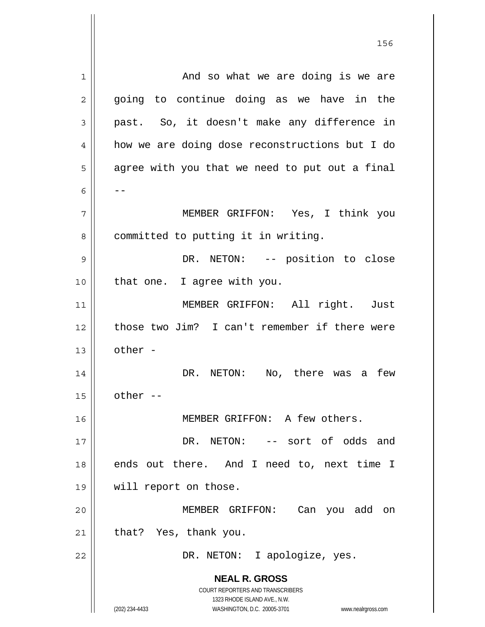**NEAL R. GROSS** COURT REPORTERS AND TRANSCRIBERS 1323 RHODE ISLAND AVE., N.W. (202) 234-4433 WASHINGTON, D.C. 20005-3701 www.nealrgross.com 1 2  $3 \parallel$  past. So, it doesn't make any difference in  $4 \parallel$  how we are doing dose reconstructions but I do  $5 \parallel$  agree with you that we need to put out a final 6  $\vert$  --7 || MEMBER GRIFFON: Yes, I think you  $8 \parallel$  committed to putting it in writing. 9 10 11 || MEMBER GRIFFON: All right. Just 12 || those two Jim? I can't remember if there were 13 14 was a few DR. NETON: No, there  $15 \parallel$  other --16 17 18  $19 \parallel$  will report on those. 20 MEMBER GRIFFON: Can you add on  $21$  | that? Yes, thank you. 22 DR. NETON: I apologize, yes. And so what we are doing is we are going to continue doing as we have in the DR. NETON: -- position to close that one. I agree with you. other - MEMBER GRIFFON: A few others. DR. NETON: -- sort of odds and ends out there. And I need to, next time I

<u>156 - Animal Stephen Barbara, amerikan pendadaran pengaran pengaran pengaran pengaran pengaran pengaran penga</u>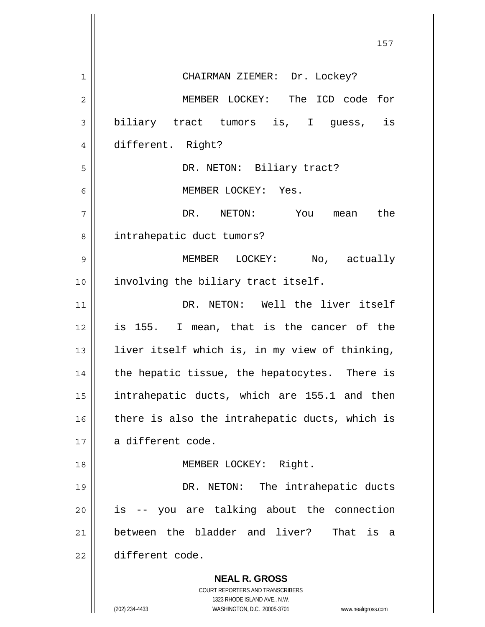|    | 157                                                                 |
|----|---------------------------------------------------------------------|
| 1  | CHAIRMAN ZIEMER: Dr. Lockey?                                        |
| 2  | MEMBER LOCKEY: The ICD code for                                     |
| 3  | biliary tract tumors is, I guess, is                                |
| 4  | different. Right?                                                   |
| 5  | DR. NETON: Biliary tract?                                           |
| 6  | MEMBER LOCKEY: Yes.                                                 |
| 7  | DR. NETON: You mean the                                             |
| 8  | intrahepatic duct tumors?                                           |
| 9  | MEMBER LOCKEY: No, actually                                         |
| 10 | involving the biliary tract itself.                                 |
| 11 | DR. NETON: Well the liver itself                                    |
| 12 | is 155. I mean, that is the cancer of the                           |
| 13 | liver itself which is, in my view of thinking,                      |
| 14 | the hepatic tissue, the hepatocytes. There is                       |
| 15 | intrahepatic ducts, which are 155.1 and then                        |
| 16 | there is also the intrahepatic ducts, which is                      |
| 17 | a different code.                                                   |
| 18 | MEMBER LOCKEY: Right.                                               |
| 19 | DR. NETON: The intrahepatic ducts                                   |
| 20 | is -- you are talking about the connection                          |
| 21 | between the bladder and liver?<br>That is a                         |
| 22 | different code.                                                     |
|    | <b>NEAL R. GROSS</b>                                                |
|    | COURT REPORTERS AND TRANSCRIBERS<br>1323 RHODE ISLAND AVE., N.W.    |
|    | (202) 234-4433<br>WASHINGTON, D.C. 20005-3701<br>www.nealrgross.com |

 $\mathsf{I}$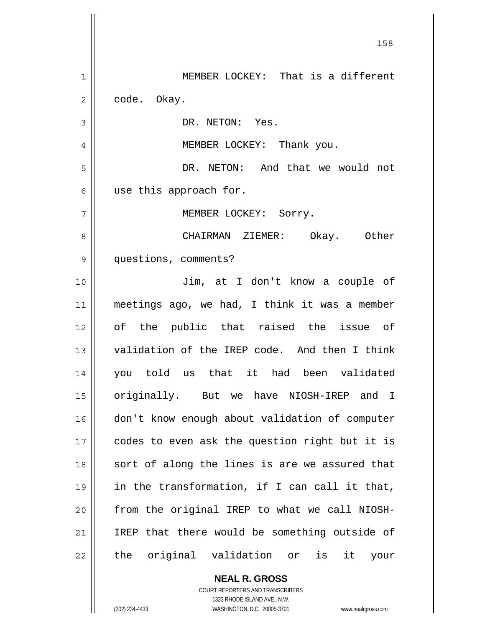158 1  $2 \parallel \text{code. } 0$ kay. 3 4 5 : And that we would not 6  $\parallel$  use this approach for. 7 8 AN ZIEMER: Okay. Other CHAIRM 9 questions, comments? 10  $11$   $\parallel$  meetings ago, we had, I think it was a member 12 || of the public that raised the issue of  $13 \parallel$  validation of the IREP code. And then I think  $14 \parallel$  you told us that it had been validated  $15$  ||  $\,$  originally. But we have NIOSH-IREP and I 16 || don't know enough about validation of computer 17 18 19  $\parallel$  in the transformation, if I can call it that, 20 from the original IREP to what we call NIOSH-21 || IREP that there would be something outside of  $22$  || the original validation or is it your MEMBER LOCKEY: That is a different DR. NETON: Yes. MEMBER LOCKEY: Thank you. DR. NETON: MEMBER LOCKEY: Sorry. Jim, at I don't know a couple of codes to even ask the question right but it is sort of along the lines is are we assured that

> **NEAL R. GROSS** COURT REPORTERS AND TRANSCRIBERS 1323 RHODE ISLAND AVE., N.W.

(202) 234-4433 WASHINGTON, D.C. 20005-3701 www.nealrgross.com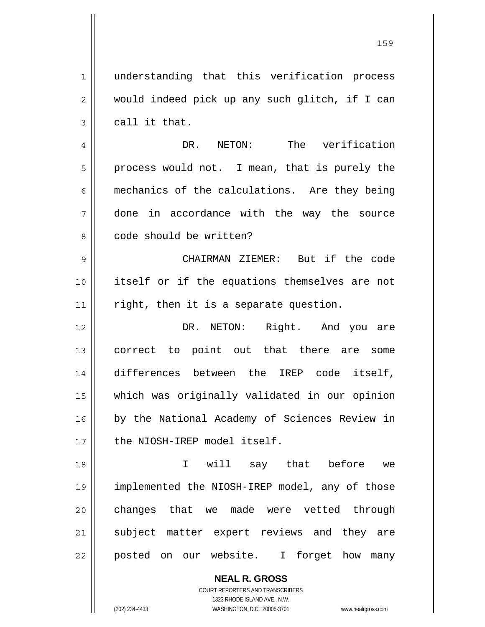1 2 3 4 cation DR. NETON: The verifi  $5 \parallel$  process would not. I mean, that is purely the 6  $\parallel$  mechanics of the calculations. Are they being  $7 \parallel$  done in accordance with the way the source 8 | code should be written? 9 10 itself or if the equations themselves are not 11 12 || DR. NETON: Right. And you are  $13$   $\vert$  correct to point out that there are some  $14$   $\parallel$  differences between the IREP code itself,  $15$   $\parallel$  which was originally validated in our opinion  $16 \parallel$  by the National Academy of Sciences Review in 17 18 19 || implemented the NIOSH-IREP model, any of those 20 || changes that we made were vetted through 21 || subject matter expert reviews and they are understanding that this verification process would indeed pick up any such glitch, if I can call it that. CHAIRMAN ZIEMER: But if the code right, then it is a separate question. DR. NETON: the NIOSH-IREP model itself. I will say that before we

22 || posted on our website. I forget how many

**NEAL R. GROSS** COURT REPORTERS AND TRANSCRIBERS 1323 RHODE ISLAND AVE., N.W.

(202) 234-4433 WASHINGTON, D.C. 20005-3701 www.nealrgross.com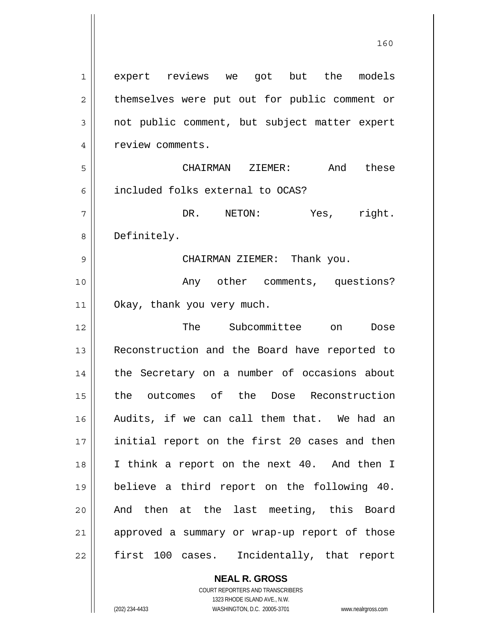1 2  $3 \parallel$  not public comment, but subject matter expert 4 5 : And these 6 7 DR. NETON: Yes, right. 8 || Definitely. 9 10 11 12 Dose The Subcommittee on  $13$  | Reconstruction and the Board have reported to  $14$  | the Secretary on a number of occasions about 15 || the outcomes of the Dose Reconstruction  $16 \parallel$  Audits, if we can call them that. We had an 17 18  $19 \parallel$  believe a third report on the following 40. 20 || And then at the last meeting, this Board 21 || approved a summary or wrap-up report of those 22 || first 100 cases. Incidentally, that report expert reviews we got but the models themselves were put out for public comment or review comments. CHAIRMAN included folks external to OCAS? CHAIRMAN ZIEMER: Thank you. Any other comments, questions? Okay, thank you very much. outcomes of initial report on the first 20 cases and then I think a report on the next 40. And then I

> **NEAL R. GROSS** COURT REPORTERS AND TRANSCRIBERS

1323 RHODE ISLAND AVE., N.W. (202) 234-4433 WASHINGTON, D.C. 20005-3701 www.nealrgross.com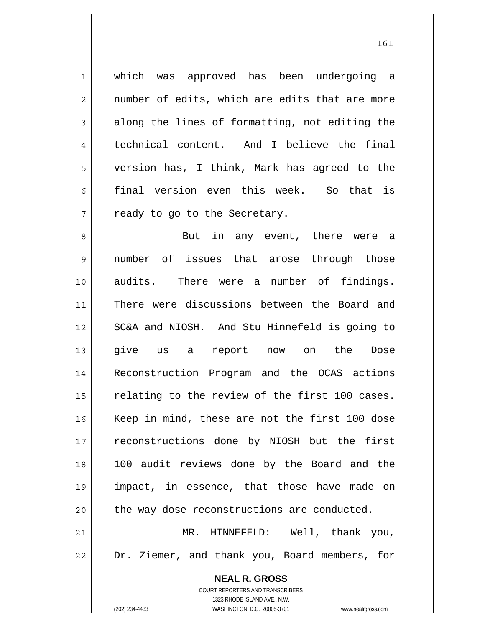1 2  $3 \parallel$  along the lines of formatting, not editing the  $4 \parallel$  technical content. And I believe the final  $5 \parallel$  version has, I think, Mark has agreed to the 6 || final version even this week. So that is  $7 \parallel$  ready to go to the Secretary. which was approved has been undergoing a number of edits, which are edits that are more

8 re a But in any event, there we 9 10  $11$   $\parallel$  There were discussions between the Board and  $12 \parallel$  SC&A and NIOSH. And Stu Hinnefeld is going to  $13$  give us a report now on the Dose  $14$   $\parallel$  Reconstruction Program and the OCAS actions  $15$  || relating to the review of the first 100 cases.  $16$   $\vert$  Keep in mind, these are not the first 100 dose 17 18 100 audit reviews done by the Board and the  $19 \parallel$  impact, in essence, that those have made on  $20$  | the way dose reconstructions are conducted. 21 MR. HINNEFELD: Well, thank you, 22 Dr. Ziemer, and thank you, Board members, for number of issues that arose through those audits. There were a number of findings. give us a report now on the reconstructions done by NIOSH but the first

> **NEAL R. GROSS** COURT REPORTERS AND TRANSCRIBERS

> > 1323 RHODE ISLAND AVE., N.W.

(202) 234-4433 WASHINGTON, D.C. 20005-3701 www.nealrgross.com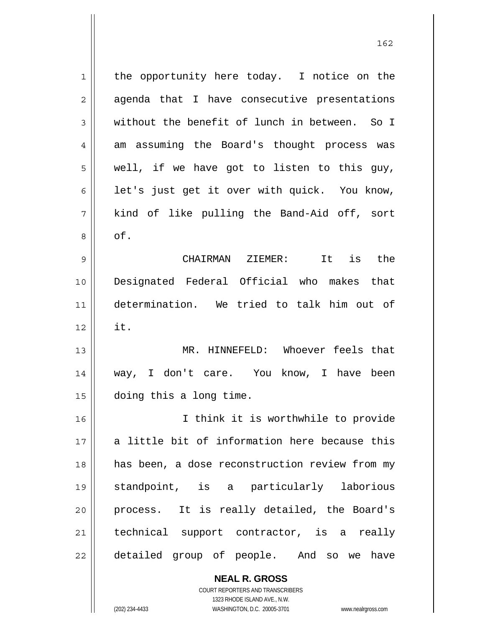1 2  $3 \parallel$  without the benefit of lunch in between. So I  $4 \parallel$  am assuming the Board's thought process was  $5 \parallel$  well, if we have got to listen to this guy, 6 ||  $\,$  let's just get it over with quick. You know,  $7 \parallel$  kind of like pulling the Band-Aid off, sort  $8 \parallel$  of. 9 10 11 determination. We tried to talk him out of 12 13 || MR. HINNEFELD: Whoever feels that 14 way, I don't care. You know, I have been 15 16 || I think it is worthwhile to provide 17 18 19 || standpoint, is a particularly laborious 20 || process. It is really detailed, the Board's 21 || technical support contractor, is a really 22 detailed group of people. And so we have the opportunity here today. I notice on the agenda that I have consecutive presentations CHAIRMAN ZIEMER: It is the Designated Federal Official who makes that it. doing this a long time. a little bit of information here because this has been, a dose reconstruction review from my

> **NEAL R. GROSS** COURT REPORTERS AND TRANSCRIBERS

> > 1323 RHODE ISLAND AVE., N.W.

(202) 234-4433 WASHINGTON, D.C. 20005-3701 www.nealrgross.com

<u>162</u>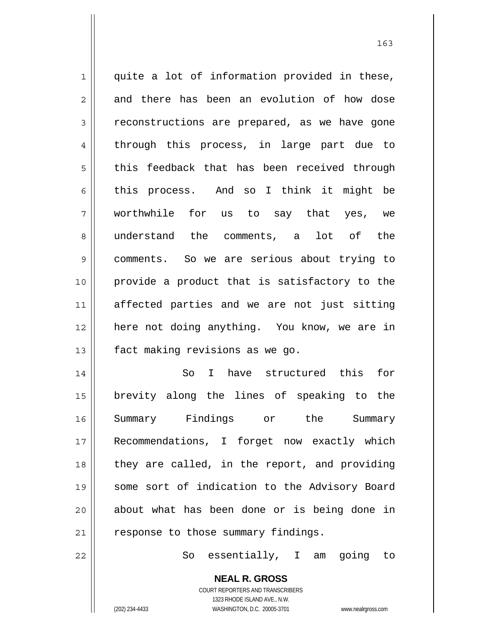1 2  $3 \parallel$  reconstructions are prepared, as we have gone  $4 \parallel$  through this process, in large part due to  $5 \parallel$  this feedback that has been received through  $6 \parallel$  this process. And so I think it might be  $7$  || worthwhile for us to say that yes, we 8 || understand the comments, a lot of the 9 10  $11$   $\parallel$  affected parties and we are not just sitting 12 13 quite a lot of information provided in these, and there has been an evolution of how dose comments. So we are serious about trying to provide a product that is satisfactory to the here not doing anything. You know, we are in fact making revisions as we go.

 $14$   $\parallel$  So I have structured this for  $15$  || brevity along the lines of speaking to the 16 || Summary Findings or the Summary 17 18 19 20 || about what has been done or is being done in 21 || response to those summary findings. Recommendations, I forget now exactly which they are called, in the report, and providing some sort of indication to the Advisory Board

22 || So essentially, I am going to

**NEAL R. GROSS** COURT REPORTERS AND TRANSCRIBERS 1323 RHODE ISLAND AVE., N.W.

(202) 234-4433 WASHINGTON, D.C. 20005-3701 www.nealrgross.com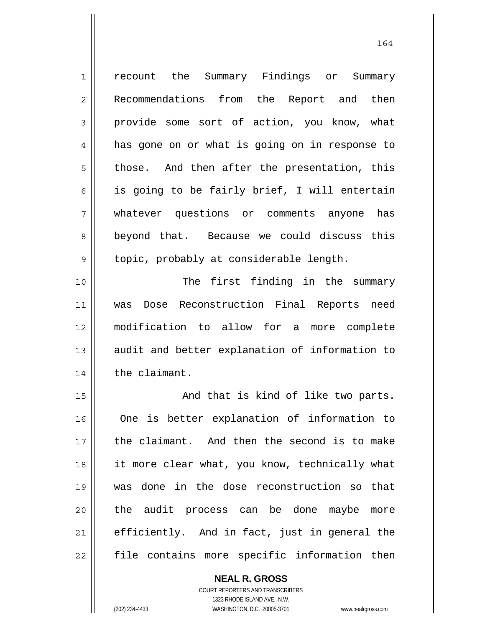1 2  $3 \parallel$  provide some sort of action, you know, what  $4 \parallel$  has gone on or what is going on in response to  $5 \parallel$  those. And then after the presentation, this 6 || is going to be fairly brief, I will entertain 7 || whatever questions or comments anyone has  $8 \parallel$  beyond that. Because we could discuss this 9 | topic, probably at considerable length. 10 11 || was Dose Reconstruction Final Reports need  $12$  || modification to allow for a more complete 13 || audit and better explanation of information to 14  $15$   $\parallel$  and that is kind of like two parts.  $16 \parallel$  One is better explanation of information to 17 18  $19 \parallel$  was done in the dose reconstruction so that 20 || the audit process can be done maybe more  $21$  efficiently. And in fact, just in general the  $22$  || file contains more specific information then recount the Summary Findings or Summary Recommendations from the Report and then The first finding in the summary the claimant. the claimant. And then the second is to make it more clear what, you know, technically what

> **NEAL R. GROSS** COURT REPORTERS AND TRANSCRIBERS

> > 1323 RHODE ISLAND AVE., N.W.

(202) 234-4433 WASHINGTON, D.C. 20005-3701 www.nealrgross.com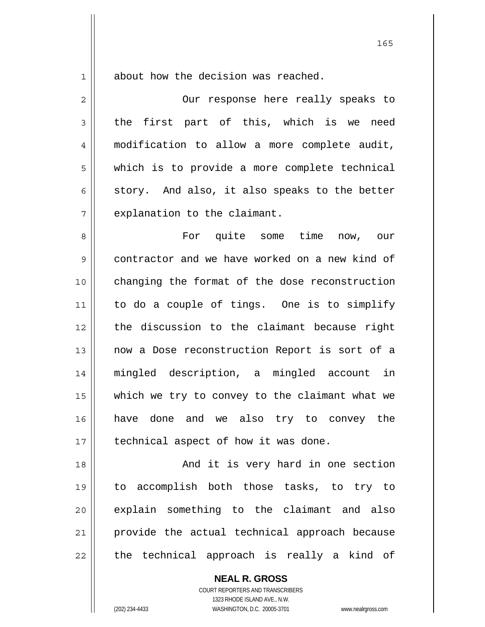1

about how the decision was reached.

2  $3 \parallel$  the first part of this, which is we need  $4 \parallel$  modification to allow a more complete audit,  $5 \parallel$  which is to provide a more complete technical 6 | story. And also, it also speaks to the better  $7 \parallel$  explanation to the claimant. Our response here really speaks to

<u>165</u>

8 our For quite some time now, 9 10  $11$  | to do a couple of tings. One is to simplify  $12$  | the discussion to the claimant because right  $13$  | now a Dose reconstruction Report is sort of a 14 || mingled description, a mingled account in  $15$  || which we try to convey to the claimant what we 16 have done and we also try to convey the 17 contractor and we have worked on a new kind of changing the format of the dose reconstruction technical aspect of how it was done.

18  $19 \parallel$  to accomplish both those tasks, to try to 20 || explain something to the claimant and also 21 provide the actual technical approach because  $22$  || the technical approach is really a kind of And it is very hard in one section

> COURT REPORTERS AND TRANSCRIBERS 1323 RHODE ISLAND AVE., N.W. (202) 234-4433 WASHINGTON, D.C. 20005-3701 www.nealrgross.com

**NEAL R. GROSS**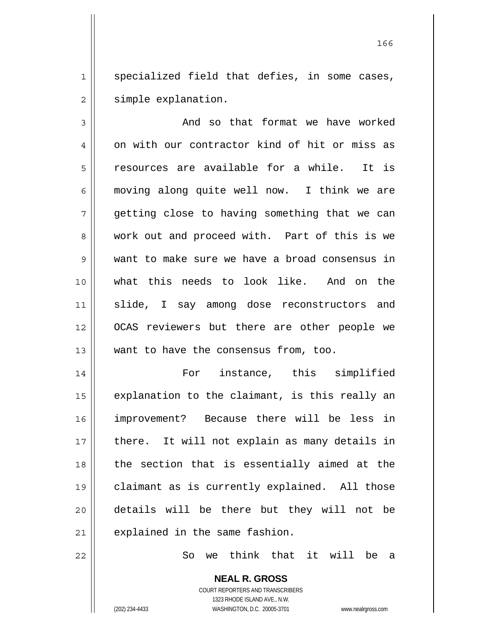1 2 | simple explanation. specialized field that defies, in some cases,

3 worked And so that format we have  $4 \parallel$  on with our contractor kind of hit or miss as  $5 \parallel$  resources are available for a while. It is 6 $\parallel$  moving along quite well now. I think we are  $7 \parallel$  getting close to having something that we can  $8 \parallel$  work out and proceed with. Part of this is we 9 10  $11$  slide, I say among dose reconstructors and  $12 \parallel$  OCAS reviewers but there are other people we 13 want to make sure we have a broad consensus in what this needs to look like. And on the want to have the consensus from, too.

14 ified 15  $\parallel$  explanation to the claimant, is this really an 16 || improvement? Because there will be less in 17 18 19 claimant as is currently explained. All those 20 details will be there but they will not be  $21$  | explained in the same fashion. instance, there. It will not explain as many details in the section that is essentially aimed at the

22 || So we think that it will be a

<u>166</u>

COURT REPORTERS AND TRANSCRIBERS 1323 RHODE ISLAND AVE., N.W. (202) 234-4433 WASHINGTON, D.C. 20005-3701 www.nealrgross.com

**NEAL R. GROSS**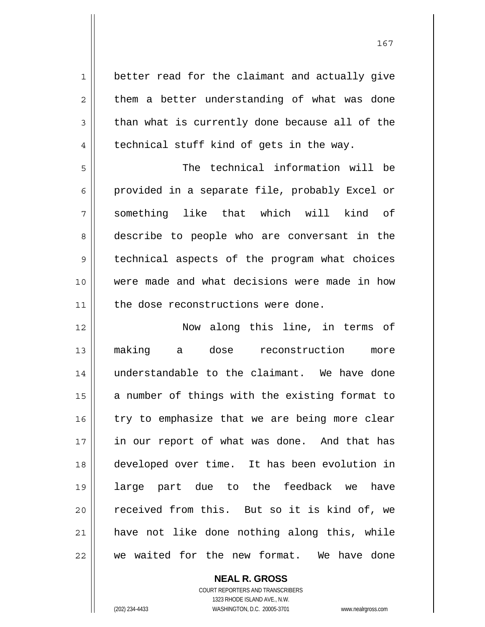$3 \parallel$  than what is currently done because all of the  $4 \parallel$  technical stuff kind of gets in the way. better read for the claimant and actually give them a better understanding of what was done

5 ll be The technical information wi 6 || provided in a separate file, probably Excel or  $7 \parallel$  something like that which will kind of  $8 \parallel$  describe to people who are conversant in the 10 were made and what decisions were made in how 11 technical aspects of the program what choices the dose reconstructions were done.

12 || Now along this line, in terms of 13 || making a dose reconstruction more  $14$  | understandable to the claimant. We have done 15  $\parallel$  a number of things with the existing format to  $16 \parallel$  try to emphasize that we are being more clear 17 18 19 || large part due to the feedback we have 20 || received from this. But so it is kind of, we 21 have not like done nothing along this, while  $22$   $\parallel$  we waited for the new format. We have done in our report of what was done. And that has developed over time. It has been evolution in large part due

> COURT REPORTERS AND TRANSCRIBERS 1323 RHODE ISLAND AVE., N.W. (202) 234-4433 WASHINGTON, D.C. 20005-3701 www.nealrgross.com

**NEAL R. GROSS**

1

2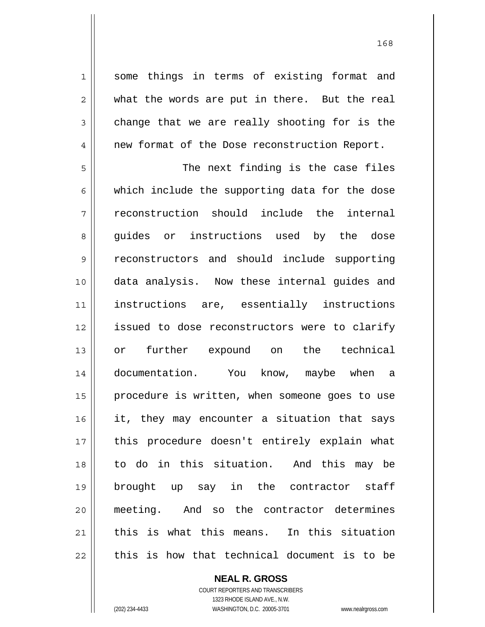$3 \parallel$  change that we are really shooting for is the 4 | new format of the Dose reconstruction Report. some things in terms of existing format and what the words are put in there. But the real

 $5 \parallel$  The next finding is the case files 6  $\parallel$  which include the supporting data for the dose  $7 \parallel$  reconstruction should include the internal  $8 \parallel$  guides or instructions used by the dose 9 10 11 || instructions are, essentially instructions  $12$  | issued to dose reconstructors were to clarify 13 || or further expound on the technical 14 || documentation. You know, maybe when a  $15$   $\vert$  procedure is written, when someone goes to use 16  $\parallel$  it, they may encounter a situation that says 17 18  $19 \parallel$  brought up say in the contractor staff 20 || meeting. And so the contractor determines  $21$  this is what this means. In this situation  $22$  || this is how that technical document is to be reconstructors and should include supporting data analysis. Now these internal guides and expound this procedure doesn't entirely explain what to do in this situation. And this may be

> **NEAL R. GROSS** COURT REPORTERS AND TRANSCRIBERS 1323 RHODE ISLAND AVE., N.W. (202) 234-4433 WASHINGTON, D.C. 20005-3701 www.nealrgross.com

1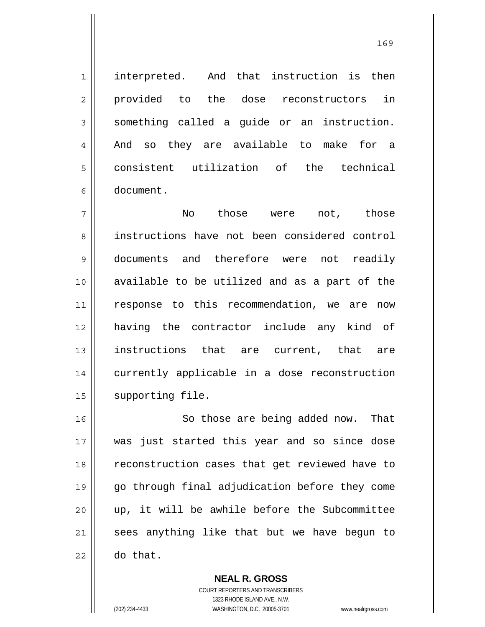$3 \parallel$  something called a guide or an instruction.  $4 \parallel$  And so they are available to make for a  $5 \parallel$  consistent utilization of the technical interpreted. And that instruction is then provided to the dose reconstructors in consist document.

 $7 \parallel$  No those were not, those  $8 \parallel$  instructions have not been considered control 9 10  $11$  | response to this recommendation, we are now  $12 \parallel$  having the contractor include any kind of  $13$  || instructions that are current, that are 14 currently applicable in a dose reconstruction 15 No those were not, documents and therefore were not readily available to be utilized and as a part of the supporting file.

16 || So those are being added now. That 17 18  $19 \parallel$  go through final adjudication before they come 20 up, it will be awhile before the Subcommittee  $21$  sees anything like that but we have begun to  $22 \parallel$  do that. was just started this year and so since dose reconstruction cases that get reviewed have to

> **NEAL R. GROSS** COURT REPORTERS AND TRANSCRIBERS 1323 RHODE ISLAND AVE., N.W. (202) 234-4433 WASHINGTON, D.C. 20005-3701 www.nealrgross.com

1

2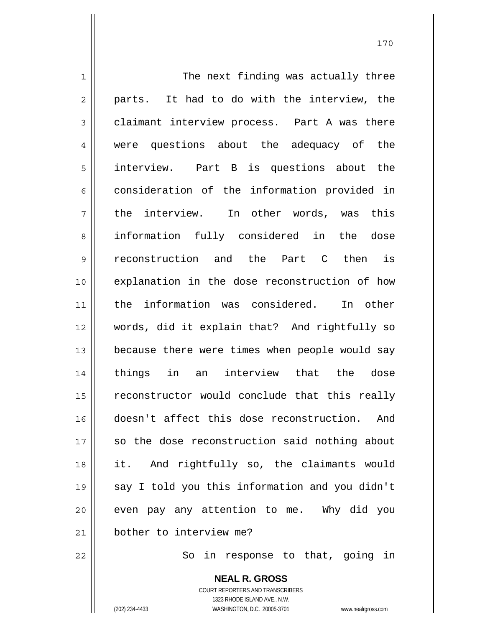1 2  $3 \parallel$  claimant interview process. Part A was there  $4 \parallel$  were questions about the adequacy of the  $5 \parallel$  interview. Part B is questions about the  $6 \parallel$  consideration of the information provided in  $7 \parallel$  the interview. In other words, was this 8 || information fully considered in the dose 9 10  $11$  | the information was considered. In other  $12$  || words, did it explain that? And rightfully so  $13 \parallel$  because there were times when people would say 14 || things in an interview that the dose  $15$  || reconstructor would conclude that this really 16 || doesn't affect this dose reconstruction. And 17 18 19 || say I told you this information and you didn't 20 || even pay any attention to me. Why did you 21 | bother to interview me? The next finding was actually three parts. It had to do with the interview, the reconstruction and the Part C then is explanation in the dose reconstruction of how so the dose reconstruction said nothing about it. And rightfully so, the claimants would

22 || So in response to that, going in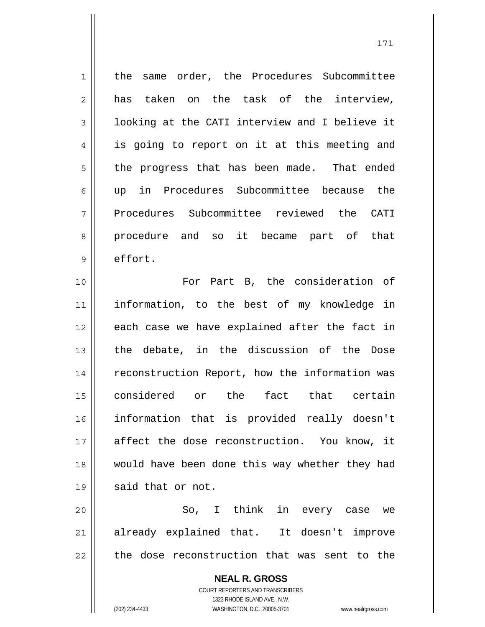1 2  $3 \parallel$  looking at the CATI interview and I believe it  $4 \parallel$  is going to report on it at this meeting and  $5 \parallel$  the progress that has been made. That ended  $6 \parallel$  up in Procedures Subcommittee because the  $7 \parallel$  Procedures Subcommittee reviewed the CATI  $8 \parallel$  procedure and so it became part of that 9 leffort. the same order, the Procedures Subcommittee has taken on the task of the interview,

10  $11$  | information, to the best of my knowledge in  $12 \parallel$  each case we have explained after the fact in  $13$  || the debate, in the discussion of the Dose  $14$  | reconstruction Report, how the information was  $15$  considered or the fact that certain  $16 \parallel$  information that is provided really doesn't 17 18 19 For Part B, the consideration of affect the dose reconstruction. You know, it would have been done this way whether they had said that or not.

 $20$   $\begin{array}{|l|}$  So, I think in every case we 21 || already explained that. It doesn't improve  $22$   $\parallel$  the dose reconstruction that was sent to the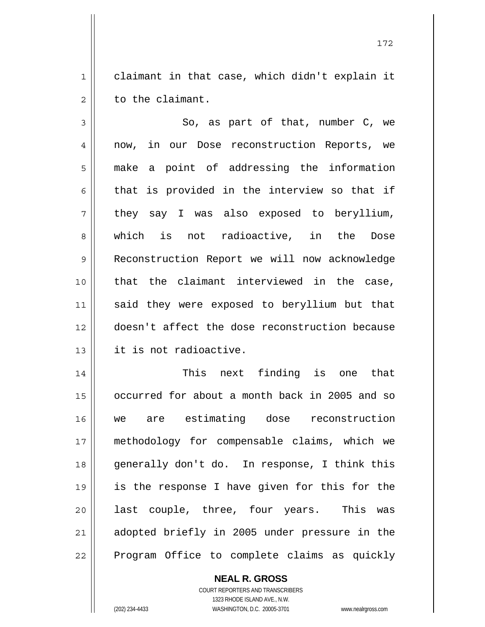1  $2 \parallel$  to the claimant. claimant in that case, which didn't explain it

 $3 \parallel$  So, as part of that, number C, we 4 || now, in our Dose reconstruction Reports, we  $5 \parallel$  make a point of addressing the information 6 || that is provided in the interview so that if  $7 \parallel$  they say I was also exposed to beryllium,  $8 \parallel$  which is not radioactive, in the Dose 9 10  $11$  said they were exposed to beryllium but that 12 13 Reconstruction Report we will now acknowledge that the claimant interviewed in the case, doesn't affect the dose reconstruction because it is not radioactive.

 $14$   $\parallel$  This next finding is one that  $15$  || occurred for about a month back in 2005 and so 16 || we are estimating dose reconstruction 17 18  $19 \parallel$  is the response I have given for this for the 20 || last couple, three, four years. This was 21 || adopted briefly in 2005 under pressure in the  $22$  Program Office to complete claims as quickly estimating methodology for compensable claims, which we generally don't do. In response, I think this

> **NEAL R. GROSS** COURT REPORTERS AND TRANSCRIBERS 1323 RHODE ISLAND AVE., N.W.

(202) 234-4433 WASHINGTON, D.C. 20005-3701 www.nealrgross.com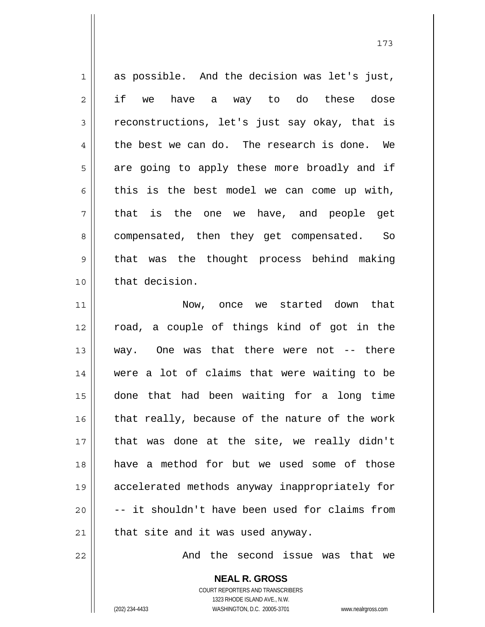1 2  $3 \parallel$  reconstructions, let's just say okay, that is  $4 \parallel$  the best we can do. The research is done. We  $5 \parallel$  are going to apply these more broadly and if 6 | this is the best model we can come up with,  $7 \parallel$  that is the one we have, and people get  $8 \parallel$  compensated, then they get compensated. So 9 10  $11$   $\parallel$  Now, once we started down that  $12 \parallel$  road, a couple of things kind of got in the 13  $\parallel$  way. One was that there were not -- there  $14$  | were a lot of claims that were waiting to be  $15$   $\parallel$  done that had been waiting for a long time  $16$  || that really, because of the nature of the work 17 18 19 accelerated methods anyway inappropriately for  $20$   $\vert$  -- it shouldn't have been used for claims from  $21$  | that site and it was used anyway. as possible. And the decision was let's just, if we have a way to do these dose that was the thought process behind making that decision. that was done at the site, we really didn't have a method for but we used some of those

173

22 And the second issue was that we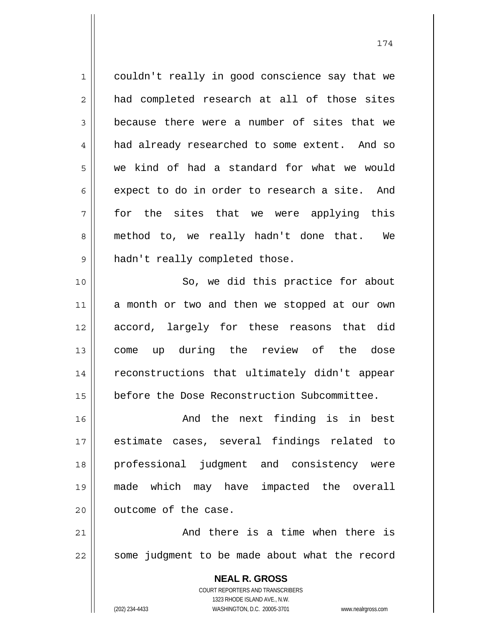1 2  $3 \parallel$  because there were a number of sites that we  $4 \parallel$  had already researched to some extent. And so  $5 \parallel$  we kind of had a standard for what we would 6  $\parallel$  expect to do in order to research a site. And  $7 \parallel$  for the sites that we were applying this  $8 \parallel$  method to, we really hadn't done that. We 9 | hadn't really completed those. 10  $11$  a month or two and then we stopped at our own couldn't really in good conscience say that we had completed research at all of those sites So, we did this practice for about

 $12 \parallel$  accord, largely for these reasons that did  $13$   $\vert$  come up during the review of the dose 14 || reconstructions that ultimately didn't appear  $15$  | before the Dose Reconstruction Subcommittee.

16 best And the next finding is in 17 18 professional judgment and consistency were  $19 \parallel$  made which may have impacted the overall  $20$  | outcome of the case. estimate cases, several findings related to

21 | COLORENT And there is a time when there is 22 || some judgment to be made about what the record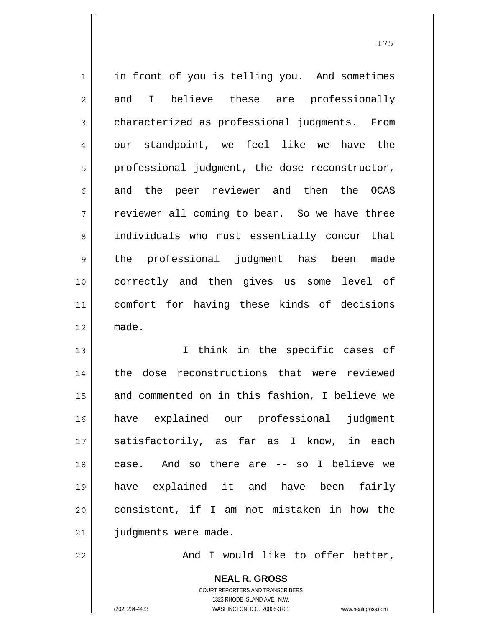| $\mathbf{1}$   | in front of you is telling you. And sometimes           |
|----------------|---------------------------------------------------------|
| $\overline{2}$ | believe these are professionally<br>and<br>$\mathbf{I}$ |
| $\mathfrak{Z}$ | characterized as professional judgments. From           |
| $\overline{4}$ | our standpoint, we feel like we have the                |
| 5              | professional judgment, the dose reconstructor,          |
| 6              | and the peer reviewer and then the OCAS                 |
| 7              | reviewer all coming to bear. So we have three           |
| 8              | individuals who must essentially concur that            |
| 9              | the professional judgment has been<br>made              |
| 10             | correctly and then gives us some level of               |
| 11             | comfort for having these kinds of decisions             |
| 12             | made.                                                   |
| 13             | I think in the specific cases of                        |
| $\mathbf{A}$   | the Jess mesopolitics that we have dependent            |

 $14$  | the dose reconstructions that were reviewed 15  $\parallel$  and commented on in this fashion, I believe we 16 || have explained our professional judgment 17 18 19 have explained it and have been fairly  $20$  consistent, if I am not mistaken in how the 21 | judgments were made. satisfactorily, as far as I know, in each case. And so there are -- so I believe we

 $22$  ||  $\sim$  And I would like to offer better,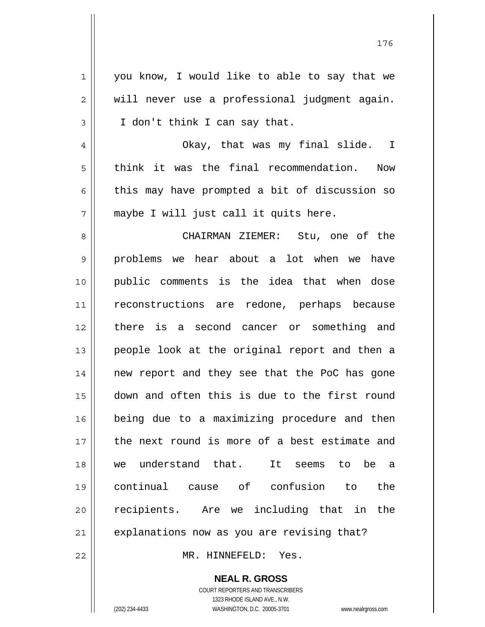| $\mathbf 1$ | you know, I would like to able to say that we |
|-------------|-----------------------------------------------|
| 2           | will never use a professional judgment again. |
| 3           | I don't think I can say that.                 |
| 4           | Okay, that was my final slide. I              |
| 5           | think it was the final recommendation. Now    |
| 6           | this may have prompted a bit of discussion so |
| 7           | maybe I will just call it quits here.         |
| 8           | CHAIRMAN ZIEMER: Stu, one of the              |
| 9           | problems we hear about a lot when we have     |
| 10          | public comments is the idea that when dose    |
| 11          | reconstructions are redone, perhaps because   |
| 12          | there is a second cancer or something and     |
| 13          | people look at the original report and then a |
| 14          | new report and they see that the PoC has gone |
| 15          | down and often this is due to the first round |
| 16          | being due to a maximizing procedure and then  |
| 17          | the next round is more of a best estimate and |
| 18          | we understand that. It seems to be a          |
| 19          | cause of confusion<br>continual<br>the<br>to  |
| 20          | recipients. Are we including that in the      |
| 21          | explanations now as you are revising that?    |
| 22          | MR. HINNEFELD:<br>Yes.                        |

**NEAL R. GROSS**

COURT REPORTERS AND TRANSCRIBERS 1323 RHODE ISLAND AVE., N.W. (202) 234-4433 WASHINGTON, D.C. 20005-3701 www.nealrgross.com

 $\prod$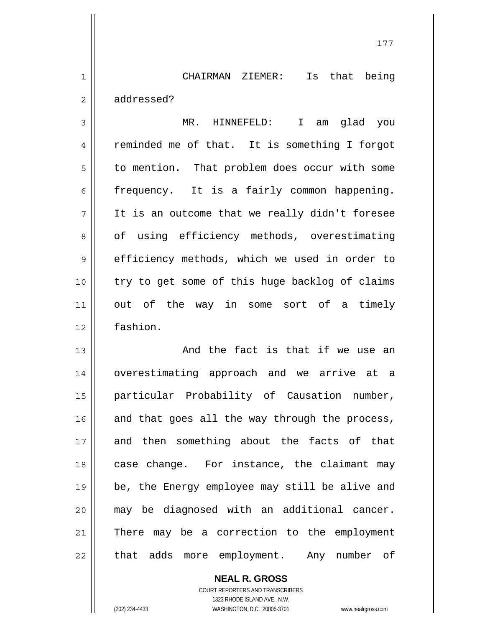2 addressed? CHAIRMAN ZIEMER: Is that being

3 || MR. HINNEFELD: I am glad you  $4 \parallel$  reminded me of that. It is something I forgot  $5 \parallel$  to mention. That problem does occur with some 6 | frequency. It is a fairly common happening.  $7 \parallel$  It is an outcome that we really didn't foresee  $8 \parallel$  of using efficiency methods, overestimating 9 10 11 || out of the way in some sort of a timely 12 efficiency methods, which we used in order to try to get some of this huge backlog of claims fashion.

 $13$   $\parallel$  and the fact is that if we use an  $14$  overestimating approach and we arrive at a 15 || particular Probability of Causation number,  $16$  and that goes all the way through the process, 17 18  $19 \parallel$  be, the Energy employee may still be alive and 20 may be diagnosed with an additional cancer. 21 || There may be a correction to the employment  $22$  || that adds more employment. Any number of and then something about the facts of that case change. For instance, the claimant may

> **NEAL R. GROSS** COURT REPORTERS AND TRANSCRIBERS 1323 RHODE ISLAND AVE., N.W. (202) 234-4433 WASHINGTON, D.C. 20005-3701 www.nealrgross.com

1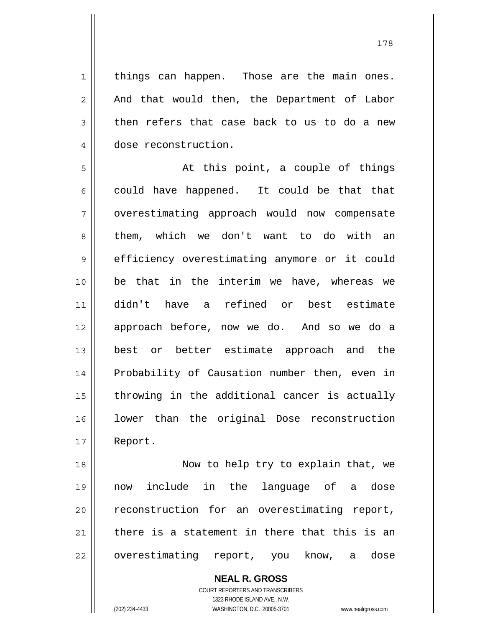178

 $3 \parallel$  then refers that case back to us to do a new 4 | dose reconstruction. things can happen. Those are the main ones. And that would then, the Department of Labor

5 || At this point, a couple of things  $6 \parallel$  could have happened. It could be that that 7 || overestimating approach would now compensate  $8 \parallel$  them, which we don't want to do with an 9 10  $11$  didn't have a refined or best estimate  $12 \parallel$  approach before, now we do. And so we do a  $13 \parallel$  best or better estimate approach and the  $14$  Probability of Causation number then, even in  $15$   $\parallel$  throwing in the additional cancer is actually 16 lower than the original Dose reconstruction 17 could have happened. efficiency overestimating anymore or it could be that in the interim we have, whereas we Report.

18  $19 \parallel$  now include in the language of a dose 20 || reconstruction for an overestimating report,  $21$  there is a statement in there that this is an 22 || overestimating report, you know, a dose Now to help try to explain that, we

> **NEAL R. GROSS** COURT REPORTERS AND TRANSCRIBERS 1323 RHODE ISLAND AVE., N.W. (202) 234-4433 WASHINGTON, D.C. 20005-3701 www.nealrgross.com

1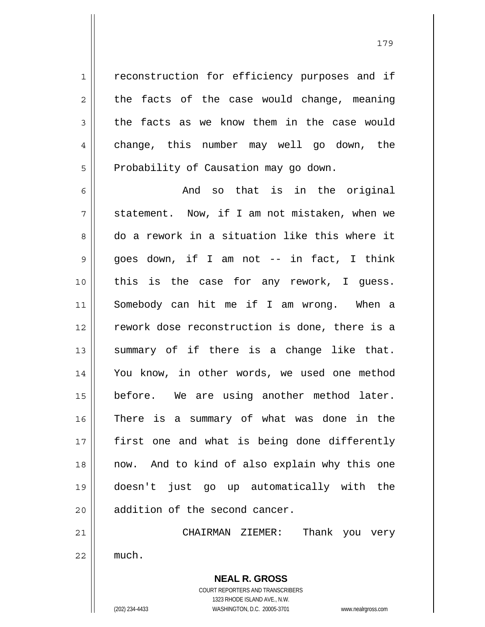$3 \parallel$  the facts as we know them in the case would  $4 \parallel$  change, this number may well go down, the  $5 \parallel$  Probability of Causation may go down. reconstruction for efficiency purposes and if the facts of the case would change, meaning

 $6 \parallel$  and so that is in the original  $7 \parallel$  statement. Now, if I am not mistaken, when we  $8 \parallel$  do a rework in a situation like this where it 9 10  $11$  Somebody can hit me if I am wrong. When a  $12 \parallel$  rework dose reconstruction is done, there is a 13  $\parallel$  summary of if there is a change like that.  $14 \parallel$  You know, in other words, we used one method  $15$  || before. We are using another method later.  $16$   $\parallel$  There is a summary of what was done in the 17 18 now. And to kind of also explain why this one  $19$  || doesn't just go up automatically with the 20 || addition of the second cancer. goes down, if I am not -- in fact, I think this is the case for any rework, I guess. first one and what is being done differently does

21 CHAIRMAN ZIEMER: Thank you very  $22$   $\parallel$  much.

> **NEAL R. GROSS** COURT REPORTERS AND TRANSCRIBERS 1323 RHODE ISLAND AVE., N.W.

1

2

(202) 234-4433 WASHINGTON, D.C. 20005-3701 www.nealrgross.com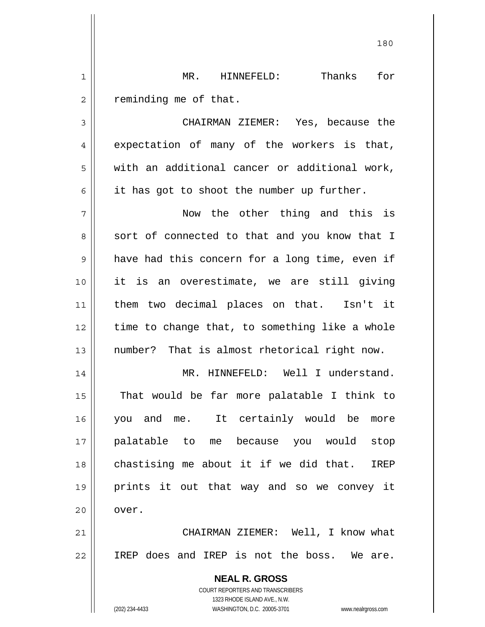1 for MR. HINNEFELD: Thanks  $2 \parallel$  reminding me of that.

3 e the CHAIRMAN ZIEMER: Yes, becaus  $4 \parallel$  expectation of many of the workers is that,  $5 \parallel$  with an additional cancer or additional work,  $6 \parallel$  it has got to shoot the number up further.

 $7 \parallel$  Now the other thing and this is  $8 \parallel$  sort of connected to that and you know that I 9 10  $11$  | them two decimal places on that. Isn't it 12 time to change that, to something like a whole  $13$  || number? That is almost rhetorical right now. have had this concern for a long time, even if it is an overestimate, we are still giving

14 || MR. HINNEFELD: Well I understand.  $15$  || That would be far more palatable I think to  $16 \parallel$  you and me. It certainly would be more 17 18 || chastising me about it if we did that. IREP  $19 \parallel$  prints it out that way and so we convey it  $20$   $\vert$  over. palatable to me because you would stop

21 || CHAIRMAN ZIEMER: Well, I know what 22 IREP does and IREP is not the boss. We are.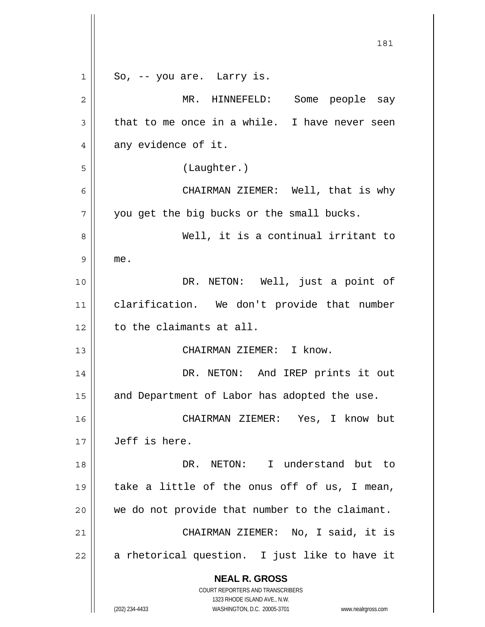|    | 181                                                                 |
|----|---------------------------------------------------------------------|
|    |                                                                     |
| 1  | So, -- you are. Larry is.                                           |
| 2  | MR. HINNEFELD: Some people say                                      |
| 3  | that to me once in a while. I have never seen                       |
| 4  | any evidence of it.                                                 |
| 5  | (Laughter.)                                                         |
| 6  | CHAIRMAN ZIEMER: Well, that is why                                  |
| 7  | you get the big bucks or the small bucks.                           |
| 8  | Well, it is a continual irritant to                                 |
| 9  | me.                                                                 |
| 10 | DR. NETON: Well, just a point of                                    |
| 11 | clarification. We don't provide that number                         |
| 12 | to the claimants at all.                                            |
| 13 | CHAIRMAN ZIEMER: I know.                                            |
| 14 | DR. NETON:<br>And IREP prints it out                                |
| 15 | and Department of Labor has adopted the use.                        |
| 16 | CHAIRMAN ZIEMER: Yes, I know but                                    |
| 17 | Jeff is here.                                                       |
| 18 | NETON: I understand but to<br>DR.                                   |
| 19 | take a little of the onus off of us, I mean,                        |
| 20 | we do not provide that number to the claimant.                      |
| 21 | CHAIRMAN ZIEMER: No, I said, it is                                  |
| 22 | a rhetorical question. I just like to have it                       |
|    | <b>NEAL R. GROSS</b>                                                |
|    | COURT REPORTERS AND TRANSCRIBERS<br>1323 RHODE ISLAND AVE., N.W.    |
|    | (202) 234-4433<br>WASHINGTON, D.C. 20005-3701<br>www.nealrgross.com |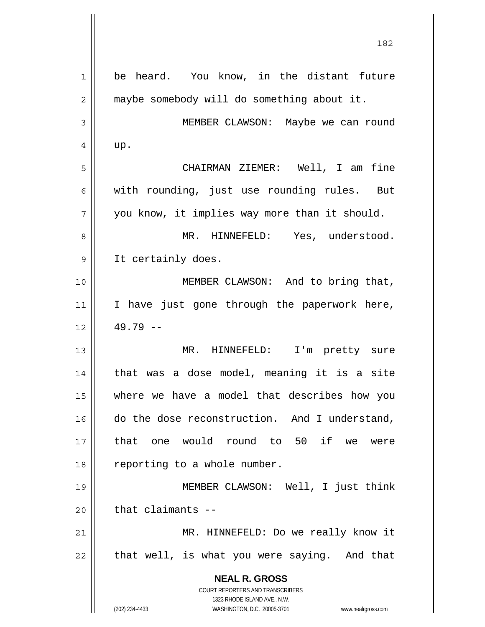|    | 182                                                                 |
|----|---------------------------------------------------------------------|
| 1  | be heard. You know, in the distant future                           |
| 2  | maybe somebody will do something about it.                          |
| 3  | MEMBER CLAWSON: Maybe we can round                                  |
| 4  | up.                                                                 |
| 5  | CHAIRMAN ZIEMER: Well, I am fine                                    |
| 6  | with rounding, just use rounding rules. But                         |
| 7  | you know, it implies way more than it should.                       |
| 8  | MR. HINNEFELD: Yes, understood.                                     |
| 9  | It certainly does.                                                  |
| 10 | MEMBER CLAWSON: And to bring that,                                  |
| 11 | I have just gone through the paperwork here,                        |
| 12 | $49.79 - -$                                                         |
| 13 | MR. HINNEFELD: I'm pretty sure                                      |
| 14 | that was a dose model, meaning it is a site                         |
| 15 | where we have a model that describes how you                        |
| 16 | do the dose reconstruction. And I understand,                       |
| 17 | that one would round to 50 if we were                               |
| 18 | reporting to a whole number.                                        |
| 19 | MEMBER CLAWSON: Well, I just think                                  |
| 20 | that claimants --                                                   |
| 21 | MR. HINNEFELD: Do we really know it                                 |
| 22 | that well, is what you were saying. And that                        |
|    | <b>NEAL R. GROSS</b><br>COURT REPORTERS AND TRANSCRIBERS            |
|    | 1323 RHODE ISLAND AVE., N.W.                                        |
|    | (202) 234-4433<br>WASHINGTON, D.C. 20005-3701<br>www.nealrgross.com |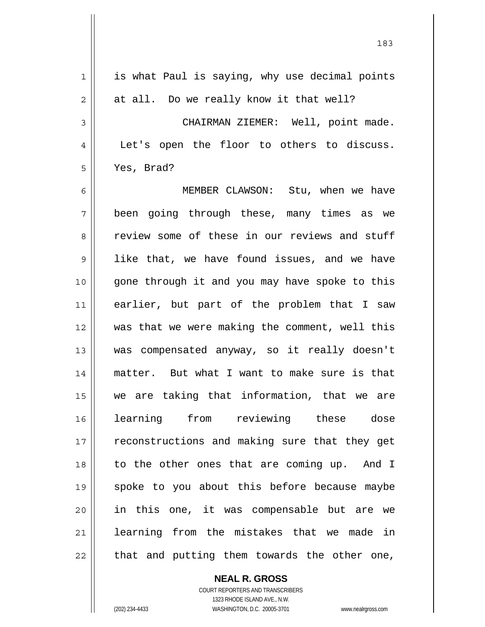| 1           | is what Paul is saying, why use decimal points |
|-------------|------------------------------------------------|
| 2           | at all. Do we really know it that well?        |
| 3           | CHAIRMAN ZIEMER: Well, point made.             |
| 4           | Let's open the floor to others to discuss.     |
| 5           | Yes, Brad?                                     |
| 6           | MEMBER CLAWSON: Stu, when we have              |
| 7           | been going through these, many times as we     |
| 8           | review some of these in our reviews and stuff  |
| $\mathsf 9$ | like that, we have found issues, and we have   |
| 10          | gone through it and you may have spoke to this |
| 11          | earlier, but part of the problem that I saw    |
| 12          | was that we were making the comment, well this |
| 13          | was compensated anyway, so it really doesn't   |
| 14          | matter. But what I want to make sure is that   |
| 15          | we are taking that information, that we are    |
| 16          | learning from reviewing these<br>dose          |
| 17          | reconstructions and making sure that they get  |
| 18          | to the other ones that are coming up. And I    |
| 19          | spoke to you about this before because maybe   |
| 20          | in this one, it was compensable but are we     |
| 21          | learning from the mistakes that we made in     |
| 22          | that and putting them towards the other one,   |

**NEAL R. GROSS** COURT REPORTERS AND TRANSCRIBERS

1323 RHODE ISLAND AVE., N.W.

(202) 234-4433 WASHINGTON, D.C. 20005-3701 www.nealrgross.com

183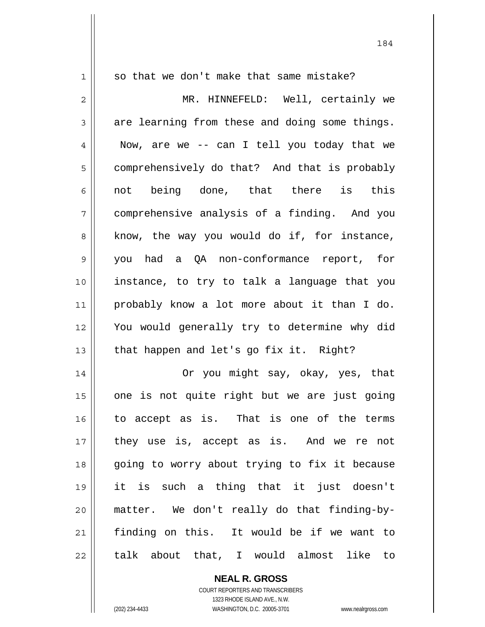1 2  $3 \parallel$  are learning from these and doing some things.  $4 \parallel$  Now, are we -- can I tell you today that we  $5 \parallel$  comprehensively do that? And that is probably 6 || not being done, that there is this  $7 \parallel$  comprehensive analysis of a finding. And you  $8 \parallel$  know, the way you would do if, for instance, 9 10  $11$  probably know a lot more about it than I do. 12 You would generally try to determine why did 13  $14$   $\parallel$  Or you might say, okay, yes, that 15 || one is not quite right but we are just going  $16 \parallel$  to accept as is. That is one of the terms 17 18  $19 \parallel$  it is such a thing that it just doesn't 20 matter. We don't really do that finding-by-21 finding on this. It would be if we want to  $22$  || talk about that, I would almost like to so that we don't make that same mistake? MR. HINNEFELD: Well, certainly we not being done, that there is you had a QA non-conformance report, for instance, to try to talk a language that you that happen and let's go fix it. Right? they use is, accept as is. And we re not going to worry about trying to fix it because

> **NEAL R. GROSS** COURT REPORTERS AND TRANSCRIBERS 1323 RHODE ISLAND AVE., N.W. (202) 234-4433 WASHINGTON, D.C. 20005-3701 www.nealrgross.com

184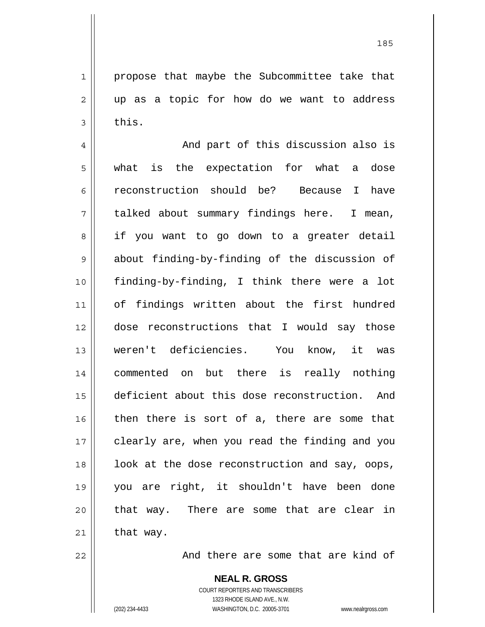1  $3 \parallel$  this. propose that maybe the Subcommittee take that up as a topic for how do we want to address

 $4 \parallel$  and part of this discussion also is  $5 \parallel$  what is the expectation for what a dose 6 || reconstruction should be? Because I have  $7 \parallel$  talked about summary findings here. I mean,  $8 \parallel$  if you want to go down to a greater detail 9 10  $11$  of findings written about the first hundred  $12 \parallel$  dose reconstructions that I would say those 13 || weren't deficiencies. You know, it was  $14$   $\vert$  commented on but there is really nothing 15 | deficient about this dose reconstruction. And  $16$  | then there is sort of a, there are some that 17 18 19 you are right, it shouldn't have been done 20 || that way. There are some that are clear in  $21$  that way. about finding-by-finding of the discussion of finding-by-finding, I think there were a lot clearly are, when you read the finding and you look at the dose reconstruction and say, oops,

2

22 || And there are some that are kind of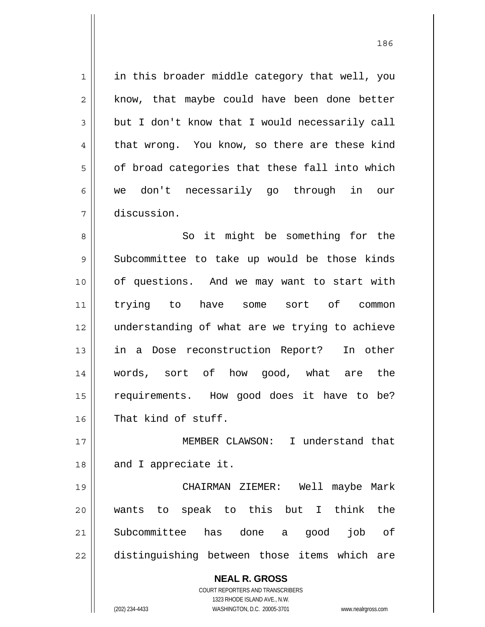1 2  $3 \parallel$  but I don't know that I would necessarily call  $4 \parallel$  that wrong. You know, so there are these kind  $5 \parallel$  of broad categories that these fall into which  $6 \parallel$  we don't necessarily go through in our  $7 \parallel$  discussion. in this broader middle category that well, you know, that maybe could have been done better

186

8 || So it might be something for the 9 10  $11$  | trying to have some sort of common  $12$  || understanding of what are we trying to achieve 13 || in a Dose reconstruction Report? In other  $14$  || words, sort of how good, what are the 15 || requirements. How good does it have to be?  $16$  || That kind of stuff. Subcommittee to take up would be those kinds of questions. And we may want to start with trying to have some sort of common words, sort of

17 18 MEMBER CLAWSON: I understand that and I appreciate it.

Mark CHAIRMAN ZIEMER: Well maybewants to speak to this but I think the Subcommittee has done a good job of 22 || distinguishing between those items which are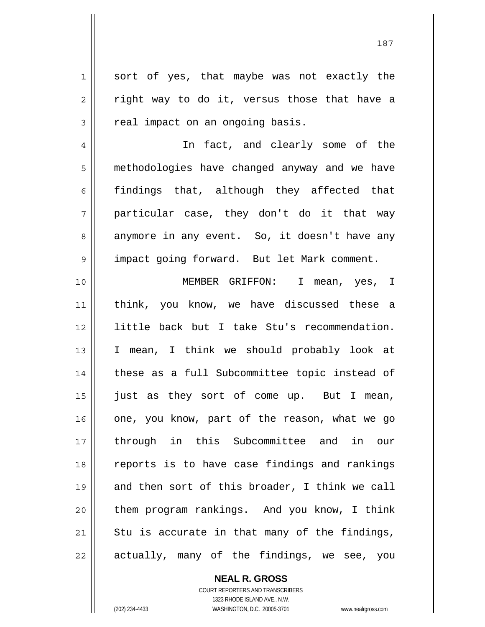$3 \parallel$  real impact on an ongoing basis. sort of yes, that maybe was not exactly the right way to do it, versus those that have a

 $4 \parallel$  In fact, and clearly some of the  $5 \parallel$  methodologies have changed anyway and we have 6  $\parallel$  findings that, although they affected that  $7 \parallel$  particular case, they don't do it that way  $8 \parallel$  anymore in any event. So, it doesn't have any 9 impact going forward. But let Mark comment.

10  $11$  | think, you know, we have discussed these a  $12 \parallel$  little back but I take Stu's recommendation.  $13 \parallel$  I mean, I think we should probably look at  $14$  | these as a full Subcommittee topic instead of  $15$  || just as they sort of come up. But I mean,  $16 \parallel$  one, you know, part of the reason, what we go 17 18 19  $\parallel$  and then sort of this broader, I think we call  $20$  || them program rankings. And you know, I think  $21$  Stu is accurate in that many of the findings,  $22$  || actually, many of the findings, we see, you MEMBER GRIFFON: I mean, yes, I through in this Subcommittee and in our reports is to have case findings and rankings

> **NEAL R. GROSS** COURT REPORTERS AND TRANSCRIBERS 1323 RHODE ISLAND AVE., N.W.

1

2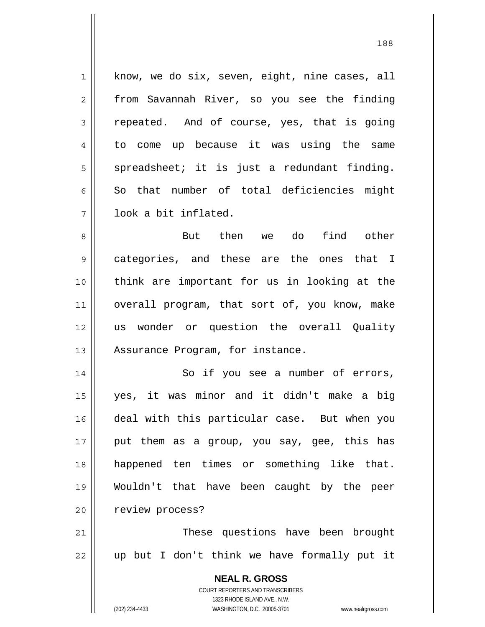1 2  $3 \parallel$  repeated. And of course, yes, that is going  $4 \parallel$  to come up because it was using the same  $5 \parallel$  spreadsheet; it is just a redundant finding. 6 So that number of total deficiencies might 7 know, we do six, seven, eight, nine cases, all from Savannah River, so you see the finding look a bit inflated.

8 || But then we do find other 9 10  $11$  | overall program, that sort of, you know, make 12 us wonder or question the overall Quality 13 But then we do find categories, and these are the ones that I think are important for us in looking at the Assurance Program, for instance.

 $14$   $\parallel$  So if you see a number of errors, 15 || yes, it was minor and it didn't make a big 16 || deal with this particular case. But when you 17 18 happened ten times or something like that.  $19 \parallel$  Wouldn't that have been caught by the peer 20 | review process? put them as a group, you say, gee, this has

21 || These questions have been brought 22 || up but I don't think we have formally put it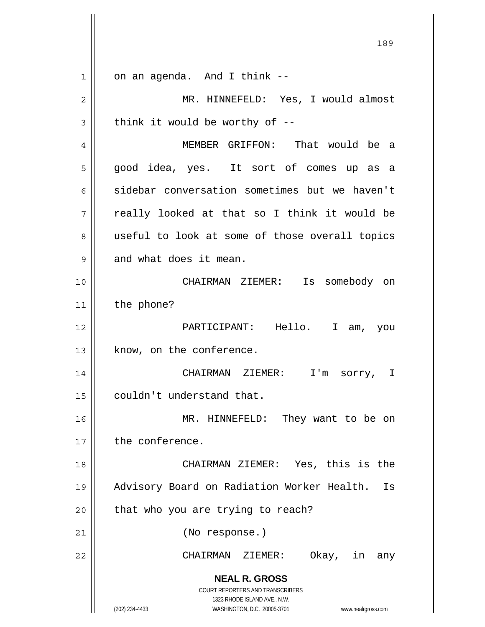**NEAL R. GROSS** COURT REPORTERS AND TRANSCRIBERS 1323 RHODE ISLAND AVE., N.W. (202) 234-4433 WASHINGTON, D.C. 20005-3701 www.nealrgross.com 189 1 2  $3 \parallel$  think it would be worthy of --4 || MEMBER GRIFFON: That would be a  $5 \parallel$  good idea, yes. It sort of comes up as a 6 | sidebar conversation sometimes but we haven't  $7 \parallel$  really looked at that so I think it would be  $8 \parallel$  useful to look at some of those overall topics 9 and what does it mean. 10 11 12 you PARTICIPANT: Hello. I am, 13  $\parallel$  know, on the conference. 14 || CHAIRMAN ZIEMER: I'm sorry, I  $15$  | couldn't understand that. 16 || MR. HINNEFELD: They want to be on 17 18 19 Advisory Board on Radiation Worker Health. Is  $20$  | that who you are trying to reach? 21 (No response.) 22 CHAIRMAN ZIEMER: Okay, in any on an agenda. And I think -- MR. HINNEFELD: Yes, I would almost CHAIRMAN ZIEMER: Is somebody on the phone? ZIEMER: the conference. CHAIRMAN ZIEMER: Yes, this is the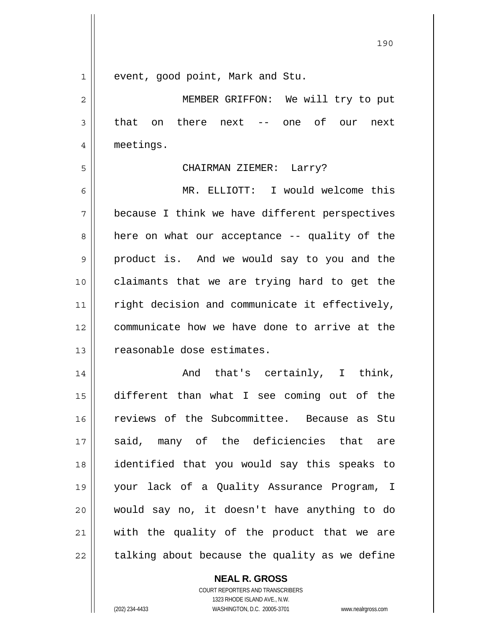| 4  |
|----|
| 5  |
| 6  |
| 7  |
| 8  |
| 9  |
| 10 |
| 11 |
| 12 |
| 13 |
| 14 |
| 15 |
| 16 |
| 17 |
| 18 |

1

2

event, good point, Mark and Stu.

 $3 \parallel$  that on there next -- one of our next  $4 \parallel$  meetings. MEMBER GRIFFON: We will try to put that

## CHAIRMAN ZIEMER: Larry?

6 || MR. ELLIOTT: I would welcome this  $7 \parallel$  because I think we have different perspectives  $8 \parallel$  here on what our acceptance -- quality of the 9 10  $11$   $\parallel$  right decision and communicate it effectively,  $12$ product is. And we would say to you and the claimants that we are trying hard to get the communicate how we have done to arrive at the reasonable dose estimates.

 $15$  || different than what I see coming out of the  $16$   $\vert$  reviews of the Subcommittee. Because as Stu 17 18 19 || your lack of a Quality Assurance Program, I 20 would say no, it doesn't have anything to do  $21$  with the quality of the product that we are  $22$  | talking about because the quality as we define And that's certainly, I think, said, many of the deficiencies that are identified that you would say this speaks to

## **NEAL R. GROSS**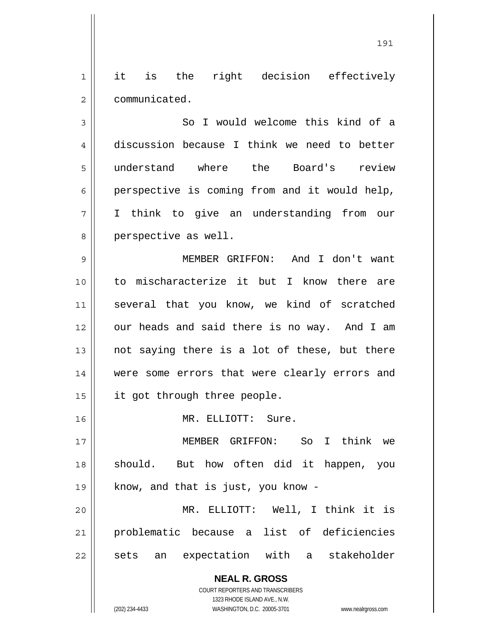1 2 ll communicated. it is the right decision effectively

3 of a So I would welcome this kind  $4 \parallel$  discussion because I think we need to better 5 || understand where the Board's review 6  $\parallel$  perspective is coming from and it would help,  $7 \parallel$  I think to give an understanding from our 8 || perspective as well.

9 10  $11$  several that you know, we kind of scratched  $12 \parallel$  our heads and said there is no way. And I am  $13$  || not saying there is a lot of these, but there 14 || were some errors that were clearly errors and  $15$  || it got through three people. MEMBER GRIFFON: And I don't want to mischaracterize it but I know there are

MR. ELLIOTT: Sure.

16

17 18 19 20 MR. ELLIOTT: Well, I think it is 21 problematic because a list of deficiencies MEMBER GRIFFON: So I think we should. But how often did it happen, you know, and that is just, you know -

22 || sets an expectation with a stakeholder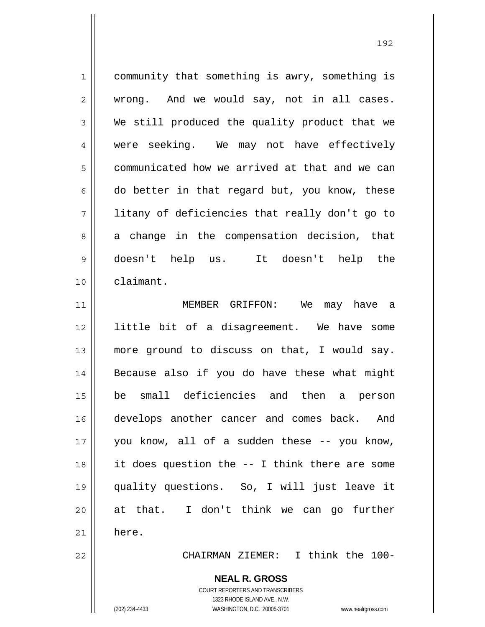| 1  | community that something is awry, something is                      |
|----|---------------------------------------------------------------------|
| 2  | wrong. And we would say, not in all cases.                          |
| 3  | We still produced the quality product that we                       |
| 4  | were seeking. We may not have effectively                           |
| 5  | communicated how we arrived at that and we can                      |
| 6  | do better in that regard but, you know, these                       |
| 7  | litany of deficiencies that really don't go to                      |
| 8  | a change in the compensation decision, that                         |
| 9  | doesn't help us. It doesn't help the                                |
| 10 | claimant.                                                           |
| 11 | MEMBER GRIFFON: We may have a                                       |
| 12 | little bit of a disagreement. We have some                          |
| 13 | more ground to discuss on that, I would say.                        |
| 14 | Because also if you do have these what might                        |
| 15 | be small deficiencies and then a<br>person                          |
| 16 | develops another cancer and comes back. And                         |
| 17 | you know, all of a sudden these -- you know,                        |
| 18 | it does question the -- I think there are some                      |
| 19 | quality questions. So, I will just leave it                         |
| 20 | at that. I don't think we can go further                            |
| 21 | here.                                                               |
| 22 | CHAIRMAN ZIEMER: I think the 100-                                   |
|    | <b>NEAL R. GROSS</b>                                                |
|    | <b>COURT REPORTERS AND TRANSCRIBERS</b>                             |
|    | 1323 RHODE ISLAND AVE., N.W.                                        |
|    | (202) 234-4433<br>WASHINGTON, D.C. 20005-3701<br>www.nealrgross.com |

192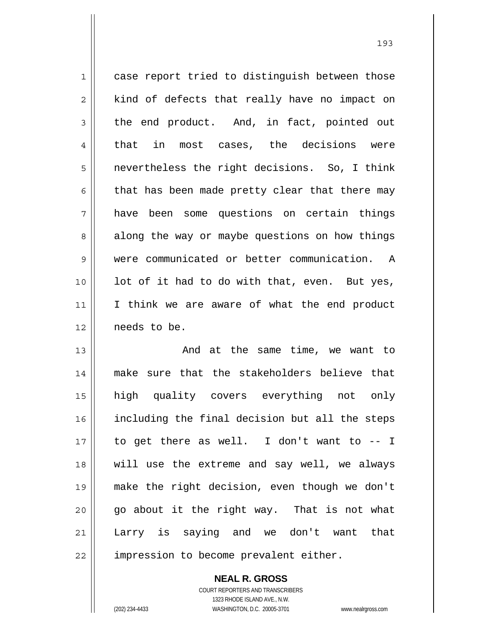1 2  $3 \parallel$  the end product. And, in fact, pointed out  $4 \parallel$  that in most cases, the decisions were  $5 \parallel$  nevertheless the right decisions. So, I think 6  $\parallel$  that has been made pretty clear that there may  $7 \parallel$  have been some questions on certain things 8 || along the way or maybe questions on how things 9 10 11 || I think we are aware of what the end product 12  $13$   $\parallel$  and at the same time, we want to  $14$   $\parallel$  make sure that the stakeholders believe that  $15$  || high quality covers everything not only  $16 \parallel$  including the final decision but all the steps 17 18  $19 \parallel$  make the right decision, even though we don't case report tried to distinguish between those kind of defects that really have no impact on were communicated or better communication. A lot of it had to do with that, even. But yes, needs to be. to get there as well. I don't want to -- I will use the extreme and say well, we always

 $20$  || go about it the right way. That is not what 21 Larry is saying and we don't want that 22 || impression to become prevalent either.

> **NEAL R. GROSS** COURT REPORTERS AND TRANSCRIBERS 1323 RHODE ISLAND AVE., N.W. (202) 234-4433 WASHINGTON, D.C. 20005-3701 www.nealrgross.com

193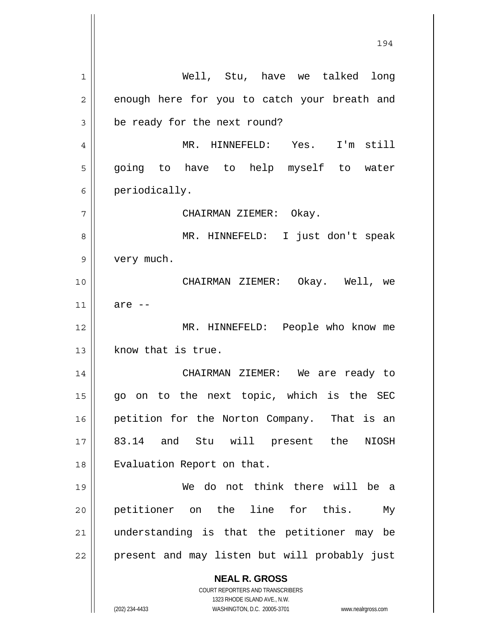**NEAL R. GROSS** COURT REPORTERS AND TRANSCRIBERS 1323 RHODE ISLAND AVE., N.W. 1 2  $3 \parallel$  be ready for the next round? 4 till MR. HINNEFELD: Yes. I'm s  $5 \parallel$  going to have to help myself to water 6  $\parallel$  periodically. 7 8 MR. HINNEFELD: I just don't speak 9 | very much. 10 11 12 || MR. HINNEFELD: People who know me 13 14 dy to CHAIRMAN ZIEMER: We are rea  $15 \parallel$  go on to the next topic, which is the SEC  $16$  | petition for the Norton Company. That is an 17 83.14 and Stu will present the NIOSH 18  $19 \parallel$  We do not think there will be a 20 || petitioner on the line for this. My 21 understanding is that the petitioner may be 22 || present and may listen but will probably just Well, Stu, have we talked long enough here for you to catch your breath and going to CHAIRMAN ZIEMER: Okay. CHAIRMAN ZIEMER: Okay. Well, we are - know that is true. Evaluation Report on that.

194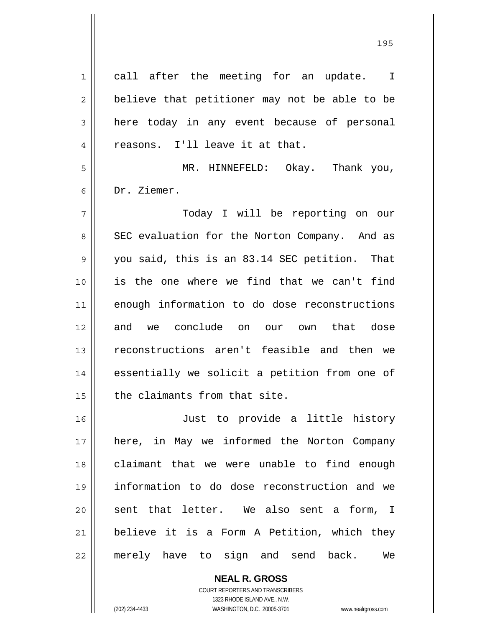1 2  $3 \parallel$  here today in any event because of personal 4 || reasons. 5 MR. HINNEFELD: Okay. Thank you, 6  $\parallel$  Dr. Ziemer. 7 || Today I will be reporting on our 8 SEC evaluation for the Norton Company. And as 9 10 11 || enough information to do dose reconstructions  $12 \parallel$  and we conclude on our own that dose  $13$  || reconstructions aren't feasible and then we 14 || essentially we solicit a petition from one of 15 16 || Just to provide a little history 17 18  $19 \parallel$  information to do dose reconstruction and we  $20$  sent that letter. We also sent a form, I 21 believe it is a Form A Petition, which they 22 merely have to sign and send back. We call after the meeting for an update. I believe that petitioner may not be able to be I'll leave it at that. you said, this is an 83.14 SEC petition. That is the one where we find that we can't find the claimants from that site. here, in May we informed the Norton Company claimant that we were unable to find enough

> **NEAL R. GROSS** COURT REPORTERS AND TRANSCRIBERS

> > 1323 RHODE ISLAND AVE., N.W.

(202) 234-4433 WASHINGTON, D.C. 20005-3701 www.nealrgross.com

<u>195</u>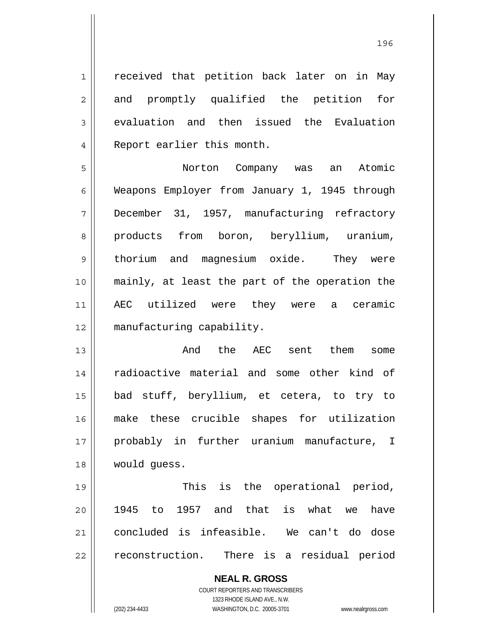$3 \parallel$  evaluation and then issued the Evaluation received that petition back later on in May and promptly qualified the petition for Report earlier this month.

1

2

4

<u>1962 - Johann Amerikaanse konstantine (</u>

5 || Norton Company was an Atomic 6 || Weapons Employer from January 1, 1945 through  $7 \parallel$  December 31, 1957, manufacturing refractory 8 || products from boron, beryllium, uranium, 9 10  $11$  || AEC utilized were they were a ceramic 12 thorium and magnesium oxide. They were mainly, at least the part of the operation the manufacturing capability.

13 some  $14$   $\parallel$  radioactive material and some other kind of  $15$  || bad stuff, beryllium, et cetera, to try to  $16$   $\parallel$  make these crucible shapes for utilization 17 probably in further uranium manufacture, I 18 And the AEC sent them would guess.

 $19 \parallel$  This is the operational period,  $20$  || 1945 to 1957 and that is what we have 21 concluded is infeasible. We can't do dose 22 || reconstruction. There is a residual period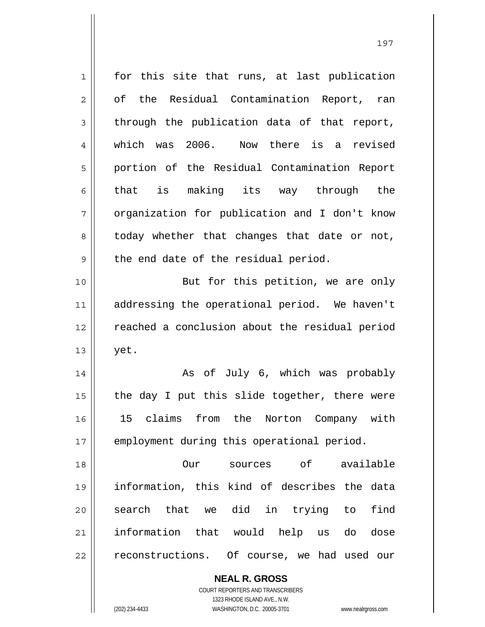| $\mathbf 1$ | for this site that runs, at last publication   |
|-------------|------------------------------------------------|
| 2           | of the Residual Contamination Report, ran      |
| 3           | through the publication data of that report,   |
| 4           | which was 2006. Now there is a revised         |
| 5           | portion of the Residual Contamination Report   |
| 6           | that is making its way through the             |
| 7           | organization for publication and I don't know  |
| 8           | today whether that changes that date or not,   |
| 9           | the end date of the residual period.           |
| 10          | But for this petition, we are only             |
| 11          | addressing the operational period. We haven't  |
| 12          | reached a conclusion about the residual period |
| 13          | yet.                                           |
| 14          | As of July 6, which was probably               |
| 15          | the day I put this slide together, there were  |
| 16          | claims from the<br>Norton Company with<br>15   |
| 17          | employment during this operational period.     |
| 18          | of available<br>Our<br>sources                 |
| 19          | information, this kind of describes the data   |
| 20          | search that we did in trying to<br>find        |
| 21          | information that would help us<br>do<br>dose   |
| 22          | reconstructions. Of course, we had used our    |
|             | <b>NEAL R. GROSS</b>                           |

COURT REPORTERS AND TRANSCRIBERS 1323 RHODE ISLAND AVE., N.W.

 $\prod$ 

 $\mathsf{I}$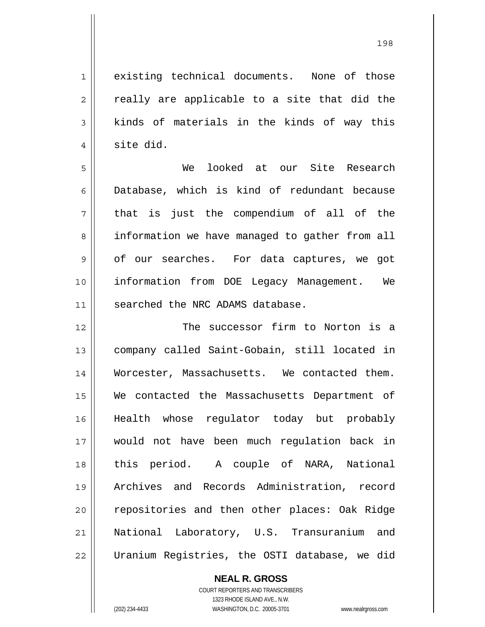1 2  $3 \parallel$  kinds of materials in the kinds of way this  $4 \parallel$  site did. existing technical documents. None of those really are applicable to a site that did the

5 earch We looked at our Site Res  $6 \parallel$  Database, which is kind of redundant because  $7 \parallel$  that is just the compendium of all of the  $8 \parallel$  information we have managed to gather from all 9 10 information from DOE Legacy Management. We 11 of our searches. For data captures, we got searched the NRC ADAMS database.

12 is a The successor firm to Norton  $13 \parallel$  company called Saint-Gobain, still located in  $14$   $\parallel$  Worcester, Massachusetts. We contacted them.  $15$   $\parallel$  We contacted the Massachusetts Department of  $16 \parallel$  Health whose regulator today but probably 17 18 19 || Archives and Records Administration, record 20 || repositories and then other places: Oak Ridge 21 National Laboratory, U.S. Transuranium and 22 | Uranium Registries, the OSTI database, we did would not have been much regulation back in this period. A couple of NARA, National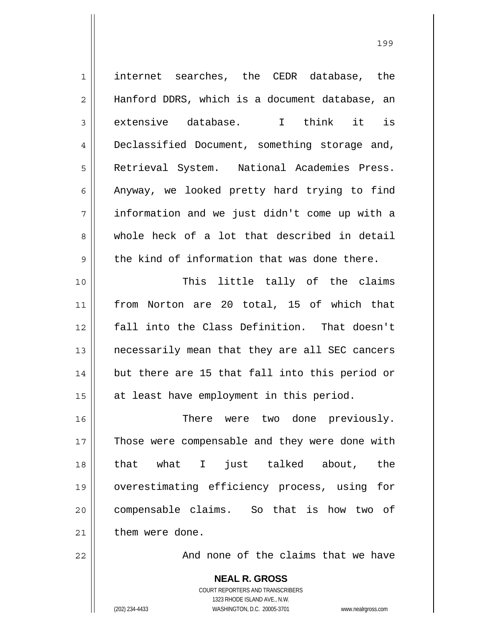| $\mathbf 1$    | internet searches, the CEDR database, the       |
|----------------|-------------------------------------------------|
| $\overline{2}$ | Hanford DDRS, which is a document database, an  |
| $\mathfrak{Z}$ | extensive database. I think it is               |
| $\overline{4}$ | Declassified Document, something storage and,   |
| 5              | Retrieval System. National Academies Press.     |
| 6              | Anyway, we looked pretty hard trying to find    |
| 7              | information and we just didn't come up with a   |
| 8              | whole heck of a lot that described in detail    |
| 9              | the kind of information that was done there.    |
| 10             | This little tally of the claims                 |
| 11             | from Norton are 20 total, 15 of which that      |
| 12             | fall into the Class Definition. That doesn't    |
| 13             | necessarily mean that they are all SEC cancers  |
| 14             | but there are 15 that fall into this period or  |
| 15             | at least have employment in this period.        |
| 16             | There were two done previously.                 |
| 17             | Those were compensable and they were done with  |
| 18             | that what I just talked about,<br>the           |
| 19             | overestimating efficiency process, using<br>for |
| 20             | compensable claims. So that is how two of       |
| 21             | them were done.                                 |
| 22             | And none of the claims that we have             |

199

**NEAL R. GROSS** COURT REPORTERS AND TRANSCRIBERS 1323 RHODE ISLAND AVE., N.W. (202) 234-4433 WASHINGTON, D.C. 20005-3701 www.nealrgross.com

 $\mathbf{I}$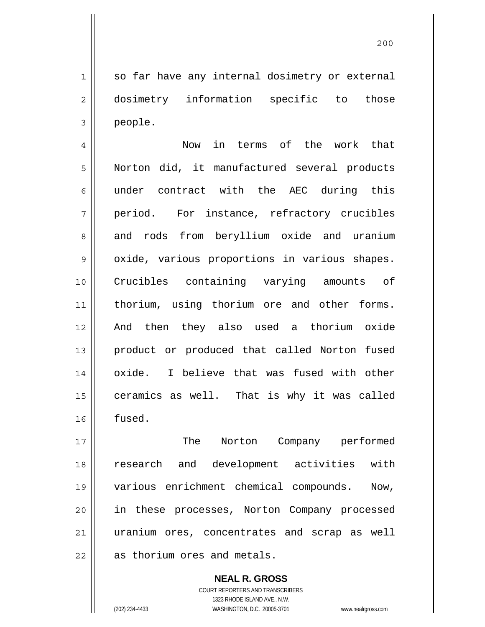1 2 3 people. so far have any internal dosimetry or external dosimetry information specific to those

4 that Now in terms of the work  $5 \parallel$  Norton did, it manufactured several products  $6 \parallel$  under contract with the AEC during this  $7 \parallel$  period. For instance, refractory crucibles 8 and rods from beryllium oxide and uranium 9 10  $11$  | thorium, using thorium ore and other forms.  $12 \parallel$  And then they also used a thorium oxide  $13$  || product or produced that called Norton fused  $14$   $\parallel$  oxide. I believe that was fused with other  $15$   $\parallel$  ceramics as well. That is why it was called 16 oxide, various proportions in various shapes. Crucibles containing varying amounts of oxide fused.

17 18 19 || various enrichment chemical compounds. Now, 20 in these processes, Norton Company processed 21 uranium ores, concentrates and scrap as well  $22$  | as thorium ores and metals. The Norton Company performed research and development activities with

> COURT REPORTERS AND TRANSCRIBERS 1323 RHODE ISLAND AVE., N.W. (202) 234-4433 WASHINGTON, D.C. 20005-3701 www.nealrgross.com

**NEAL R. GROSS**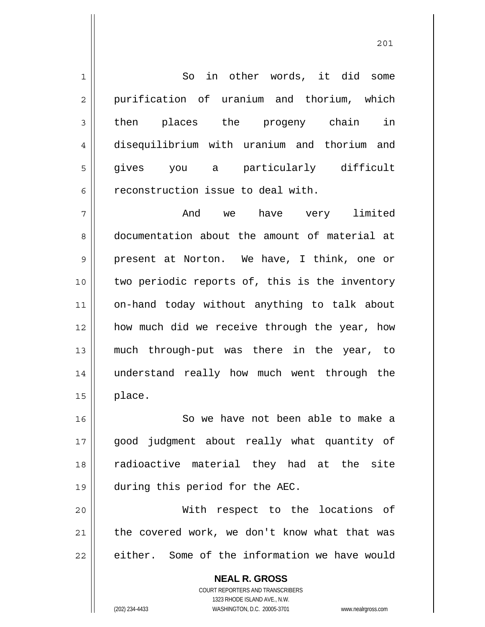1 2  $3 \parallel$  then places the progeny chain in  $4 \parallel$  disequilibrium with uranium and thorium and  $5 \parallel$  gives you a particularly difficult 6 7 imited So in other words, it did some purification of uranium and thorium, which reconstruction issue to deal with. very

 $8 \parallel$  documentation about the amount of material at 9 10  $11$  | on-hand today without anything to talk about  $12 \parallel$  how much did we receive through the year, how  $13$   $\parallel$  much through-put was there in the year, to 14 understand really how much went through the 15 present at Norton. We have, I think, one or two periodic reports of, this is the inventory place.

16 || So we have not been able to make a 17 18 19 good judgment about really what quantity of radioactive material they had at the site during this period for the AEC.

20 With respect to the locations of 21 || the covered work, we don't know what that was  $22$   $\parallel$  either. Some of the information we have would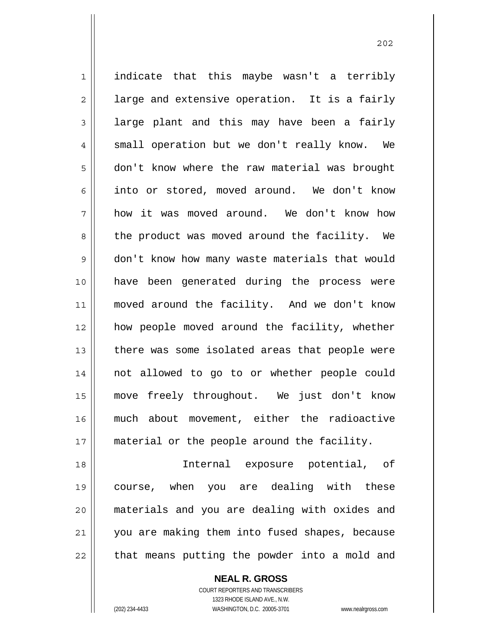1 2  $3 \parallel$  large plant and this may have been a fairly  $4 \parallel$  small operation but we don't really know. We  $5 \parallel$  don't know where the raw material was brought  $6 \parallel$  into or stored, moved around. We don't know  $7 \parallel$  how it was moved around. We don't know how  $8 \parallel$  the product was moved around the facility. We 9 10  $11$  | moved around the facility. And we don't know  $12 \parallel$  how people moved around the facility, whether  $13$   $\parallel$  there was some isolated areas that people were  $14$  | not allowed to go to or whether people could 15 || move freely throughout. We just don't know 16 17 18 || Internal exposure potential, of indicate that this maybe wasn't a terribly large and extensive operation. It is a fairly don't know how many waste materials that would have been generated during the process were much about movement, either the radioactive material or the people around the facility.

202

 $19 \parallel$  course, when you are dealing with these materials and you are dealing with oxides and you are making them into fused shapes, because || that means putting the powder into a mold and

> COURT REPORTERS AND TRANSCRIBERS 1323 RHODE ISLAND AVE., N.W. (202) 234-4433 WASHINGTON, D.C. 20005-3701 www.nealrgross.com

**NEAL R. GROSS**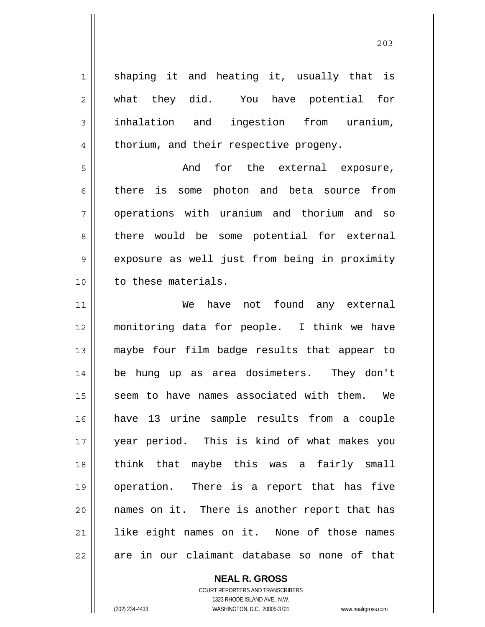1 2  $3 \parallel$  inhalation and ingestion from uranium,  $4 \parallel$  thorium, and their respective progeny.  $5 \parallel$  and for the external exposure,  $6 \parallel$  there is some photon and beta source from  $7 \parallel$  operations with uranium and thorium and so  $8 \parallel$  there would be some potential for external 9 10  $11$   $\parallel$  We have not found any external 12 || monitoring data for people. I think we have  $13$  || maybe four film badge results that appear to  $14 \parallel$  be hung up as area dosimeters. They don't  $15$   $\parallel$  seem to have names associated with them. We  $16 \parallel$  have 13 urine sample results from a couple 17 18  $19 \parallel$  operation. There is a report that has five 20 names on it. There is another report that has 21 || like eight names on it. None of those names  $22$  are in our claimant database so none of that shaping it and heating it, usually that is what they did. You have potential for ingestion exposure as well just from being in proximity to these materials. year period. This is kind of what makes you think that maybe this was a fairly small

203

**NEAL R. GROSS**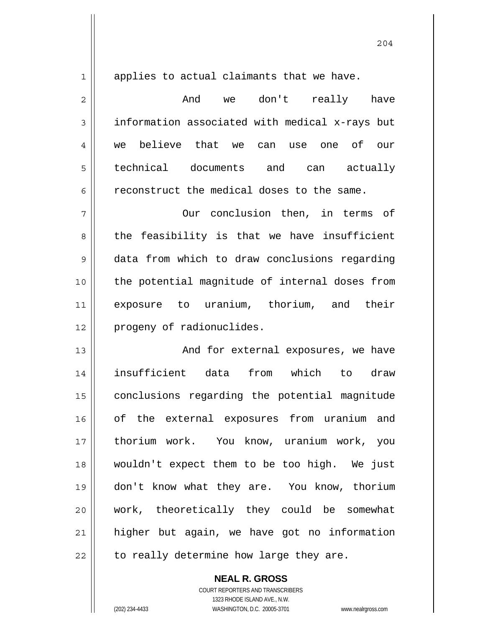204

1 2  $3 \parallel$  information associated with medical x-rays but  $4 \parallel$  we believe that we can use one of our  $5 \parallel$  technical documents and can actually  $6 \parallel$  reconstruct the medical doses to the same.  $7 \parallel$  Our conclusion then, in terms of  $8 \parallel$  the feasibility is that we have insufficient 9 10 11 exposure to uranium, thorium, and their 12 13 have And for external exposures, we 14 || insufficient data from which to draw  $15$   $\vert$  conclusions regarding the potential magnitude 16 || of the external exposures from uranium and 17 18 19 || don't know what they are. You know, thorium 20 work, theoretically they could be somewhat  $21$  higher but again, we have got no information  $22$  | to really determine how large they are. applies to actual claimants that we have. And we don't really have data from which to draw conclusions regarding the potential magnitude of internal doses from progeny of radionuclides. thorium work. You know, uranium work, you wouldn't expect them to be too high. We just

> COURT REPORTERS AND TRANSCRIBERS 1323 RHODE ISLAND AVE., N.W. (202) 234-4433 WASHINGTON, D.C. 20005-3701 www.nealrgross.com

**NEAL R. GROSS**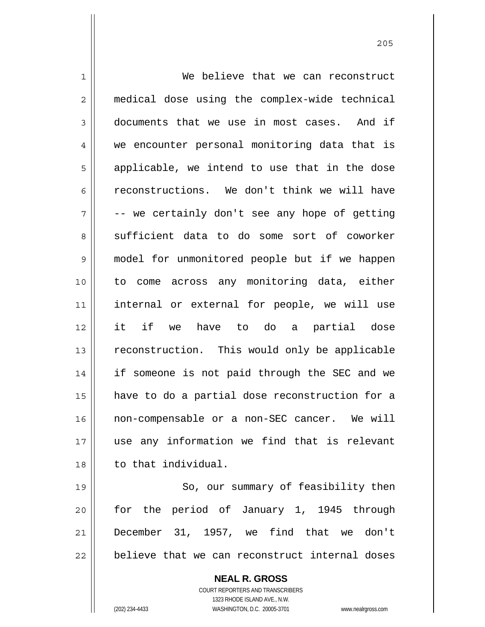| $\mathbf 1$    | We believe that we can reconstruct             |
|----------------|------------------------------------------------|
| $\overline{2}$ | medical dose using the complex-wide technical  |
| 3              | documents that we use in most cases. And if    |
| 4              | we encounter personal monitoring data that is  |
| 5              | applicable, we intend to use that in the dose  |
| 6              | reconstructions. We don't think we will have   |
| 7              | -- we certainly don't see any hope of getting  |
| 8              | sufficient data to do some sort of coworker    |
| 9              | model for unmonitored people but if we happen  |
| 10             | to come across any monitoring data, either     |
| 11             | internal or external for people, we will use   |
| 12             | it if we have to do a partial dose             |
| 13             | reconstruction. This would only be applicable  |
| 14             | if someone is not paid through the SEC and we  |
| 15             | have to do a partial dose reconstruction for a |
| 16             | non-compensable or a non-SEC cancer. We will   |
| 17             | use any information we find that is relevant   |
| 18             | to that individual.                            |
| 19             | So, our summary of feasibility then            |
| 20             | for the period of January 1, 1945 through      |
| 21             | December 31, 1957, we find that we don't       |
| 22             | believe that we can reconstruct internal doses |

**NEAL R. GROSS** COURT REPORTERS AND TRANSCRIBERS 1323 RHODE ISLAND AVE., N.W.

 $\mathsf{II}$ 

(202) 234-4433 WASHINGTON, D.C. 20005-3701 www.nealrgross.com

<u>205</u>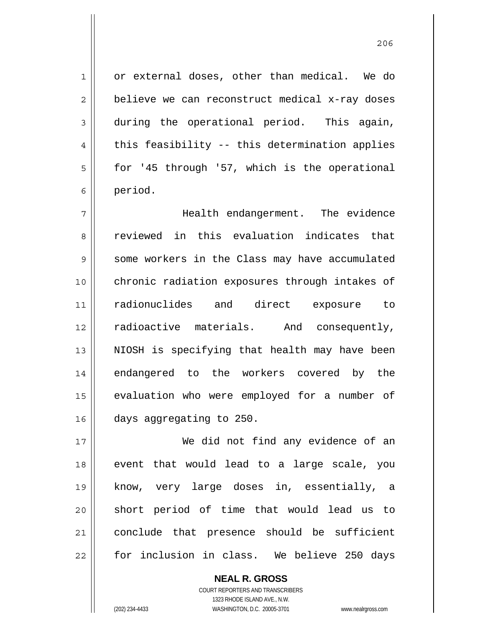$3 \parallel$  during the operational period. This again,  $4 \parallel$  this feasibility -- this determination applies  $5 \parallel$  for '45 through '57, which is the operational 6 period. or external doses, other than medical. We do believe we can reconstruct medical x-ray doses

1

2

7 dence Health endangerment. The evi  $8 \parallel$  reviewed in this evaluation indicates that 9 10 11 || radionuclides and direct exposure to  $12$  | radioactive materials. And consequently,  $13$  || NIOSH is specifying that health may have been  $14$   $\vert$  endangered to the workers covered by the 15 || evaluation who were employed for a number of 16 some workers in the Class may have accumulated chronic radiation exposures through intakes of days aggregating to 250.

17 18 19 || know, very large doses in, essentially, a 20 || short period of time that would lead us to 21 conclude that presence should be sufficient 22 || for inclusion in class. We believe 250 days We did not find any evidence of an event that would lead to a large scale, you

> COURT REPORTERS AND TRANSCRIBERS 1323 RHODE ISLAND AVE., N.W. (202) 234-4433 WASHINGTON, D.C. 20005-3701 www.nealrgross.com

**NEAL R. GROSS**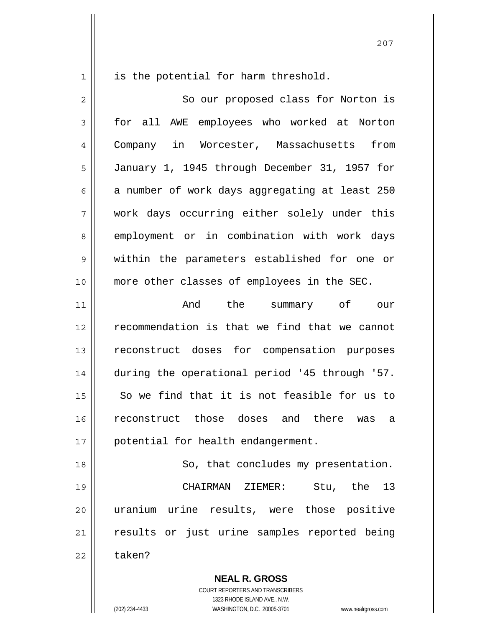1

is the potential for harm threshold.

| 2  | So our proposed class for Norton is            |
|----|------------------------------------------------|
| 3  | for all AWE employees who worked at Norton     |
| 4  | Company in Worcester, Massachusetts<br>from    |
| 5  | January 1, 1945 through December 31, 1957 for  |
| 6  | a number of work days aggregating at least 250 |
| 7  | work days occurring either solely under this   |
| 8  | employment or in combination with work days    |
| 9  | within the parameters established for one or   |
| 10 | more other classes of employees in the SEC.    |
| 11 | And the summary of our                         |
| 12 | recommendation is that we find that we cannot  |
| 13 | reconstruct doses for compensation purposes    |
| 14 | during the operational period '45 through '57. |
| 15 | So we find that it is not feasible for us to   |
| 16 | reconstruct those doses and there was<br>а     |
| 17 | potential for health endangerment.             |
| 18 | So, that concludes my presentation.            |
| 19 | CHAIRMAN ZIEMER: Stu, the 13                   |
| 20 | uranium urine results, were those positive     |
| 21 | results or just urine samples reported being   |

 $22$  taken?

**NEAL R. GROSS** COURT REPORTERS AND TRANSCRIBERS

1323 RHODE ISLAND AVE., N.W.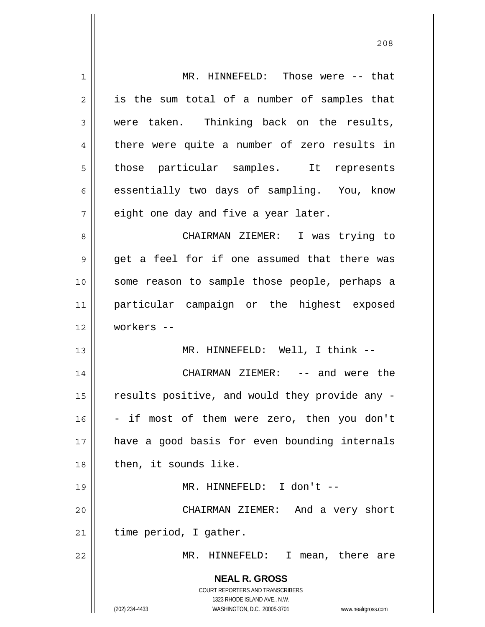| $\mathbf 1$    | MR. HINNEFELD: Those were -- that                                   |
|----------------|---------------------------------------------------------------------|
| $\overline{2}$ | is the sum total of a number of samples that                        |
| 3              | were taken. Thinking back on the results,                           |
| 4              | there were quite a number of zero results in                        |
| 5              | those particular samples. It represents                             |
| 6              | essentially two days of sampling. You, know                         |
| 7              | eight one day and five a year later.                                |
| 8              | CHAIRMAN ZIEMER: I was trying to                                    |
| 9              | get a feel for if one assumed that there was                        |
| 10             | some reason to sample those people, perhaps a                       |
| 11             | particular campaign or the highest exposed                          |
| 12             | workers --                                                          |
| 13             | MR. HINNEFELD: Well, I think --                                     |
| 14             | CHAIRMAN ZIEMER: -- and were the                                    |
| 15             | results positive, and would they provide any -                      |
| 16             | if most of them were zero, then you don't                           |
| 17             | have a good basis for even bounding internals                       |
| 18             | then, it sounds like.                                               |
| 19             | MR. HINNEFELD: I don't --                                           |
| 20             | CHAIRMAN ZIEMER: And a very short                                   |
| 21             | time period, I gather.                                              |
| 22             | MR. HINNEFELD:<br>I mean, there are                                 |
|                |                                                                     |
|                | <b>NEAL R. GROSS</b><br>COURT REPORTERS AND TRANSCRIBERS            |
|                | 1323 RHODE ISLAND AVE., N.W.                                        |
|                | (202) 234-4433<br>WASHINGTON, D.C. 20005-3701<br>www.nealrgross.com |

<u>208</u>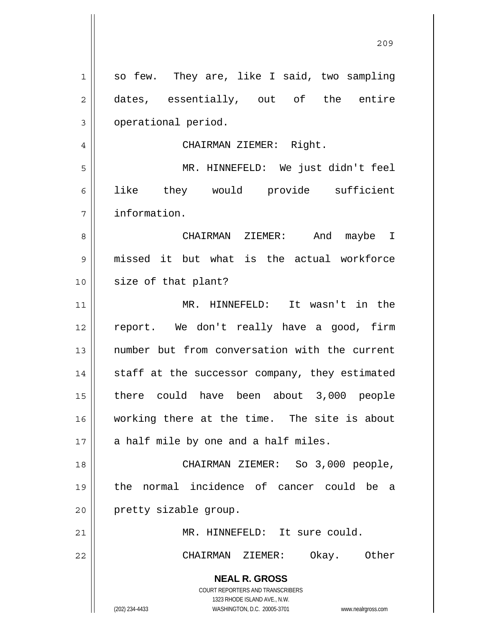**NEAL R. GROSS** COURT REPORTERS AND TRANSCRIBERS 1323 RHODE ISLAND AVE., N.W. (202) 234-4433 WASHINGTON, D.C. 20005-3701 www.nealrgross.com 1 2  $3 \parallel$  operational period. 4 5 || MR. HINNEFELD: We just didn't feel  $6 \parallel$  like they would provide sufficient  $7 \parallel$  information. 8 be I CHAIRMAN ZIEMER: And may 9 10 11 || MR. HINNEFELD: It wasn't in the  $12 \parallel$  report. We don't really have a good, firm  $13$  || number but from conversation with the current  $14$  || staff at the successor company, they estimated 15 || there could have been about 3,000 people 16 working there at the time. The site is about 17 18 19 the normal incidence of cancer could be a 20 || pretty sizable group. 21 MR. HINNEFELD: It sure could. 22 CHAIRMAN ZIEMER: Okay. Other so few. They are, like I said, two sampling dates, essentially, out of the entire CHAIRMAN ZIEMER: Right. like missed it but what is the actual workforce size of that plant? a half mile by one and a half miles. CHAIRMAN ZIEMER: So 3,000 people,

проставление производите в село в 1992 године в 209<br>209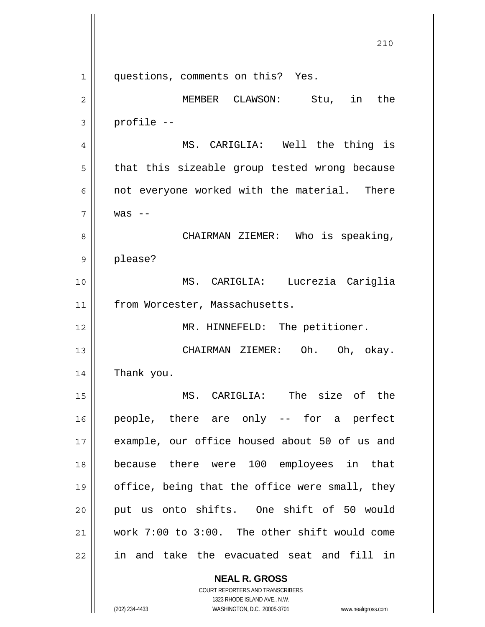<u>210</u> 1 2 MEMBER CLAWSON: Stu, in the  $3 \parallel$  profile --4 || MS. CARIGLIA: Well the thing is  $5 \parallel$  that this sizeable group tested wrong because 6  $\parallel$  not everyone worked with the material. There  $7 \parallel$  was  $-$ 8 CHAIRMAN ZIEMER: Who is speaking, 9 please? 10 11 | from Worcester, Massachusetts. 12 || MR. HINNEFELD: The petitioner. 13 okay. CHAIRMAN ZIEMER: Oh. Oh, 14 15 f the MS. CARIGLIA: The size o  $16 \parallel$  people, there are only -- for a perfect 17 18  $19 \parallel$  office, being that the office were small, they 20 put us onto shifts. One shift of 50 would 21 work 7:00 to 3:00. The other shift would come 22 || in and take the evacuated seat and fill in questions, comments on this? Yes. MS. CARIGLIA: MS. CARIGLIA: Lucrezia Cariglia Thank you. example, our office housed about 50 of us and because there were 100 employees in that

> **NEAL R. GROSS** COURT REPORTERS AND TRANSCRIBERS

> > 1323 RHODE ISLAND AVE., N.W.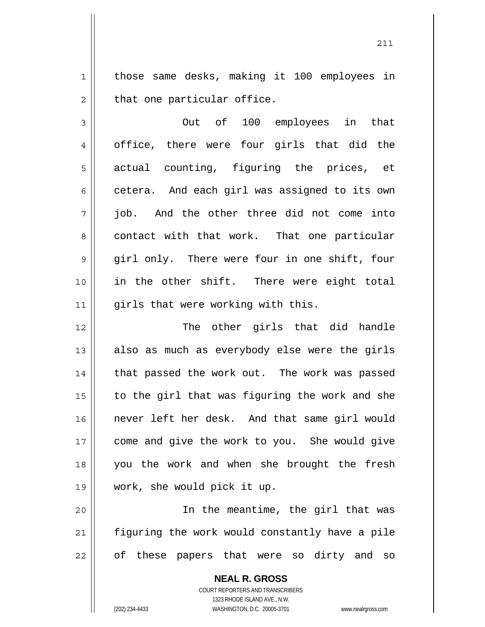1  $2 \parallel$  that one particular office. those same desks, making it 100 employees in

3 that Out of 100 employees in  $4 \parallel$  office, there were four girls that did the  $5\parallel$  actual counting, figuring the prices, et 6  $\parallel$  cetera. And each girl was assigned to its own  $7 \parallel$  job. And the other three did not come into  $8 \parallel$  contact with that work. That one particular 9 10 in the other shift. There were eight total 11 girl only. There were four in one shift, four girls that were working with this.

 $12$   $\parallel$  The other girls that did handle  $13 \parallel$  also as much as everybody else were the girls  $14$  | that passed the work out. The work was passed  $15$   $\parallel$  to the girl that was figuring the work and she  $16 \parallel$  never left her desk. And that same girl would 17 18 19 come and give the work to you. She would give you the work and when she brought the fresh work, she would pick it up.

20 In the meantime, the girl that was 21 figuring the work would constantly have a pile 22 || of these papers that were so dirty and so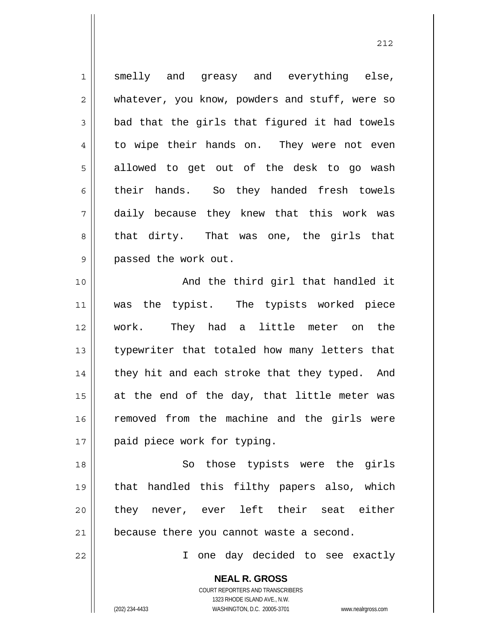1 2  $3 \parallel$  bad that the girls that figured it had towels  $4 \parallel$  to wipe their hands on. They were not even  $5 \parallel$  allowed to get out of the desk to go wash  $6 \parallel$  their hands. So they handed fresh towels  $7 \parallel$  daily because they knew that this work was  $8 \parallel$  that dirty. That was one, the girls that 9 passed the work out. 10  $11$  | was the typist. The typists worked piece  $12 \parallel$  work. They had a little meter on the smelly and greasy and everything else, whatever, you know, powders and stuff, were so And the third girl that handled it

 $13$  || typewriter that totaled how many letters that  $14$  | they hit and each stroke that they typed. And 15  $\parallel$  at the end of the day, that little meter was 16 || removed from the machine and the girls were 17 paid piece work for typing.

18 || So those typists were the girls 19 that handled this filthy papers also, which 20 they never, ever left their seat either 21 | because there you cannot waste a second.

22 I one day decided to see exactly

**NEAL R. GROSS** COURT REPORTERS AND TRANSCRIBERS 1323 RHODE ISLAND AVE., N.W.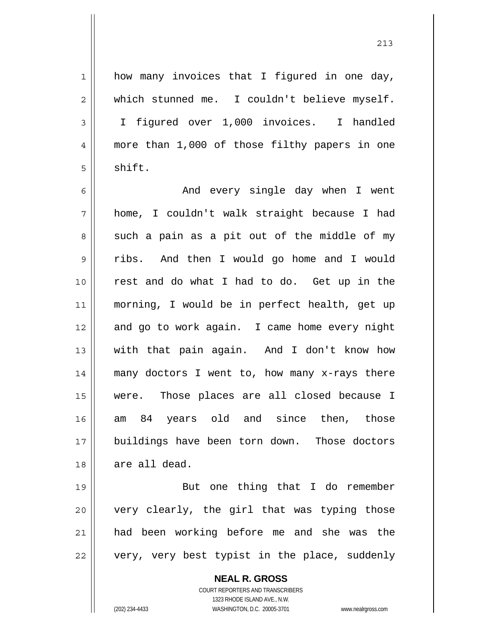$3 \parallel$  I figured over 1,000 invoices. I handled  $4 \parallel$  more than 1,000 of those filthy papers in one  $5 \parallel$  shift. how many invoices that I figured in one day, which stunned me. I couldn't believe myself.

 $6 \parallel$  and every single day when I went  $7 \parallel$  home, I couldn't walk straight because I had  $8 \parallel$  such a pain as a pit out of the middle of my 9 10  $11$   $\parallel$  morning, I would be in perfect health, get up  $12 \parallel$  and go to work again. I came home every night 13  $\parallel$  with that pain again. And I don't know how  $14$  | many doctors I went to, how many x-rays there  $15$  || were. Those places are all closed because I  $16$  am 84 years old and since then, those 17 buildings have been torn down. Those doctors 18 ribs. And then I would go home and I would rest and do what I had to do. Get up in the 84 are all dead.

19 || But one thing that I do remember  $20$  || very clearly, the girl that was typing those 21 had been working before me and she was the 22 || very, very best typist in the place, suddenly

> **NEAL R. GROSS** COURT REPORTERS AND TRANSCRIBERS 1323 RHODE ISLAND AVE., N.W. (202) 234-4433 WASHINGTON, D.C. 20005-3701 www.nealrgross.com

1

2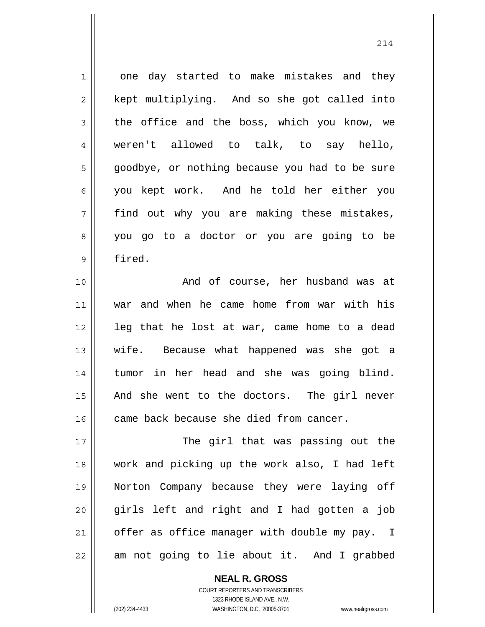1 2  $3 \parallel$  the office and the boss, which you know, we  $4 \parallel$  weren't allowed to talk, to say hello,  $5 \parallel$  goodbye, or nothing because you had to be sure 6 $\parallel$  you kept work. And he told her either you  $7 \parallel$  find out why you are making these mistakes,  $8 \parallel$  you go to a doctor or you are going to be 9 fired. one day started to make mistakes and they kept multiplying. And so she got called into

10  $11$  | war and when he came home from war with his  $12 \parallel$  leg that he lost at war, came home to a dead  $13 \parallel$  wife. Because what happened was she got a  $14$   $\parallel$  tumor in her head and she was going blind. 15 And she went to the doctors. The girl never 16 And of course, her husband was at came back because she died from cancer.

17 18  $19 \parallel$  Norton Company because they were laying off  $20$  girls left and right and I had gotten a job 21  $\parallel$  offer as office manager with double my pay. I  $22$  || am not going to lie about it. And I grabbed The girl that was passing out the work and picking up the work also, I had left

> COURT REPORTERS AND TRANSCRIBERS 1323 RHODE ISLAND AVE., N.W. (202) 234-4433 WASHINGTON, D.C. 20005-3701 www.nealrgross.com

**NEAL R. GROSS**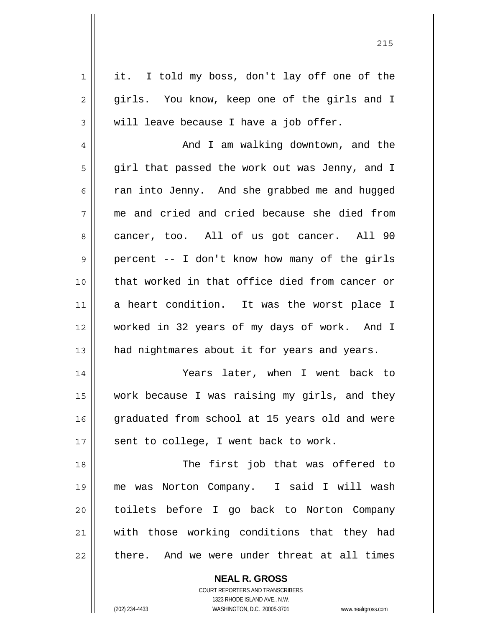| 1           | it. I told my boss, don't lay off one of the   |
|-------------|------------------------------------------------|
| 2           | girls. You know, keep one of the girls and I   |
| 3           | will leave because I have a job offer.         |
| 4           | And I am walking downtown, and the             |
| 5           | girl that passed the work out was Jenny, and I |
| 6           | ran into Jenny. And she grabbed me and hugged  |
| 7           | me and cried and cried because she died from   |
| 8           | cancer, too. All of us got cancer. All 90      |
| $\mathsf 9$ | percent -- I don't know how many of the girls  |
| 10          | that worked in that office died from cancer or |
| 11          | a heart condition. It was the worst place I    |
| 12          | worked in 32 years of my days of work. And I   |
| 13          | had nightmares about it for years and years.   |
| 14          | Years later, when I went back to               |
| 15          | work because I was raising my girls, and they  |
| 16          | graduated from school at 15 years old and were |
| 17          | sent to college, I went back to work.          |
| 18          | The first job that was offered to              |
| 19          | me was Norton Company. I said I will wash      |
| 20          | toilets before I go back to Norton Company     |
| 21          | with those working conditions that they had    |
| 22          | there. And we were under threat at all times   |

**NEAL R. GROSS** COURT REPORTERS AND TRANSCRIBERS

1323 RHODE ISLAND AVE., N.W.

(202) 234-4433 WASHINGTON, D.C. 20005-3701 www.nealrgross.com

 $\mathsf{II}$ 

<u>215</u>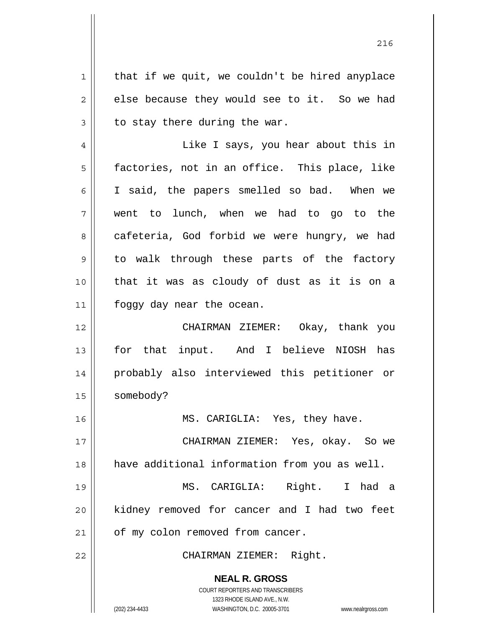1 2  $3 \parallel$  to stay there during the war. that if we quit, we couldn't be hired anyplace else because they would see to it. So we had

4 || Like I says, you hear about this in  $5 \parallel$  factories, not in an office. This place, like 6 | I said, the papers smelled so bad. When we  $7 \parallel$  went to lunch, when we had to go to the  $8 \parallel$  cafeteria, God forbid we were hungry, we had 9 10 that it was as cloudy of dust as it is on a 11 to walk through these parts of the factory foggy day near the ocean.

12 k you CHAIRMAN ZIEMER: Okay, than 13 || for that input. And I believe NIOSH has 14 probably also interviewed this petitioner or  $15 \parallel$  somebody? for that input.

16 e. MS. CARIGLIA: Yes, they hav

CHAIRMAN ZIEMER: Yes, okay. So we have additional information from you as well.

19 ght. I had a MS. CARIGLIA: Ri20 kidney removed for cancer and I had two feet 21 | of my colon removed from cancer.

22 CHAIRMAN ZIEMER: Right.

**NEAL R. GROSS** COURT REPORTERS AND TRANSCRIBERS

17

18

1323 RHODE ISLAND AVE., N.W. (202) 234-4433 WASHINGTON, D.C. 20005-3701 www.nealrgross.com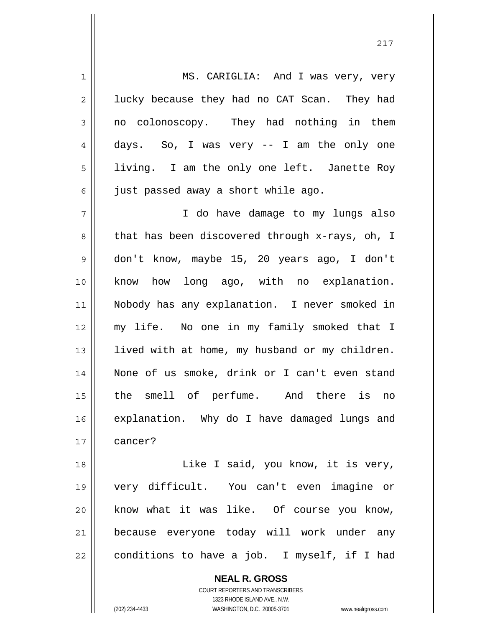1 2  $3 \parallel$  no colonoscopy. They had nothing in them  $4 \parallel$  days. So, I was very -- I am the only one  $\mathsf{S} \parallel \quad$  living. I am the only one left. Janette Roy  $6 \parallel$  just passed away a short while ago. 7 || I do have damage to my lungs also  $8 \parallel$  that has been discovered through x-rays, oh, I 9 10 11 || Nobody has any explanation. I never smoked in  $12 \parallel$  my life. No one in my family smoked that I  $13 \parallel$  lived with at home, my husband or my children.  $14 \parallel$  None of us smoke, drink or I can't even stand  $15$  || the smell of perfume. And there is no 16 || explanation. Why do I have damaged lungs and 17 18 19 || very difficult. You can't even imagine or 20 || know what it was like. Of course you know, 21 because everyone today will work under any  $22$  | conditions to have a job. I myself, if I had MS. CARIGLIA: And I was very, very lucky because they had no CAT Scan. They had don't know, maybe 15, 20 years ago, I don't know how long ago, with no explanation. the cancer? Like I said, you know, it is very,

217

1323 RHODE ISLAND AVE., N.W. (202) 234-4433 WASHINGTON, D.C. 20005-3701 www.nealrgross.com

**NEAL R. GROSS** COURT REPORTERS AND TRANSCRIBERS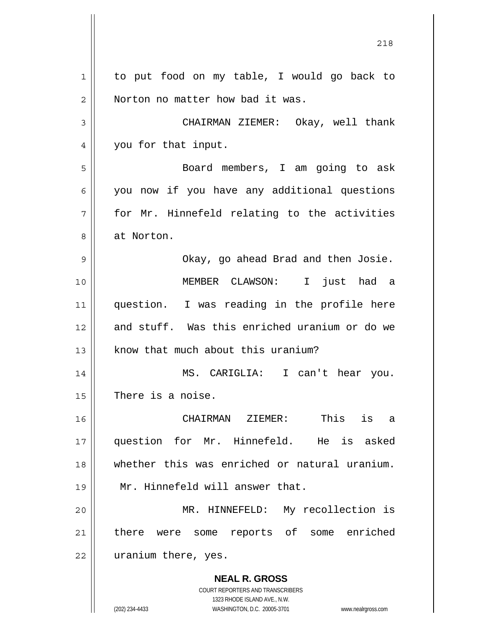|    | 218                                                                 |
|----|---------------------------------------------------------------------|
| 1  | to put food on my table, I would go back to                         |
| 2  | Norton no matter how bad it was.                                    |
| 3  | CHAIRMAN ZIEMER: Okay, well thank                                   |
| 4  | you for that input.                                                 |
| 5  | Board members, I am going to ask                                    |
| 6  | you now if you have any additional questions                        |
| 7  | for Mr. Hinnefeld relating to the activities                        |
| 8  | at Norton.                                                          |
| 9  | Okay, go ahead Brad and then Josie.                                 |
| 10 | MEMBER CLAWSON: I just had a                                        |
| 11 | question. I was reading in the profile here                         |
| 12 | and stuff. Was this enriched uranium or do we                       |
| 13 | know that much about this uranium?                                  |
| 14 | MS. CARIGLIA: I can't hear<br>you.                                  |
| 15 | There is a noise.                                                   |
| 16 | This<br>is<br>CHAIRMAN ZIEMER:<br>a                                 |
| 17 | He is asked<br>question for Mr. Hinnefeld.                          |
| 18 | whether this was enriched or natural uranium.                       |
| 19 | Mr. Hinnefeld will answer that.                                     |
| 20 | MR. HINNEFELD: My recollection is                                   |
| 21 | some reports of some enriched<br>there were                         |
| 22 | uranium there, yes.                                                 |
|    | <b>NEAL R. GROSS</b>                                                |
|    | COURT REPORTERS AND TRANSCRIBERS<br>1323 RHODE ISLAND AVE., N.W.    |
|    | (202) 234-4433<br>WASHINGTON, D.C. 20005-3701<br>www.nealrgross.com |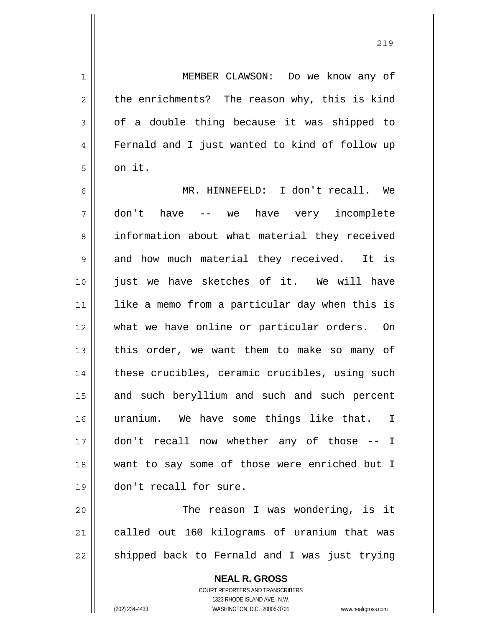**NEAL R. GROSS** 1 2  $3 \parallel$  of a double thing because it was shipped to  $4 \parallel$  Fernald and I just wanted to kind of follow up  $5 \parallel$  on it. 6 || MR. HINNEFELD: I don't recall. We  $7 \parallel$  don't have -- we have very incomplete  $8 \parallel$  information about what material they received 9 10  $11$  | like a memo from a particular day when this is  $12 \parallel$  what we have online or particular orders. On  $13$  | this order, we want them to make so many of  $14$   $\parallel$  these crucibles, ceramic crucibles, using such  $15$  and such beryllium and such and such percent 16  $\parallel$  uranium. We have some things like that. I 17 18 19 20 The reason I was wondering, is it 21 called out 160 kilograms of uranium that was 22 || shipped back to Fernald and I was just trying MEMBER CLAWSON: Do we know any of the enrichments? The reason why, this is kind very and how much material they received. It is just we have sketches of it. We will have don't recall now whether any of those -- I want to say some of those were enriched but I don't recall for sure.

> COURT REPORTERS AND TRANSCRIBERS 1323 RHODE ISLAND AVE., N.W.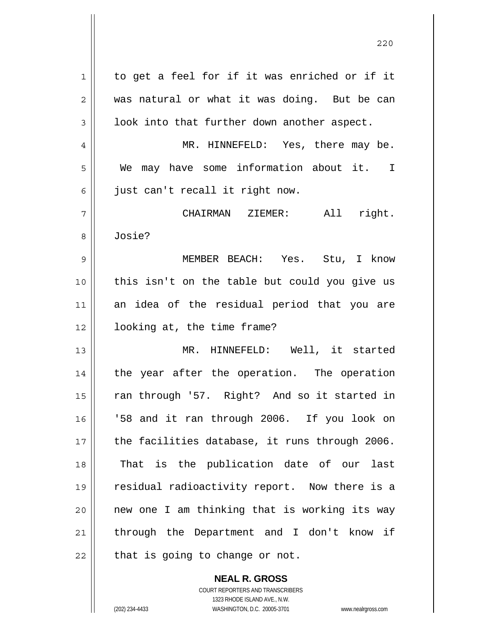| 1  | to get a feel for if it was enriched or if it  |
|----|------------------------------------------------|
| 2  | was natural or what it was doing. But be can   |
| 3  | look into that further down another aspect.    |
| 4  | MR. HINNEFELD: Yes, there may be.              |
| 5  | We may have some information about it. I       |
| 6  | just can't recall it right now.                |
| 7  | CHAIRMAN ZIEMER: All right.                    |
| 8  | Josie?                                         |
| 9  | MEMBER BEACH: Yes. Stu, I know                 |
| 10 | this isn't on the table but could you give us  |
| 11 | an idea of the residual period that you are    |
| 12 | looking at, the time frame?                    |
| 13 | MR. HINNEFELD: Well, it started                |
| 14 | the year after the operation. The operation    |
| 15 | ran through '57. Right? And so it started in   |
| 16 | '58 and it ran through 2006. If you look on    |
| 17 | the facilities database, it runs through 2006. |
| 18 | That is the publication date of our<br>last    |
| 19 | residual radioactivity report. Now there is a  |
| 20 | new one I am thinking that is working its way  |
| 21 | through the Department and I don't know if     |
| 22 | that is going to change or not.                |

<u>220</u>

**NEAL R. GROSS** COURT REPORTERS AND TRANSCRIBERS 1323 RHODE ISLAND AVE., N.W. (202) 234-4433 WASHINGTON, D.C. 20005-3701 www.nealrgross.com

 $\mathsf{II}$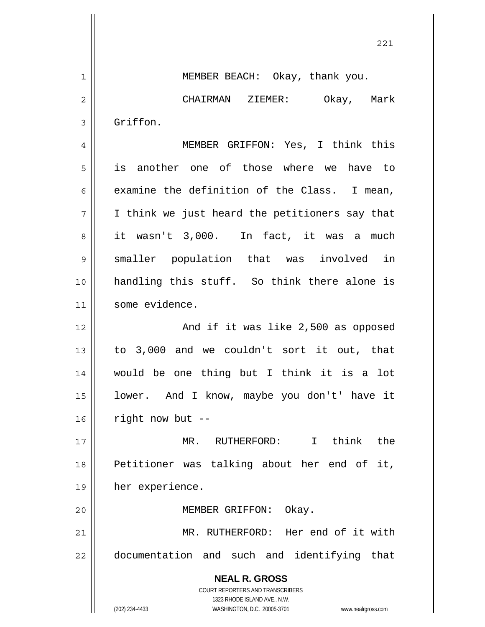221

**NEAL R. GROSS** COURT REPORTERS AND TRANSCRIBERS 1323 RHODE ISLAND AVE., N.W. 1 2 CHAIRMAN ZIEMER: Okay, Mark  $3 \parallel$  Griffon. 4 || MEMBER GRIFFON: Yes, I think this  $5 \parallel$  is another one of those where we have to 6  $\parallel$  examine the definition of the Class. I mean,  $7 \parallel$  I think we just heard the petitioners say that  $8 \parallel$  it wasn't 3,000. In fact, it was a much 9 10 handling this stuff. So think there alone is 11 12 posed And if it was like 2,500 as op  $13 \parallel$  to 3,000 and we couldn't sort it out, that  $14$  | would be one thing but I think it is a lot 15 16 17 18 Petitioner was talking about her end of it, 19 20 || MEMBER GRIFFON: Okay. 21 || MR. RUTHERFORD: Her end of it with 22 || documentation and such and identifying that MEMBER BEACH: Okay, thank you. smaller population that was involved in some evidence. lower. And I know, maybe you don't' have it right now but -- MR. RUTHERFORD: I think the her experience.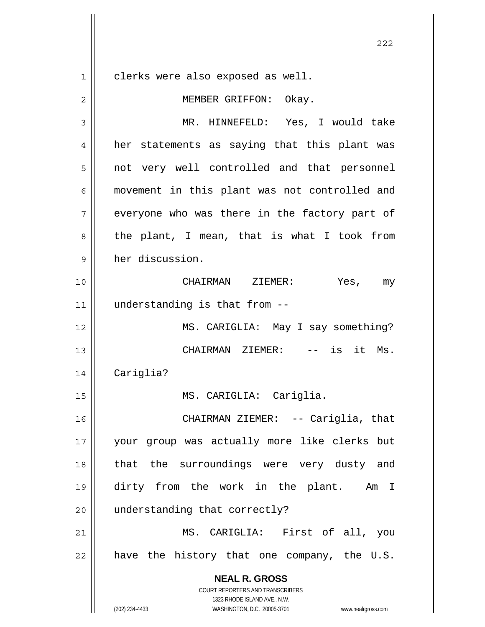clerks were also exposed as well.

1

2 3 take  $4 \parallel$  her statements as saying that this plant was  $5 \parallel$  not very well controlled and that personnel  $6 \parallel$  movement in this plant was not controlled and  $7 \parallel$  everyone who was there in the factory part of  $8 \parallel$  the plant, I mean, that is what I took from 9 10  $11$  | understanding is that from --12 || MS. CARIGLIA: May I say something? 13 -- is it Ms. CHAIRMAN ZIEMER:  $14 \parallel$  Cariglia? 15 16 that CHAIRMAN ZIEMER: -- Cariglia, 17 18 || that the surroundings were very dusty and  $19 \parallel$  dirty from the work in the plant. Am I 20 | understanding that correctly? 21 MS. CARIGLIA: First of all, you  $22$  || have the history that one company, the U.S. MEMBER GRIFFON: Okay. MR. HINNEFELD: her discussion. CHAIRMAN ZIEMER: Yes, my MS. CARIGLIA: Cariglia. your group was actually more like clerks but

> **NEAL R. GROSS** COURT REPORTERS AND TRANSCRIBERS 1323 RHODE ISLAND AVE., N.W.

(202) 234-4433 WASHINGTON, D.C. 20005-3701 www.nealrgross.com

<u>222</u>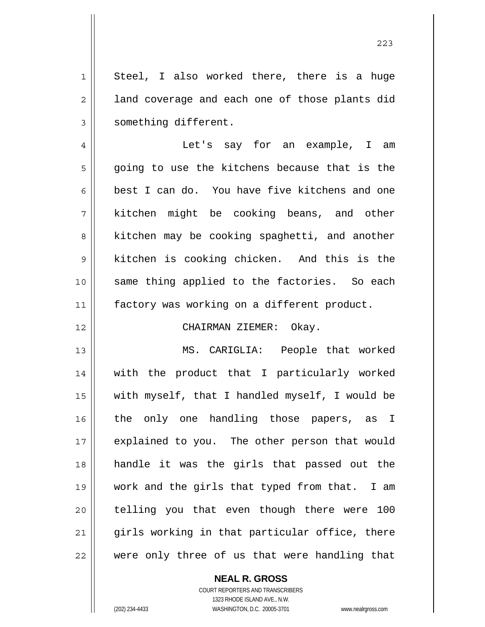1 2  $3 \parallel$  something different. Steel, I also worked there, there is a huge land coverage and each one of those plants did

4 I am Let's say for an example,  $5 \parallel$  going to use the kitchens because that is the 6  $\parallel$  best I can do. You have five kitchens and one  $7 \parallel$  kitchen might be cooking beans, and other  $8 \parallel$  kitchen may be cooking spaghetti, and another 9 10 || same thing applied to the factories. So each 11 || factory was working on a different product. kitchen is cooking chicken. And this is the

## CHAIRMAN ZIEMER: Okay.

13 || MS. CARIGLIA: People that worked  $14 \parallel$  with the product that I particularly worked  $15$  || with myself, that I handled myself, I would be  $16$  || the only one handling those papers, as I 17 18  $19 \parallel$  work and the girls that typed from that. I am 20 || telling you that even though there were 100 21 || girls working in that particular office, there 22 || were only three of us that were handling that MS. CARIGLIA: explained to you. The other person that would handle it was the girls that passed out the

## **NEAL R. GROSS**

COURT REPORTERS AND TRANSCRIBERS 1323 RHODE ISLAND AVE., N.W. (202) 234-4433 WASHINGTON, D.C. 20005-3701 www.nealrgross.com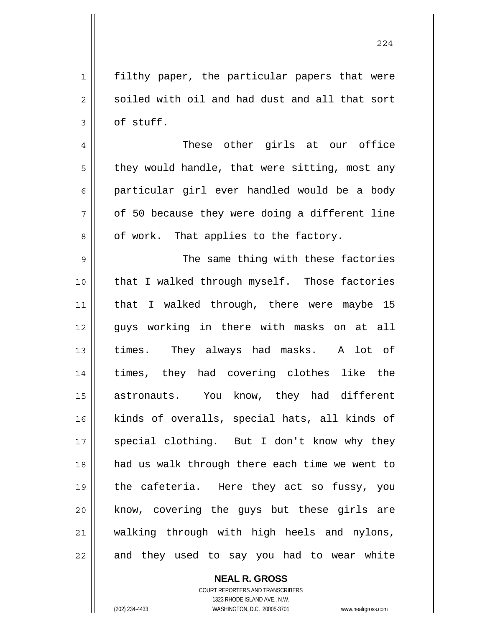1 2  $3 \parallel$  of stuff. filthy paper, the particular papers that were soiled with oil and had dust and all that sort

224

 $4 \parallel$  These other girls at our office  $5 \parallel$  they would handle, that were sitting, most any  $6 \parallel$  particular girl ever handled would be a body  $7 \parallel$  of 50 because they were doing a different line  $8 \parallel$  of work. That applies to the factory.

9 10  $11$  | that I walked through, there were maybe 15  $12 \parallel$  guys working in there with masks on at all  $13 \parallel$  times. They always had masks. A lot of  $14$  || times, they had covering clothes like the  $15$  astronauts. You know, they had different  $16$   $\parallel$  kinds of overalls, special hats, all kinds of 17 18  $19 \parallel$  the cafeteria. Here they act so fussy, you 20 || know, covering the guys but these girls are 21 walking through with high heels and nylons, 22 || and they used to say you had to wear white The same thing with these factories that I walked through myself. Those factories special clothing. But I don't know why they had us walk through there each time we went to

**NEAL R. GROSS**

COURT REPORTERS AND TRANSCRIBERS 1323 RHODE ISLAND AVE., N.W. (202) 234-4433 WASHINGTON, D.C. 20005-3701 www.nealrgross.com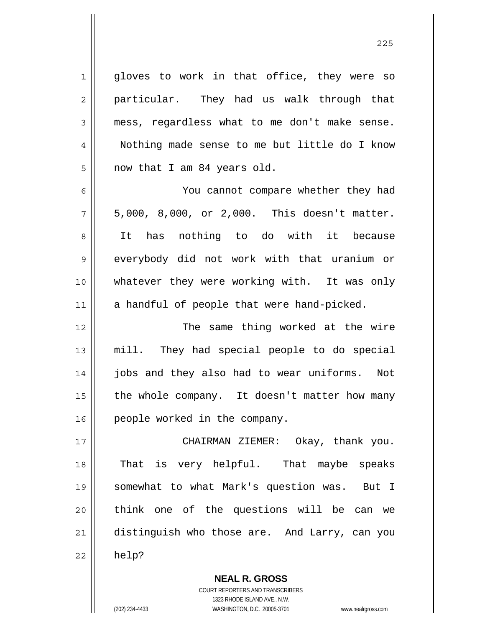$3 \parallel$  mess, regardless what to me don't make sense.  $4 \parallel$  Nothing made sense to me but little do I know  $5 \parallel$  now that I am 84 years old. gloves to work in that office, they were so particular. They had us walk through that

 $6 \parallel$   $100 \times 100$   $100 \times 100$   $100 \times 100$   $100 \times 100$   $100 \times 100$  $7 \parallel 5,000$ , 8,000, or 2,000. This doesn't matter.  $8 \parallel$  It has nothing to do with it because 9 10 || whatever they were working with. It was only  $11$   $\parallel$  a handful of people that were hand-picked. everybody did not work with that uranium or

 $12$   $\parallel$  The same thing worked at the wire  $13 \parallel$  mill. They had special people to do special  $14 \parallel$  jobs and they also had to wear uniforms. Not  $15$  | the whole company. It doesn't matter how many 16 people worked in the company.

17 18 19  $\parallel$  somewhat to what Mark's question was. But I 20 || think one of the questions will be can we 21 distinguish who those are. And Larry, can you  $22 \parallel$  help? CHAIRMAN ZIEMER: Okay, thank you. That is very helpful. That maybe speaks

> **NEAL R. GROSS** COURT REPORTERS AND TRANSCRIBERS 1323 RHODE ISLAND AVE., N.W. (202) 234-4433 WASHINGTON, D.C. 20005-3701 www.nealrgross.com

<u>225</u>

1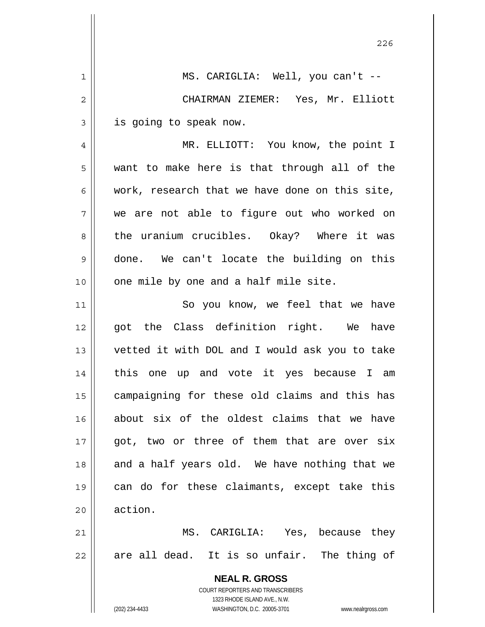|              | 226                                                                 |
|--------------|---------------------------------------------------------------------|
| 1            | MS. CARIGLIA: Well, you can't --                                    |
| $\mathbf{2}$ | CHAIRMAN ZIEMER: Yes, Mr. Elliott                                   |
| 3            | is going to speak now.                                              |
| 4            | MR. ELLIOTT: You know, the point I                                  |
| 5            | want to make here is that through all of the                        |
| 6            | work, research that we have done on this site,                      |
| 7            | we are not able to figure out who worked on                         |
| 8            | the uranium crucibles. Okay? Where it was                           |
| 9            | done. We can't locate the building on this                          |
| 10           | one mile by one and a half mile site.                               |
| 11           | So you know, we feel that we have                                   |
| 12           | got the Class definition right. We have                             |
| 13           | vetted it with DOL and I would ask you to take                      |
| 14           | this one up and vote it yes because I am                            |
| 15           | campaigning for these old claims and this has                       |
| 16           | about six of the oldest claims that we have                         |
| 17           | got, two or three of them that are over six                         |
| 18           | and a half years old. We have nothing that we                       |
| 19           | can do for these claimants, except take this                        |
| 20           | action.                                                             |
| 21           | MS. CARIGLIA: Yes, because they                                     |
| 22           | are all dead. It is so unfair. The thing of                         |
|              | <b>NEAL R. GROSS</b>                                                |
|              | COURT REPORTERS AND TRANSCRIBERS<br>1323 RHODE ISLAND AVE., N.W.    |
|              | (202) 234-4433<br>WASHINGTON, D.C. 20005-3701<br>www.nealrgross.com |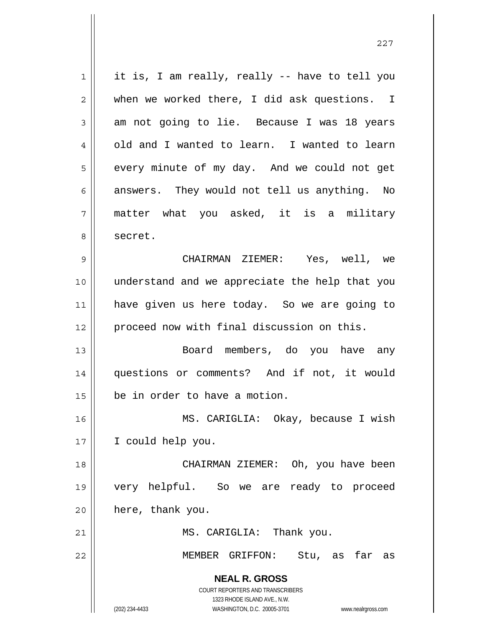**NEAL R. GROSS** COURT REPORTERS AND TRANSCRIBERS 1323 RHODE ISLAND AVE., N.W. (202) 234-4433 WASHINGTON, D.C. 20005-3701 www.nealrgross.com 1 2  $3 \parallel$  am not going to lie. Because I was 18 years  $4 \parallel$  old and I wanted to learn. I wanted to learn  $5 \parallel$  every minute of my day. And we could not get 6 | answers. They would not tell us anything. No  $7 \parallel$  matter what you asked, it is a military 8 | secret. 9 10 11 || have given us here today. So we are going to  $12$  | proceed now with final discussion on this. 13 || Board members, do you have any 14 questions or comments? And if not, it would 15  $\parallel$  be in order to have a motion. 16 || MS. CARIGLIA: Okay, because I wish 17 18 19 very helpful. So we are ready to proceed  $20$  | here, thank you. 21 || MS. CARIGLIA: Thank you. 22 MEMBER GRIFFON: Stu, as far as it is, I am really, really -- have to tell you when we worked there, I did ask questions. I CHAIRMAN ZIEMER: Yes, well, we understand and we appreciate the help that you I could help you. CHAIRMAN ZIEMER: Oh, you have been

<u>227</u>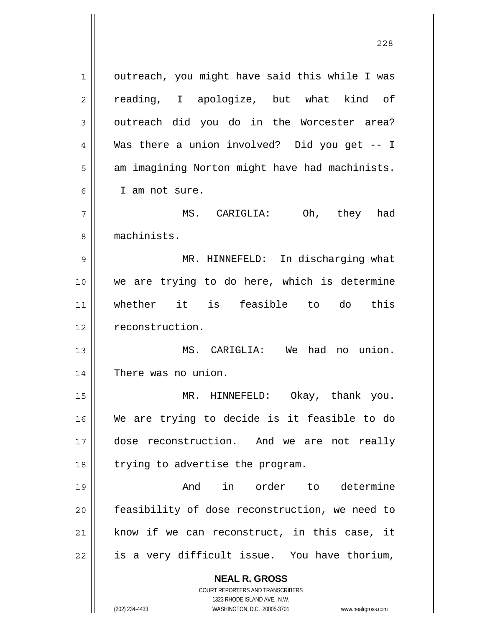**NEAL R. GROSS** COURT REPORTERS AND TRANSCRIBERS 1323 RHODE ISLAND AVE., N.W. (202) 234-4433 WASHINGTON, D.C. 20005-3701 www.nealrgross.com 1 2  $3 \parallel$  outreach did you do in the Worcester area?  $4 \parallel$  Was there a union involved? Did you get -- I  $5 \parallel$  am imagining Norton might have had machinists.  $6 \parallel$  I am not sure. 7 MS. CARIGLIA: Oh, they had 8 || machinists. 9 10 11 whether it is feasible to do this 12 13 || MS. CARIGLIA: We had no union. 14 15 || MR. HINNEFELD: Okay, thank you. 16  $\parallel$  We are trying to decide is it feasible to do 17 18 19 ermine 20 feasibility of dose reconstruction, we need to 21 || know if we can reconstruct, in this case, it  $22$  | is a very difficult issue. You have thorium, outreach, you might have said this while I was reading, I apologize, but what kind of MR. HINNEFELD: In discharging what we are trying to do here, which is determine reconstruction. There was no union. MR. HINNEFELD: dose reconstruction. And we are not really trying to advertise the program. order

<u>228</u>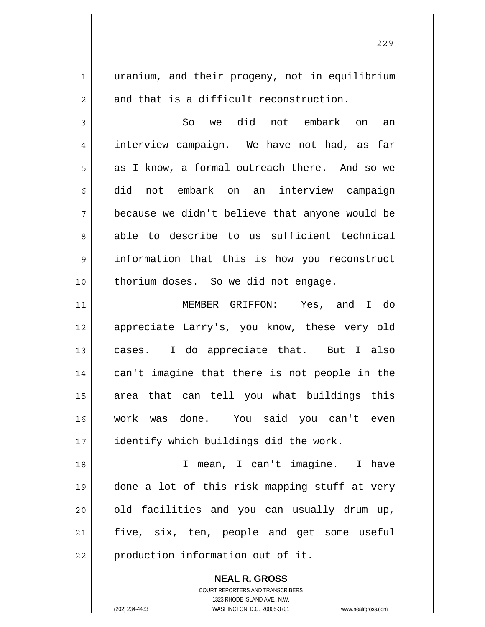1 2 3 n an So we did not embark o  $4 \parallel$  interview campaign. We have not had, as far  $5 \parallel$  as I know, a formal outreach there. And so we  $6 \parallel$  did not embark on an interview campaign  $7 \parallel$  because we didn't believe that anyone would be  $8 \parallel$  able to describe to us sufficient technical 9 10 11 I do MEMBER GRIFFON: Yes, and  $12 \parallel$  appreciate Larry's, you know, these very old  $13 \parallel$  cases. I do appreciate that. But I also  $14$   $\vert$  can't imagine that there is not people in the  $15 \parallel$  area that can tell you what buildings this 16 work was done. You said you can't even 17 18 19  $\parallel$  done a lot of this risk mapping stuff at very  $20$  || old facilities and you can usually drum up, 21 || five, six, ten, people and get some useful 22 | production information out of it. uranium, and their progeny, not in equilibrium and that is a difficult reconstruction. interview campaign. information that this is how you reconstruct thorium doses. So we did not engage. identify which buildings did the work. I mean, I can't imagine. I have

<u>229</u>

**NEAL R. GROSS** COURT REPORTERS AND TRANSCRIBERS 1323 RHODE ISLAND AVE., N.W. (202) 234-4433 WASHINGTON, D.C. 20005-3701 www.nealrgross.com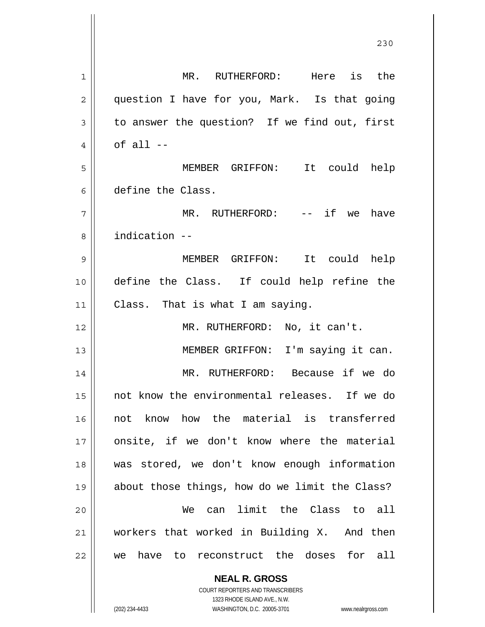|    | 230                                                      |
|----|----------------------------------------------------------|
| 1  | Here is the<br>MR. RUTHERFORD:                           |
| 2  | question I have for you, Mark. Is that going             |
| 3  | to answer the question? If we find out, first            |
| 4  | of all $--$                                              |
| 5  | MEMBER GRIFFON: It could help                            |
| 6  | define the Class.                                        |
| 7  | MR. RUTHERFORD: -- if we<br>have                         |
| 8  | indication --                                            |
| 9  | MEMBER GRIFFON: It could help                            |
| 10 | define the Class. If could help refine the               |
| 11 | Class. That is what I am saying.                         |
| 12 | MR. RUTHERFORD: No, it can't.                            |
| 13 | MEMBER GRIFFON: I'm saying it can.                       |
| 14 | MR. RUTHERFORD: Because if we do                         |
| 15 | not know the environmental releases. If we do            |
| 16 | not know how the material is transferred                 |
| 17 | onsite, if we don't know where the material              |
| 18 | was stored, we don't know enough information             |
| 19 | about those things, how do we limit the Class?           |
| 20 | We can limit the Class to all                            |
| 21 | workers that worked in Building X. And then              |
| 22 | we have to reconstruct the doses for all                 |
|    | <b>NEAL R. GROSS</b><br>COURT REPORTERS AND TRANSCRIBERS |

1323 RHODE ISLAND AVE., N.W.

 $\prod$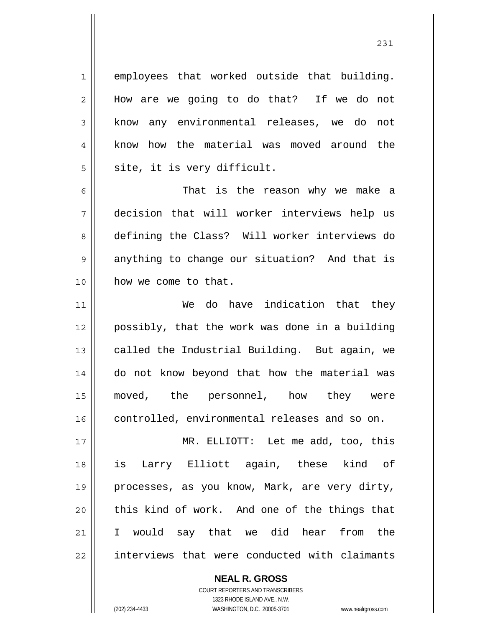$3 \parallel$  know any environmental releases, we do not  $4 \parallel$  know how the material was moved around the  $5 \parallel$  site, it is very difficult. employees that worked outside that building. How are we going to do that? If we do not

 $6 \parallel$  That is the reason why we make a  $7 \parallel$  decision that will worker interviews help us  $8 \parallel$  defining the Class? Will worker interviews do 9 10 anything to change our situation? And that is how we come to that.

  $\parallel$  We do have indication that they | possibly, that the work was done in a building  $\parallel$  called the Industrial Building. But again, we  $14 \parallel$  do not know beyond that how the material was moved, the personnel, how they were  $\vert$  controlled, environmental releases and so on.

17 18  $19 \parallel$  processes, as you know, Mark, are very dirty,  $20$  || this kind of work. And one of the things that 21 I would say that we did hear from the 22 || interviews that were conducted with claimants MR. ELLIOTT: Let me add, too, this is Larry Elliott again, these kind of

> COURT REPORTERS AND TRANSCRIBERS 1323 RHODE ISLAND AVE., N.W. (202) 234-4433 WASHINGTON, D.C. 20005-3701 www.nealrgross.com

**NEAL R. GROSS**

1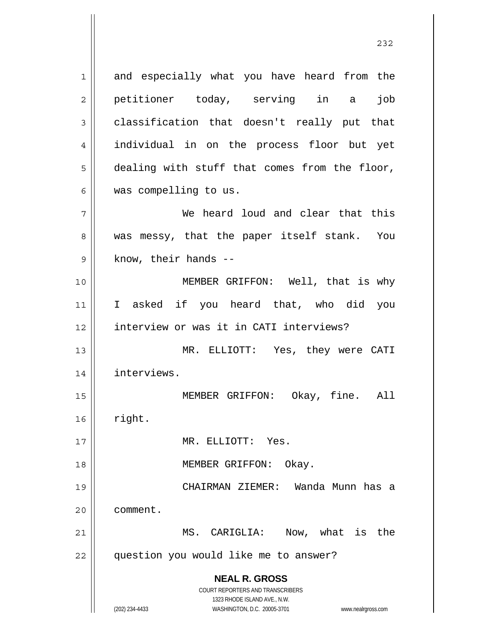**NEAL R. GROSS** COURT REPORTERS AND TRANSCRIBERS 1323 RHODE ISLAND AVE., N.W. 1 2  $3 \parallel$  classification that doesn't really put that  $4 \parallel$  individual in on the process floor but yet  $5 \parallel$  dealing with stuff that comes from the floor, 6  $\parallel$  was compelling to us.  $7 \parallel$  We heard loud and clear that this  $8 \parallel$  was messy, that the paper itself stank. You  $9 \parallel$  know, their hands --10 11 I asked if you heard that, who did you  $12 \parallel$  interview or was it in CATI interviews? 13 CATI MR. ELLIOTT: Yes, they were  $14$  | interviews. 15 || MEMBER GRIFFON: Okay, fine. All 16 | right. 17 18 19 nda Munn has a CHAIRMAN ZIEMER: Wa20 | comment. 21 MS. CARIGLIA: Now, what is the 22 || question you would like me to answer? and especially what you have heard from the petitioner today, serving in a job MEMBER GRIFFON: Well, that is why MR. ELLIOTT: Yes. MEMBER GRIFFON: Okay.

(202) 234-4433 WASHINGTON, D.C. 20005-3701 www.nealrgross.com

<u>232</u>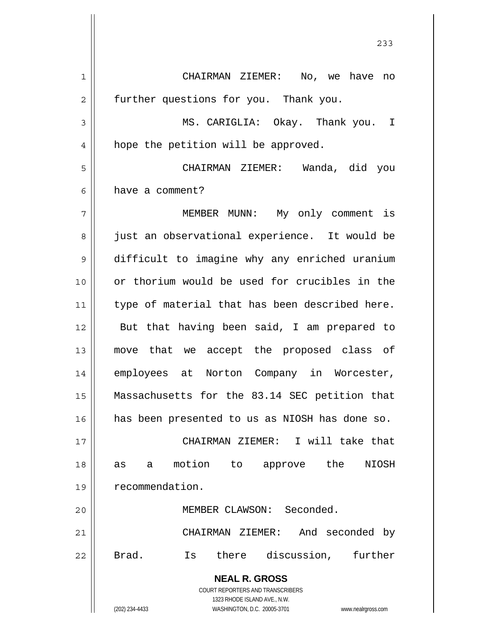**NEAL R. GROSS** COURT REPORTERS AND TRANSCRIBERS 1323 RHODE ISLAND AVE., N.W. 1 2 | further questions for you. Thank you. 3 . Thank you. I MS. CARIGLIA: Okay  $4 \parallel$  hope the petition will be approved. 5 HAIRMAN ZIEMER: Wanda, did you 6 | have a comment? 7 || MEMBER MUNN: My only comment is  $8 \parallel$  just an observational experience. It would be 9 10  $11$  | type of material that has been described here.  $12$  || But that having been said, I am prepared to  $13$  || move that we accept the proposed class of  $14$   $\vert$  employees at Norton Company in Worcester, 15 Massachusetts for the 83.14 SEC petition that  $16 \parallel$  has been presented to us as NIOSH has done so. 17 18 as a motion to approve the NIOSH 19 20 MEMBER CLAWSON: Seconded. 21 CHAIRMAN ZIEMER: And seconded by 22 || Brad. Is there discussion, further CHAIRMAN ZIEMER: No, we have no C difficult to imagine why any enriched uranium or thorium would be used for crucibles in the CHAIRMAN ZIEMER: I will take that recommendation.

233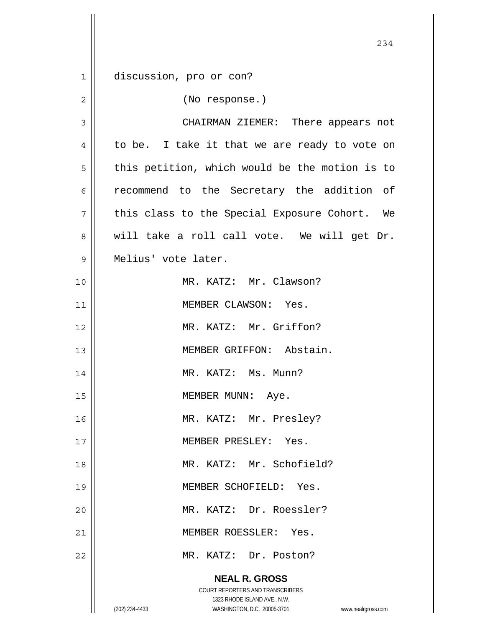**NEAL R. GROSS** COURT REPORTERS AND TRANSCRIBERS 1323 RHODE ISLAND AVE., N.W. 234 1 2 (No response.) 3 || CHAIRMAN ZIEMER: There appears not  $4 \parallel$  to be. I take it that we are ready to vote on  $5 \parallel$  this petition, which would be the motion is to 6 accommend to the Secretary the addition of  $7 \parallel$  this class to the Special Exposure Cohort. We  $8 \parallel$  will take a roll call vote. We will get Dr. 9 || Melius' vote later. 10 11 . MEMBER CLAWSON: Yes 12 riffon? MR. KATZ: Mr. G 13 || MEMBER GRIFFON: Abstain. 14 ? MR. KATZ: Ms. Munn 15 . MEMBER MUNN: Aye 16 ey? MR. KATZ: Mr. Presl 17 18 19 || MEMBER SCHOFIELD: Yes. 20 MR. KATZ: Dr. Roessler? 21 MEMBER ROESSLER: Yes. 22 || MR. KATZ: Dr. Poston? discussion, pro or con? CHAIRMAN ZIEMER: MR. KATZ: Mr. Clawson? MEMBER PRESLEY: Yes. MR. KATZ: Mr. Schofield?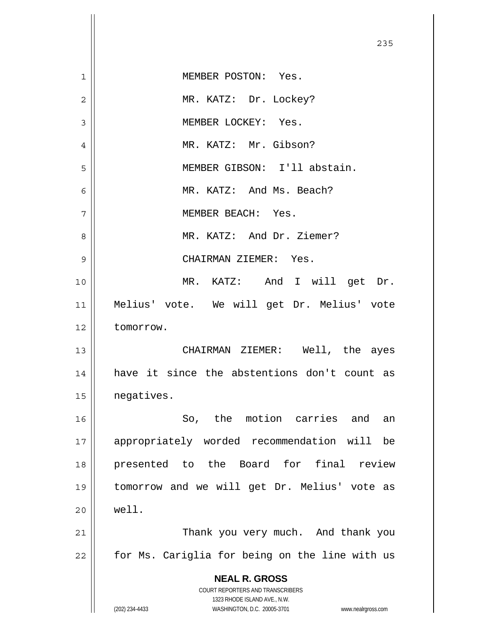|                | 235                                                                                                 |
|----------------|-----------------------------------------------------------------------------------------------------|
| 1              | MEMBER POSTON: Yes.                                                                                 |
| $\overline{c}$ | MR. KATZ: Dr. Lockey?                                                                               |
| 3              | MEMBER LOCKEY: Yes.                                                                                 |
| 4              | MR. KATZ: Mr. Gibson?                                                                               |
| 5              | MEMBER GIBSON: I'll abstain.                                                                        |
| 6              | MR. KATZ: And Ms. Beach?                                                                            |
| 7              | MEMBER BEACH: Yes.                                                                                  |
| 8              | MR. KATZ: And Dr. Ziemer?                                                                           |
| 9              | CHAIRMAN ZIEMER: Yes.                                                                               |
| 10             | MR. KATZ: And I will get Dr.                                                                        |
| 11             | Melius' vote. We will get Dr. Melius' vote                                                          |
| 12             | tomorrow.                                                                                           |
| 13             | CHAIRMAN ZIEMER: Well, the ayes                                                                     |
| 14             | have it since the abstentions don't count as                                                        |
| 15             | negatives.                                                                                          |
| 16             | So, the motion carries and<br>an                                                                    |
| 17             | appropriately worded recommendation will<br>be                                                      |
| 18             | presented to the Board for final review                                                             |
| 19             | tomorrow and we will get Dr. Melius' vote as                                                        |
| 20             | well.                                                                                               |
| 21             | Thank you very much. And thank you                                                                  |
| 22             | for Ms. Cariglia for being on the line with us                                                      |
|                | <b>NEAL R. GROSS</b><br>COURT REPORTERS AND TRANSCRIBERS                                            |
|                | 1323 RHODE ISLAND AVE., N.W.<br>(202) 234-4433<br>WASHINGTON, D.C. 20005-3701<br>www.nealrgross.com |
|                |                                                                                                     |

 $\mathbf{\mathcal{H}}$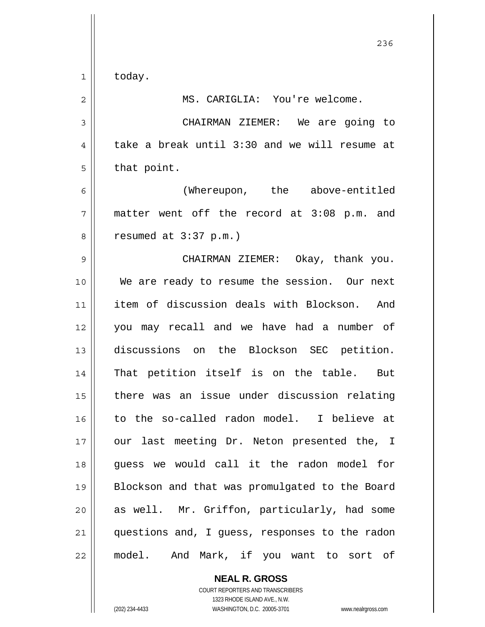today.

1

2

MS. CARIGLIA: You're welcome.

3 ng to CHAIRMAN ZIEMER: We are goi 4  $\parallel$  take a break until 3:30 and we will resume at 5 that point.

6 || (Whereupon, the above-entitled  $7$  || matter went off the record at 3:08 p.m. and  $8 \parallel$  resumed at 3:37 p.m.)

9 10 11 || item of discussion deals with Blockson. And  $12 \parallel$  you may recall and we have had a number of 13 || discussions on the Blockson SEC petition.  $14$  || That petition itself is on the table. But  $15$   $\parallel$  there was an issue under discussion relating  $16 \parallel$  to the so-called radon model. I believe at 17 18  $19 \parallel$  Blockson and that was promulgated to the Board 20 || as well. Mr. Griffon, particularly, had some 21 || questions and, I quess, responses to the radon 22 || model. And Mark, if you want to sort of CHAIRMAN ZIEMER: Okay, thank you. We are ready to resume the session. Our next our last meeting Dr. Neton presented the, I guess we would call it the radon model for

> **NEAL R. GROSS** COURT REPORTERS AND TRANSCRIBERS 1323 RHODE ISLAND AVE., N.W. (202) 234-4433 WASHINGTON, D.C. 20005-3701 www.nealrgross.com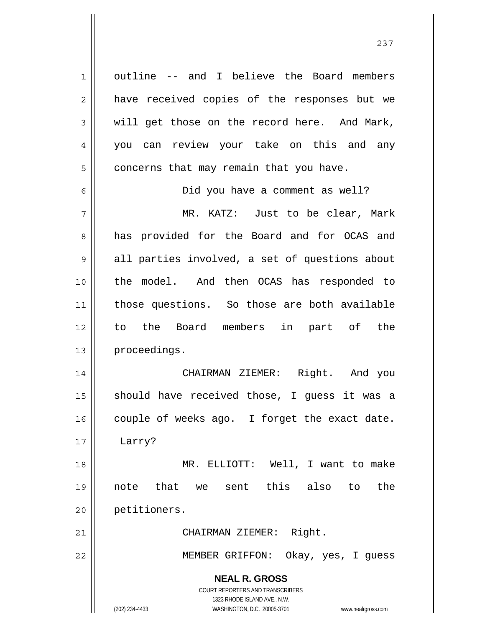**NEAL R. GROSS** COURT REPORTERS AND TRANSCRIBERS 1323 RHODE ISLAND AVE., N.W. (202) 234-4433 WASHINGTON, D.C. 20005-3701 www.nealrgross.com 1 2  $3 \parallel$  will get those on the record here. And Mark,  $4 \parallel$  you can review your take on this and any  $5 \parallel$  concerns that may remain that you have. 6 ? Did you have a comment as well 7 Mark MR. KATZ: Just to be clear,  $8 \parallel$  has provided for the Board and for OCAS and 9 10 11 || those questions. So those are both available 12 to the Board members in part of the 13 14 d you CHAIRMAN ZIEMER: Right. An  $15$  || should have received those, I guess it was a  $16$  couple of weeks ago. I forget the exact date. 17 18 19 note that we sent this also to the 20 petitioners. 21 || CHAIRMAN ZIEMER: Right. 22 MEMBER GRIFFON: Okay, yes, I guess outline -- and I believe the Board members have received copies of the responses but we all parties involved, a set of questions about the model. And then OCAS has responded to those questions. proceedings. Larry? MR. ELLIOTT: Well, I want to make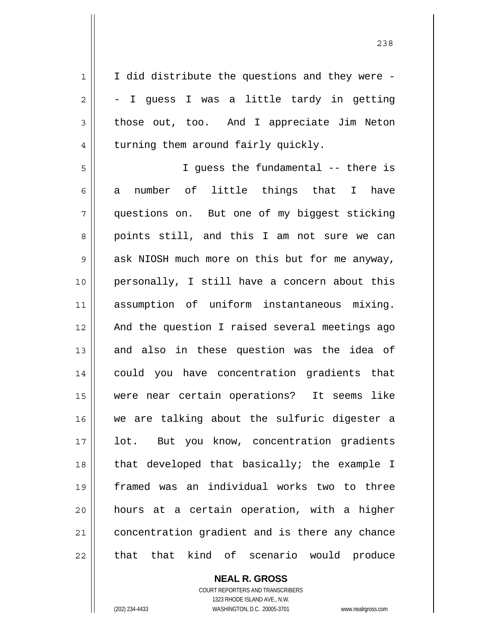1 2  $3 \parallel$  those out, too. And I appreciate Jim Neton  $4 \parallel$  turning them around fairly quickly. I did distribute the questions and they were - I guess I was a little tardy in getting those out, too.

 $5 \parallel$  I guess the fundamental -- there is 6 || a number of little things that I have  $7 \parallel$  questions on. But one of my biggest sticking  $8 \parallel$  points still, and this I am not sure we can 9 10  $11$  assumption of uniform instantaneous mixing.  $12 \parallel$  And the question I raised several meetings ago  $13$  and also in these question was the idea of  $14$   $\vert$  could you have concentration gradients that 15 || were near certain operations? It seems like 16  $\parallel$  we are talking about the sulfuric digester a 17 18 19 || framed was an individual works two to three 20 hours at a certain operation, with a higher 21 | concentration gradient and is there any chance 22 || that that kind of scenario would produce a number of little things that I ask NIOSH much more on this but for me anyway, personally, I still have a concern about this lot. But you know, concentration gradients that developed that basically; the example I

> COURT REPORTERS AND TRANSCRIBERS 1323 RHODE ISLAND AVE., N.W. (202) 234-4433 WASHINGTON, D.C. 20005-3701 www.nealrgross.com

**NEAL R. GROSS**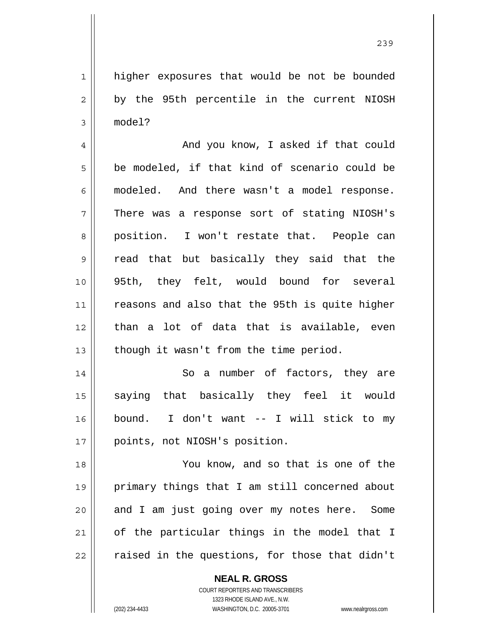3 model? higher exposures that would be not be bounded by the 95th percentile in the current NIOSH

4 could And you know, I asked if that  $5 \parallel$  be modeled, if that kind of scenario could be 6  $\parallel$  modeled. And there wasn't a model response.  $7 \parallel$  There was a response sort of stating NIOSH's 8 || position. I won't restate that. People can 9 10  $11$   $\vert$  reasons and also that the 95th is quite higher 12 || than a lot of data that is available, even 13 read that but basically they said that the 95th, they felt, would bound for several though it wasn't from the time period.

14 || So a number of factors, they are  $15$   $\parallel$  saying that basically they feel it would 16 bound. I don't want -- I will stick to my 17 points, not NIOSH's position.

18  $19 \parallel$  primary things that I am still concerned about  $20$  || and I am just going over my notes here. Some  $21$  of the particular things in the model that I  $22$  | raised in the questions, for those that didn't You know, and so that is one of the

> **NEAL R. GROSS** COURT REPORTERS AND TRANSCRIBERS

1

2

1323 RHODE ISLAND AVE., N.W. (202) 234-4433 WASHINGTON, D.C. 20005-3701 www.nealrgross.com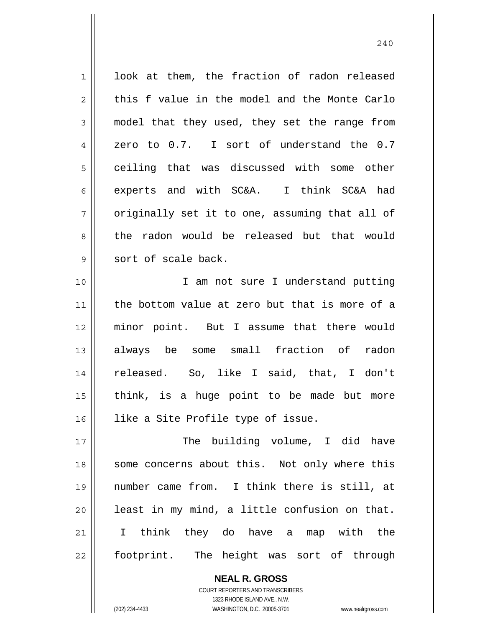1 2  $3 \parallel$  model that they used, they set the range from  $4 \parallel$  zero to  $0.7$ . I sort of understand the  $0.7$  $5 \parallel$  ceiling that was discussed with some other 6 || experts and with  $SC&A$ . I think  $SC&A$  had  $7 \parallel$  originally set it to one, assuming that all of 8 || the radon would be released but that would 9 sort of scale back. look at them, the fraction of radon released this f value in the model and the Monte Carlo

10  $11$  | the bottom value at zero but that is more of a  $12$  || minor point. But I assume that there would 13 || always be some small fraction of radon  $14 \parallel$  released. So, like I said, that, I don't 15 think, is a huge point to be made but more 16 I am not sure I understand putting like a Site Profile type of issue.

17 18 19  $\parallel$  number came from. I think there is still, at  $20$  || least in my mind, a little confusion on that. 21 I think they do have a map with the 22 || footprint. The height was sort of through The building volume, I did have some concerns about this. Not only where this

> COURT REPORTERS AND TRANSCRIBERS 1323 RHODE ISLAND AVE., N.W. (202) 234-4433 WASHINGTON, D.C. 20005-3701 www.nealrgross.com

**NEAL R. GROSS**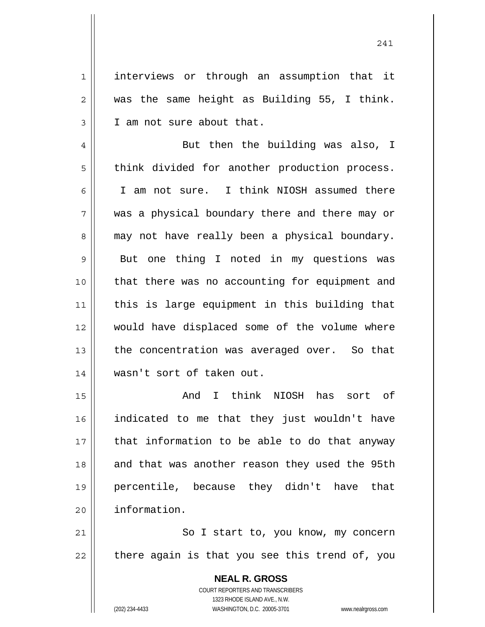$3 \parallel$  I am not sure about that. interviews or through an assumption that it was the same height as Building 55, I think.

 $4 \parallel$  But then the building was also, I  $5 \parallel$  think divided for another production process.  $6 \parallel$  I am not sure. I think NIOSH assumed there  $7 \parallel$  was a physical boundary there and there may or  $8 \parallel$  may not have really been a physical boundary. 9 10  $11$  | this is large equipment in this building that  $12$  || would have displaced some of the volume where 13 || the concentration was averaged over. So that 14 But one thing I noted in my questions was that there was no accounting for equipment and wasn't sort of taken out.

15 t of And I think NIOSH has sor 16 || indicated to me that they just wouldn't have 17 18 || and that was another reason they used the 95th  $19 \parallel$  percentile, because they didn't have that 20 information. that information to be able to do that anyway

21 || So I start to, you know, my concern  $22$  || there again is that you see this trend of, you

> **NEAL R. GROSS** COURT REPORTERS AND TRANSCRIBERS 1323 RHODE ISLAND AVE., N.W. (202) 234-4433 WASHINGTON, D.C. 20005-3701 www.nealrgross.com

1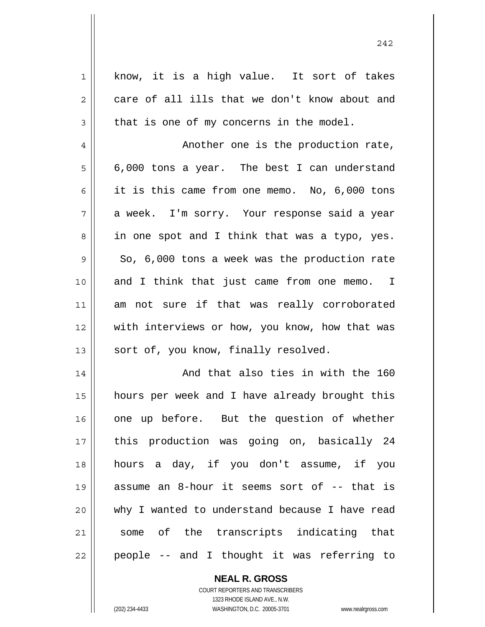| 1  | know, it is a high value. It sort of takes     |
|----|------------------------------------------------|
| 2  | care of all ills that we don't know about and  |
| 3  | that is one of my concerns in the model.       |
| 4  | Another one is the production rate,            |
| 5  | 6,000 tons a year. The best I can understand   |
| 6  | it is this came from one memo. No, 6,000 tons  |
| 7  | a week. I'm sorry. Your response said a year   |
| 8  | in one spot and I think that was a typo, yes.  |
| 9  | So, 6,000 tons a week was the production rate  |
| 10 | and I think that just came from one memo. I    |
| 11 | am not sure if that was really corroborated    |
| 12 | with interviews or how, you know, how that was |
| 13 | sort of, you know, finally resolved.           |
| 14 | And that also ties in with the 160             |
| 15 | hours per week and I have already brought this |
| 16 | one up before. But the question of whether     |
| 17 | this production was going on, basically 24     |
| 18 | hours a day, if you don't assume, if you       |
| 19 | assume an 8-hour it seems sort of -- that is   |
| 20 | why I wanted to understand because I have read |
| 21 | some of the transcripts indicating that        |
| 22 | people -- and I thought it was referring to    |

**NEAL R. GROSS**

COURT REPORTERS AND TRANSCRIBERS 1323 RHODE ISLAND AVE., N.W. (202) 234-4433 WASHINGTON, D.C. 20005-3701 www.nealrgross.com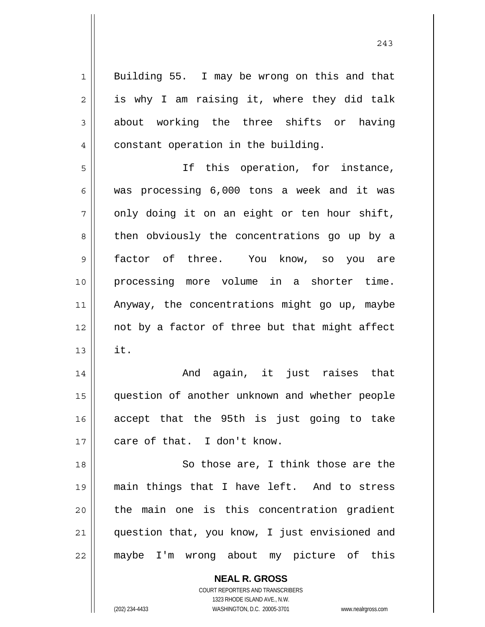1 2  $3 \parallel$  about working the three shifts or having  $4 \parallel$  constant operation in the building.  $5 \parallel$  If this operation, for instance, 6  $\parallel$  was processing 6,000 tons a week and it was  $7 \parallel$  only doing it on an eight or ten hour shift,  $8 \parallel$  then obviously the concentrations go up by a 9 10  $11$  | Anyway, the concentrations might go up, maybe  $12$  | not by a factor of three but that might affect 13  $14$   $\parallel$  and again, it just raises that  $15$   $\vert$  question of another unknown and whether people 16 accept that the 95th is just going to take 17 18  $19 \parallel$  main things that I have left. And to stress 20 || the main one is this concentration gradient 21 || question that, you know, I just envisioned and 22 maybe I'm wrong about my picture of this Building 55. I may be wrong on this and that is why I am raising it, where they did talk factor of three. You know, so you are processing more volume in a shorter time. it. care of that. I don't know. So those are, I think those are the

> **NEAL R. GROSS** COURT REPORTERS AND TRANSCRIBERS 1323 RHODE ISLAND AVE., N.W.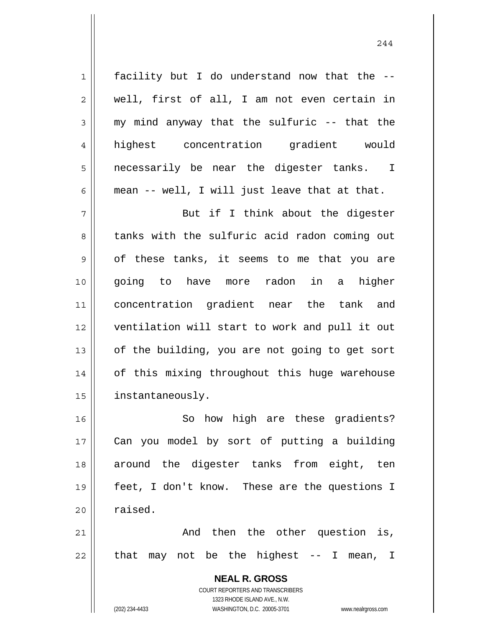**NEAL R. GROSS** COURT REPORTERS AND TRANSCRIBERS 1323 RHODE ISLAND AVE., N.W. 1 2  $3 \parallel$  my mind anyway that the sulfuric -- that the 4 || highest concentration gradient would  $5$  || necessarily be near the digester tanks. I  $6$  || mean -- well, I will just leave that at that.  $7 \parallel$  But if I think about the digester  $8 \parallel$  tanks with the sulfuric acid radon coming out 9 10  $11$   $\vert$  concentration gradient near the tank and  $12$  | ventilation will start to work and pull it out  $13 \parallel$  of the building, you are not going to get sort 14 || of this mixing throughout this huge warehouse 15 16 || So how high are these gradients? 17 18 around the digester tanks from eight, ten  $19 \parallel$  feet, I don't know. These are the questions I 20 | raised. 21 || The Rand then the other question is,  $22$  || that may not be the highest  $-$  I mean, I facility but I do understand now that the - well, first of all, I am not even certain in of these tanks, it seems to me that you are going to have more radon in a higher instantaneously. Can you model by sort of putting a building

(202) 234-4433 WASHINGTON, D.C. 20005-3701 www.nealrgross.com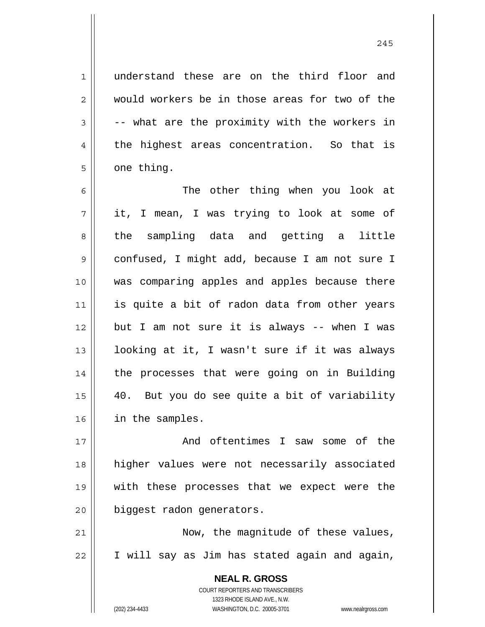$3 \parallel$  -- what are the proximity with the workers in  $4 \parallel$  the highest areas concentration. So that is  $5 \parallel$  one thing. understand these are on the third floor and would workers be in those areas for two of the

 $6 \parallel$  The other thing when you look at  $7 \parallel$  it, I mean, I was trying to look at some of  $8 \parallel$  the sampling data and getting a little 9 10  $11$  | is quite a bit of radon data from other years  $12 \parallel$  but I am not sure it is always -- when I was 13  $\parallel$  100king at it, I wasn't sure if it was always  $14$  | the processes that were going on in Building 15 40. But you do see quite a bit of variability 16 confused, I might add, because I am not sure I was comparing apples and apples because there in the samples.

17 18 higher values were not necessarily associated  $19 \parallel$  with these processes that we expect were the 20 | biggest radon generators. And oftentimes I saw some of the

21 | Now, the magnitude of these values, 22 I will say as Jim has stated again and again,

> COURT REPORTERS AND TRANSCRIBERS 1323 RHODE ISLAND AVE., N.W. (202) 234-4433 WASHINGTON, D.C. 20005-3701 www.nealrgross.com

**NEAL R. GROSS**

1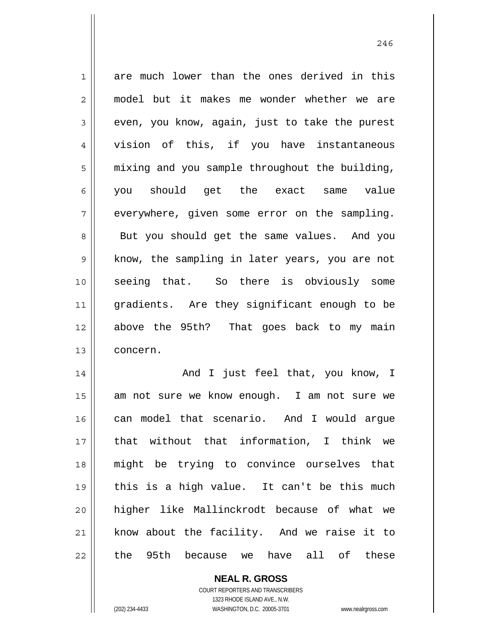1 2  $3 \parallel$  even, you know, again, just to take the purest  $4 \parallel$  vision of this, if you have instantaneous  $5 \parallel$  mixing and you sample throughout the building, 6  $\parallel$  you should get the exact same value  $7 \parallel$  everywhere, given some error on the sampling.  $8 \parallel$  But you should get the same values. And you 9 10  $11$  | gradients. Are they significant enough to be 12 above the 95th? That goes back to my main 13 14 ow, I And I just feel that, you kn 15  $\parallel$  am not sure we know enough. I am not sure we 16 || can model that scenario. And I would argue 17 18  $19 \parallel$  this is a high value. It can't be this much 20 higher like Mallinckrodt because of what we 21 know about the facility. And we raise it to  $22$  || the 95th because we have all of these are much lower than the ones derived in this model but it makes me wonder whether we are you should get the exact same know, the sampling in later years, you are not seeing that. So there is obviously some concern. that without that information, I think we might be trying to convince ourselves that

> **NEAL R. GROSS** COURT REPORTERS AND TRANSCRIBERS 1323 RHODE ISLAND AVE., N.W.

(202) 234-4433 WASHINGTON, D.C. 20005-3701 www.nealrgross.com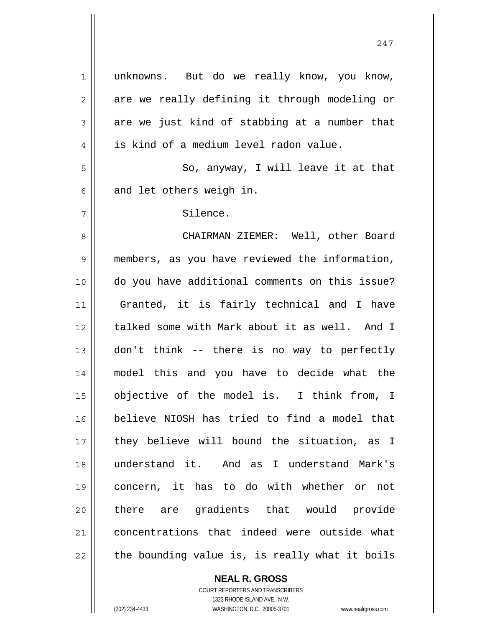1 2  $3 \parallel$  are we just kind of stabbing at a number that  $4 \parallel$  is kind of a medium level radon value. 5 || So, anyway, I will leave it at that 6  $\parallel$  and let others weigh in. 7 8 Board CHAIRMAN ZIEMER: Well, other 9 10  $11$   $\vert$  Granted, it is fairly technical and I have  $12$  | talked some with Mark about it as well. And I  $13 \parallel$  don't think -- there is no way to perfectly  $14$  || model this and you have to decide what the  $15 \parallel$  objective of the model is. I think from, I 16 || believe NIOSH has tried to find a model that 17 18  $19 \parallel$  concern, it has to do with whether or not 20 || there are gradients that would provide 21 concentrations that indeed were outside what  $22$  | the bounding value is, is really what it boils unknowns. But do we really know, you know, are we really defining it through modeling or Silence. members, as you have reviewed the information, do you have additional comments on this issue? they believe will bound the situation, as I understand it. And as I understand Mark's

**NEAL R. GROSS**

COURT REPORTERS AND TRANSCRIBERS 1323 RHODE ISLAND AVE., N.W. (202) 234-4433 WASHINGTON, D.C. 20005-3701 www.nealrgross.com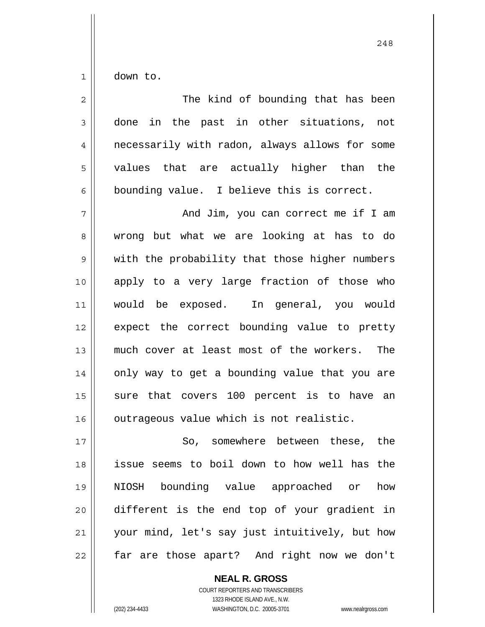1 down to.

| $\overline{c}$ | The kind of bounding that has been             |
|----------------|------------------------------------------------|
| $\mathfrak{Z}$ | in the past in other situations, not<br>done   |
| 4              | necessarily with radon, always allows for some |
| 5              | values that are actually higher than the       |
| 6              | bounding value. I believe this is correct.     |
| 7              | And Jim, you can correct me if I am            |
| 8              | wrong but what we are looking at has to do     |
| 9              | with the probability that those higher numbers |
| 10             | apply to a very large fraction of those who    |
| 11             | would be exposed. In general, you would        |
| 12             | expect the correct bounding value to pretty    |
| 13             | much cover at least most of the workers. The   |
| 14             | only way to get a bounding value that you are  |
| 15             | sure that covers 100 percent is to have an     |
| 16             | outrageous value which is not realistic.       |
| 17             | So, somewhere between these, the               |
| 18             | issue seems to boil down to how well has the   |
| 19             | NIOSH bounding value approached or<br>how      |
| 20             | different is the end top of your gradient in   |
| 21             | your mind, let's say just intuitively, but how |
| 22             | far are those apart? And right now we don't    |

**NEAL R. GROSS** COURT REPORTERS AND TRANSCRIBERS 1323 RHODE ISLAND AVE., N.W.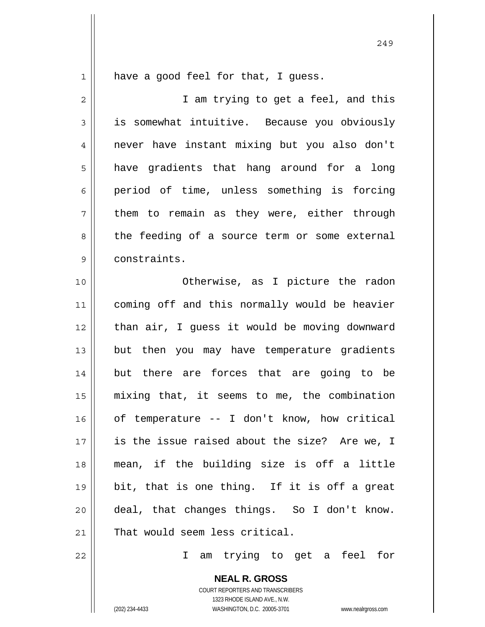1 have a good feel for that, I guess.

2  $3 \parallel$  is somewhat intuitive. Because you obviously  $4 \parallel$  never have instant mixing but you also don't  $5 \parallel$  have gradients that hang around for a long 6  $\parallel$  period of time, unless something is forcing  $7 \parallel$  them to remain as they were, either through  $8 \parallel$  the feeding of a source term or some external 9 constraints. I am trying to get a feel, and this

10  $11$   $\vert$  coming off and this normally would be heavier  $12 \parallel$  than air, I guess it would be moving downward  $13$  || but then you may have temperature gradients  $14$   $\vert$  but there are forces that are going to be  $15$  || mixing that, it seems to me, the combination 16 || of temperature -- I don't know, how critical 17 18 19 bit, that is one thing. If it is off a great 20 deal, that changes things. So I don't know.  $21$  That would seem less critical. Otherwise, as I picture the radon is the issue raised about the size? Are we, I mean, if the building size is off a little

22 I am trying to get a feel for

249

COURT REPORTERS AND TRANSCRIBERS 1323 RHODE ISLAND AVE., N.W. (202) 234-4433 WASHINGTON, D.C. 20005-3701 www.nealrgross.com

**NEAL R. GROSS**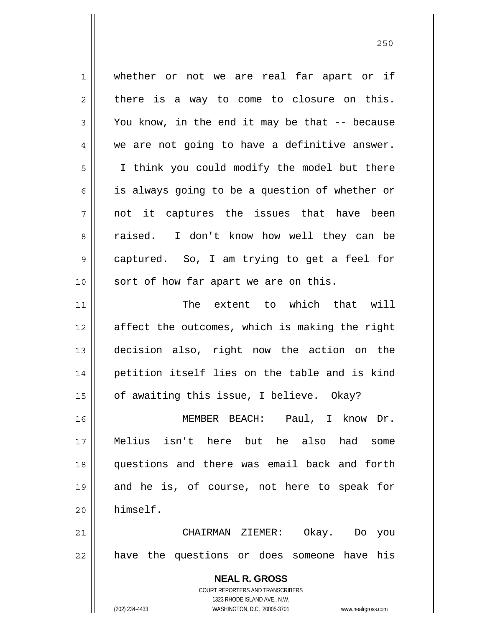**NEAL R. GROSS** 1 2  $3 \parallel$  You know, in the end it may be that -- because  $4 \parallel$  we are not going to have a definitive answer.  $5 \parallel$  I think you could modify the model but there 6  $\parallel$  is always going to be a question of whether or  $7 \parallel$  not it captures the issues that have been  $8 \parallel$  raised. I don't know how well they can be 9 10  $11$   $\parallel$  The extent to which that will  $12 \parallel$  affect the outcomes, which is making the right  $13$  | decision also, right now the action on the 14 petition itself lies on the table and is kind 15 16 || MEMBER BEACH: Paul, I know Dr. 17 18 questions and there was email back and forth  $19$  and he is, of course, not here to speak for 20 himself. 21 CHAIRMAN ZIEMER: Okay. Do you 22 || have the questions or does someone have his whether or not we are real far apart or if there is a way to come to closure on this. captured. So, I am trying to get a feel for sort of how far apart we are on this. of awaiting this issue, I believe. Okay? MEMBER BEACH: Melius isn't here but he also had some

> COURT REPORTERS AND TRANSCRIBERS 1323 RHODE ISLAND AVE., N.W.

(202) 234-4433 WASHINGTON, D.C. 20005-3701 www.nealrgross.com

<u>250</u>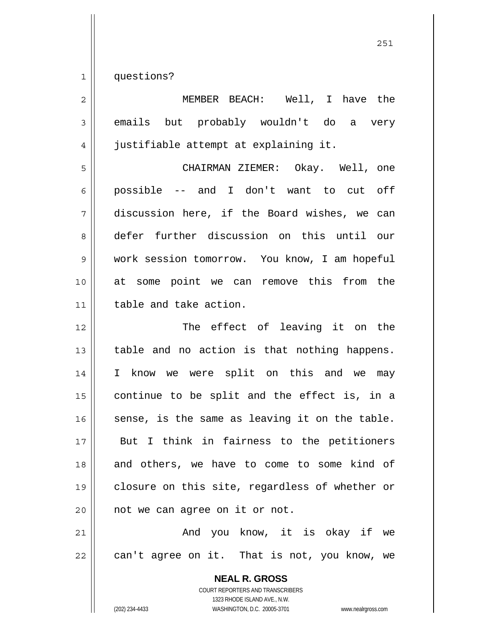1 questions?

| $\overline{2}$ | MEMBER BEACH: Well, I have the                                                                      |
|----------------|-----------------------------------------------------------------------------------------------------|
| 3              | emails but probably wouldn't do a very                                                              |
| $\overline{4}$ | justifiable attempt at explaining it.                                                               |
| 5              | CHAIRMAN ZIEMER: Okay. Well, one                                                                    |
| 6              | possible -- and I don't want to cut off                                                             |
| 7              | discussion here, if the Board wishes, we can                                                        |
| 8              | defer further discussion on this until our                                                          |
| 9              | work session tomorrow. You know, I am hopeful                                                       |
| 10             | at some point we can remove this from the                                                           |
| 11             | table and take action.                                                                              |
| 12             | The effect of leaving it on the                                                                     |
| 13             | table and no action is that nothing happens.                                                        |
| 14             | I know we were split on this and we may                                                             |
| 15             | continue to be split and the effect is, in a                                                        |
| 16             | sense, is the same as leaving it on the table.                                                      |
| 17             | But I think in fairness to the petitioners                                                          |
| 18             | and others, we have to come to some kind of                                                         |
| 19             | closure on this site, regardless of whether or                                                      |
| 20             | not we can agree on it or not.                                                                      |
| 21             | And you know, it is okay if we                                                                      |
| 22             | can't agree on it. That is not, you know, we                                                        |
|                | <b>NEAL R. GROSS</b><br>COURT REPORTERS AND TRANSCRIBERS                                            |
|                | 1323 RHODE ISLAND AVE., N.W.<br>(202) 234-4433<br>WASHINGTON, D.C. 20005-3701<br>www.nealrgross.com |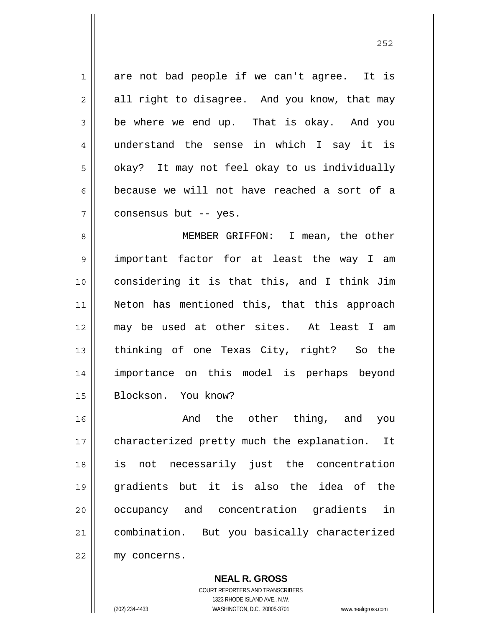1 2  $3 \parallel$  be where we end up. That is okay. And you  $4 \parallel$  understand the sense in which I say it is  $5 \parallel$  okay? It may not feel okay to us individually 6 | because we will not have reached a sort of a  $7 \parallel$  consensus but -- yes. are not bad people if we can't agree. It is all right to disagree. And you know, that may

8 || MEMBER GRIFFON: I mean, the other 9 10  $11$  || Neton has mentioned this, that this approach  $12 \parallel$  may be used at other sites. At least I am  $13 \parallel$  thinking of one Texas City, right? So the 14 15 MEMBER GRIFFON: important factor for at least the way I am considering it is that this, and I think Jim importance on this model is perhaps beyond Blockson. You know?

16 you And the other thing, and 17 18  $19 \parallel$  gradients but it is also the idea of the 20 || occupancy and concentration gradients in 21 combination. But you basically characterized 22 || my concerns. characterized pretty much the explanation. It is not necessarily just the concentration

> **NEAL R. GROSS** COURT REPORTERS AND TRANSCRIBERS 1323 RHODE ISLAND AVE., N.W. (202) 234-4433 WASHINGTON, D.C. 20005-3701 www.nealrgross.com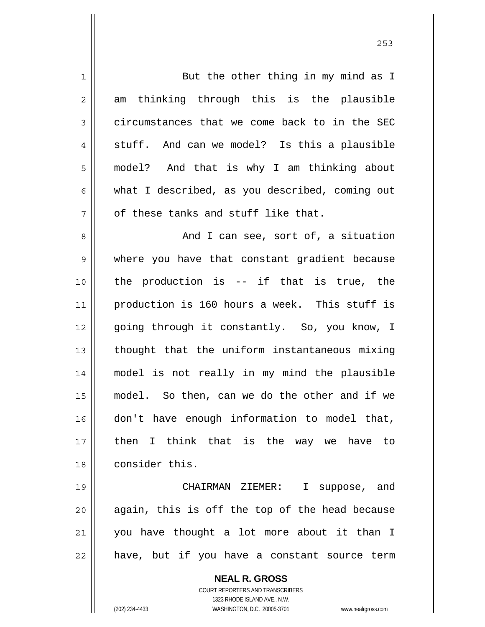| $\mathbf 1$ | But the other thing in my mind as I                                 |
|-------------|---------------------------------------------------------------------|
| 2           | am thinking through this is the plausible                           |
| 3           | circumstances that we come back to in the SEC                       |
| 4           | stuff. And can we model? Is this a plausible                        |
| 5           | model? And that is why I am thinking about                          |
| 6           | what I described, as you described, coming out                      |
| 7           | of these tanks and stuff like that.                                 |
| 8           | And I can see, sort of, a situation                                 |
| 9           | where you have that constant gradient because                       |
| 10          | the production is -- if that is true, the                           |
| 11          | production is 160 hours a week. This stuff is                       |
| 12          | going through it constantly. So, you know, I                        |
| 13          | thought that the uniform instantaneous mixing                       |
| 14          | model is not really in my mind the plausible                        |
| 15          | model. So then, can we do the other and if we                       |
| 16          | don't have enough information to model that,                        |
| 17          | then I think that is the way we have to                             |
| 18          | consider this.                                                      |
| 19          | CHAIRMAN ZIEMER: I<br>suppose, and                                  |
| 20          | again, this is off the top of the head because                      |
| 21          | you have thought a lot more about it than I                         |
| 22          | have, but if you have a constant source term                        |
|             | <b>NEAL R. GROSS</b>                                                |
|             | <b>COURT REPORTERS AND TRANSCRIBERS</b>                             |
|             | 1323 RHODE ISLAND AVE., N.W.                                        |
|             | (202) 234-4433<br>WASHINGTON, D.C. 20005-3701<br>www.nealrgross.com |

<u>253</u>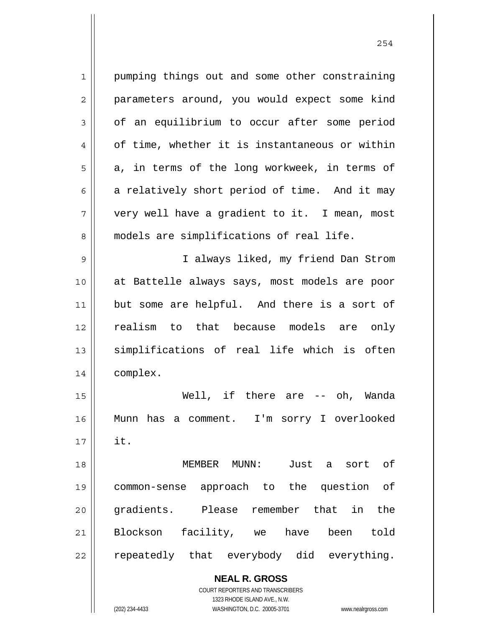**NEAL R. GROSS** 1 2  $3 \parallel$  of an equilibrium to occur after some period  $4 \parallel$  of time, whether it is instantaneous or within  $5 \parallel$  a, in terms of the long workweek, in terms of 6  $\parallel$  a relatively short period of time. And it may  $7 \parallel$  very well have a gradient to it. I mean, most 8  $\parallel$  models are simplifications of real life. 9 10  $11$   $\vert$  but some are helpful. And there is a sort of  $12$  | realism to that because models are only 13 || simplifications of real life which is often 14 15 Well, if there are -- oh, Wanda 16 Munn has a comment. I'm sorry I overlooked 17 18 19 || common-sense approach to the question of 20 gradients. Please remember that in the 21 Blockson facility, we have been told 22 || repeatedly that everybody did everything. pumping things out and some other constraining parameters around, you would expect some kind I always liked, my friend Dan Strom at Battelle always says, most models are poor complex. it. MEMBER MUNN: Just a sort of

254

COURT REPORTERS AND TRANSCRIBERS 1323 RHODE ISLAND AVE., N.W.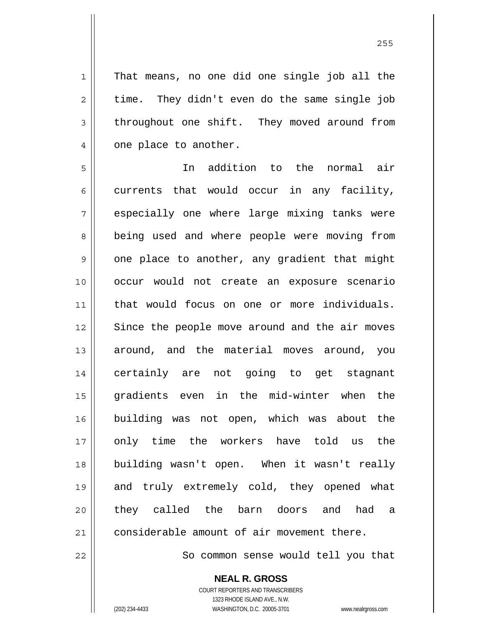$3 \parallel$  throughout one shift. They moved around from  $4 \parallel$  one place to another. That means, no one did one single job all the time. They didn't even do the same single job

1

2

5 || In addition to the normal air 6 || currents that would occur in any facility,  $7 \parallel$  especially one where large mixing tanks were  $8 \parallel$  being used and where people were moving from 9 10  $11$  | that would focus on one or more individuals.  $12$   $\parallel$  Since the people move around and the air moves  $13 \parallel$  around, and the material moves around, you  $14 \parallel$  certainly are not going to get stagnant  $15 \parallel$  gradients even in the mid-winter when the 16 || building was not open, which was about the 17 18 19 and truly extremely cold, they opened what 20 they called the barn doors and had a 21  $\parallel$  considerable amount of air movement there. one place to another, any gradient that might occur would not create an exposure scenario only time the workers have told us the building wasn't open. When it wasn't really

22 || So common sense would tell you that

**NEAL R. GROSS** COURT REPORTERS AND TRANSCRIBERS

1323 RHODE ISLAND AVE., N.W. (202) 234-4433 WASHINGTON, D.C. 20005-3701 www.nealrgross.com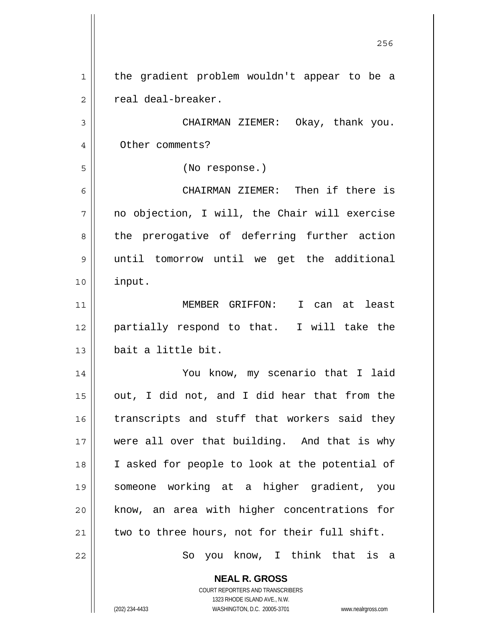|              | 256                                                                 |
|--------------|---------------------------------------------------------------------|
| $\mathbf{1}$ | the gradient problem wouldn't appear to be a                        |
| 2            | real deal-breaker.                                                  |
| 3            | CHAIRMAN ZIEMER: Okay, thank you.                                   |
| 4            | Other comments?                                                     |
| 5            | (No response.)                                                      |
| 6            | CHAIRMAN ZIEMER: Then if there is                                   |
| 7            | no objection, I will, the Chair will exercise                       |
| 8            | the prerogative of deferring further action                         |
| 9            | until tomorrow until we get the additional                          |
| 10           | input.                                                              |
| 11           | MEMBER GRIFFON: I can at least                                      |
| 12           | partially respond to that. I will take the                          |
| 13           | bait a little bit.                                                  |
| 14           | You know, my scenario that I laid                                   |
| 15           | out, I did not, and I did hear that from the                        |
| 16           | transcripts and stuff that workers said they                        |
| 17           | were all over that building. And that is why                        |
| 18           | I asked for people to look at the potential of                      |
| 19           | someone working at a higher gradient, you                           |
| 20           | know, an area with higher concentrations for                        |
| 21           | two to three hours, not for their full shift.                       |
| 22           | So you know, I think that is a                                      |
|              | <b>NEAL R. GROSS</b>                                                |
|              | COURT REPORTERS AND TRANSCRIBERS<br>1323 RHODE ISLAND AVE., N.W.    |
|              | (202) 234-4433<br>WASHINGTON, D.C. 20005-3701<br>www.nealrgross.com |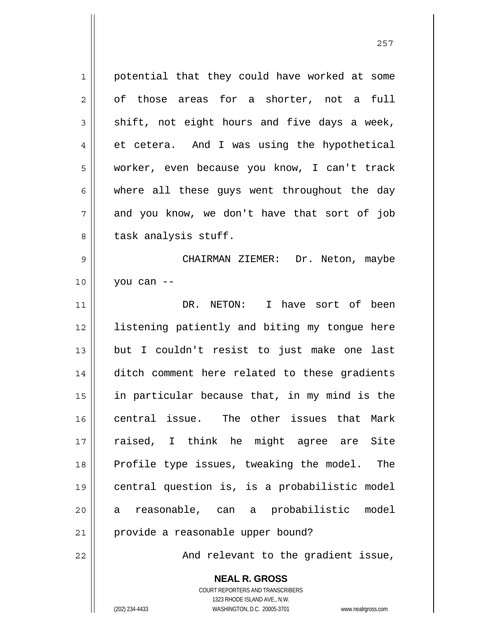1 2  $3 \parallel$  shift, not eight hours and five days a week,  $4 \parallel$  et cetera. And I was using the hypothetical 5 || worker, even because you know, I can't track 6  $\parallel$  where all these guys went throughout the day  $7 \parallel$  and you know, we don't have that sort of job  $8 \parallel$  task analysis stuff. 9 CHAIRMAN ZIEMER: Dr. Neton, maybe 10 11 been DR. NETON: I have sort of  $12$  | listening patiently and biting my tongue here  $13 \parallel$  but I couldn't resist to just make one last  $14$   $\parallel$  ditch comment here related to these gradients 15  $\parallel$  in particular because that, in my mind is the  $16$  || central issue. The other issues that Mark 17 18 19 central question is, is a probabilistic model 20 a reasonable, can a probabilistic model 21 | provide a reasonable upper bound? 22 || And relevant to the gradient issue, potential that they could have worked at some of those areas for a shorter, not a full you can - raised, I think he might agree are Site Profile type issues, tweaking the model. The

<u>257 and 257</u>

**NEAL R. GROSS** COURT REPORTERS AND TRANSCRIBERS

1323 RHODE ISLAND AVE., N.W.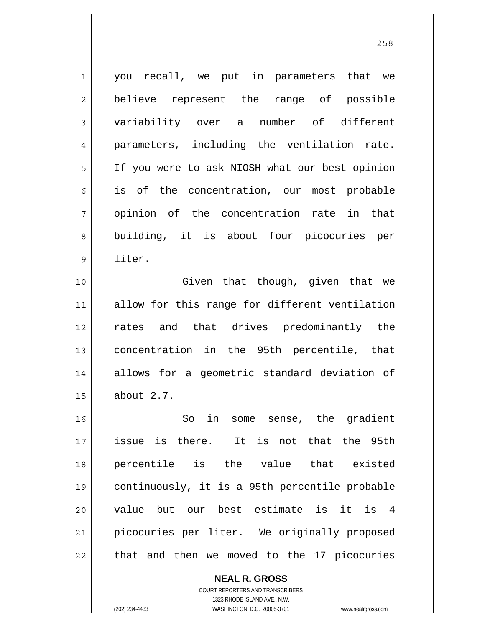| $\mathbf 1$    | you recall, we put in parameters that we       |
|----------------|------------------------------------------------|
| 2              | believe represent the range of possible        |
| 3              | variability over a number of different         |
| $\overline{4}$ | parameters, including the ventilation rate.    |
| 5              | If you were to ask NIOSH what our best opinion |
| 6              | is of the concentration, our most probable     |
| 7              | opinion of the concentration rate in that      |
| 8              | building, it is about four picocuries per      |
| 9              | liter.                                         |
| 10             | Given that though, given that we               |
| 11             | allow for this range for different ventilation |
| 12             | rates and that drives predominantly the        |
| 13             | concentration in the 95th percentile, that     |
| 14             | allows for a geometric standard deviation of   |
| 15             | about 2.7.                                     |
| 16             | So in some sense, the gradient                 |
| 17             | issue is there. It is not that the 95th        |
| 18             | percentile is the value that existed           |
| 19             | continuously, it is a 95th percentile probable |
| 20             | value but our best estimate is it is 4         |
| 21             | picocuries per liter. We originally proposed   |
| 22             | that and then we moved to the 17 picocuries    |

**NEAL R. GROSS** COURT REPORTERS AND TRANSCRIBERS 1323 RHODE ISLAND AVE., N.W. (202) 234-4433 WASHINGTON, D.C. 20005-3701 www.nealrgross.com

<u>258</u>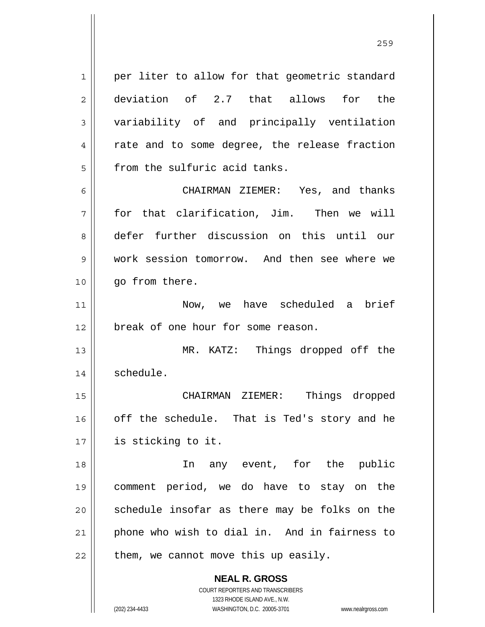**NEAL R. GROSS** 1 2  $3 \parallel$  variability of and principally ventilation  $4 \parallel$  rate and to some degree, the release fraction  $5 \parallel$  from the sulfuric acid tanks. 6 hanks CHAIRMAN ZIEMER: Yes, and t  $7 \parallel$  for that clarification, Jim. Then we will  $8 \parallel$  defer further discussion on this until our 9 10  $11$   $\parallel$  Now, we have scheduled a brief  $12$  | break of one hour for some reason. 13 || MR. KATZ: Things dropped off the 14 15 RMAN ZIEMER: Things dropped CHAI 16 17 18  $19 \parallel$  comment period, we do have to stay on the  $20$  schedule insofar as there may be folks on the 21 phone who wish to dial in. And in fairness to  $22$  | them, we cannot move this up easily. per liter to allow for that geometric standard deviation of 2.7 that allows for the work session tomorrow. And then see where we go from there. schedule. off the schedule. That is Ted's story and he is sticking to it. In any event, for the public

<u>259 میں اس کا اعتبار اور اس کا اعتبار اور اس کا اعتبار اور اس کا اعتبار اور اس کا اعتبار اور اس کا اعتبار اور ا</u>

COURT REPORTERS AND TRANSCRIBERS 1323 RHODE ISLAND AVE., N.W.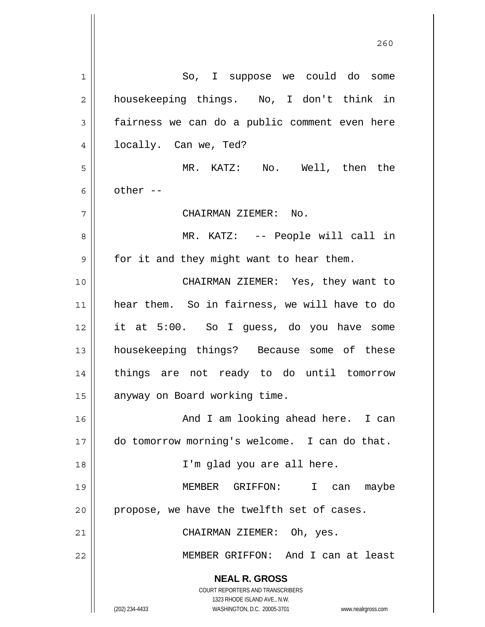**NEAL R. GROSS** COURT REPORTERS AND TRANSCRIBERS 1323 RHODE ISLAND AVE., N.W. (202) 234-4433 WASHINGTON, D.C. 20005-3701 www.nealrgross.com 1 2  $3 \parallel$  fairness we can do a public comment even here  $4 \parallel$   $1$ ocally. Can we, Ted? 5 MR. KATZ: No. Well, then the 6 | other --7 8 ill call in MR. KATZ: -- People w  $9 \parallel$  for it and they might want to hear them. 10  $11$  | hear them. So in fairness, we will have to do  $12 \parallel$  it at 5:00. So I guess, do you have some 13 || housekeeping things? Because some of these 14 things are not ready to do until tomorrow 15 16 || And I am looking ahead here. I can 17 | do tomorrow morning's welcome. I can do that. 18 19 || MEMBER GRIFFON: I can maybe  $20$  | propose, we have the twelfth set of cases. 21 CHAIRMAN ZIEMER: Oh, yes. 22 MEMBER GRIFFON: And I can at least So, I suppose we could do some housekeeping things. No, I don't think in CHAIRMAN ZIEMER: No. CHAIRMAN ZIEMER: Yes, they want to anyway on Board working time. I'm glad you are all here.

<u>260</u>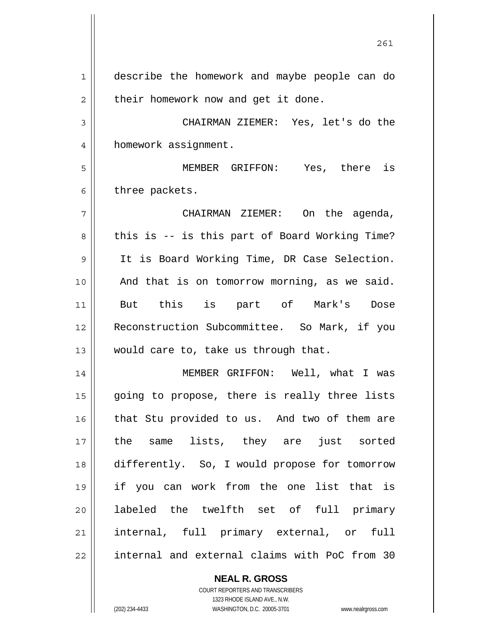1  $2 \parallel$  their homework now and get it done. 3 AN ZIEMER: Yes, let's do the CHAIRM 4 | homework assignment. 5 6 | three packets. 7 genda, CHAIRMAN ZIEMER: On the a  $8 \parallel$  this is -- is this part of Board Working Time? 9 10  $11$   $\parallel$  But this is part of Mark's Dose 12 Reconstruction Subcommittee. So Mark, if you 13 14 || MEMBER GRIFFON: Well, what I was  $15$   $\parallel$  going to propose, there is really three lists  $16$  | that Stu provided to us. And two of them are 17 18  $19 \parallel$  if you can work from the one list that is 20 labeled the twelfth set of full primary 21 internal, full primary external, or full 22 || internal and external claims with PoC from 30 describe the homework and maybe people can do MEMBER GRIFFON: Yes, there is It is Board Working Time, DR Case Selection. And that is on tomorrow morning, as we said. But this is part of would care to, take us through that. MEMBER GRIFFON: the same lists, they are just sorted differently. So, I would propose for tomorrow

> **NEAL R. GROSS** COURT REPORTERS AND TRANSCRIBERS

> > 1323 RHODE ISLAND AVE., N.W.

(202) 234-4433 WASHINGTON, D.C. 20005-3701 www.nealrgross.com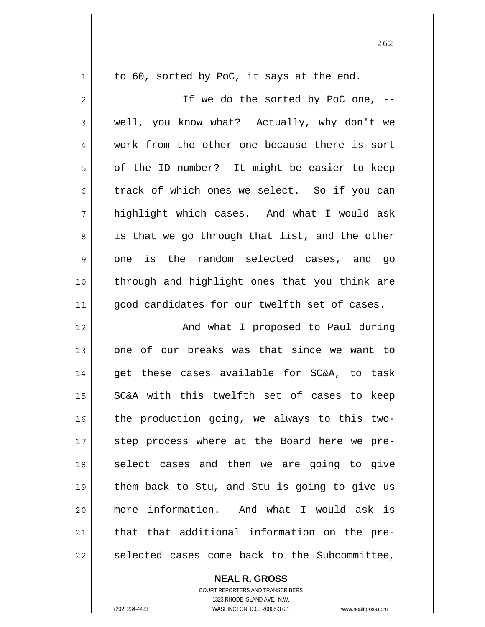| 1           | to 60, sorted by PoC, it says at the end.      |
|-------------|------------------------------------------------|
| 2           | If we do the sorted by PoC one, --             |
| 3           | well, you know what? Actually, why don't we    |
| 4           | work from the other one because there is sort  |
| 5           | of the ID number? It might be easier to keep   |
| 6           | track of which ones we select. So if you can   |
| 7           | highlight which cases. And what I would ask    |
| 8           | is that we go through that list, and the other |
| $\mathsf 9$ | one is the random selected cases, and go       |
| 10          | through and highlight ones that you think are  |
| 11          | good candidates for our twelfth set of cases.  |
| 12          | And what I proposed to Paul during             |
| 13          | one of our breaks was that since we want to    |
| 14          | get these cases available for SC&A, to task    |
| 15          | SC&A with this twelfth set of cases to keep    |
| 16          | the production going, we always to this two-   |
| 17          | step process where at the Board here we pre-   |
| 18          | select cases and then we are going to give     |
| 19          | them back to Stu, and Stu is going to give us  |
| 20          | more information. And what I would ask is      |
| 21          | that that additional information on the pre-   |
| 22          | selected cases come back to the Subcommittee,  |

**NEAL R. GROSS**

COURT REPORTERS AND TRANSCRIBERS 1323 RHODE ISLAND AVE., N.W. (202) 234-4433 WASHINGTON, D.C. 20005-3701 www.nealrgross.com

 $\mathsf{II}$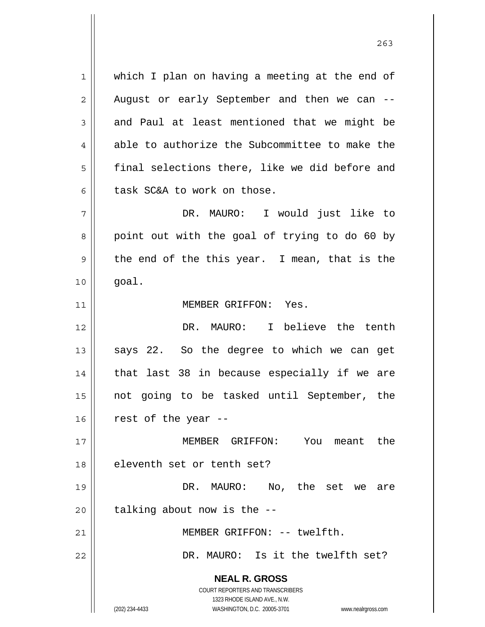1 2  $3 \parallel$  and Paul at least mentioned that we might be  $4 \parallel$  able to authorize the Subcommittee to make the  $5 \parallel$  final selections there, like we did before and  $6 \parallel$  task SC&A to work on those. 7 ke to DR. MAURO: I would just li  $8 \parallel$  point out with the goal of trying to do 60 by which I plan on having a meeting at the end of August or early September and then we can --

MEMBER GRIFFON: Yes.

the end of the this year. I mean, that is the

tenth DR. MAURO: I believe the  $\parallel$  says 22. So the degree to which we can get | that last 38 in because especially if we are not going to be tasked until September, the 16 rest of the year --

17 18 eleventh set or tenth set? MEMBER GRIFFON: You meant the

19 we are DR. MAURO: No, the set  $20$  | talking about now is the  $-$ 

21 || MEMBER GRIFFON: -- twelfth.

22 DR. MAURO: Is it the twelfth set?

**NEAL R. GROSS** COURT REPORTERS AND TRANSCRIBERS

9

11

 $10 \parallel$  goal.

1323 RHODE ISLAND AVE., N.W. (202) 234-4433 WASHINGTON, D.C. 20005-3701 www.nealrgross.com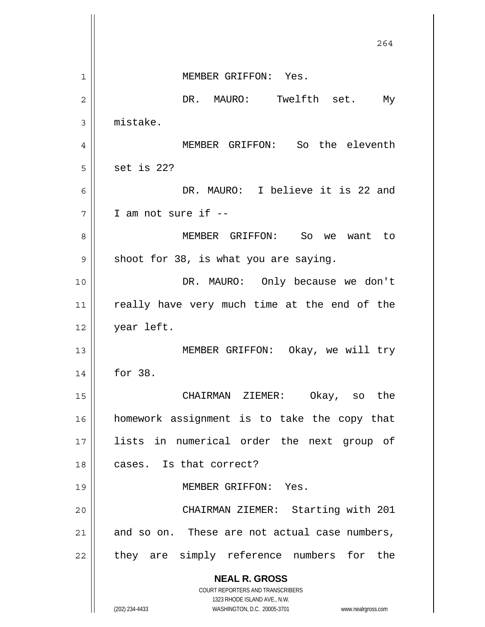|                | 264                                                                                             |
|----------------|-------------------------------------------------------------------------------------------------|
| 1              | MEMBER GRIFFON: Yes.                                                                            |
| $\overline{2}$ | DR. MAURO: Twelfth set. My                                                                      |
| 3              | mistake.                                                                                        |
| 4              | MEMBER GRIFFON: So the eleventh                                                                 |
| 5              | set is 22?                                                                                      |
| 6              | DR. MAURO: I believe it is 22 and                                                               |
| 7              | I am not sure if --                                                                             |
| 8              | MEMBER GRIFFON: So we want to                                                                   |
| 9              | shoot for 38, is what you are saying.                                                           |
| 10             | DR. MAURO: Only because we don't                                                                |
| 11             | really have very much time at the end of the                                                    |
| 12             | year left.                                                                                      |
| 13             | MEMBER GRIFFON: Okay, we will try                                                               |
| 14             | for 38.                                                                                         |
| 15             | CHAIRMAN ZIEMER:<br>Okay, so the                                                                |
| 16             | homework assignment is to take the copy that                                                    |
| 17             | lists in numerical order the next group of                                                      |
| 18             | cases. Is that correct?                                                                         |
| 19             | MEMBER GRIFFON: Yes.                                                                            |
| 20             | CHAIRMAN ZIEMER: Starting with 201                                                              |
| 21             | and so on. These are not actual case numbers,                                                   |
| 22             | they are simply reference numbers for the                                                       |
|                | <b>NEAL R. GROSS</b><br><b>COURT REPORTERS AND TRANSCRIBERS</b><br>1323 RHODE ISLAND AVE., N.W. |
|                | (202) 234-4433<br>WASHINGTON, D.C. 20005-3701<br>www.nealrgross.com                             |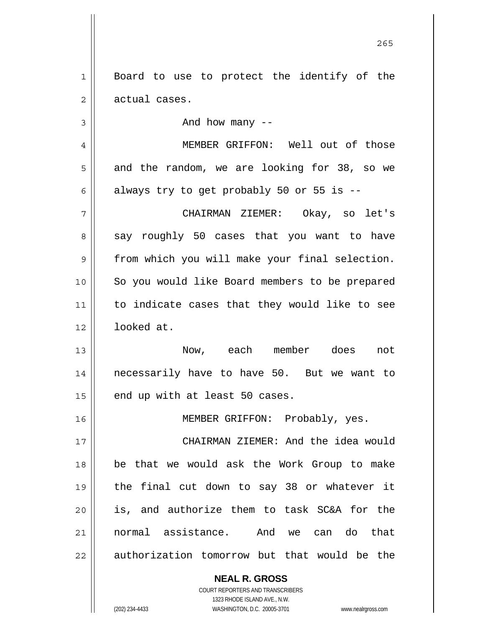1  $2 \parallel$  actual cases. Board to use to protect the identify of the

3 4 || MEMBER GRIFFON: Well out of those  $5 \parallel$  and the random, we are looking for 38, so we 6 always try to get probably 50 or 55 is  $-$ 7 let's CHAIRMAN ZIEMER: Okay, so  $8 \parallel$  say roughly 50 cases that you want to have 9 10  $11$   $\parallel$  to indicate cases that they would like to see 12 And how many  $--$ MEMBER GRIFFON: from which you will make your final selection. So you would like Board members to be prepared looked at.

member does not necessarily have to have 50. But we want to || end up with at least 50 cases. Now, each

16 || MEMBER GRIFFON: Probably, yes.

17 18  $19 \parallel$  the final cut down to say 38 or whatever it 20 is, and authorize them to task SC&A for the 21 normal assistance. And we can do that 22 || authorization tomorrow but that would be the CHAIRMAN ZIEMER: And the idea would be that we would ask the Work Group to make

> COURT REPORTERS AND TRANSCRIBERS 1323 RHODE ISLAND AVE., N.W. (202) 234-4433 WASHINGTON, D.C. 20005-3701 www.nealrgross.com

**NEAL R. GROSS**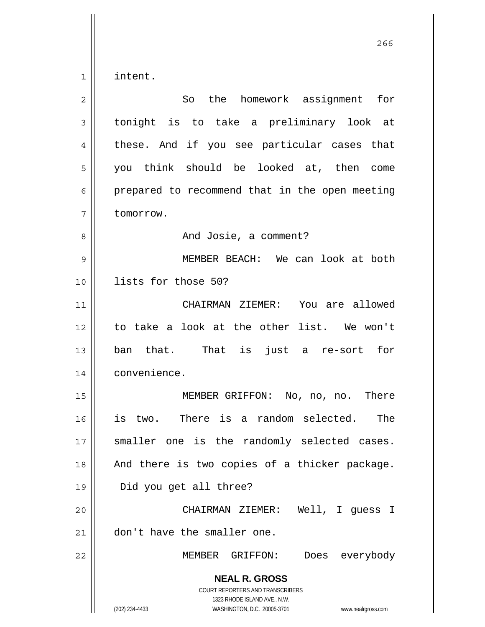1 intent.

| $\overline{2}$ | the homework assignment for<br>So                                                                                                                                      |
|----------------|------------------------------------------------------------------------------------------------------------------------------------------------------------------------|
| 3              | tonight is to take a preliminary look at                                                                                                                               |
| 4              | these. And if you see particular cases that                                                                                                                            |
| 5              | you think should be looked at, then come                                                                                                                               |
| 6              | prepared to recommend that in the open meeting                                                                                                                         |
| 7              | tomorrow.                                                                                                                                                              |
| 8              | And Josie, a comment?                                                                                                                                                  |
| 9              | MEMBER BEACH: We can look at both                                                                                                                                      |
| 10             | lists for those 50?                                                                                                                                                    |
| 11             | CHAIRMAN ZIEMER: You are allowed                                                                                                                                       |
| 12             | to take a look at the other list. We won't                                                                                                                             |
| 13             | ban that. That is just a re-sort for                                                                                                                                   |
| 14             | convenience.                                                                                                                                                           |
| 15             | MEMBER GRIFFON: No, no, no. There                                                                                                                                      |
| 16             | There is a random selected.<br>The<br>is two.                                                                                                                          |
| 17             | smaller one is the randomly selected cases.                                                                                                                            |
| 18             | And there is two copies of a thicker package.                                                                                                                          |
| 19             | Did you get all three?                                                                                                                                                 |
| 20             | CHAIRMAN ZIEMER: Well, I guess<br>T                                                                                                                                    |
| 21             | don't have the smaller one.                                                                                                                                            |
| 22             | MEMBER GRIFFON:<br>Does everybody                                                                                                                                      |
|                | <b>NEAL R. GROSS</b><br><b>COURT REPORTERS AND TRANSCRIBERS</b><br>1323 RHODE ISLAND AVE., N.W.<br>(202) 234-4433<br>WASHINGTON, D.C. 20005-3701<br>www.nealrgross.com |

проставляют производите в 266 году в 266 году в 266 году в 266 году в 266 году в 266 году в 266 году в 266 год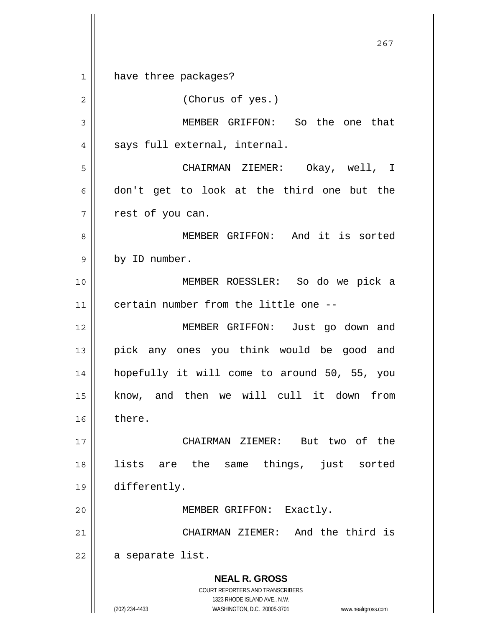**NEAL R. GROSS** COURT REPORTERS AND TRANSCRIBERS 1323 RHODE ISLAND AVE., N.W. (202) 234-4433 WASHINGTON, D.C. 20005-3701 www.nealrgross.com 267 1 2 (Chorus of yes.) 3 || MEMBER GRIFFON: So the one that  $\vert 4 \vert \vert$  says full external, internal. 5 l, I  $6 \parallel$  don't get to look at the third one but the  $7 \parallel$  rest of you can. 8 || MEMBER GRIFFON: And it is sorted  $9 \parallel$  by ID number. 10 11 12 || MEMBER GRIFFON: Just go down and  $13 \parallel$  pick any ones you think would be good and  $14 \parallel$  hopefully it will come to around 50, 55, you 15 know, and then we will cull it down from 16 17 || CHAIRMAN ZIEMER: But two of the 18 lists are the same things, just sorted 19 20 || **MEMBER GRIFFON: Exactly.** 21 CHAIRMAN ZIEMER: And the third is  $22 \parallel$  a separate list. have three packages? CHAIRMAN ZIEMER: MEMBER ROESSLER: So do we pick a certain number from the little one - there. differently.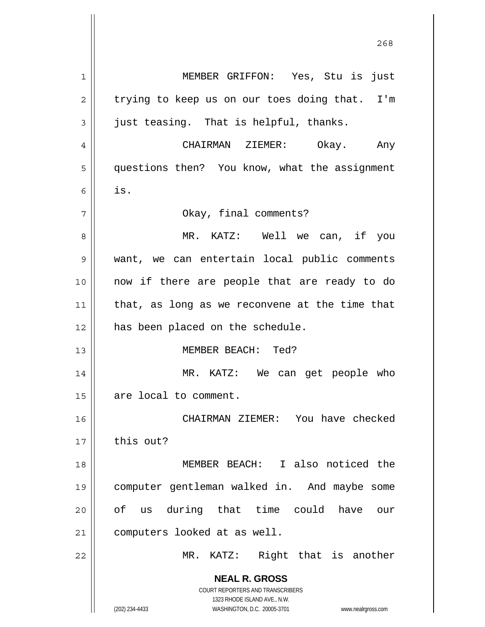**NEAL R. GROSS** COURT REPORTERS AND TRANSCRIBERS 1323 RHODE ISLAND AVE., N.W. (202) 234-4433 WASHINGTON, D.C. 20005-3701 www.nealrgross.com 1 2  $3 \parallel$  just teasing. That is helpful, thanks. 4 Any CHAIRMAN ZIEMER: Okay.  $5 \parallel$  questions then? You know, what the assignment  $6$  is. 7 8 f you MR. KATZ: Well we can, i 9 10  $11$  | that, as long as we reconvene at the time that  $12 \parallel$  has been placed on the schedule. 13 BEACH: Ted? MEMBER 14 || MR. KATZ: We can get people who  $15$  | are local to comment. 16 ecked CHAIRMAN ZIEMER: You have ch 17 18 19 computer gentleman walked in. And maybe some 20 || of us during that time could have our 21 | computers looked at as well. 22 MR. KATZ: Right that is another MEMBER GRIFFON: Yes, Stu is just trying to keep us on our toes doing that. I'm Okay, final comments? want, we can entertain local public comments now if there are people that are ready to do this out? MEMBER BEACH: I also noticed the

<u>268</u>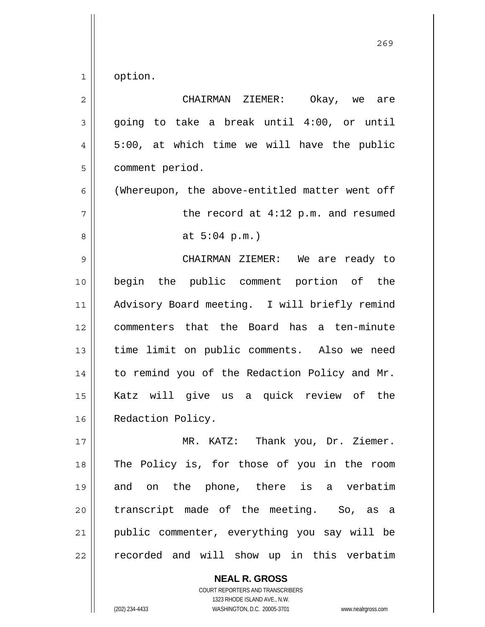1 option.

| $\overline{2}$ | CHAIRMAN ZIEMER: Okay, we are                  |
|----------------|------------------------------------------------|
| 3              | going to take a break until 4:00, or until     |
| 4              | 5:00, at which time we will have the public    |
| 5              | comment period.                                |
| 6              | (Whereupon, the above-entitled matter went off |
| 7              | the record at $4:12$ p.m. and resumed          |
| 8              | at $5:04$ p.m.)                                |
| 9              | CHAIRMAN ZIEMER: We are ready to               |
| 10             | begin the public comment portion of the        |
| 11             | Advisory Board meeting. I will briefly remind  |
| 12             | commenters that the Board has a ten-minute     |
| 13             | time limit on public comments. Also we need    |
| 14             | to remind you of the Redaction Policy and Mr.  |
| 15             | Katz will give us a quick review of the        |
| 16             | Redaction Policy.                              |
| 17             | MR. KATZ: Thank you, Dr. Ziemer.               |
| 18             | The Policy is, for those of you in the room    |
| 19             | and on the phone, there is a verbatim          |
| 20             | transcript made of the meeting. So, as a       |
| 21             | public commenter, everything you say will be   |
| 22             | recorded and will show up in this verbatim     |

**NEAL R. GROSS**

COURT REPORTERS AND TRANSCRIBERS 1323 RHODE ISLAND AVE., N.W.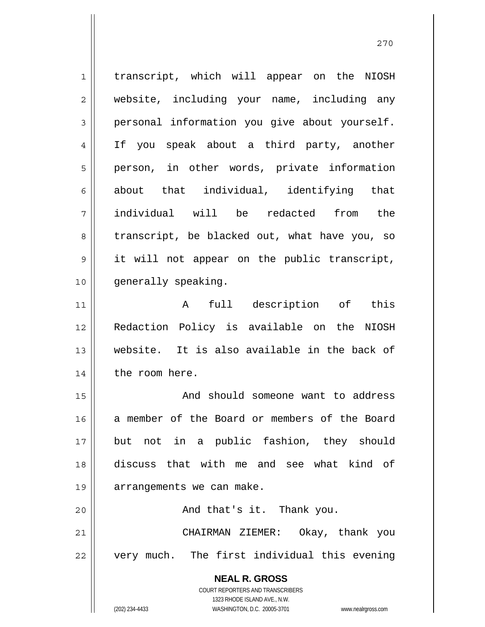**NEAL R. GROSS** COURT REPORTERS AND TRANSCRIBERS 1 2  $3 \parallel$  personal information you give about yourself.  $4 \parallel$  If you speak about a third party, another  $5 \parallel$  person, in other words, private information 6 || about that individual, identifying that  $7\parallel$  individual will be redacted from the  $8 \parallel$  transcript, be blacked out, what have you, so 9 10 11 || A full description of this  $12 \parallel$  Redaction Policy is available on the NIOSH 13 website. It is also available in the back of 14 15 || And should someone want to address 16 a member of the Board or members of the Board 17 18 discuss that with me and see what kind of 19 20 And that's it. Thank you. 21 CHAIRMAN ZIEMER: Okay, thank you 22 || very much. The first individual this evening transcript, which will appear on the NIOSH website, including your name, including any redacted it will not appear on the public transcript, generally speaking. the room here. but not in a public fashion, they should arrangements we can make.

270

1323 RHODE ISLAND AVE., N.W.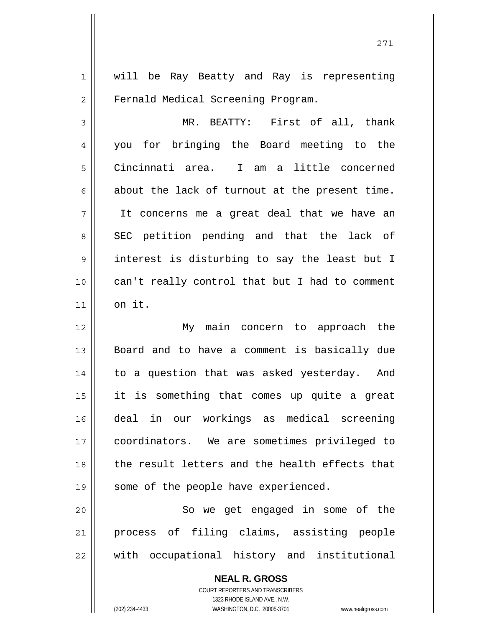1 2 | Fernald Medical Screening Program. will be Ray Beatty and Ray is representing

3 || MR. BEATTY: First of all, thank  $4 \parallel$  you for bringing the Board meeting to the  $5 \parallel$  Cincinnati area. I am a little concerned  $6 \parallel$  about the lack of turnout at the present time.  $7 \parallel$  It concerns me a great deal that we have an  $8 \parallel$  SEC petition pending and that the lack of 9 10 || can't really control that but I had to comment 11 interest is disturbing to say the least but I on it.

12 || My main concern to approach the  $13$   $\vert$  Board and to have a comment is basically due  $14$   $\parallel$  to a question that was asked yesterday. And  $15$   $\parallel$  it is something that comes up quite a great 16 || deal in our workings as medical screening 17 18 19 coordinators. We are sometimes privileged to the result letters and the health effects that some of the people have experienced.

20 || So we get engaged in some of the 21 process of filing claims, assisting people 22 || with occupational history and institutional

> **NEAL R. GROSS** COURT REPORTERS AND TRANSCRIBERS 1323 RHODE ISLAND AVE., N.W. (202) 234-4433 WASHINGTON, D.C. 20005-3701 www.nealrgross.com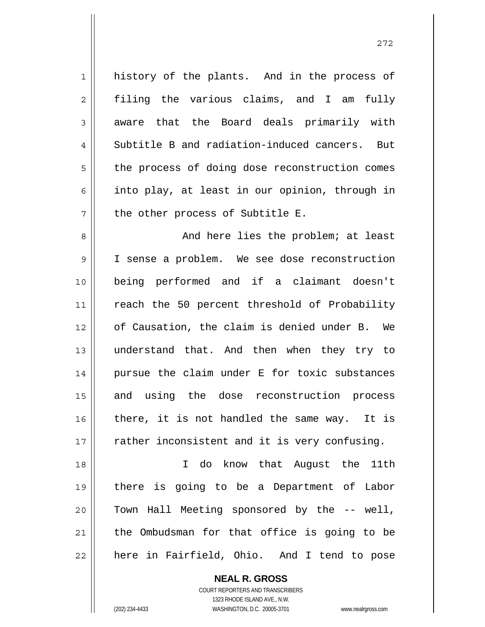1 2  $3 \parallel$  aware that the Board deals primarily with  $4 \parallel$  Subtitle B and radiation-induced cancers. But  $5 \parallel$  the process of doing dose reconstruction comes 6 || into play, at least in our opinion, through in  $7 \parallel$  the other process of Subtitle E. 8 || And here lies the problem; at least 9 10  $11$  | reach the 50 percent threshold of Probability  $12 \parallel$  of Causation, the claim is denied under B. We  $13$  || understand that. And then when they try to  $14$   $\parallel$  pursue the claim under E for toxic substances 15 || and using the dose reconstruction process  $16$  | there, it is not handled the same way. It is 17 18  $19 \parallel$  there is going to be a Department of Labor 20 Town Hall Meeting sponsored by the -- well,  $21$  the Ombudsman for that office is going to be 22 | here in Fairfield, Ohio. And I tend to pose history of the plants. And in the process of filing the various claims, and I am fully I sense a problem. We see dose reconstruction being performed and if a claimant doesn't rather inconsistent and it is very confusing. I do know that August the 11th

**NEAL R. GROSS**

COURT REPORTERS AND TRANSCRIBERS 1323 RHODE ISLAND AVE., N.W. (202) 234-4433 WASHINGTON, D.C. 20005-3701 www.nealrgross.com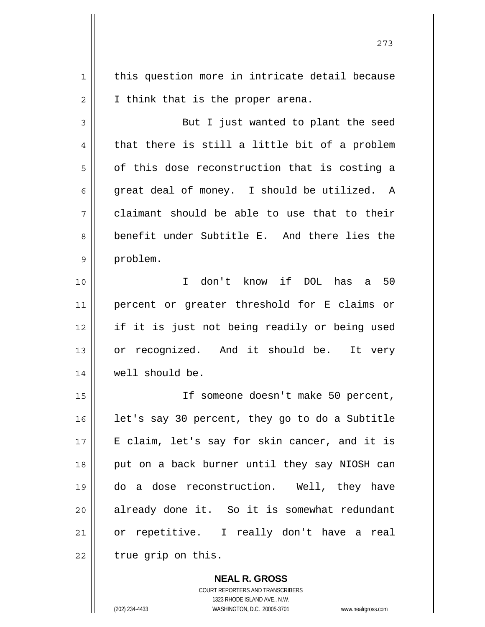$2 \parallel$  I think that is the proper arena. this question more in intricate detail because

3 || But I just wanted to plant the seed  $4 \parallel$  that there is still a little bit of a problem  $5 \parallel$  of this dose reconstruction that is costing a 6 | great deal of money. I should be utilized. A  $7 \parallel$  claimant should be able to use that to their  $8 \parallel$  benefit under Subtitle E. And there lies the 9 | problem.

10  $11$  | percent or greater threshold for E claims or  $12 \parallel$  if it is just not being readily or being used 13 || or recognized. And it should be. It very 14 I don't know if DOL has a 50 well should be.

15 || If someone doesn't make 50 percent,  $16 \parallel$  let's say 30 percent, they go to do a Subtitle 17 18  $19 \parallel$  do a dose reconstruction. Well, they have 20 || already done it. So it is somewhat redundant 21 or repetitive. I really don't have a real  $22$  | true grip on this. E claim, let's say for skin cancer, and it is put on a back burner until they say NIOSH can

> **NEAL R. GROSS** COURT REPORTERS AND TRANSCRIBERS 1323 RHODE ISLAND AVE., N.W. (202) 234-4433 WASHINGTON, D.C. 20005-3701 www.nealrgross.com

1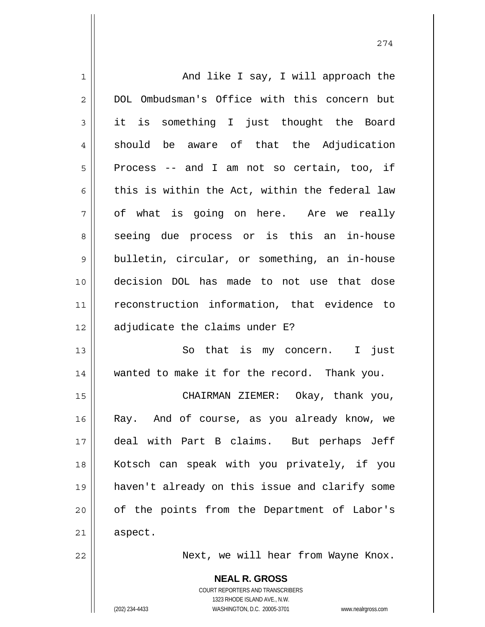| 1  | And like I say, I will approach the                      |
|----|----------------------------------------------------------|
| 2  | DOL Ombudsman's Office with this concern but             |
| 3  | it is something I just thought the Board                 |
| 4  | should be aware of that the Adjudication                 |
| 5  | Process -- and I am not so certain, too, if              |
| 6  | this is within the Act, within the federal law           |
| 7  | of what is going on here. Are we really                  |
| 8  | seeing due process or is this an in-house                |
| 9  | bulletin, circular, or something, an in-house            |
| 10 | decision DOL has made to not use that dose               |
| 11 | reconstruction information, that evidence to             |
| 12 | adjudicate the claims under E?                           |
| 13 | So that is my concern. I<br>just                         |
| 14 | wanted to make it for the record. Thank you.             |
| 15 | CHAIRMAN ZIEMER: Okay, thank you,                        |
| 16 | Ray. And of course, as you already know, we              |
| 17 | deal with Part B claims. But perhaps Jeff                |
| 18 | Kotsch can speak with you privately, if you              |
| 19 | haven't already on this issue and clarify some           |
| 20 | of the points from the Department of Labor's             |
| 21 | aspect.                                                  |
| 22 | Next, we will hear from Wayne Knox.                      |
|    | <b>NEAL R. GROSS</b><br>COURT REPORTERS AND TRANSCRIBERS |

274

1323 RHODE ISLAND AVE., N.W.

 $\mathsf{II}$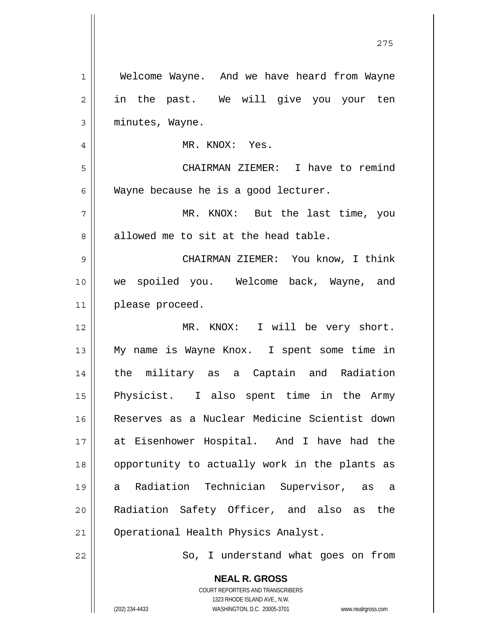| 1              | Welcome Wayne. And we have heard from Wayne     |
|----------------|-------------------------------------------------|
| $\overline{2}$ | in the past. We will give you your ten          |
| 3              | minutes, Wayne.                                 |
| 4              | MR. KNOX: Yes.                                  |
| 5              | CHAIRMAN ZIEMER: I have to remind               |
| 6              | Wayne because he is a good lecturer.            |
| 7              | MR. KNOX: But the last time, you                |
| 8              | allowed me to sit at the head table.            |
| 9              | CHAIRMAN ZIEMER: You know, I think              |
| 10             | we spoiled you. Welcome back, Wayne, and        |
| 11             | please proceed.                                 |
| 12             | MR. KNOX: I will be very short.                 |
| 13             | My name is Wayne Knox. I spent some time in     |
| 14             | the military as a Captain and Radiation         |
| 15             | Physicist. I also spent time in the Army        |
| 16             | Reserves as a Nuclear Medicine Scientist down   |
| 17             | at Eisenhower Hospital. And I have had the      |
| 18             | opportunity to actually work in the plants as   |
| 19             | Radiation Technician Supervisor, as<br>a<br>a a |
| 20             | Radiation Safety Officer, and also as<br>the    |
| 21             | Operational Health Physics Analyst.             |
| 22             | So, I understand what goes on from              |
|                | <b>NEAL R. GROSS</b>                            |

<u>275</u>

COURT REPORTERS AND TRANSCRIBERS 1323 RHODE ISLAND AVE., N.W.

 $\prod$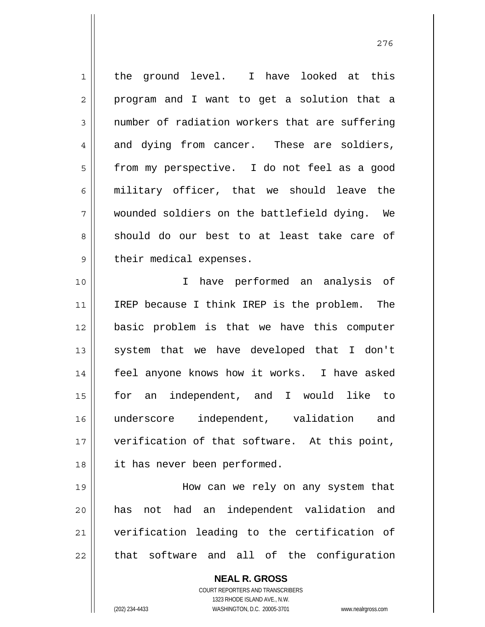| $\mathbf 1$  | the ground level. I have looked at this                  |
|--------------|----------------------------------------------------------|
| $\mathbf{2}$ | program and I want to get a solution that a              |
| 3            | number of radiation workers that are suffering           |
| 4            | and dying from cancer. These are soldiers,               |
| 5            | from my perspective. I do not feel as a good             |
| 6            | military officer, that we should leave the               |
| 7            | wounded soldiers on the battlefield dying. We            |
| 8            | should do our best to at least take care of              |
| 9            | their medical expenses.                                  |
| 10           | I have performed an analysis of                          |
| 11           | IREP because I think IREP is the problem. The            |
| 12           | basic problem is that we have this computer              |
| 13           | system that we have developed that I don't               |
| 14           | feel anyone knows how it works. I have asked             |
| 15           | for an independent, and I would like to                  |
| 16           | underscore independent, validation and                   |
| 17           | verification of that software. At this point,            |
| 18           | it has never been performed.                             |
| 19           | How can we rely on any system that                       |
| 20           | has not had an independent validation<br>and             |
| 21           | verification leading to the certification of             |
| 22           | that software and all of the configuration               |
|              | <b>NEAL R. GROSS</b><br>COURT REPORTERS AND TRANSCRIBERS |

1323 RHODE ISLAND AVE., N.W.

 $\mathsf{II}$ 

(202) 234-4433 WASHINGTON, D.C. 20005-3701 www.nealrgross.com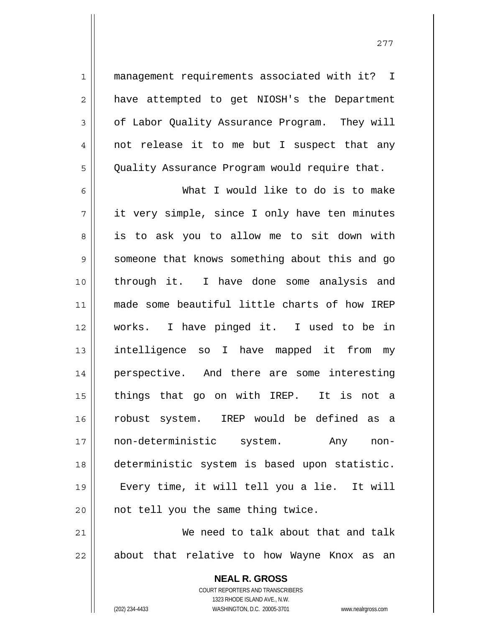management requirements associated with it? I

1 2  $3 \parallel$  of Labor Quality Assurance Program. They will  $4 \parallel$  not release it to me but I suspect that any 5 | Quality Assurance Program would require that. have attempted to get NIOSH's the Department

 $6 \parallel$  What I would like to do is to make  $7 \parallel$  it very simple, since I only have ten minutes  $8 \parallel$  is to ask you to allow me to sit down with 9 10 11 || made some beautiful little charts of how IREP  $12 \parallel$  works. I have pinged it. I used to be in 13 || intelligence so I have mapped it from my  $14 \parallel$  perspective. And there are some interesting  $15$  || things that go on with IREP. It is not a  $16$  | robust system. IREP would be defined as a 17 18 deterministic system is based upon statistic. 19 || Every time, it will tell you a lie. It will  $20$  | not tell you the same thing twice. someone that knows something about this and go through it. I have done some analysis and non-deterministic system. Any non-

21 We need to talk about that and talk 22 || about that relative to how Wayne Knox as an

> **NEAL R. GROSS** COURT REPORTERS AND TRANSCRIBERS 1323 RHODE ISLAND AVE., N.W. (202) 234-4433 WASHINGTON, D.C. 20005-3701 www.nealrgross.com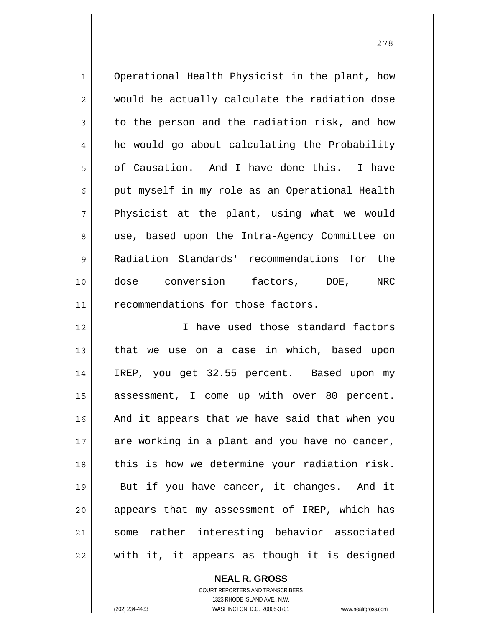1 2  $3 \parallel$  to the person and the radiation risk, and how  $4 \parallel$  he would go about calculating the Probability  $5 \parallel$  of Causation. And I have done this. I have 6  $\parallel$  put myself in my role as an Operational Health  $7 \parallel$  Physicist at the plant, using what we would 8 || use, based upon the Intra-Agency Committee on 9 10 dose conversion factors, DOE, NRC 11  $12 \parallel$  I have used those standard factors Operational Health Physicist in the plant, how would he actually calculate the radiation dose Radiation Standards' recommendations for the recommendations for those factors.

 $13$  | that we use on a case in which, based upon  $14 \parallel$  IREP, you get 32.55 percent. Based upon my 15  $\parallel$  assessment, I come up with over 80 percent.  $16$  | And it appears that we have said that when you 17 18  $19 \parallel$  But if you have cancer, it changes. And it 20 || appears that my assessment of IREP, which has 21 some rather interesting behavior associated 22 with it, it appears as though it is designed are working in a plant and you have no cancer, this is how we determine your radiation risk.

> **NEAL R. GROSS** COURT REPORTERS AND TRANSCRIBERS 1323 RHODE ISLAND AVE., N.W. (202) 234-4433 WASHINGTON, D.C. 20005-3701 www.nealrgross.com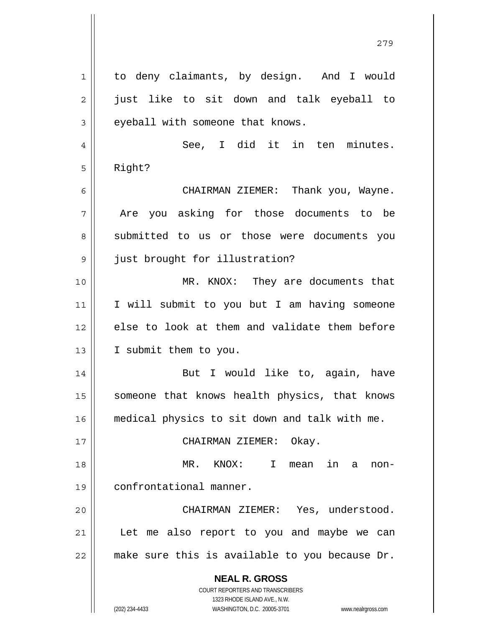**NEAL R. GROSS** COURT REPORTERS AND TRANSCRIBERS 1323 RHODE ISLAND AVE., N.W. (202) 234-4433 WASHINGTON, D.C. 20005-3701 www.nealrgross.com 1 2  $3 \parallel$  eyeball with someone that knows. 4 See, I did it in ten minutes.  $5 \parallel$  Right? 6 ayne.  $7 \parallel$  Are you asking for those documents to be 8 Submitted to us or those were documents you 9 || just brought for illustration? 10 11 | I will submit to you but I am having someone  $12$   $\parallel$  else to look at them and validate them before 13 14 || But I would like to, again, have 15 || someone that knows health physics, that knows 16 || medical physics to sit down and talk with me. 17 18 19 20 CHAIRMAN ZIEMER: Yes, understood. 21 || Let me also report to you and maybe we can  $22$  || make sure this is available to you because Dr. to deny claimants, by design. And I would just like to sit down and talk eyeball to CHAIRMAN ZIEMER: MR. KNOX: They are documents that I submit them to you. CHAIRMAN ZIEMER: Okay. MR. KNOX: I mean in a nonconfrontational manner.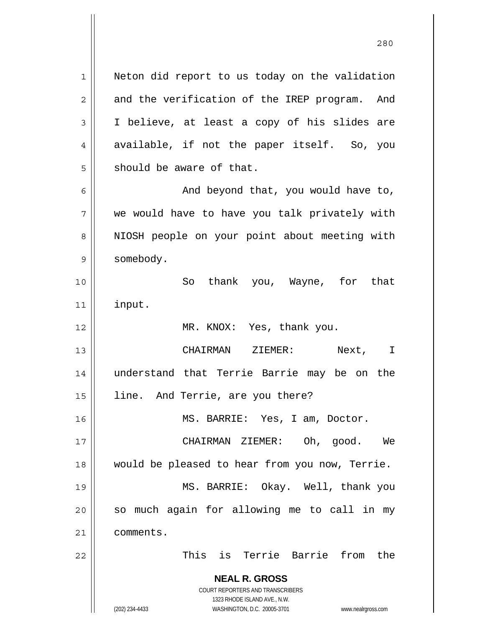**NEAL R. GROSS** COURT REPORTERS AND TRANSCRIBERS 1 2  $3 \parallel$  I believe, at least a copy of his slides are 4  $\parallel$  available, if not the paper itself. So, you  $5 \parallel$  should be aware of that.  $6 \parallel$  and beyond that, you would have to,  $7 \parallel$  we would have to have you talk privately with 8 WH NIOSH people on your point about meeting with 9 | somebody. 10  $11$  | input. 12 13 : Next, I CHAIRMAN ZIEMER 14 understand that Terrie Barrie may be on the  $15$   $\parallel$   $1$  ine. 16 r. MS. BARRIE: Yes, I am, Docto 17 18 19 || MS. BARRIE: Okay. Well, thank you  $20$  so much again for allowing me to call in my 21 comments. 22 This is Terrie Barrie from the Neton did report to us today on the validation and the verification of the IREP program. And So thank you, Wayne, for that MR. KNOX: Yes, thank you. And Terrie, are you there? CHAIRMAN ZIEMER: Oh, good. We would be pleased to hear from you now, Terrie.

1323 RHODE ISLAND AVE., N.W.

(202) 234-4433 WASHINGTON, D.C. 20005-3701 www.nealrgross.com

<u>280</u>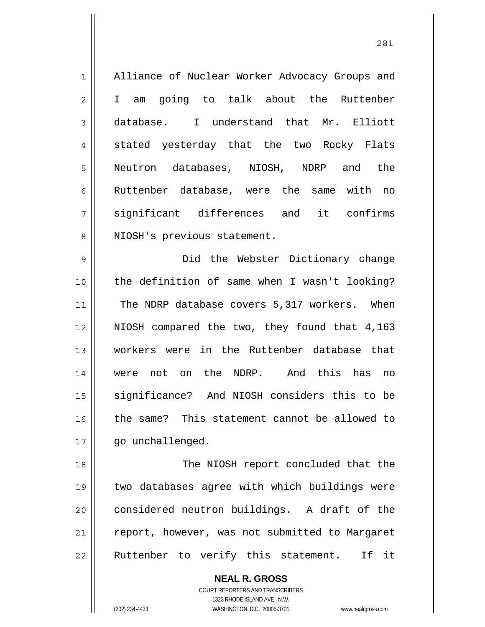1 2  $3 \parallel$  database. I understand that Mr. Elliott  $4 \parallel$  stated yesterday that the two Rocky Flats  $5 \parallel$  Neutron databases, NIOSH, NDRP and the  $6 \parallel$  Ruttenber database, were the same with no  $7 \parallel$  significant differences and it confirms 8 | NIOSH's previous statement. Alliance of Nuclear Worker Advocacy Groups and I am going to talk about the Ruttenber

9 10  $11$  | The NDRP database covers 5,317 workers. When  $12 \parallel$  NIOSH compared the two, they found that 4,163  $13$  || workers were in the Ruttenber database that  $14$  || were not on the NDRP. And this has no 15 || significance? And NIOSH considers this to be 16 the same? This statement cannot be allowed to 17 Did the Webster Dictionary change the definition of same when I wasn't looking? were not on significance? go unchallenged.

18  $19 \parallel$  two databases agree with which buildings were 20 || considered neutron buildings. A draft of the 21 | report, however, was not submitted to Margaret 22 || Ruttenber to verify this statement. If it The NIOSH report concluded that the

> **NEAL R. GROSS** COURT REPORTERS AND TRANSCRIBERS 1323 RHODE ISLAND AVE., N.W. (202) 234-4433 WASHINGTON, D.C. 20005-3701 www.nealrgross.com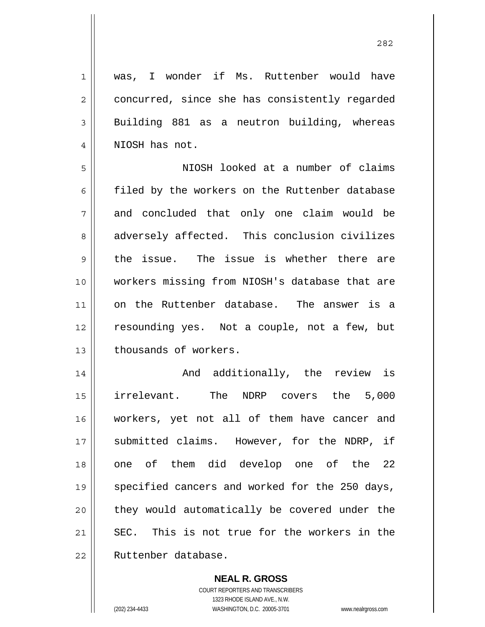| 1           | was, I wonder if Ms. Ruttenber would have      |
|-------------|------------------------------------------------|
| $\sqrt{2}$  | concurred, since she has consistently regarded |
| $\mathsf 3$ | Building 881 as a neutron building, whereas    |
| 4           | NIOSH has not.                                 |
| 5           | NIOSH looked at a number of claims             |
| 6           | filed by the workers on the Ruttenber database |
| 7           | and concluded that only one claim would be     |
| 8           | adversely affected. This conclusion civilizes  |
| $\mathsf 9$ | the issue. The issue is whether there are      |
| 10          | workers missing from NIOSH's database that are |
| 11          | on the Ruttenber database. The answer is a     |
| 12          | resounding yes. Not a couple, not a few, but   |
| 13          | thousands of workers.                          |
| 14          | And additionally, the review is                |
| 15          | irrelevant. The NDRP covers the 5,000          |
| 16          | workers, yet not all of them have cancer and   |
| 17          | submitted claims. However, for the NDRP, if    |
| 18          | one of them did develop one of the 22          |
| 19          | specified cancers and worked for the 250 days, |
| 20          | they would automatically be covered under the  |
| 21          | SEC. This is not true for the workers in the   |
| 22          | Ruttenber database.                            |

**NEAL R. GROSS** COURT REPORTERS AND TRANSCRIBERS

1323 RHODE ISLAND AVE., N.W.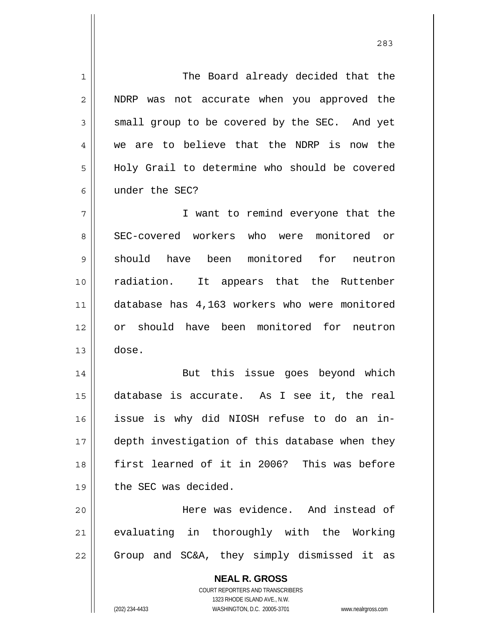| $\mathbf 1$ |                                                                     |
|-------------|---------------------------------------------------------------------|
|             | The Board already decided that the                                  |
| 2           | NDRP was not accurate when you approved the                         |
| 3           | small group to be covered by the SEC. And yet                       |
| 4           | we are to believe that the NDRP is now the                          |
| 5           | Holy Grail to determine who should be covered                       |
| 6           | under the SEC?                                                      |
| 7           | I want to remind everyone that the                                  |
| 8           | SEC-covered workers who were monitored or                           |
| 9           | should have<br>been monitored for<br>neutron                        |
| 10          | radiation. It appears that the Ruttenber                            |
| 11          | database has 4,163 workers who were monitored                       |
| 12          | or should have been monitored for neutron                           |
| 13          | dose.                                                               |
| 14          | But this issue goes beyond which                                    |
| 15          | database is accurate. As I see it, the real                         |
| 16          | issue is why did NIOSH refuse to do an in-                          |
| 17          | depth investigation of this database when they                      |
| 18          | first learned of it in 2006? This was before                        |
| 19          | the SEC was decided.                                                |
| 20          | Here was evidence. And instead of                                   |
| 21          | evaluating in thoroughly with the Working                           |
| 22          | Group and SC&A, they simply dismissed it as                         |
|             | <b>NEAL R. GROSS</b>                                                |
|             | <b>COURT REPORTERS AND TRANSCRIBERS</b>                             |
|             | 1323 RHODE ISLAND AVE., N.W.                                        |
|             | (202) 234-4433<br>WASHINGTON, D.C. 20005-3701<br>www.nealrgross.com |

<u>283</u>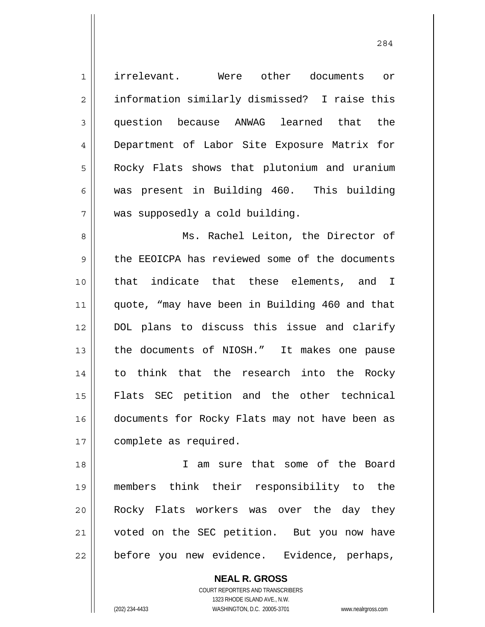1 2  $3 \parallel$  question because ANWAG learned that the 4 Department of Labor Site Exposure Matrix for  $5 \parallel$  Rocky Flats shows that plutonium and uranium 6 || was present in Building 460. This building  $7 \parallel$  was supposedly a cold building. irrelevant. Were other documents or information similarly dismissed? I raise this

8 || Ms. Rachel Leiton, the Director of 9 10  $11$  | quote, "may have been in Building 460 and that  $12 \parallel$  DOL plans to discuss this issue and clarify  $13$  | the documents of NIOSH." It makes one pause  $14$   $\parallel$  to think that the research into the Rocky  $15$  || Flats SEC petition and the other technical 16 documents for Rocky Flats may not have been as 17 the EEOICPA has reviewed some of the documents that indicate that these elements, and I complete as required.

18 19 || members think their responsibility to the 20 || Rocky Flats workers was over the day they 21 voted on the SEC petition. But you now have 22 || before you new evidence. Evidence, perhaps, I am sure that some of the Board

> **NEAL R. GROSS** COURT REPORTERS AND TRANSCRIBERS 1323 RHODE ISLAND AVE., N.W. (202) 234-4433 WASHINGTON, D.C. 20005-3701 www.nealrgross.com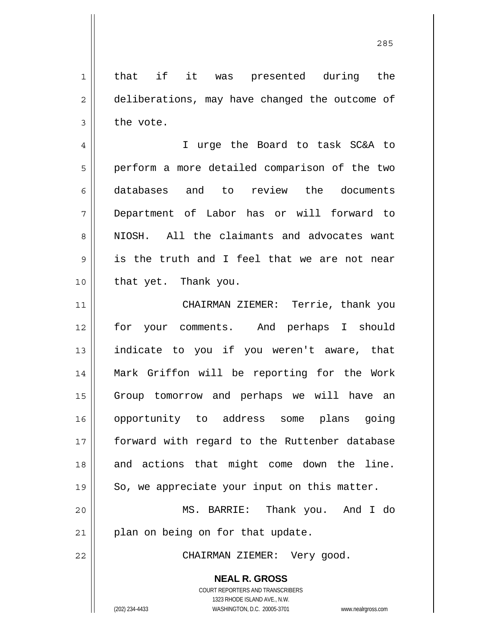**NEAL R. GROSS** COURT REPORTERS AND TRANSCRIBERS 1 2  $3 \parallel$  the vote. 4 || I urge the Board to task SC&A to  $5 \parallel$  perform a more detailed comparison of the two  $6 \parallel$  databases and to review the documents  $7 \parallel$  Department of Labor has or will forward to  $8 \parallel$  NIOSH. All the claimants and advocates want 9 10 11 || CHAIRMAN ZIEMER: Terrie, thank you 12 || for your comments. And perhaps I should  $13$  || indicate to you if you weren't aware, that 14 || Mark Griffon will be reporting for the Work 15 || Group tomorrow and perhaps we will have an 16 || opportunity to address some plans going 17 18  $19 \parallel$  So, we appreciate your input on this matter. 20 MS. BARRIE: Thank you. And I do  $21$  | plan on being on for that update. 22 CHAIRMAN ZIEMER: Very good. that if it was presented during the deliberations, may have changed the outcome of is the truth and I feel that we are not near that yet. Thank you. CHAIRMAN ZIEMER: forward with regard to the Ruttenber database and actions that might come down the line.

1323 RHODE ISLAND AVE., N.W.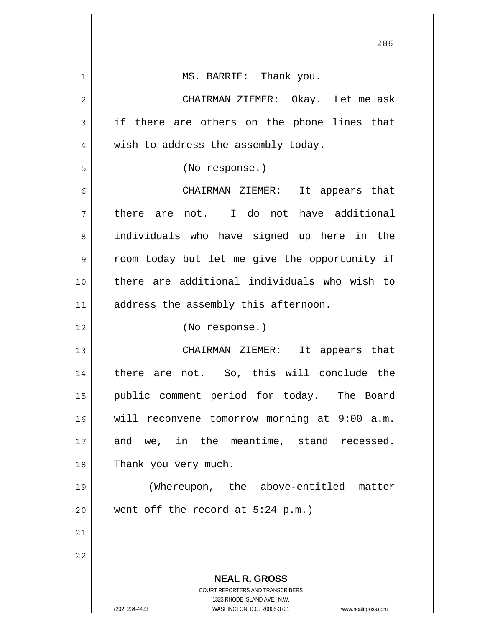|                | 286                                                                                                 |
|----------------|-----------------------------------------------------------------------------------------------------|
| $\mathbf 1$    | MS. BARRIE: Thank you.                                                                              |
| $\overline{c}$ | CHAIRMAN ZIEMER: Okay. Let me ask                                                                   |
| 3              | if there are others on the phone lines that                                                         |
| 4              | wish to address the assembly today.                                                                 |
| 5              | (No response.)                                                                                      |
| 6              | CHAIRMAN ZIEMER:<br>It appears that                                                                 |
| 7              | there are not. I do not have additional                                                             |
| 8              | individuals who have signed up here in the                                                          |
| 9              | room today but let me give the opportunity if                                                       |
| 10             | there are additional individuals who wish to                                                        |
| 11             | address the assembly this afternoon.                                                                |
| 12             | (No response.)                                                                                      |
| 13             | CHAIRMAN ZIEMER: It appears that                                                                    |
| 14             | there are not. So, this will conclude the                                                           |
| 15             | public comment period for today. The Board                                                          |
| 16             | will reconvene tomorrow morning at 9:00 a.m.                                                        |
| 17             | and we, in the meantime, stand recessed.                                                            |
| 18             | Thank you very much.                                                                                |
| 19             | (Whereupon, the above-entitled matter                                                               |
| 20             | went off the record at $5:24$ p.m.)                                                                 |
| 21             |                                                                                                     |
| 22             |                                                                                                     |
|                | <b>NEAL R. GROSS</b>                                                                                |
|                | COURT REPORTERS AND TRANSCRIBERS                                                                    |
|                | 1323 RHODE ISLAND AVE., N.W.<br>(202) 234-4433<br>WASHINGTON, D.C. 20005-3701<br>www.nealrgross.com |

 $\mathsf{I}$